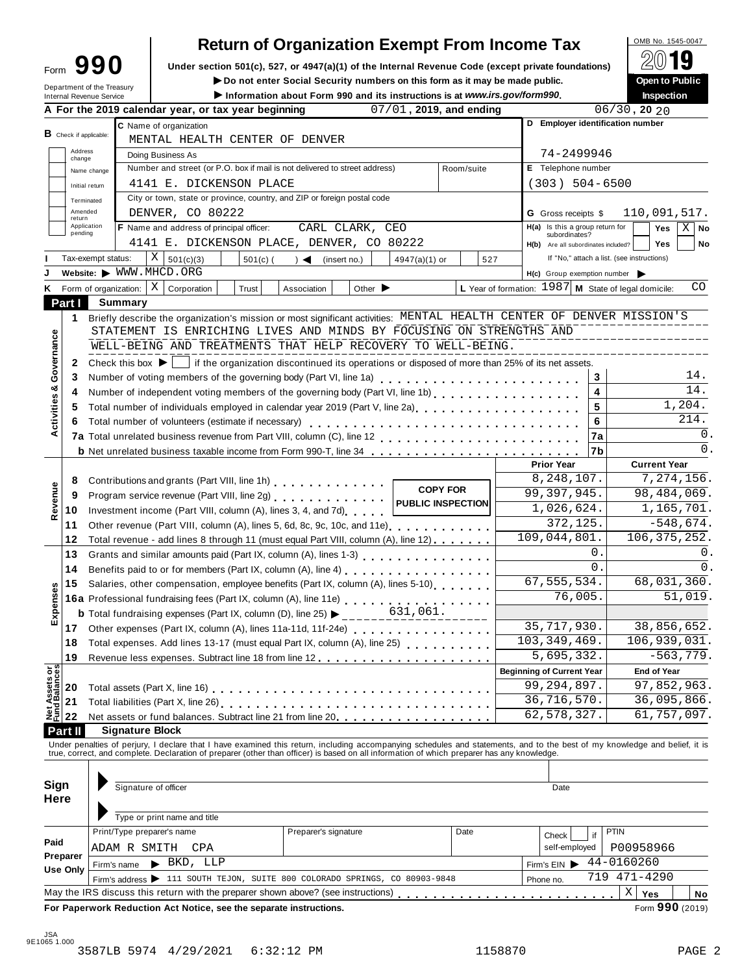# **Return of Organization Exempt From Income Tax**  $\bigotimes_{\text{OMB No. 1545-0047}} \text{O(10)}$

**Under section 501(c), 527, or 4947(a)(1) of the Internal Revenue Code (except private foundations) <b>Form 990 E** internal **Revenue** Code (except private foundations) **Form 3 Conserver Form 30 Conserver Public** 

 $\blacktriangleright$  Do not enter Social Security numbers on this form as it may be made public.

|                                      | Department of the Treasury<br>Internal Revenue Service |                                                                                                                                                                                                                                          | Information about Form 990 and its instructions is at www.irs.gov/form990. |                      |                             |                         |                 |     | ► Do not enter Social Security numbers on this form as it may be made public. |                         | <b>Open to Public</b><br><b>Inspection</b>                                                                                                                                                                                     |
|--------------------------------------|--------------------------------------------------------|------------------------------------------------------------------------------------------------------------------------------------------------------------------------------------------------------------------------------------------|----------------------------------------------------------------------------|----------------------|-----------------------------|-------------------------|-----------------|-----|-------------------------------------------------------------------------------|-------------------------|--------------------------------------------------------------------------------------------------------------------------------------------------------------------------------------------------------------------------------|
|                                      |                                                        | A For the 2019 calendar year, or tax year beginning                                                                                                                                                                                      |                                                                            |                      |                             | 07/01, 2019, and ending |                 |     |                                                                               |                         | $06/30$ , 20 20                                                                                                                                                                                                                |
|                                      |                                                        | C Name of organization                                                                                                                                                                                                                   |                                                                            |                      |                             |                         |                 |     |                                                                               |                         | D Employer identification number                                                                                                                                                                                               |
| <b>B</b> Check if applicable:        |                                                        | MENTAL HEALTH CENTER OF DENVER                                                                                                                                                                                                           |                                                                            |                      |                             |                         |                 |     |                                                                               |                         |                                                                                                                                                                                                                                |
| Address<br>change                    |                                                        | Doing Business As                                                                                                                                                                                                                        |                                                                            |                      |                             |                         |                 |     | 74-2499946                                                                    |                         |                                                                                                                                                                                                                                |
|                                      | Name change                                            | Number and street (or P.O. box if mail is not delivered to street address)                                                                                                                                                               |                                                                            |                      |                             |                         | Room/suite      |     | E Telephone number                                                            |                         |                                                                                                                                                                                                                                |
|                                      | Initial return                                         | 4141 E. DICKENSON PLACE                                                                                                                                                                                                                  |                                                                            |                      |                             |                         |                 |     | $(303) 504 - 6500$                                                            |                         |                                                                                                                                                                                                                                |
| Terminated                           |                                                        | City or town, state or province, country, and ZIP or foreign postal code                                                                                                                                                                 |                                                                            |                      |                             |                         |                 |     |                                                                               |                         |                                                                                                                                                                                                                                |
| Amended<br>return                    |                                                        | DENVER, CO 80222                                                                                                                                                                                                                         |                                                                            |                      |                             |                         |                 |     | <b>G</b> Gross receipts \$                                                    |                         | 110,091,517.                                                                                                                                                                                                                   |
| Application<br>pending               |                                                        | <b>F</b> Name and address of principal officer:                                                                                                                                                                                          |                                                                            |                      | CARL CLARK, CEO             |                         |                 |     | H(a) Is this a group return for                                               |                         | Yes<br>ΧI<br>No                                                                                                                                                                                                                |
|                                      |                                                        | 4141 E. DICKENSON PLACE, DENVER, CO 80222                                                                                                                                                                                                |                                                                            |                      |                             |                         |                 |     | subordinates?<br>H(b) Are all subordinates included?                          |                         | <b>Yes</b><br>No                                                                                                                                                                                                               |
|                                      | Tax-exempt status:                                     | X   501(c)(3)                                                                                                                                                                                                                            | $501(c)$ (                                                                 | $\rightarrow$        | (insert no.)                | $4947(a)(1)$ or         |                 | 527 |                                                                               |                         | If "No," attach a list. (see instructions)                                                                                                                                                                                     |
|                                      |                                                        | Website: WWW.MHCD.ORG                                                                                                                                                                                                                    |                                                                            |                      |                             |                         |                 |     | H(c) Group exemption number                                                   |                         |                                                                                                                                                                                                                                |
|                                      | Form of organization: $ X $                            | Corporation                                                                                                                                                                                                                              | Trust                                                                      | Association          | Other $\blacktriangleright$ |                         |                 |     |                                                                               |                         | L Year of formation: 1987 M State of legal domicile:<br>CO                                                                                                                                                                     |
| Part I                               | <b>Summary</b>                                         |                                                                                                                                                                                                                                          |                                                                            |                      |                             |                         |                 |     |                                                                               |                         |                                                                                                                                                                                                                                |
| 1                                    |                                                        |                                                                                                                                                                                                                                          |                                                                            |                      |                             |                         |                 |     |                                                                               |                         | Briefly describe the organization's mission or most significant activities: MENTAL HEALTH CENTER OF DENVER MISSION'S                                                                                                           |
|                                      |                                                        | STATEMENT IS ENRICHING LIVES AND MINDS BY FOCUSING ON STRENGTHS AND                                                                                                                                                                      |                                                                            |                      |                             |                         |                 |     |                                                                               |                         |                                                                                                                                                                                                                                |
|                                      |                                                        | WELL-BEING AND TREATMENTS THAT HELP RECOVERY TO WELL-BEING.                                                                                                                                                                              |                                                                            |                      |                             |                         |                 |     |                                                                               |                         |                                                                                                                                                                                                                                |
| Activities & Governance<br>2         |                                                        | Check this box $\blacktriangleright$   if the organization discontinued its operations or disposed of more than 25% of its net assets.                                                                                                   |                                                                            |                      |                             |                         |                 |     |                                                                               |                         |                                                                                                                                                                                                                                |
| 3                                    |                                                        |                                                                                                                                                                                                                                          |                                                                            |                      |                             |                         |                 |     |                                                                               | 3                       | 14.                                                                                                                                                                                                                            |
| 4                                    |                                                        | Number of independent voting members of the governing body (Part VI, line 1b)                                                                                                                                                            |                                                                            |                      |                             |                         |                 |     |                                                                               | $\overline{\mathbf{4}}$ | 14.                                                                                                                                                                                                                            |
| 5                                    |                                                        | Total number of individuals employed in calendar year 2019 (Part V, line 2a)<br>The 2a)                                                                                                                                                  |                                                                            |                      |                             |                         |                 |     |                                                                               | 5                       | 1,204.                                                                                                                                                                                                                         |
| 6                                    |                                                        | Total number of volunteers (estimate if necessary)                                                                                                                                                                                       |                                                                            |                      |                             |                         |                 |     |                                                                               | 6                       | 214.                                                                                                                                                                                                                           |
|                                      |                                                        |                                                                                                                                                                                                                                          |                                                                            |                      |                             |                         |                 |     |                                                                               | 7a                      | 0.                                                                                                                                                                                                                             |
|                                      |                                                        | <b>b</b> Net unrelated business taxable income from Form 990-T, line 34                                                                                                                                                                  |                                                                            |                      |                             |                         |                 |     |                                                                               | 7b                      | 0.                                                                                                                                                                                                                             |
|                                      |                                                        |                                                                                                                                                                                                                                          |                                                                            |                      |                             |                         |                 |     | <b>Prior Year</b>                                                             |                         | <b>Current Year</b>                                                                                                                                                                                                            |
| 8                                    |                                                        | Contributions and grants (Part VIII, line 1h)                                                                                                                                                                                            |                                                                            |                      |                             |                         |                 |     | 8,248,107.                                                                    |                         | 7,274,156.                                                                                                                                                                                                                     |
| 9                                    |                                                        | Program service revenue (Part VIII, line 2g)                                                                                                                                                                                             |                                                                            |                      |                             |                         | <b>COPY FOR</b> |     | 99, 397, 945.                                                                 |                         | 98, 484, 069.                                                                                                                                                                                                                  |
| Revenue<br>10                        |                                                        | Investment income (Part VIII, column (A), lines 3, 4, and 7d)                                                                                                                                                                            |                                                                            |                      |                             | PUBLIC INSPECTION       |                 |     | 1,026,624.                                                                    |                         | 1,165,701.                                                                                                                                                                                                                     |
| 11                                   |                                                        | Other revenue (Part VIII, column (A), lines 5, 6d, 8c, 9c, 10c, and 11e)                                                                                                                                                                 |                                                                            |                      |                             |                         |                 |     | 372,125.                                                                      |                         | $-548,674.$                                                                                                                                                                                                                    |
| 12                                   |                                                        | Total revenue - add lines 8 through 11 (must equal Part VIII, column (A), line 12)                                                                                                                                                       |                                                                            |                      |                             |                         |                 |     | 109,044,801.                                                                  |                         | 106, 375, 252.                                                                                                                                                                                                                 |
| 13                                   |                                                        | Grants and similar amounts paid (Part IX, column (A), lines 1-3) [10] Canada and similar amounts paid (Part IX, column (A), lines 1-3)                                                                                                   |                                                                            |                      |                             |                         |                 |     |                                                                               | $\mathbf 0$ .           | 0.                                                                                                                                                                                                                             |
| 14                                   |                                                        | Benefits paid to or for members (Part IX, column (A), line 4)                                                                                                                                                                            |                                                                            |                      |                             |                         |                 |     |                                                                               | $\Omega$ .              | $\mathbf{0}$ .                                                                                                                                                                                                                 |
| 15                                   |                                                        | Salaries, other compensation, employee benefits (Part IX, column (A), lines 5-10)                                                                                                                                                        |                                                                            |                      |                             |                         |                 |     | 67, 555, 534.                                                                 |                         | 68,031,360.                                                                                                                                                                                                                    |
| Expenses                             |                                                        |                                                                                                                                                                                                                                          |                                                                            |                      |                             |                         |                 |     |                                                                               | 76,005.                 | 51,019.                                                                                                                                                                                                                        |
|                                      |                                                        | 16a Professional fundraising fees (Part IX, column (A), line 11e)<br>16a Professional fundraising fees (Part IX, column (A), line 11e)<br><b>b</b> Total fundraising expenses (Part IX, column (D), line 25) $\blacktriangleright$ _____ |                                                                            |                      |                             | 631,061.                |                 |     |                                                                               |                         |                                                                                                                                                                                                                                |
|                                      |                                                        | 17 Other expenses (Part IX, column (A), lines 11a-11d, 11f-24e)                                                                                                                                                                          |                                                                            |                      |                             |                         |                 |     | 35,717,930.                                                                   |                         | 38,856,652.                                                                                                                                                                                                                    |
| 18                                   |                                                        | Total expenses. Add lines 13-17 (must equal Part IX, column (A), line 25)                                                                                                                                                                |                                                                            |                      |                             |                         |                 |     | 103, 349, 469.                                                                |                         | 106,939,031.                                                                                                                                                                                                                   |
| 19                                   |                                                        |                                                                                                                                                                                                                                          |                                                                            |                      |                             |                         |                 |     | 5,695,332.                                                                    |                         | $-563,779.$                                                                                                                                                                                                                    |
|                                      |                                                        |                                                                                                                                                                                                                                          |                                                                            |                      |                             |                         |                 |     | <b>Beginning of Current Year</b>                                              |                         | <b>End of Year</b>                                                                                                                                                                                                             |
| Net Assets or<br>Fund Balances<br>20 |                                                        |                                                                                                                                                                                                                                          |                                                                            |                      |                             |                         |                 |     | 99, 294, 897.                                                                 |                         | 97,852,963.                                                                                                                                                                                                                    |
| 21                                   |                                                        |                                                                                                                                                                                                                                          |                                                                            |                      |                             |                         |                 |     | 36,716,570.                                                                   |                         | 36,095,866.                                                                                                                                                                                                                    |
| 22                                   |                                                        | Net assets or fund balances. Subtract line 21 from line 20 [11, 11, 11, 11, 11, 11, 11, 11]                                                                                                                                              |                                                                            |                      |                             |                         |                 |     | 62, 578, 327.                                                                 |                         | 61, 757, 097.                                                                                                                                                                                                                  |
| Part II                              |                                                        | <b>Signature Block</b>                                                                                                                                                                                                                   |                                                                            |                      |                             |                         |                 |     |                                                                               |                         |                                                                                                                                                                                                                                |
|                                      |                                                        |                                                                                                                                                                                                                                          |                                                                            |                      |                             |                         |                 |     |                                                                               |                         |                                                                                                                                                                                                                                |
|                                      |                                                        |                                                                                                                                                                                                                                          |                                                                            |                      |                             |                         |                 |     |                                                                               |                         | Under penalties of perjury, I declare that I have examined this return, including accompanying schedules and statements, and to the best of my knowledge and belief, it is true, correct, and complete. Declaration of prepare |
|                                      |                                                        |                                                                                                                                                                                                                                          |                                                                            |                      |                             |                         |                 |     |                                                                               |                         |                                                                                                                                                                                                                                |
| Sign                                 |                                                        | Signature of officer                                                                                                                                                                                                                     |                                                                            |                      |                             |                         |                 |     | Date                                                                          |                         |                                                                                                                                                                                                                                |
| Here                                 |                                                        |                                                                                                                                                                                                                                          |                                                                            |                      |                             |                         |                 |     |                                                                               |                         |                                                                                                                                                                                                                                |
|                                      |                                                        | Type or print name and title                                                                                                                                                                                                             |                                                                            |                      |                             |                         |                 |     |                                                                               |                         |                                                                                                                                                                                                                                |
|                                      |                                                        | Print/Type preparer's name                                                                                                                                                                                                               |                                                                            | Preparer's signature |                             |                         | Date            |     |                                                                               |                         | <b>PTIN</b>                                                                                                                                                                                                                    |
| Paid                                 |                                                        | ADAM R SMITH<br>CPA                                                                                                                                                                                                                      |                                                                            |                      |                             |                         |                 |     | Check<br>self-employed                                                        | if                      | P00958966                                                                                                                                                                                                                      |
| Preparer                             |                                                        | $\blacktriangleright$ BKD, LLP                                                                                                                                                                                                           |                                                                            |                      |                             |                         |                 |     | 44-0160260                                                                    |                         |                                                                                                                                                                                                                                |
| Use Only                             | Firm's name                                            |                                                                                                                                                                                                                                          |                                                                            |                      |                             |                         |                 |     | Firm's $EIN$                                                                  |                         | 719 471-4290                                                                                                                                                                                                                   |
|                                      |                                                        | Firm's address > 111 SOUTH TEJON, SUITE 800 COLORADO SPRINGS, CO 80903-9848                                                                                                                                                              |                                                                            |                      |                             |                         |                 |     | Phone no.                                                                     |                         |                                                                                                                                                                                                                                |

m m m m m m m m m m m m m m m m m m m m m m m m m **Yes No** X **For Paperwork Reduction Act Notice, see the separate instructions.** Form 200 (2019)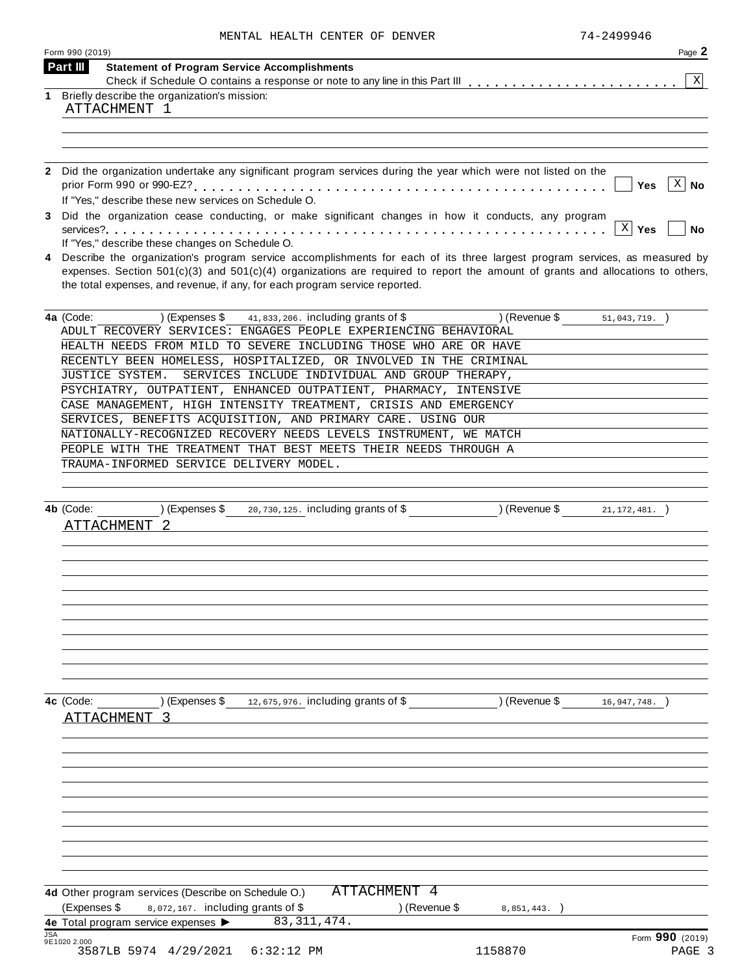| MENTAL HEALTH CENTER OF DENVER |  |  |  |  |
|--------------------------------|--|--|--|--|
|--------------------------------|--|--|--|--|

|            | Form 990 (2019)                                                                                                                                                               | Page 2                    |
|------------|-------------------------------------------------------------------------------------------------------------------------------------------------------------------------------|---------------------------|
|            | <b>Part III</b><br><b>Statement of Program Service Accomplishments</b>                                                                                                        |                           |
| 1          | Briefly describe the organization's mission:                                                                                                                                  | X                         |
|            | ATTACHMENT 1                                                                                                                                                                  |                           |
|            |                                                                                                                                                                               |                           |
|            |                                                                                                                                                                               |                           |
|            |                                                                                                                                                                               |                           |
| 2          | Did the organization undertake any significant program services during the year which were not listed on the                                                                  |                           |
|            |                                                                                                                                                                               | $X \vert$<br>Yes<br>No    |
|            | If "Yes," describe these new services on Schedule O.                                                                                                                          |                           |
| 3          | Did the organization cease conducting, or make significant changes in how it conducts, any program                                                                            |                           |
|            |                                                                                                                                                                               | $X \mid Y$ es<br>No       |
|            | If "Yes," describe these changes on Schedule O.<br>Describe the organization's program service accomplishments for each of its three largest program services, as measured by |                           |
|            | expenses. Section $501(c)(3)$ and $501(c)(4)$ organizations are required to report the amount of grants and allocations to others,                                            |                           |
|            | the total expenses, and revenue, if any, for each program service reported.                                                                                                   |                           |
|            |                                                                                                                                                                               |                           |
|            | 4a (Code:<br>) (Expenses \$<br>41,833,206. including grants of \$<br>) (Revenue \$                                                                                            | $51,043,719.$ )           |
|            | ADULT RECOVERY SERVICES: ENGAGES PEOPLE EXPERIENCING BEHAVIORAL                                                                                                               |                           |
|            | HEALTH NEEDS FROM MILD TO SEVERE INCLUDING THOSE WHO ARE OR HAVE                                                                                                              |                           |
|            | RECENTLY BEEN HOMELESS, HOSPITALIZED, OR INVOLVED IN THE CRIMINAL                                                                                                             |                           |
|            | JUSTICE SYSTEM.<br>SERVICES INCLUDE INDIVIDUAL AND GROUP THERAPY,                                                                                                             |                           |
|            | PSYCHIATRY, OUTPATIENT, ENHANCED OUTPATIENT, PHARMACY, INTENSIVE                                                                                                              |                           |
|            | CASE MANAGEMENT, HIGH INTENSITY TREATMENT, CRISIS AND EMERGENCY                                                                                                               |                           |
|            | SERVICES, BENEFITS ACQUISITION, AND PRIMARY CARE. USING OUR                                                                                                                   |                           |
|            | NATIONALLY-RECOGNIZED RECOVERY NEEDS LEVELS INSTRUMENT, WE MATCH<br>PEOPLE WITH THE TREATMENT THAT BEST MEETS THEIR NEEDS THROUGH A                                           |                           |
|            | TRAUMA-INFORMED SERVICE DELIVERY MODEL.                                                                                                                                       |                           |
|            |                                                                                                                                                                               |                           |
|            |                                                                                                                                                                               |                           |
|            | 20,730,125. including grants of \$ (Revenue \$ 21,172,481.)<br>) (Expenses \$<br>4b (Code:                                                                                    |                           |
|            | ATTACHMENT<br>2                                                                                                                                                               |                           |
|            |                                                                                                                                                                               |                           |
|            |                                                                                                                                                                               |                           |
|            |                                                                                                                                                                               |                           |
|            |                                                                                                                                                                               |                           |
|            |                                                                                                                                                                               |                           |
|            |                                                                                                                                                                               |                           |
|            |                                                                                                                                                                               |                           |
|            |                                                                                                                                                                               |                           |
|            |                                                                                                                                                                               |                           |
|            |                                                                                                                                                                               |                           |
|            | ) (Expenses $$$ 12,675,976. including grants of $$$ ) (Revenue $$$<br>4c (Code:                                                                                               | 16,947,748.               |
|            | ATTACHMENT<br>्द                                                                                                                                                              |                           |
|            |                                                                                                                                                                               |                           |
|            |                                                                                                                                                                               |                           |
|            |                                                                                                                                                                               |                           |
|            |                                                                                                                                                                               |                           |
|            |                                                                                                                                                                               |                           |
|            |                                                                                                                                                                               |                           |
|            |                                                                                                                                                                               |                           |
|            |                                                                                                                                                                               |                           |
|            |                                                                                                                                                                               |                           |
|            |                                                                                                                                                                               |                           |
|            |                                                                                                                                                                               |                           |
|            | ATTACHMENT 4<br>4d Other program services (Describe on Schedule O.)                                                                                                           |                           |
|            | (Expenses \$<br>8,072,167. including grants of \$<br>) (Revenue \$<br>8,851,443.                                                                                              |                           |
| <b>JSA</b> | 83, 311, 474.<br>4e Total program service expenses >                                                                                                                          |                           |
|            | 9E1020 2.000<br>3587LB 5974 4/29/2021<br>$6:32:12$ PM<br>1158870                                                                                                              | Form 990 (2019)<br>PAGE 3 |
|            |                                                                                                                                                                               |                           |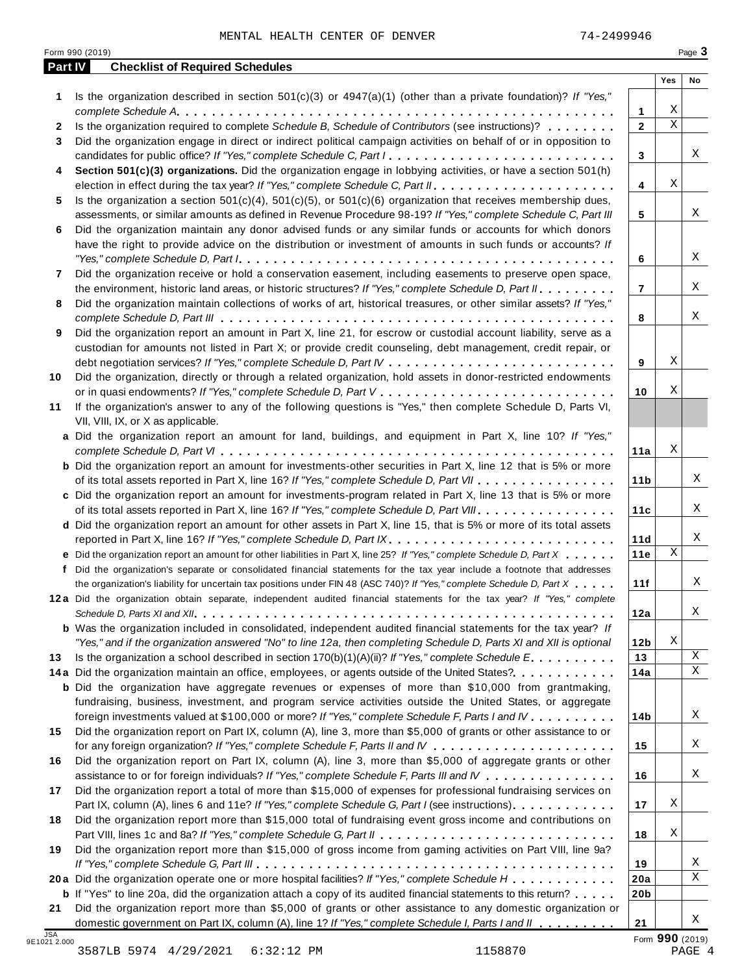|              | Form 990 (2019)                                                                                                                                                                                                                                                                                                                                                                               |                       |             | Page 3 |
|--------------|-----------------------------------------------------------------------------------------------------------------------------------------------------------------------------------------------------------------------------------------------------------------------------------------------------------------------------------------------------------------------------------------------|-----------------------|-------------|--------|
| Part IV      | <b>Checklist of Required Schedules</b>                                                                                                                                                                                                                                                                                                                                                        |                       | Yes         | No     |
| 1            | Is the organization described in section $501(c)(3)$ or $4947(a)(1)$ (other than a private foundation)? If "Yes,"                                                                                                                                                                                                                                                                             |                       |             |        |
|              |                                                                                                                                                                                                                                                                                                                                                                                               | 1                     | Χ           |        |
| $\mathbf{2}$ | Is the organization required to complete Schedule B, Schedule of Contributors (see instructions)?                                                                                                                                                                                                                                                                                             | $\overline{2}$        | $\mathbf X$ |        |
| 3            | Did the organization engage in direct or indirect political campaign activities on behalf of or in opposition to                                                                                                                                                                                                                                                                              |                       |             |        |
|              | candidates for public office? If "Yes," complete Schedule C, Part I.                                                                                                                                                                                                                                                                                                                          | 3                     |             | X      |
| 4            | Section 501(c)(3) organizations. Did the organization engage in lobbying activities, or have a section 501(h)                                                                                                                                                                                                                                                                                 |                       |             |        |
|              |                                                                                                                                                                                                                                                                                                                                                                                               | 4                     | Χ           |        |
| 5.           | Is the organization a section $501(c)(4)$ , $501(c)(5)$ , or $501(c)(6)$ organization that receives membership dues,                                                                                                                                                                                                                                                                          |                       |             |        |
|              | assessments, or similar amounts as defined in Revenue Procedure 98-19? If "Yes," complete Schedule C, Part III                                                                                                                                                                                                                                                                                | 5                     |             |        |
| 6            | Did the organization maintain any donor advised funds or any similar funds or accounts for which donors                                                                                                                                                                                                                                                                                       |                       |             |        |
|              | have the right to provide advice on the distribution or investment of amounts in such funds or accounts? If                                                                                                                                                                                                                                                                                   |                       |             |        |
|              | "Yes," complete Schedule D, Part $l_1, \ldots, l_k, \ldots, l_k, \ldots, l_k, \ldots, l_k, \ldots, l_k, \ldots, l_k, \ldots, l_k, \ldots, l_k, \ldots, l_k, \ldots, l_k, \ldots, l_k, \ldots, l_k, \ldots, l_k, \ldots, l_k, \ldots, l_k, \ldots, l_k, \ldots, l_k, \ldots, l_k, \ldots, l_k, \ldots, l_k, \ldots, l_k, \ldots, l_k, \ldots, l_k, \ldots, l_k, \ldots, l_k, \ldots, l_k, \ld$ | 6                     |             |        |
| 7            | Did the organization receive or hold a conservation easement, including easements to preserve open space,                                                                                                                                                                                                                                                                                     |                       |             |        |
|              | the environment, historic land areas, or historic structures? If "Yes," complete Schedule D, Part II.                                                                                                                                                                                                                                                                                         | 7                     |             |        |
| 8            | Did the organization maintain collections of works of art, historical treasures, or other similar assets? If "Yes,"                                                                                                                                                                                                                                                                           |                       |             |        |
|              |                                                                                                                                                                                                                                                                                                                                                                                               | 8                     |             |        |
| 9            | Did the organization report an amount in Part X, line 21, for escrow or custodial account liability, serve as a                                                                                                                                                                                                                                                                               |                       |             |        |
|              | custodian for amounts not listed in Part X; or provide credit counseling, debt management, credit repair, or                                                                                                                                                                                                                                                                                  |                       |             |        |
|              |                                                                                                                                                                                                                                                                                                                                                                                               | 9                     | Χ           |        |
| 10           | Did the organization, directly or through a related organization, hold assets in donor-restricted endowments                                                                                                                                                                                                                                                                                  |                       |             |        |
|              |                                                                                                                                                                                                                                                                                                                                                                                               | 10                    | Χ           |        |
| 11           | If the organization's answer to any of the following questions is "Yes," then complete Schedule D, Parts VI,                                                                                                                                                                                                                                                                                  |                       |             |        |
|              | VII, VIII, IX, or X as applicable.                                                                                                                                                                                                                                                                                                                                                            |                       |             |        |
|              | a Did the organization report an amount for land, buildings, and equipment in Part X, line 10? If "Yes,"                                                                                                                                                                                                                                                                                      |                       |             |        |
|              |                                                                                                                                                                                                                                                                                                                                                                                               | 11a                   | Χ           |        |
|              | <b>b</b> Did the organization report an amount for investments-other securities in Part X, line 12 that is 5% or more                                                                                                                                                                                                                                                                         |                       |             |        |
|              | of its total assets reported in Part X, line 16? If "Yes," complete Schedule D, Part VII                                                                                                                                                                                                                                                                                                      | 11 <sub>b</sub>       |             |        |
|              | c Did the organization report an amount for investments-program related in Part X, line 13 that is 5% or more                                                                                                                                                                                                                                                                                 |                       |             |        |
|              | of its total assets reported in Part X, line 16? If "Yes," complete Schedule D, Part VIII                                                                                                                                                                                                                                                                                                     | 11c                   |             |        |
|              | d Did the organization report an amount for other assets in Part X, line 15, that is 5% or more of its total assets                                                                                                                                                                                                                                                                           |                       |             |        |
|              | reported in Part X, line 16? If "Yes," complete Schedule D, Part IX.                                                                                                                                                                                                                                                                                                                          | 11d                   | $\mathbf X$ |        |
|              | e Did the organization report an amount for other liabilities in Part X, line 25? If "Yes," complete Schedule D, Part X                                                                                                                                                                                                                                                                       | 11e                   |             |        |
|              | f Did the organization's separate or consolidated financial statements for the tax year include a footnote that addresses                                                                                                                                                                                                                                                                     |                       |             |        |
|              | the organization's liability for uncertain tax positions under FIN 48 (ASC 740)? If "Yes," complete Schedule D, Part X                                                                                                                                                                                                                                                                        | 11f                   |             |        |
|              | 12a Did the organization obtain separate, independent audited financial statements for the tax year? If "Yes," complete                                                                                                                                                                                                                                                                       |                       |             |        |
|              |                                                                                                                                                                                                                                                                                                                                                                                               | 12a                   |             |        |
|              | <b>b</b> Was the organization included in consolidated, independent audited financial statements for the tax year? If                                                                                                                                                                                                                                                                         |                       | Χ           |        |
|              | "Yes," and if the organization answered "No" to line 12a, then completing Schedule D, Parts XI and XII is optional<br>Is the organization a school described in section $170(b)(1)(A)(ii)$ ? If "Yes," complete Schedule E                                                                                                                                                                    | 12 <sub>b</sub><br>13 |             |        |
| 13           | 14a Did the organization maintain an office, employees, or agents outside of the United States?.                                                                                                                                                                                                                                                                                              | 14a                   |             |        |
|              | <b>b</b> Did the organization have aggregate revenues or expenses of more than \$10,000 from grantmaking,                                                                                                                                                                                                                                                                                     |                       |             |        |
|              | fundraising, business, investment, and program service activities outside the United States, or aggregate                                                                                                                                                                                                                                                                                     |                       |             |        |
|              | foreign investments valued at \$100,000 or more? If "Yes," complete Schedule F, Parts I and IV                                                                                                                                                                                                                                                                                                | 14b                   |             |        |
| 15           | Did the organization report on Part IX, column (A), line 3, more than \$5,000 of grants or other assistance to or                                                                                                                                                                                                                                                                             |                       |             |        |
|              |                                                                                                                                                                                                                                                                                                                                                                                               | 15                    |             |        |
| 16           | Did the organization report on Part IX, column (A), line 3, more than \$5,000 of aggregate grants or other                                                                                                                                                                                                                                                                                    |                       |             |        |
|              | assistance to or for foreign individuals? If "Yes," complete Schedule F, Parts III and IV                                                                                                                                                                                                                                                                                                     | 16                    |             |        |
| 17           | Did the organization report a total of more than \$15,000 of expenses for professional fundraising services on                                                                                                                                                                                                                                                                                |                       |             |        |
|              | Part IX, column (A), lines 6 and 11e? If "Yes," complete Schedule G, Part I (see instructions)                                                                                                                                                                                                                                                                                                | 17                    | Χ           |        |
| 18           | Did the organization report more than \$15,000 total of fundraising event gross income and contributions on                                                                                                                                                                                                                                                                                   |                       |             |        |
|              |                                                                                                                                                                                                                                                                                                                                                                                               | 18                    | Χ           |        |
| 19           | Did the organization report more than \$15,000 of gross income from gaming activities on Part VIII, line 9a?                                                                                                                                                                                                                                                                                  |                       |             |        |
|              |                                                                                                                                                                                                                                                                                                                                                                                               | 19                    |             |        |
|              | 20a Did the organization operate one or more hospital facilities? If "Yes," complete Schedule H                                                                                                                                                                                                                                                                                               | 20a                   |             |        |
|              |                                                                                                                                                                                                                                                                                                                                                                                               |                       |             |        |
|              |                                                                                                                                                                                                                                                                                                                                                                                               |                       |             |        |
| 21           | <b>b</b> If "Yes" to line 20a, did the organization attach a copy of its audited financial statements to this return?<br>Did the organization report more than \$5,000 of grants or other assistance to any domestic organization or                                                                                                                                                          | 20 <sub>b</sub>       |             |        |

3587LB 5974 4/29/2021 6:32:12 PM 1158870 PAGE 4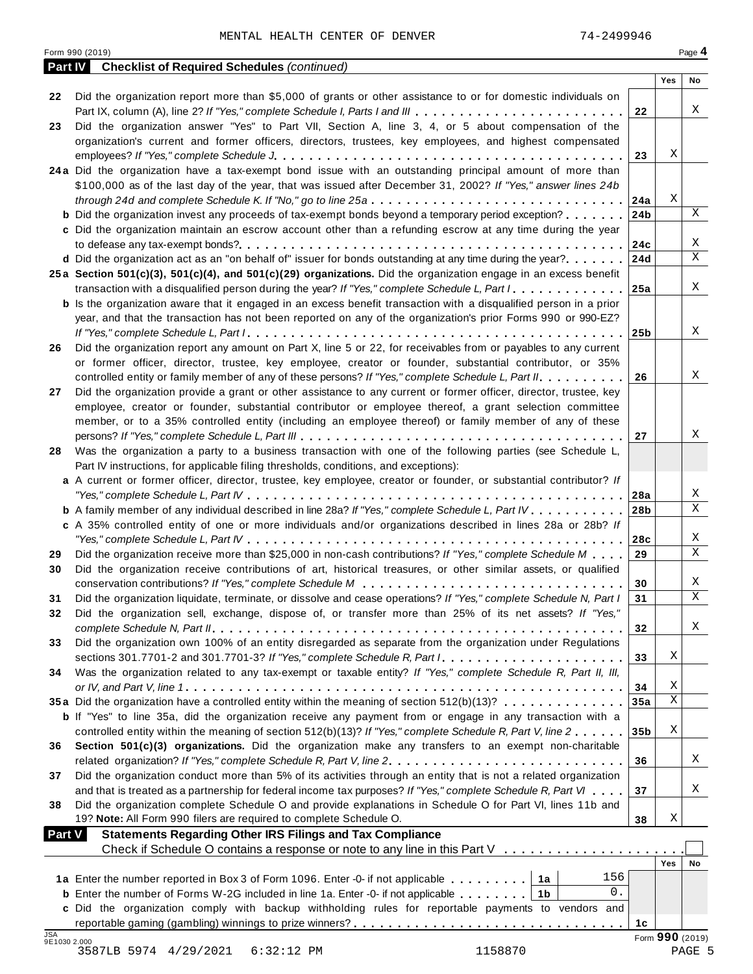| <b>Part IV</b> | <b>Checklist of Required Schedules (continued)</b>                                                                            |                 |                 |        |
|----------------|-------------------------------------------------------------------------------------------------------------------------------|-----------------|-----------------|--------|
|                |                                                                                                                               |                 | Yes             | No     |
| 22             | Did the organization report more than \$5,000 of grants or other assistance to or for domestic individuals on                 |                 |                 |        |
|                | Part IX, column (A), line 2? If "Yes," complete Schedule I, Parts I and III                                                   | 22              |                 | Χ      |
| 23             | Did the organization answer "Yes" to Part VII, Section A, line 3, 4, or 5 about compensation of the                           |                 |                 |        |
|                | organization's current and former officers, directors, trustees, key employees, and highest compensated                       |                 |                 |        |
|                |                                                                                                                               | 23              | Χ               |        |
|                | 24a Did the organization have a tax-exempt bond issue with an outstanding principal amount of more than                       |                 |                 |        |
|                | \$100,000 as of the last day of the year, that was issued after December 31, 2002? If "Yes," answer lines 24b                 |                 |                 |        |
|                | through 24d and complete Schedule K. If "No," go to line 25a                                                                  | 24a             | Χ               |        |
|                | <b>b</b> Did the organization invest any proceeds of tax-exempt bonds beyond a temporary period exception?                    | 24 <sub>b</sub> |                 | X      |
|                | c Did the organization maintain an escrow account other than a refunding escrow at any time during the year                   |                 |                 |        |
|                |                                                                                                                               | 24c             |                 | Χ      |
|                | d Did the organization act as an "on behalf of" issuer for bonds outstanding at any time during the year?                     | 24d             |                 | X      |
|                | 25a Section 501(c)(3), 501(c)(4), and 501(c)(29) organizations. Did the organization engage in an excess benefit              |                 |                 |        |
|                | transaction with a disqualified person during the year? If "Yes," complete Schedule L, Part $1, \ldots, \ldots, \ldots$       | 25a             |                 | Χ      |
|                | <b>b</b> Is the organization aware that it engaged in an excess benefit transaction with a disqualified person in a prior     |                 |                 |        |
|                | year, and that the transaction has not been reported on any of the organization's prior Forms 990 or 990-EZ?                  |                 |                 |        |
|                |                                                                                                                               | 25 <sub>b</sub> |                 | Χ      |
| 26             | Did the organization report any amount on Part X, line 5 or 22, for receivables from or payables to any current               |                 |                 |        |
|                | or former officer, director, trustee, key employee, creator or founder, substantial contributor, or 35%                       |                 |                 |        |
|                | controlled entity or family member of any of these persons? If "Yes," complete Schedule L, Part II.                           | 26              |                 | Χ      |
| 27             | Did the organization provide a grant or other assistance to any current or former officer, director, trustee, key             |                 |                 |        |
|                | employee, creator or founder, substantial contributor or employee thereof, a grant selection committee                        |                 |                 |        |
|                | member, or to a 35% controlled entity (including an employee thereof) or family member of any of these                        |                 |                 |        |
|                |                                                                                                                               | 27              |                 | Χ      |
| 28             | Was the organization a party to a business transaction with one of the following parties (see Schedule L,                     |                 |                 |        |
|                | Part IV instructions, for applicable filing thresholds, conditions, and exceptions):                                          |                 |                 |        |
|                | a A current or former officer, director, trustee, key employee, creator or founder, or substantial contributor? If            |                 |                 |        |
|                |                                                                                                                               | 28a             |                 | Χ      |
|                | <b>b</b> A family member of any individual described in line 28a? If "Yes," complete Schedule L, Part IV.                     | 28b             |                 | X      |
|                | c A 35% controlled entity of one or more individuals and/or organizations described in lines 28a or 28b? If                   |                 |                 |        |
|                |                                                                                                                               | 28c             |                 | Χ      |
| 29             | Did the organization receive more than \$25,000 in non-cash contributions? If "Yes," complete Schedule M                      | 29              |                 | X      |
| 30             | Did the organization receive contributions of art, historical treasures, or other similar assets, or qualified                |                 |                 |        |
|                |                                                                                                                               | 30              |                 | Χ      |
| 31             | Did the organization liquidate, terminate, or dissolve and cease operations? If "Yes," complete Schedule N, Part I            | 31              |                 | X      |
|                | Did the organization sell, exchange, dispose of, or transfer more than 25% of its net assets? If "Yes,"                       |                 |                 |        |
|                |                                                                                                                               | 32              |                 | Χ      |
| 33             | Did the organization own 100% of an entity disregarded as separate from the organization under Regulations                    |                 |                 |        |
|                | sections 301.7701-2 and 301.7701-3? If "Yes," complete Schedule R, Part $l_1, \ldots, \ldots, \ldots, \ldots, \ldots, \ldots$ | 33              | Χ               |        |
| 34             | Was the organization related to any tax-exempt or taxable entity? If "Yes," complete Schedule R, Part II, III,                |                 |                 |        |
|                |                                                                                                                               | 34              | Χ               |        |
|                | 35a Did the organization have a controlled entity within the meaning of section 512(b)(13)?                                   | 35a             | X               |        |
|                | <b>b</b> If "Yes" to line 35a, did the organization receive any payment from or engage in any transaction with a              |                 |                 |        |
|                | controlled entity within the meaning of section 512(b)(13)? If "Yes," complete Schedule R, Part V, line 2                     | 35 <sub>b</sub> | Χ               |        |
| 36             | Section 501(c)(3) organizations. Did the organization make any transfers to an exempt non-charitable                          |                 |                 |        |
|                | related organization? If "Yes," complete Schedule R, Part V, line 2.                                                          | 36              |                 | Χ      |
| 37             | Did the organization conduct more than 5% of its activities through an entity that is not a related organization              |                 |                 |        |
|                | and that is treated as a partnership for federal income tax purposes? If "Yes," complete Schedule R, Part VI                  | 37              |                 | Χ      |
| 38             | Did the organization complete Schedule O and provide explanations in Schedule O for Part VI, lines 11b and                    |                 |                 |        |
|                | 19? Note: All Form 990 filers are required to complete Schedule O.                                                            | 38              | Χ               |        |
| <b>Part V</b>  | <b>Statements Regarding Other IRS Filings and Tax Compliance</b>                                                              |                 |                 |        |
|                | Check if Schedule O contains a response or note to any line in this Part V                                                    |                 |                 |        |
|                |                                                                                                                               |                 | <b>Yes</b>      | No     |
|                | 156<br>1a Enter the number reported in Box 3 of Form 1096. Enter -0- if not applicable<br>1a                                  |                 |                 |        |
|                | $0$ .<br><b>b</b> Enter the number of Forms W-2G included in line 1a. Enter -0- if not applicable<br>1b                       |                 |                 |        |
|                | c Did the organization comply with backup withholding rules for reportable payments to vendors and                            |                 |                 |        |
| <b>JSA</b>     |                                                                                                                               | 1c              |                 |        |
| 9E1030 2.000   |                                                                                                                               |                 | Form 990 (2019) |        |
|                | 3587LB 5974 4/29/2021<br>1158870<br>$6:32:12$ PM                                                                              |                 |                 | PAGE 5 |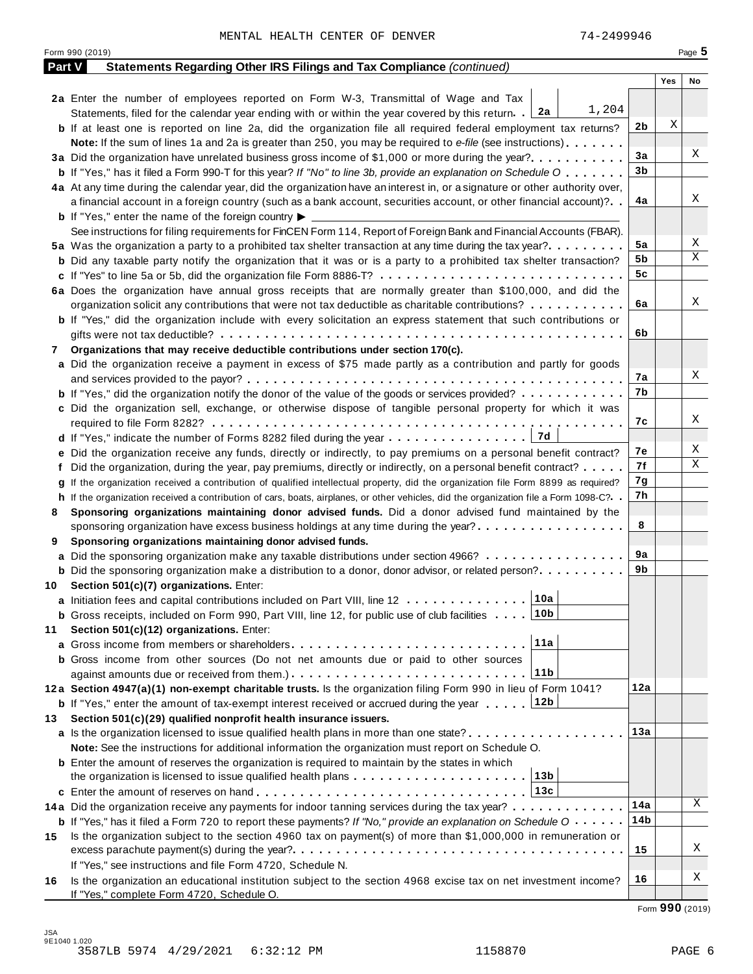|        | Form 990 (2019)                                                                                                                              |     |     | Page 5 |
|--------|----------------------------------------------------------------------------------------------------------------------------------------------|-----|-----|--------|
| Part V | Statements Regarding Other IRS Filings and Tax Compliance (continued)                                                                        |     |     |        |
|        |                                                                                                                                              |     | Yes | No     |
|        | 2a Enter the number of employees reported on Form W-3, Transmittal of Wage and Tax                                                           |     |     |        |
|        | 1,204<br>Statements, filed for the calendar year ending with or within the year covered by this return. [2a]                                 |     |     |        |
|        | <b>b</b> If at least one is reported on line 2a, did the organization file all required federal employment tax returns?                      | 2b  | Χ   |        |
|        | <b>Note:</b> If the sum of lines 1a and 2a is greater than 250, you may be required to e-file (see instructions).                            |     |     |        |
|        | 3a Did the organization have unrelated business gross income of \$1,000 or more during the year?                                             | 3a  |     | Χ      |
|        | <b>b</b> If "Yes," has it filed a Form 990-T for this year? If "No" to line 3b, provide an explanation on Schedule O                         | 3b  |     |        |
|        | 4a At any time during the calendar year, did the organization have an interest in, or a signature or other authority over,                   |     |     |        |
|        | a financial account in a foreign country (such as a bank account, securities account, or other financial account)?                           | 4a  |     | Χ      |
|        | <b>b</b> If "Yes," enter the name of the foreign country $\blacktriangleright$                                                               |     |     |        |
|        | See instructions for filing requirements for FinCEN Form 114, Report of Foreign Bank and Financial Accounts (FBAR).                          |     |     |        |
|        | 5a Was the organization a party to a prohibited tax shelter transaction at any time during the tax year?                                     | 5a  |     | Χ      |
|        | <b>b</b> Did any taxable party notify the organization that it was or is a party to a prohibited tax shelter transaction?                    | 5b  |     | Χ      |
|        |                                                                                                                                              | 5c  |     |        |
|        | 6a Does the organization have annual gross receipts that are normally greater than \$100,000, and did the                                    |     |     |        |
|        | organization solicit any contributions that were not tax deductible as charitable contributions?                                             | 6a  |     | Χ      |
|        | <b>b</b> If "Yes," did the organization include with every solicitation an express statement that such contributions or                      |     |     |        |
|        |                                                                                                                                              | 6b  |     |        |
| 7      | Organizations that may receive deductible contributions under section 170(c).                                                                |     |     |        |
|        | a Did the organization receive a payment in excess of \$75 made partly as a contribution and partly for goods                                |     |     |        |
|        |                                                                                                                                              | 7а  |     | Χ      |
|        | <b>b</b> If "Yes," did the organization notify the donor of the value of the goods or services provided?                                     | 7b  |     |        |
|        | c Did the organization sell, exchange, or otherwise dispose of tangible personal property for which it was                                   |     |     |        |
|        |                                                                                                                                              | 7с  |     | Χ      |
|        | 7d                                                                                                                                           |     |     |        |
|        | e Did the organization receive any funds, directly or indirectly, to pay premiums on a personal benefit contract?                            | 7е  |     | Χ      |
|        | f Did the organization, during the year, pay premiums, directly or indirectly, on a personal benefit contract?                               | 7f  |     | Χ      |
|        | If the organization received a contribution of qualified intellectual property, did the organization file Form 8899 as required?             | 7g  |     |        |
|        | h If the organization received a contribution of cars, boats, airplanes, or other vehicles, did the organization file a Form 1098-C?         | 7h  |     |        |
| 8      | Sponsoring organizations maintaining donor advised funds. Did a donor advised fund maintained by the                                         |     |     |        |
|        | sponsoring organization have excess business holdings at any time during the year?                                                           | 8   |     |        |
| 9      | Sponsoring organizations maintaining donor advised funds.                                                                                    |     |     |        |
|        | <b>a</b> Did the sponsoring organization make any taxable distributions under section 4966?                                                  | 9а  |     |        |
|        | <b>b</b> Did the sponsoring organization make a distribution to a donor, donor advisor, or related person?                                   | 9b  |     |        |
|        | 10 Section 501(c)(7) organizations. Enter:                                                                                                   |     |     |        |
|        | 10a <br>a Initiation fees and capital contributions included on Part VIII, line 12                                                           |     |     |        |
|        | 10b<br><b>b</b> Gross receipts, included on Form 990, Part VIII, line 12, for public use of club facilities                                  |     |     |        |
| 11     | Section 501(c)(12) organizations. Enter:                                                                                                     |     |     |        |
|        | 11a                                                                                                                                          |     |     |        |
|        | b Gross income from other sources (Do not net amounts due or paid to other sources                                                           |     |     |        |
|        | 11b                                                                                                                                          |     |     |        |
|        | 12a Section 4947(a)(1) non-exempt charitable trusts. Is the organization filing Form 990 in lieu of Form 1041?                               | 12a |     |        |
|        | 12b<br><b>b</b> If "Yes," enter the amount of tax-exempt interest received or accrued during the year                                        |     |     |        |
| 13.    | Section 501(c)(29) qualified nonprofit health insurance issuers.                                                                             |     |     |        |
|        | <b>a</b> Is the organization licensed to issue qualified health plans in more than one state?                                                | 13а |     |        |
|        | Note: See the instructions for additional information the organization must report on Schedule O.                                            |     |     |        |
|        | <b>b</b> Enter the amount of reserves the organization is required to maintain by the states in which                                        |     |     |        |
|        | 13b<br>the organization is licensed to issue qualified health plans $\dots \dots \dots \dots \dots \dots \dots$                              |     |     |        |
|        | 13c                                                                                                                                          |     |     |        |
|        | 14a Did the organization receive any payments for indoor tanning services during the tax year?                                               | 14a |     | Χ      |
|        | <b>b</b> If "Yes," has it filed a Form 720 to report these payments? If "No," provide an explanation on Schedule $0 \cdot \cdot \cdot \cdot$ | 14b |     |        |
| 15     | Is the organization subject to the section 4960 tax on payment(s) of more than \$1,000,000 in remuneration or                                |     |     |        |
|        |                                                                                                                                              | 15  |     | Χ      |
|        | If "Yes," see instructions and file Form 4720, Schedule N.                                                                                   |     |     |        |
| 16     | Is the organization an educational institution subject to the section 4968 excise tax on net investment income?                              | 16  |     | Χ      |
|        | If "Yes," complete Form 4720, Schedule O.                                                                                                    |     |     |        |

Form **990** (2019)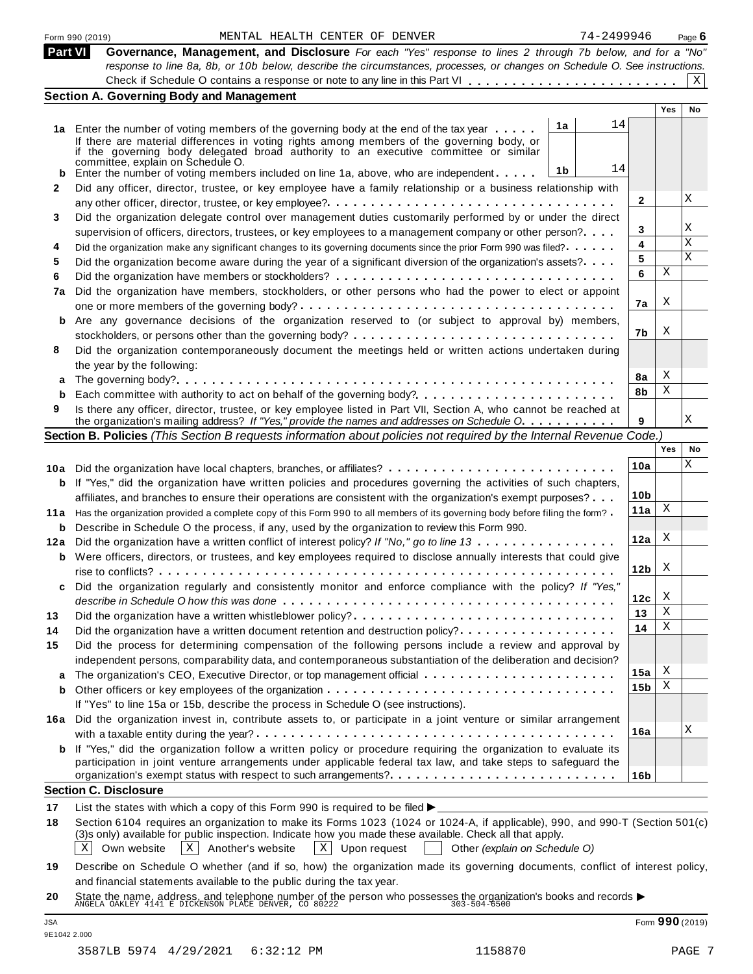|            | 74-2499946<br>MENTAL HEALTH CENTER OF DENVER<br>Form 990 (2019)                                                                                                                                                                                                                                                                                                                                       |                 |                 | Page $6$  |
|------------|-------------------------------------------------------------------------------------------------------------------------------------------------------------------------------------------------------------------------------------------------------------------------------------------------------------------------------------------------------------------------------------------------------|-----------------|-----------------|-----------|
| Part VI    | Governance, Management, and Disclosure For each "Yes" response to lines 2 through 7b below, and for a "No"                                                                                                                                                                                                                                                                                            |                 |                 |           |
|            | response to line 8a, 8b, or 10b below, describe the circumstances, processes, or changes on Schedule O. See instructions.                                                                                                                                                                                                                                                                             |                 |                 |           |
|            |                                                                                                                                                                                                                                                                                                                                                                                                       |                 |                 | X         |
|            | <b>Section A. Governing Body and Management</b>                                                                                                                                                                                                                                                                                                                                                       |                 |                 |           |
|            |                                                                                                                                                                                                                                                                                                                                                                                                       |                 | <b>Yes</b>      | <b>No</b> |
|            | 14<br>1a<br>1a Enter the number of voting members of the governing body at the end of the tax year<br>If there are material differences in voting rights among members of the governing body, or<br>if the governing body delegated broad authority to an executive committee or similar<br>committée, explain on Schedule O.<br>14<br>1b                                                             |                 |                 |           |
|            | Enter the number of voting members included on line 1a, above, who are independent                                                                                                                                                                                                                                                                                                                    |                 |                 |           |
| 2          | Did any officer, director, trustee, or key employee have a family relationship or a business relationship with                                                                                                                                                                                                                                                                                        | 2               |                 | Χ         |
| 3          | Did the organization delegate control over management duties customarily performed by or under the direct                                                                                                                                                                                                                                                                                             |                 |                 |           |
|            | supervision of officers, directors, trustees, or key employees to a management company or other person?                                                                                                                                                                                                                                                                                               | 3               |                 | Χ         |
| 4          | Did the organization make any significant changes to its governing documents since the prior Form 990 was filed?                                                                                                                                                                                                                                                                                      | 4               |                 | Χ         |
| 5          | Did the organization become aware during the year of a significant diversion of the organization's assets?                                                                                                                                                                                                                                                                                            | 5               |                 | X         |
| 6          |                                                                                                                                                                                                                                                                                                                                                                                                       | 6               | Χ               |           |
| 7a         | Did the organization have members, stockholders, or other persons who had the power to elect or appoint                                                                                                                                                                                                                                                                                               |                 |                 |           |
|            |                                                                                                                                                                                                                                                                                                                                                                                                       | 7a              | X               |           |
|            | Are any governance decisions of the organization reserved to (or subject to approval by) members,                                                                                                                                                                                                                                                                                                     |                 |                 |           |
|            |                                                                                                                                                                                                                                                                                                                                                                                                       | 7b              | X               |           |
| 8          | Did the organization contemporaneously document the meetings held or written actions undertaken during                                                                                                                                                                                                                                                                                                |                 |                 |           |
|            | the year by the following:                                                                                                                                                                                                                                                                                                                                                                            |                 |                 |           |
|            |                                                                                                                                                                                                                                                                                                                                                                                                       | 8a              | X               |           |
| b          |                                                                                                                                                                                                                                                                                                                                                                                                       | 8b              | Χ               |           |
| 9          | Is there any officer, director, trustee, or key employee listed in Part VII, Section A, who cannot be reached at<br>the organization's mailing address? If "Yes," provide the names and addresses on Schedule O.                                                                                                                                                                                      | 9               |                 | Χ         |
|            | Section B. Policies (This Section B requests information about policies not required by the Internal Revenue Code.)                                                                                                                                                                                                                                                                                   |                 |                 |           |
|            |                                                                                                                                                                                                                                                                                                                                                                                                       |                 | Yes             | No        |
|            | 10a Did the organization have local chapters, branches, or affiliates?                                                                                                                                                                                                                                                                                                                                | 10a             |                 | Χ         |
| b          | If "Yes," did the organization have written policies and procedures governing the activities of such chapters,                                                                                                                                                                                                                                                                                        |                 |                 |           |
|            | affiliates, and branches to ensure their operations are consistent with the organization's exempt purposes?                                                                                                                                                                                                                                                                                           | 10 <sub>b</sub> |                 |           |
| 11 a       | Has the organization provided a complete copy of this Form 990 to all members of its governing body before filing the form?                                                                                                                                                                                                                                                                           | 11a             | Χ               |           |
|            | <b>b</b> Describe in Schedule O the process, if any, used by the organization to review this Form 990.                                                                                                                                                                                                                                                                                                |                 |                 |           |
| 12a        | Did the organization have a written conflict of interest policy? If "No," go to line 13                                                                                                                                                                                                                                                                                                               | 12a             | X               |           |
|            | <b>b</b> Were officers, directors, or trustees, and key employees required to disclose annually interests that could give                                                                                                                                                                                                                                                                             | 12 <sub>b</sub> | X               |           |
|            | Did the organization regularly and consistently monitor and enforce compliance with the policy? If "Yes,"                                                                                                                                                                                                                                                                                             |                 |                 |           |
|            |                                                                                                                                                                                                                                                                                                                                                                                                       | 12c             | X               |           |
| 13         | Did the organization have a written whistleblower policy?                                                                                                                                                                                                                                                                                                                                             | 13              | Χ               |           |
| 14         | Did the organization have a written document retention and destruction policy?                                                                                                                                                                                                                                                                                                                        | 14              | Χ               |           |
| 15         | Did the process for determining compensation of the following persons include a review and approval by                                                                                                                                                                                                                                                                                                |                 |                 |           |
|            | independent persons, comparability data, and contemporaneous substantiation of the deliberation and decision?                                                                                                                                                                                                                                                                                         |                 |                 |           |
|            |                                                                                                                                                                                                                                                                                                                                                                                                       | 15a             | X               |           |
| b          |                                                                                                                                                                                                                                                                                                                                                                                                       | 15 <sub>b</sub> | Χ               |           |
|            | If "Yes" to line 15a or 15b, describe the process in Schedule O (see instructions).                                                                                                                                                                                                                                                                                                                   |                 |                 |           |
|            | 16a Did the organization invest in, contribute assets to, or participate in a joint venture or similar arrangement                                                                                                                                                                                                                                                                                    |                 |                 |           |
|            |                                                                                                                                                                                                                                                                                                                                                                                                       | 16a             |                 | Χ         |
|            | <b>b</b> If "Yes," did the organization follow a written policy or procedure requiring the organization to evaluate its<br>participation in joint venture arrangements under applicable federal tax law, and take steps to safeguard the                                                                                                                                                              |                 |                 |           |
|            |                                                                                                                                                                                                                                                                                                                                                                                                       | 16 <sub>b</sub> |                 |           |
|            | <b>Section C. Disclosure</b>                                                                                                                                                                                                                                                                                                                                                                          |                 |                 |           |
| 17         | List the states with which a copy of this Form 990 is required to be filed $\blacktriangleright$                                                                                                                                                                                                                                                                                                      |                 |                 |           |
| 18         | Section 6104 requires an organization to make its Forms 1023 (1024 or 1024-A, if applicable), 990, and 990-T (Section 501(c)<br>(3)s only) available for public inspection. Indicate how you made these available. Check all that apply.<br>$\mathbf{X}$<br>X<br>Own website<br>Another's website<br>Upon request<br>Other (explain on Schedule O)<br>ΧI                                              |                 |                 |           |
| 19<br>20   | Describe on Schedule O whether (and if so, how) the organization made its governing documents, conflict of interest policy,<br>and financial statements available to the public during the tax year.<br>State the name, address, and telephone number of the person who possesses the organization's books and records $\blacktriangleright$<br>ANGELA OAKLEY 4141 E DICKENSON PLACE DENVER, CO 80222 |                 |                 |           |
|            |                                                                                                                                                                                                                                                                                                                                                                                                       |                 |                 |           |
| <b>JSA</b> |                                                                                                                                                                                                                                                                                                                                                                                                       |                 | Form 990 (2019) |           |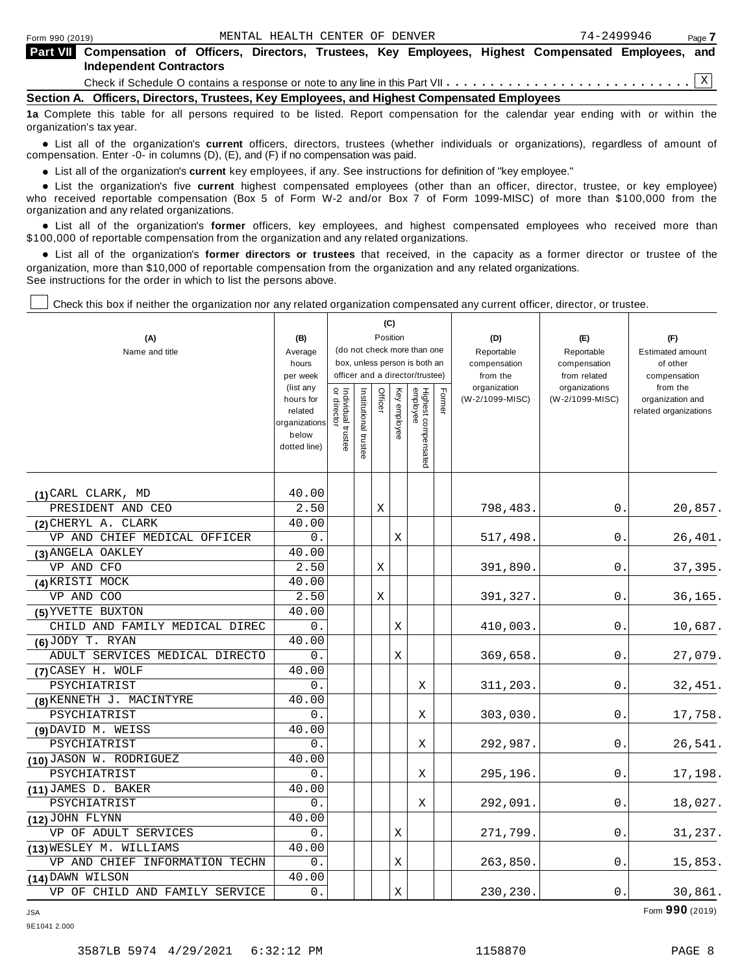| <b>Part VII</b> Compensation of Officers, Directors, Trustees, Key Employees, Highest Compensated Employees, and<br><b>Independent Contractors</b> |  |
|----------------------------------------------------------------------------------------------------------------------------------------------------|--|
|                                                                                                                                                    |  |
| Section A. Officers, Directors, Trustees, Key Employees, and Highest Compensated Employees                                                         |  |

**1a** Complete this table for all persons required to be listed. Report compensation for the calendar year ending with or within the organization's tax year.

anization's lax year.<br>● List all of the organization's **current** officers, directors, trustees (whether individuals or organizations), regardless of amount of<br>nnensation Enter -0- in columns (D) (E) and (E) if no compensa compensation. Enter -0- in columns (D), (E), and (F) if no compensation was paid.

**■** List all of the organization's **current** key employees, if any. See instructions for definition of "key employee."<br>■ List the experientials five event highert expressed employees (other than an efficer director of

**Example in the organization's current** key employees, if any. See instructions for definition of key employee.<br>• List the organization's five **current** highest compensated employees (other than an officer, director, trust who received reportable compensation (Box 5 of Form W-2 and/or Box 7 of Form 1099-MISC) of more than \$100,000 from the

organization and any related organizations.<br>• List all of the organization's **former** officers, key employees, and highest compensated employees who received more than<br>\$1.00.000 of reportable componention from the erganiza \$100,000 of reportable compensation from the organization and any related organizations.

% List all of the organization's **former directors or trustees** that received, in the capacity as a former director or trustee of the organization, more than \$10,000 of reportable compensation from the organization and any related organizations. See instructions for the order in which to list the persons above.

Check this box if neither the organization nor any related organization compensated any current officer, director, or trustee.

| (A)<br>Name and title          | (B)<br>Average                                                              |                                   |                       |         | (C)<br>Position | (do not check more than one                                      |        | (D)<br>Reportable               | (E)<br>Reportable                | (F)<br><b>Estimated amount</b>                        |
|--------------------------------|-----------------------------------------------------------------------------|-----------------------------------|-----------------------|---------|-----------------|------------------------------------------------------------------|--------|---------------------------------|----------------------------------|-------------------------------------------------------|
|                                | hours<br>per week                                                           |                                   |                       |         |                 | box, unless person is both an<br>officer and a director/trustee) |        | compensation<br>from the        | compensation<br>from related     | of other<br>compensation                              |
|                                | (list any<br>hours for<br>related<br>organizations<br>below<br>dotted line) | Individual trustee<br>or director | Institutional trustee | Officer | Key employee    | Highest compensated<br>employee                                  | Former | organization<br>(W-2/1099-MISC) | organizations<br>(W-2/1099-MISC) | from the<br>organization and<br>related organizations |
| (1) CARL CLARK, MD             | 40.00                                                                       |                                   |                       |         |                 |                                                                  |        |                                 |                                  |                                                       |
| PRESIDENT AND CEO              | 2.50                                                                        |                                   |                       | Χ       |                 |                                                                  |        | 798,483.                        | 0.                               | 20,857.                                               |
| (2) CHERYL A. CLARK            | 40.00                                                                       |                                   |                       |         |                 |                                                                  |        |                                 |                                  |                                                       |
| VP AND CHIEF MEDICAL OFFICER   | 0.                                                                          |                                   |                       |         | Χ               |                                                                  |        | 517,498.                        | 0.                               | 26,401.                                               |
| (3) ANGELA OAKLEY              | 40.00                                                                       |                                   |                       |         |                 |                                                                  |        |                                 |                                  |                                                       |
| VP AND CFO                     | 2.50                                                                        |                                   |                       | Χ       |                 |                                                                  |        | 391,890.                        | 0.                               | 37,395.                                               |
| (4) KRISTI MOCK                | 40.00                                                                       |                                   |                       |         |                 |                                                                  |        |                                 |                                  |                                                       |
| VP AND COO                     | 2.50                                                                        |                                   |                       | X       |                 |                                                                  |        | 391,327.                        | 0.                               | 36,165.                                               |
| (5) YVETTE BUXTON              | 40.00                                                                       |                                   |                       |         |                 |                                                                  |        |                                 |                                  |                                                       |
| CHILD AND FAMILY MEDICAL DIREC | 0.                                                                          |                                   |                       |         | Χ               |                                                                  |        | 410,003.                        | 0.                               | 10,687.                                               |
| $(6)$ JODY T. RYAN             | 40.00                                                                       |                                   |                       |         |                 |                                                                  |        |                                 |                                  |                                                       |
| ADULT SERVICES MEDICAL DIRECTO | 0.                                                                          |                                   |                       |         | Χ               |                                                                  |        | 369,658.                        | 0.                               | 27,079.                                               |
| (7) CASEY H. WOLF              | 40.00                                                                       |                                   |                       |         |                 |                                                                  |        |                                 |                                  |                                                       |
| PSYCHIATRIST                   | 0.                                                                          |                                   |                       |         |                 | Χ                                                                |        | 311,203.                        | 0.                               | 32,451.                                               |
| (8) KENNETH J. MACINTYRE       | 40.00                                                                       |                                   |                       |         |                 |                                                                  |        |                                 |                                  |                                                       |
| PSYCHIATRIST                   | 0.                                                                          |                                   |                       |         |                 | Χ                                                                |        | 303,030.                        | $\mathbf 0$ .                    | 17,758.                                               |
| $(9)$ DAVID M. WEISS           | 40.00                                                                       |                                   |                       |         |                 |                                                                  |        |                                 |                                  |                                                       |
| PSYCHIATRIST                   | 0.                                                                          |                                   |                       |         |                 | X                                                                |        | 292,987.                        | 0.                               | 26,541.                                               |
| (10) JASON W. RODRIGUEZ        | 40.00                                                                       |                                   |                       |         |                 |                                                                  |        |                                 |                                  |                                                       |
| PSYCHIATRIST                   | 0.                                                                          |                                   |                       |         |                 | Χ                                                                |        | 295,196.                        | 0.                               | 17,198.                                               |
| (11) JAMES D. BAKER            | 40.00                                                                       |                                   |                       |         |                 |                                                                  |        |                                 |                                  |                                                       |
| PSYCHIATRIST                   | 0.                                                                          |                                   |                       |         |                 | Χ                                                                |        | 292,091                         | 0.                               | 18,027.                                               |
| $(12)$ JOHN FLYNN              | 40.00                                                                       |                                   |                       |         |                 |                                                                  |        |                                 |                                  |                                                       |
| VP OF ADULT SERVICES           | 0.                                                                          |                                   |                       |         | Χ               |                                                                  |        | 271,799.                        | 0.                               | 31,237.                                               |
| (13) WESLEY M. WILLIAMS        | 40.00                                                                       |                                   |                       |         |                 |                                                                  |        |                                 |                                  |                                                       |
| VP AND CHIEF INFORMATION TECHN | 0.                                                                          |                                   |                       |         | Χ               |                                                                  |        | 263,850.                        | 0.                               | 15,853.                                               |
| (14) DAWN WILSON               | 40.00                                                                       |                                   |                       |         |                 |                                                                  |        |                                 |                                  |                                                       |
| VP OF CHILD AND FAMILY SERVICE | 0.                                                                          |                                   |                       |         | Χ               |                                                                  |        | 230,230.                        | 0.                               | 30,861.                                               |

JSA Form **990** (2019)

9E1041 2.000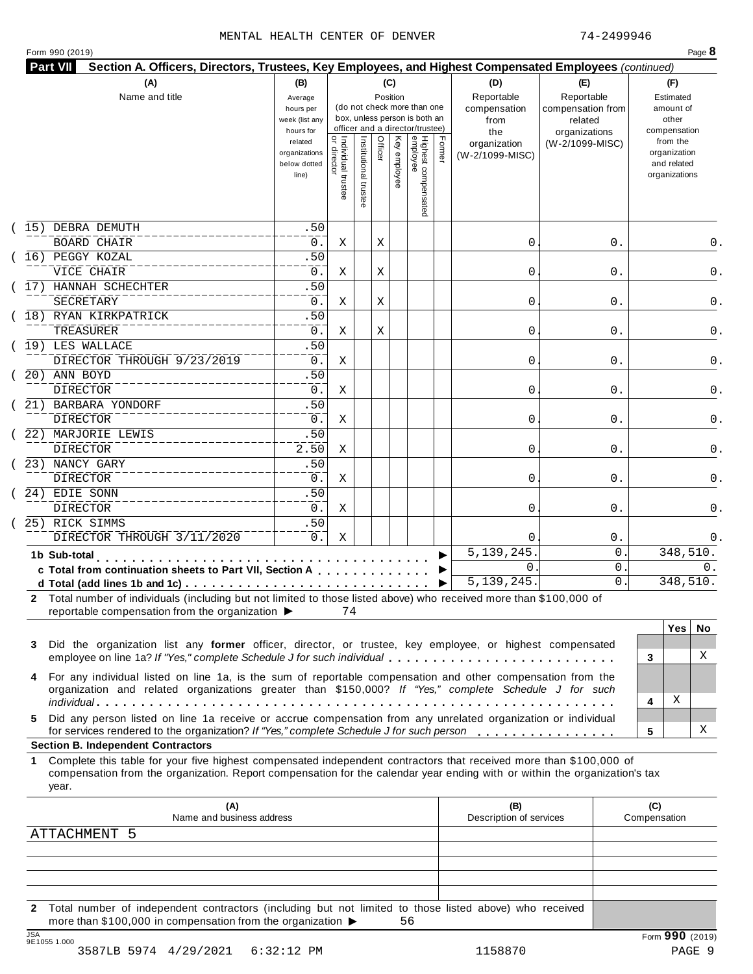## MENTAL HEALTH CENTER OF DENVER 74-2499946

| Form 990 (2019) |  |  |
|-----------------|--|--|
|-----------------|--|--|

|         | (A)<br>Name and title                                                                                                                                                                                                                                                                          | (B)<br>Average<br>hours per<br>week (list any<br>hours for |                                           |                       | (C)<br>Position | (do not check more than one<br>box, unless person is both an<br>officer and a director/trustee) |                                 |        | (D)<br>Reportable<br>compensation<br>from<br>the | (E)<br>Reportable<br>compensation from<br>related<br>organizations | (F)<br>Estimated<br>amount of<br>other<br>compensation   |
|---------|------------------------------------------------------------------------------------------------------------------------------------------------------------------------------------------------------------------------------------------------------------------------------------------------|------------------------------------------------------------|-------------------------------------------|-----------------------|-----------------|-------------------------------------------------------------------------------------------------|---------------------------------|--------|--------------------------------------------------|--------------------------------------------------------------------|----------------------------------------------------------|
|         |                                                                                                                                                                                                                                                                                                | related<br>organizations<br>below dotted<br>line)          | <br>  Individual trustee<br>  or director | Institutional trustee | Officer         | Key employee                                                                                    | Highest compensated<br>employee | Former | organization<br>(W-2/1099-MISC)                  | (W-2/1099-MISC)                                                    | from the<br>organization<br>and related<br>organizations |
|         | 15) DEBRA DEMUTH                                                                                                                                                                                                                                                                               | .50                                                        |                                           |                       |                 |                                                                                                 |                                 |        |                                                  |                                                                    |                                                          |
|         | <b>BOARD CHAIR</b>                                                                                                                                                                                                                                                                             | 0.                                                         | Χ                                         |                       | Χ               |                                                                                                 |                                 |        | 0                                                | 0.                                                                 | 0.                                                       |
|         | 16) PEGGY KOZAL                                                                                                                                                                                                                                                                                | .50                                                        |                                           |                       |                 |                                                                                                 |                                 |        |                                                  |                                                                    |                                                          |
|         | VICE CHAIR                                                                                                                                                                                                                                                                                     | 0.                                                         | Χ                                         |                       | Χ               |                                                                                                 |                                 |        | 0                                                | 0.                                                                 | 0.                                                       |
|         | 17) HANNAH SCHECHTER<br><b>SECRETARY</b>                                                                                                                                                                                                                                                       | .50<br>0.                                                  |                                           |                       |                 |                                                                                                 |                                 |        |                                                  |                                                                    |                                                          |
|         | 18) RYAN KIRKPATRICK                                                                                                                                                                                                                                                                           | .50                                                        | Χ                                         |                       | Χ               |                                                                                                 |                                 |        | 0                                                | 0.                                                                 | 0.                                                       |
|         | TREASURER                                                                                                                                                                                                                                                                                      | 0.                                                         | Χ                                         |                       | Χ               |                                                                                                 |                                 |        | 0                                                | 0.                                                                 | 0.                                                       |
|         | (19) LES WALLACE                                                                                                                                                                                                                                                                               | .50                                                        |                                           |                       |                 |                                                                                                 |                                 |        |                                                  |                                                                    |                                                          |
|         | DIRECTOR THROUGH 9/23/2019                                                                                                                                                                                                                                                                     | 0.                                                         | Χ                                         |                       |                 |                                                                                                 |                                 |        | 0                                                | 0.                                                                 | 0.                                                       |
|         | 20) ANN BOYD                                                                                                                                                                                                                                                                                   | .50                                                        |                                           |                       |                 |                                                                                                 |                                 |        |                                                  |                                                                    |                                                          |
|         | <b>DIRECTOR</b>                                                                                                                                                                                                                                                                                | $0$ .                                                      | X                                         |                       |                 |                                                                                                 |                                 |        | 0                                                | 0.                                                                 | 0.                                                       |
|         | 21) BARBARA YONDORF                                                                                                                                                                                                                                                                            | .50                                                        |                                           |                       |                 |                                                                                                 |                                 |        |                                                  |                                                                    |                                                          |
|         | DIRECTOR                                                                                                                                                                                                                                                                                       | 0.                                                         | X                                         |                       |                 |                                                                                                 |                                 |        | 0                                                | 0.                                                                 | 0.                                                       |
|         | 22) MARJORIE LEWIS                                                                                                                                                                                                                                                                             | .50                                                        |                                           |                       |                 |                                                                                                 |                                 |        |                                                  |                                                                    |                                                          |
|         | DIRECTOR                                                                                                                                                                                                                                                                                       | 2.50                                                       | Χ                                         |                       |                 |                                                                                                 |                                 |        | 0                                                | 0.                                                                 | 0.                                                       |
|         | 23) NANCY GARY                                                                                                                                                                                                                                                                                 | .50                                                        |                                           |                       |                 |                                                                                                 |                                 |        |                                                  |                                                                    |                                                          |
|         | DIRECTOR                                                                                                                                                                                                                                                                                       | 0.                                                         | Χ                                         |                       |                 |                                                                                                 |                                 |        | 0                                                | 0.                                                                 | 0.                                                       |
|         | 24) EDIE SONN                                                                                                                                                                                                                                                                                  | .50                                                        |                                           |                       |                 |                                                                                                 |                                 |        |                                                  |                                                                    |                                                          |
|         | <b>DIRECTOR</b>                                                                                                                                                                                                                                                                                | $0$ .                                                      | X                                         |                       |                 |                                                                                                 |                                 |        | 0                                                | 0.                                                                 | 0.                                                       |
|         | 25) RICK SIMMS                                                                                                                                                                                                                                                                                 | .50                                                        |                                           |                       |                 |                                                                                                 |                                 |        |                                                  |                                                                    |                                                          |
|         | DIRECTOR THROUGH 3/11/2020                                                                                                                                                                                                                                                                     | 0.                                                         | Χ                                         |                       |                 |                                                                                                 |                                 |        | $\Omega$                                         | $0$ .                                                              | 0.                                                       |
|         | 1b Sub-total                                                                                                                                                                                                                                                                                   |                                                            |                                           |                       |                 |                                                                                                 |                                 |        | 5, 139, 245                                      | 0                                                                  | 348,510.                                                 |
|         | c Total from continuation sheets to Part VII, Section A                                                                                                                                                                                                                                        |                                                            |                                           |                       |                 |                                                                                                 |                                 |        | $\mathbf{0}$                                     | 0                                                                  | 0.                                                       |
|         |                                                                                                                                                                                                                                                                                                |                                                            |                                           |                       |                 |                                                                                                 |                                 | ▶      | 5, 139, 245.                                     | $\mathsf{O}$ .                                                     | 348,510.                                                 |
| 3       | 2 Total number of individuals (including but not limited to those listed above) who received more than \$100,000 of<br>reportable compensation from the organization ▶<br>Did the organization list any former officer, director, or trustee, key employee, or highest compensated             |                                                            | 74                                        |                       |                 |                                                                                                 |                                 |        |                                                  |                                                                    | <b>Yes</b><br>No.<br>X                                   |
|         | employee on line 1a? If "Yes," complete Schedule J for such individual<br>For any individual listed on line 1a, is the sum of reportable compensation and other compensation from the<br>organization and related organizations greater than \$150,000? If "Yes," complete Schedule J for such |                                                            |                                           |                       |                 |                                                                                                 |                                 |        |                                                  |                                                                    | 3<br>Χ<br>4                                              |
| 4<br>5. | Did any person listed on line 1a receive or accrue compensation from any unrelated organization or individual                                                                                                                                                                                  |                                                            |                                           |                       |                 |                                                                                                 |                                 |        |                                                  |                                                                    |                                                          |
|         | for services rendered to the organization? If "Yes," complete Schedule J for such person                                                                                                                                                                                                       |                                                            |                                           |                       |                 |                                                                                                 |                                 |        |                                                  |                                                                    | х<br>5                                                   |
| 1       | <b>Section B. Independent Contractors</b>                                                                                                                                                                                                                                                      |                                                            |                                           |                       |                 |                                                                                                 |                                 |        |                                                  |                                                                    |                                                          |
|         | Complete this table for your five highest compensated independent contractors that received more than \$100,000 of<br>compensation from the organization. Report compensation for the calendar year ending with or within the organization's tax<br>year.                                      |                                                            |                                           |                       |                 |                                                                                                 |                                 |        |                                                  |                                                                    |                                                          |
|         | (A)<br>Name and business address                                                                                                                                                                                                                                                               |                                                            |                                           |                       |                 |                                                                                                 |                                 |        | (B)                                              |                                                                    | (C)                                                      |
|         | <b>ATTACHMENT</b><br>-5                                                                                                                                                                                                                                                                        |                                                            |                                           |                       |                 |                                                                                                 |                                 |        | Description of services                          |                                                                    | Compensation                                             |
|         |                                                                                                                                                                                                                                                                                                |                                                            |                                           |                       |                 |                                                                                                 |                                 |        |                                                  |                                                                    |                                                          |
|         |                                                                                                                                                                                                                                                                                                |                                                            |                                           |                       |                 |                                                                                                 |                                 |        |                                                  |                                                                    |                                                          |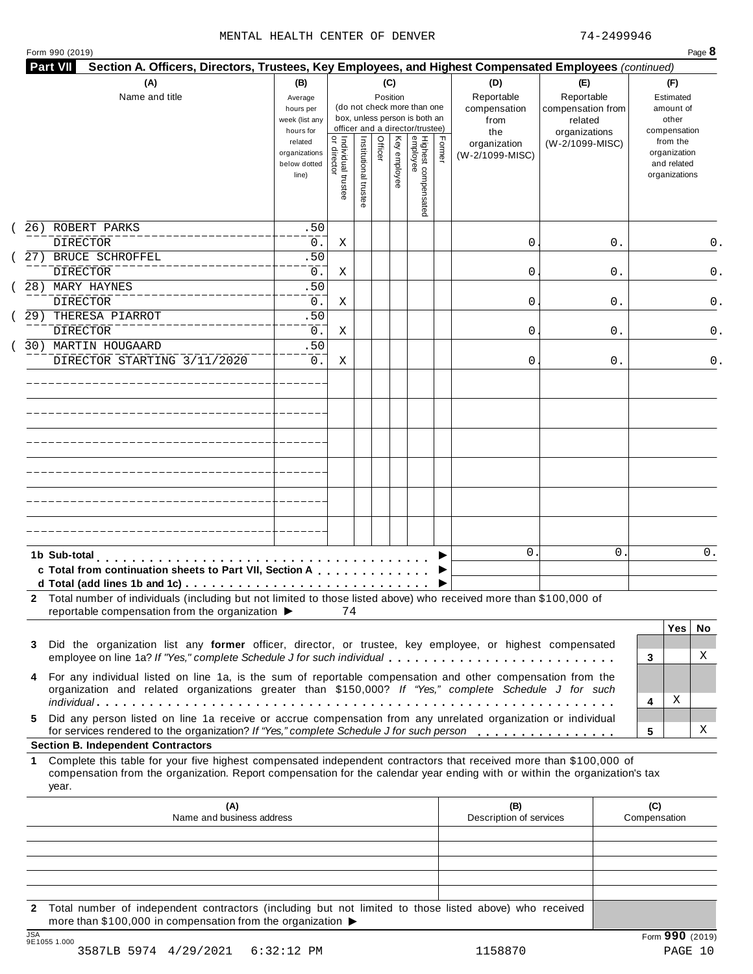## MENTAL HEALTH CENTER OF DENVER 74-2499946

| Form 990 (2019) |
|-----------------|
|-----------------|

| Name and title                                                                                                                                                                                                                                            | (B)<br>Average<br>hours per<br>week (list any                  |                                     |                       | (C)<br>Position |              | (do not check more than one<br>box, unless person is both an<br>officer and a director/trustee) |        | (D)<br>Reportable<br>compensation<br>from | (E)<br>Reportable<br>compensation from<br>related |                     | (F)<br>Estimated<br>amount of<br>other                                   |          |
|-----------------------------------------------------------------------------------------------------------------------------------------------------------------------------------------------------------------------------------------------------------|----------------------------------------------------------------|-------------------------------------|-----------------------|-----------------|--------------|-------------------------------------------------------------------------------------------------|--------|-------------------------------------------|---------------------------------------------------|---------------------|--------------------------------------------------------------------------|----------|
|                                                                                                                                                                                                                                                           | hours for<br>related<br>organizations<br>below dotted<br>line) | Individual trustee<br>  or director | Institutional trustee | Officer         | Key employee | Highest compensated<br>employee                                                                 | Former | the<br>organization<br>(W-2/1099-MISC)    | organizations<br>(W-2/1099-MISC)                  |                     | compensation<br>from the<br>organization<br>and related<br>organizations |          |
| 26) ROBERT PARKS<br><b>DIRECTOR</b>                                                                                                                                                                                                                       | .50<br>0.                                                      | Χ                                   |                       |                 |              |                                                                                                 |        | 0                                         | 0.                                                |                     |                                                                          | 0.       |
| 27) BRUCE SCHROFFEL<br><b>DIRECTOR</b>                                                                                                                                                                                                                    | .50<br>0.                                                      | Χ                                   |                       |                 |              |                                                                                                 |        | 0                                         | 0.                                                |                     |                                                                          | 0.       |
| 28) MARY HAYNES<br><b>DIRECTOR</b>                                                                                                                                                                                                                        | .50<br>0.                                                      | X                                   |                       |                 |              |                                                                                                 |        | 0                                         | 0.                                                |                     |                                                                          | 0.       |
| 29) THERESA PIARROT<br>DIRECTOR                                                                                                                                                                                                                           | .50<br>0.                                                      | Χ                                   |                       |                 |              |                                                                                                 |        | 0                                         | 0.                                                |                     |                                                                          | 0.       |
| 30) MARTIN HOUGAARD<br>DIRECTOR STARTING 3/11/2020                                                                                                                                                                                                        | .50<br>0.                                                      | Χ                                   |                       |                 |              |                                                                                                 |        | 0                                         | 0.                                                |                     |                                                                          | 0.       |
|                                                                                                                                                                                                                                                           |                                                                |                                     |                       |                 |              |                                                                                                 |        |                                           |                                                   |                     |                                                                          |          |
|                                                                                                                                                                                                                                                           |                                                                |                                     |                       |                 |              |                                                                                                 |        |                                           |                                                   |                     |                                                                          |          |
|                                                                                                                                                                                                                                                           |                                                                |                                     |                       |                 |              |                                                                                                 |        |                                           |                                                   |                     |                                                                          |          |
|                                                                                                                                                                                                                                                           |                                                                |                                     |                       |                 |              |                                                                                                 |        |                                           |                                                   |                     |                                                                          |          |
| 1b Sub-total<br>c Total from continuation sheets to Part VII, Section A                                                                                                                                                                                   |                                                                |                                     |                       |                 |              |                                                                                                 |        | $\mathbf{0}$                              | 0                                                 |                     |                                                                          | 0.       |
| 2 Total number of individuals (including but not limited to those listed above) who received more than \$100,000 of<br>reportable compensation from the organization ▶                                                                                    |                                                                | 74                                  |                       |                 |              |                                                                                                 |        |                                           |                                                   |                     |                                                                          |          |
| Did the organization list any former officer, director, or trustee, key employee, or highest compensated<br>3<br>employee on line 1a? If "Yes," complete Schedule J for such individual                                                                   |                                                                |                                     |                       |                 |              |                                                                                                 |        |                                           |                                                   | 3                   | <b>Yes</b>                                                               | No.<br>X |
| For any individual listed on line 1a, is the sum of reportable compensation and other compensation from the<br>4<br>organization and related organizations greater than \$150,000? If "Yes," complete Schedule J for such                                 |                                                                |                                     |                       |                 |              |                                                                                                 |        |                                           |                                                   | 4                   | Χ                                                                        |          |
| Did any person listed on line 1a receive or accrue compensation from any unrelated organization or individual<br>5.<br>for services rendered to the organization? If "Yes," complete Schedule J for such person                                           |                                                                |                                     |                       |                 |              |                                                                                                 |        |                                           |                                                   | 5                   |                                                                          | х        |
|                                                                                                                                                                                                                                                           |                                                                |                                     |                       |                 |              |                                                                                                 |        |                                           |                                                   |                     |                                                                          |          |
|                                                                                                                                                                                                                                                           |                                                                |                                     |                       |                 |              |                                                                                                 |        |                                           |                                                   |                     |                                                                          |          |
| Complete this table for your five highest compensated independent contractors that received more than \$100,000 of<br>compensation from the organization. Report compensation for the calendar year ending with or within the organization's tax<br>year. |                                                                |                                     |                       |                 |              |                                                                                                 |        |                                           |                                                   |                     |                                                                          |          |
| (A)<br>Name and business address                                                                                                                                                                                                                          |                                                                |                                     |                       |                 |              |                                                                                                 |        | (B)<br>Description of services            |                                                   | (C)<br>Compensation |                                                                          |          |
| <b>Section B. Independent Contractors</b><br>1.                                                                                                                                                                                                           |                                                                |                                     |                       |                 |              |                                                                                                 |        |                                           |                                                   |                     |                                                                          |          |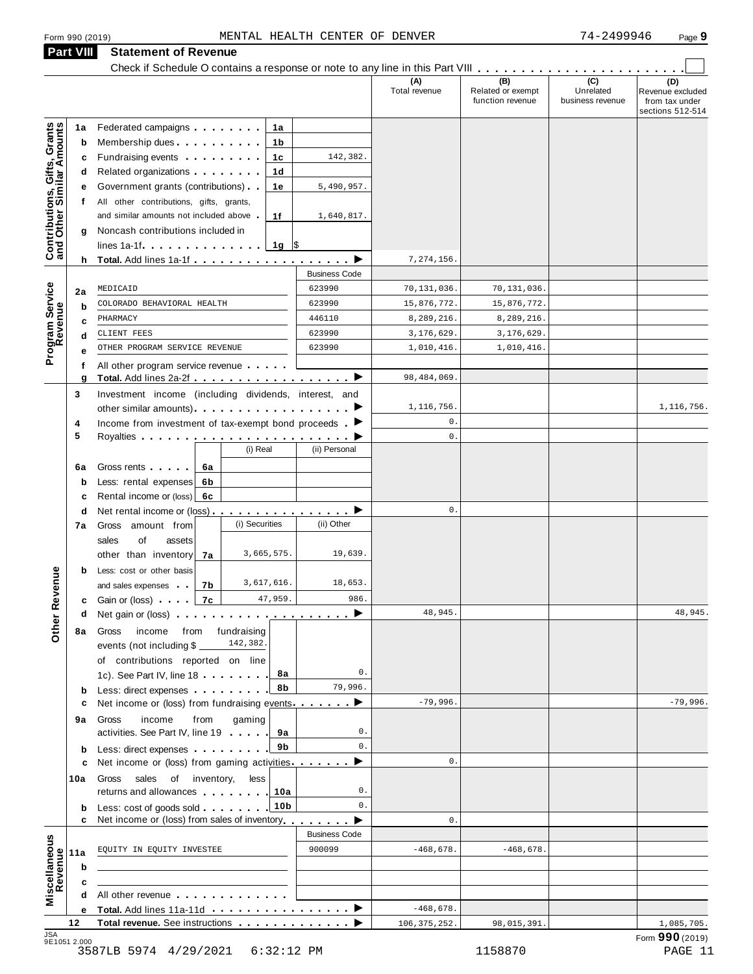|                                                                |                                                                                                                                                                                                                                                               |      |                |                 |                      |                      | Check if Schedule O contains a response or note to any line in this Part VIII<br>(B) | (C)                           |                                                               |
|----------------------------------------------------------------|---------------------------------------------------------------------------------------------------------------------------------------------------------------------------------------------------------------------------------------------------------------|------|----------------|-----------------|----------------------|----------------------|--------------------------------------------------------------------------------------|-------------------------------|---------------------------------------------------------------|
|                                                                |                                                                                                                                                                                                                                                               |      |                |                 |                      | (A)<br>Total revenue | Related or exempt<br>function revenue                                                | Unrelated<br>business revenue | (D)<br>Revenue excluded<br>from tax under<br>sections 512-514 |
| 1a                                                             | Federated campaigns                                                                                                                                                                                                                                           |      |                | 1а              |                      |                      |                                                                                      |                               |                                                               |
| Contributions, Gifts, Grants<br>and Other Similar Amounts<br>b | Membership dues                                                                                                                                                                                                                                               |      |                | 1b              |                      |                      |                                                                                      |                               |                                                               |
| c                                                              | Fundraising events <b>Exercise State Internal Exercise</b>                                                                                                                                                                                                    |      |                | 1c              | 142,382.             |                      |                                                                                      |                               |                                                               |
| d                                                              | Related organizations <b>contains</b> and the set of the set of the set of the set of the set of the set of the set of the set of the set of the set of the set of the set of the set of the set of the set of the set of the set o                           |      |                | 1d              |                      |                      |                                                                                      |                               |                                                               |
| е                                                              | Government grants (contributions)                                                                                                                                                                                                                             |      |                | 1е              | 5,490,957.           |                      |                                                                                      |                               |                                                               |
| t.                                                             | All other contributions, gifts, grants,                                                                                                                                                                                                                       |      |                |                 |                      |                      |                                                                                      |                               |                                                               |
|                                                                | and similar amounts not included above                                                                                                                                                                                                                        |      |                | 1f              | 1,640,817.           |                      |                                                                                      |                               |                                                               |
| g                                                              | Noncash contributions included in                                                                                                                                                                                                                             |      |                |                 |                      |                      |                                                                                      |                               |                                                               |
|                                                                |                                                                                                                                                                                                                                                               |      |                | 1g $\sqrt{3}$   |                      |                      |                                                                                      |                               |                                                               |
|                                                                |                                                                                                                                                                                                                                                               |      |                |                 |                      | 7,274,156.           |                                                                                      |                               |                                                               |
|                                                                |                                                                                                                                                                                                                                                               |      |                |                 | <b>Business Code</b> |                      |                                                                                      |                               |                                                               |
| 2a                                                             | MEDICAID                                                                                                                                                                                                                                                      |      |                |                 | 623990               | 70,131,036.          | 70,131,036.                                                                          |                               |                                                               |
| b                                                              | COLORADO BEHAVIORAL HEALTH                                                                                                                                                                                                                                    |      |                |                 | 623990               | 15,876,772.          | 15,876,772.                                                                          |                               |                                                               |
| c                                                              | PHARMACY                                                                                                                                                                                                                                                      |      |                |                 | 446110               | 8,289,216.           | 8,289,216.                                                                           |                               |                                                               |
| d                                                              | CLIENT FEES                                                                                                                                                                                                                                                   |      |                |                 | 623990               | 3,176,629.           | 3,176,629.                                                                           |                               |                                                               |
| Program Service<br>Revenue<br>е                                | OTHER PROGRAM SERVICE REVENUE                                                                                                                                                                                                                                 |      |                |                 | 623990               | 1,010,416.           | 1,010,416.                                                                           |                               |                                                               |
| f                                                              | All other program service revenue                                                                                                                                                                                                                             |      |                |                 |                      |                      |                                                                                      |                               |                                                               |
| g                                                              | Total. Add lines 2a-2f (2002) → 2012 → 2012 → 2012 → 2012 → 2012 → 2012 → 2012 → 2012 → 2012 → 2012 → 2012 → 2012 → 2012 → 2012 → 2012 → 2012 → 2012 → 2012 → 2012 → 2012 → 2012 → 2012 → 2012 → 2012 → 2012 → 2012 → 2012 →                                  |      |                |                 |                      | 98, 484, 069.        |                                                                                      |                               |                                                               |
| 3                                                              | Investment income (including dividends, interest, and                                                                                                                                                                                                         |      |                |                 |                      |                      |                                                                                      |                               |                                                               |
|                                                                |                                                                                                                                                                                                                                                               |      |                |                 |                      | 1,116,756.           |                                                                                      |                               | 1,116,756.                                                    |
| 4                                                              | Income from investment of tax-exempt bond proceeds $\blacktriangleright$                                                                                                                                                                                      |      |                |                 |                      | 0.                   |                                                                                      |                               |                                                               |
| 5                                                              |                                                                                                                                                                                                                                                               |      |                |                 |                      | 0.                   |                                                                                      |                               |                                                               |
|                                                                |                                                                                                                                                                                                                                                               |      | (i) Real       |                 | (ii) Personal        |                      |                                                                                      |                               |                                                               |
| 6a                                                             | Gross rents                                                                                                                                                                                                                                                   | 6а   |                |                 |                      |                      |                                                                                      |                               |                                                               |
| b                                                              | Less: rental expenses                                                                                                                                                                                                                                         | 6b   |                |                 |                      |                      |                                                                                      |                               |                                                               |
| c                                                              | Rental income or (loss) 6c                                                                                                                                                                                                                                    |      |                |                 |                      |                      |                                                                                      |                               |                                                               |
| d                                                              | Net rental income or (loss) ▶                                                                                                                                                                                                                                 |      |                |                 |                      | 0.                   |                                                                                      |                               |                                                               |
| 7а                                                             | Gross amount from                                                                                                                                                                                                                                             |      | (i) Securities |                 | (ii) Other           |                      |                                                                                      |                               |                                                               |
|                                                                | of<br>sales<br>assets                                                                                                                                                                                                                                         |      |                |                 |                      |                      |                                                                                      |                               |                                                               |
|                                                                | other than inventory                                                                                                                                                                                                                                          | 7a   |                | 3,665,575.      | 19,639.              |                      |                                                                                      |                               |                                                               |
| b                                                              | Less: cost or other basis                                                                                                                                                                                                                                     |      |                |                 |                      |                      |                                                                                      |                               |                                                               |
| evenue                                                         | and sales expenses                                                                                                                                                                                                                                            | 7b   |                | 3,617,616.      | 18,653.              |                      |                                                                                      |                               |                                                               |
|                                                                | <b>c</b> Gain or (loss)                                                                                                                                                                                                                                       | 7c   |                | 47,959.         | 986.                 |                      |                                                                                      |                               |                                                               |
| Other <sub>R</sub><br>d                                        | Net gain or (loss) $\cdots$ $\cdots$ $\cdots$ $\cdots$ $\cdots$ $\cdots$                                                                                                                                                                                      |      |                |                 |                      | 48,945.              |                                                                                      |                               | 48,945.                                                       |
| 8а                                                             | income from fundraising<br>Gross                                                                                                                                                                                                                              |      |                |                 |                      |                      |                                                                                      |                               |                                                               |
|                                                                | events (not including \$                                                                                                                                                                                                                                      |      | 142,382.       |                 |                      |                      |                                                                                      |                               |                                                               |
|                                                                | of contributions reported on line                                                                                                                                                                                                                             |      |                |                 |                      |                      |                                                                                      |                               |                                                               |
|                                                                | 1c). See Part IV, line 18                                                                                                                                                                                                                                     |      |                | 8а              | 0.                   |                      |                                                                                      |                               |                                                               |
| b                                                              | Less: direct expenses                                                                                                                                                                                                                                         |      |                | 8b              | 79,996.              |                      |                                                                                      |                               |                                                               |
| с                                                              | Net income or (loss) from fundraising events                                                                                                                                                                                                                  |      |                |                 | … ▶                  | $-79,996.$           |                                                                                      |                               | $-79,996.$                                                    |
| 9а                                                             | income<br>Gross<br>activities. See Part IV, line 19                                                                                                                                                                                                           | from | gaming         | 9а              | 0.                   |                      |                                                                                      |                               |                                                               |
|                                                                | Less: direct expenses <b>contained contained contained contained contained contained </b>                                                                                                                                                                     |      |                | 9b              | $0$ .                |                      |                                                                                      |                               |                                                               |
| b<br>c                                                         | Net income or (loss) from gaming activities.                                                                                                                                                                                                                  |      |                |                 | ▶                    | 0.                   |                                                                                      |                               |                                                               |
| 10a                                                            | sales of inventory,<br>Gross<br>returns and allowances and the state of the state of the state of the state of the state of the state of the state of the state of the state of the state of the state of the state of the state of the state of the state of |      | less           | 10a             | 0.                   |                      |                                                                                      |                               |                                                               |
| b                                                              | Less: cost of goods sold                                                                                                                                                                                                                                      |      |                | 10 <sub>b</sub> | 0.                   |                      |                                                                                      |                               |                                                               |
| c                                                              | Net income or (loss) from sales of inventory                                                                                                                                                                                                                  |      |                |                 | ▶                    | $0$ .                |                                                                                      |                               |                                                               |
|                                                                |                                                                                                                                                                                                                                                               |      |                |                 | <b>Business Code</b> |                      |                                                                                      |                               |                                                               |
| Miscellaneous<br>Revenue<br>11a<br>b                           | EQUITY IN EQUITY INVESTEE                                                                                                                                                                                                                                     |      |                |                 | 900099               | $-468,678.$          | $-468,678.$                                                                          |                               |                                                               |
| c                                                              |                                                                                                                                                                                                                                                               |      |                |                 |                      |                      |                                                                                      |                               |                                                               |
| d                                                              | All other revenue                                                                                                                                                                                                                                             |      |                |                 |                      |                      |                                                                                      |                               |                                                               |
| е                                                              |                                                                                                                                                                                                                                                               |      |                |                 |                      | $-468,678.$          |                                                                                      |                               |                                                               |
|                                                                | Total revenue. See instructions                                                                                                                                                                                                                               |      |                |                 |                      | 106, 375, 252.       | 98,015,391.                                                                          |                               | 1,085,705.                                                    |

3587LB 5974 4/29/2021 6:32:12 PM 1158870 PAGE 11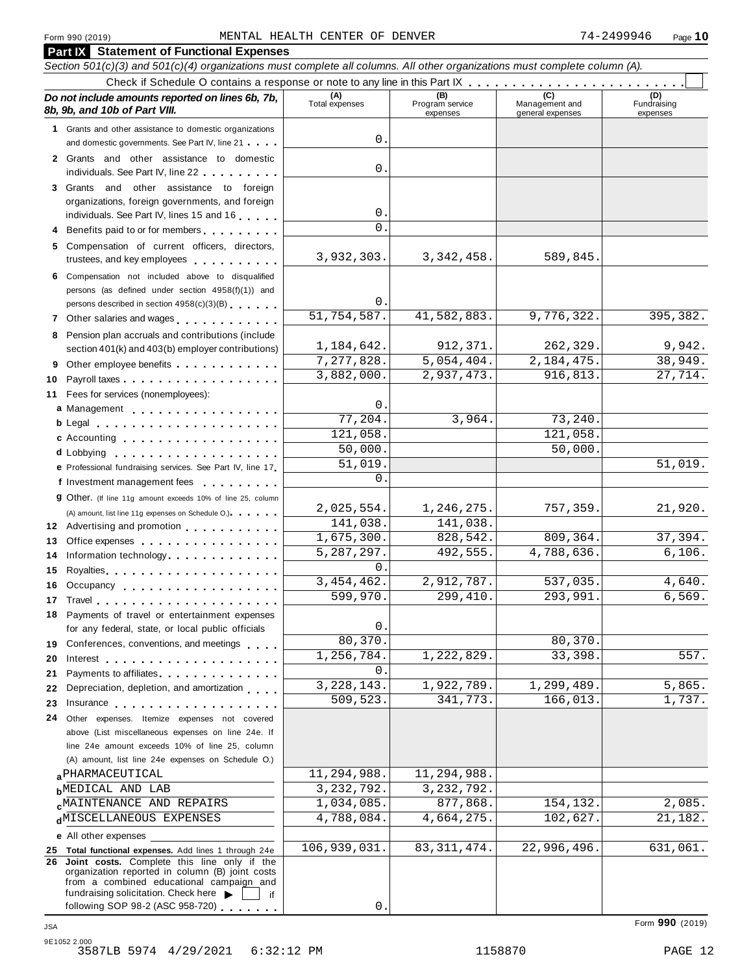|    | Section 501(c)(3) and 501(c)(4) organizations must complete all columns. All other organizations must complete column (A).                                                                                                     |                       |                                    |                                    |                                |
|----|--------------------------------------------------------------------------------------------------------------------------------------------------------------------------------------------------------------------------------|-----------------------|------------------------------------|------------------------------------|--------------------------------|
|    |                                                                                                                                                                                                                                |                       |                                    |                                    |                                |
|    | Do not include amounts reported on lines 6b, 7b,<br>8b, 9b, and 10b of Part VIII.                                                                                                                                              | (A)<br>Total expenses | (B)<br>Program service<br>expenses | Management and<br>general expenses | (D)<br>Fundraising<br>expenses |
|    | 1 Grants and other assistance to domestic organizations                                                                                                                                                                        |                       |                                    |                                    |                                |
|    | and domestic governments. See Part IV, line 21                                                                                                                                                                                 | 0                     |                                    |                                    |                                |
|    | 2 Grants and other assistance to domestic                                                                                                                                                                                      |                       |                                    |                                    |                                |
|    | individuals. See Part IV, line 22                                                                                                                                                                                              | 0                     |                                    |                                    |                                |
|    | 3 Grants and other assistance to foreign                                                                                                                                                                                       |                       |                                    |                                    |                                |
|    | organizations, foreign governments, and foreign                                                                                                                                                                                |                       |                                    |                                    |                                |
|    | individuals. See Part IV, lines 15 and 16                                                                                                                                                                                      | 0                     |                                    |                                    |                                |
|    | Benefits paid to or for members                                                                                                                                                                                                | $\Omega$              |                                    |                                    |                                |
|    | 5 Compensation of current officers, directors,                                                                                                                                                                                 |                       |                                    |                                    |                                |
|    | trustees, and key employees                                                                                                                                                                                                    | 3,932,303.            | 3, 342, 458.                       | 589,845.                           |                                |
|    | 6 Compensation not included above to disqualified                                                                                                                                                                              |                       |                                    |                                    |                                |
|    | persons (as defined under section 4958(f)(1)) and                                                                                                                                                                              |                       |                                    |                                    |                                |
|    | persons described in section 4958(c)(3)(B)                                                                                                                                                                                     | 0                     |                                    |                                    |                                |
|    | 7 Other salaries and wages                                                                                                                                                                                                     | 51,754,587.           | 41,582,883.                        | 9,776,322.                         | 395, 382.                      |
|    | 8 Pension plan accruals and contributions (include                                                                                                                                                                             |                       |                                    |                                    |                                |
|    | section 401(k) and 403(b) employer contributions)                                                                                                                                                                              | 1,184,642.            | 912,371.                           | 262,329.                           | 9,942.                         |
| 9  | Other employee benefits                                                                                                                                                                                                        | 7,277,828.            | 5,054,404.                         | 2, 184, 475.                       | 38,949.                        |
| 10 |                                                                                                                                                                                                                                | 3,882,000.            | 2,937,473.                         | 916,813.                           | 27,714.                        |
|    | 11 Fees for services (nonemployees):                                                                                                                                                                                           |                       |                                    |                                    |                                |
|    | a Management                                                                                                                                                                                                                   | 0                     |                                    |                                    |                                |
|    | b Legal entering the service of the service of the service of the service of the service of the service of the                                                                                                                 | 77,204                | 3,964.                             | 73, 240.                           |                                |
|    | c Accounting                                                                                                                                                                                                                   | 121,058               |                                    | 121,058.                           |                                |
|    |                                                                                                                                                                                                                                | 50,000.               |                                    | 50,000.                            |                                |
|    | e Professional fundraising services. See Part IV, line 17                                                                                                                                                                      | $\overline{51}$ , 019 |                                    |                                    | 51,019.                        |
|    | f Investment management fees                                                                                                                                                                                                   | $\Omega$              |                                    |                                    |                                |
|    | 9 Other. (If line 11g amount exceeds 10% of line 25, column                                                                                                                                                                    |                       |                                    |                                    |                                |
|    | (A) amount, list line 11g expenses on Schedule O.) expenses                                                                                                                                                                    | 2,025,554.            | 1,246,275.                         | 757,359.                           | 21,920.                        |
|    | 12 Advertising and promotion                                                                                                                                                                                                   | 141,038.              | 141,038.                           |                                    |                                |
| 13 | Office expenses                                                                                                                                                                                                                | 1,675,300.            | 828,542.                           | 809, 364.                          | 37,394.                        |
| 14 | Information technology.                                                                                                                                                                                                        | 5, 287, 297.          | 492,555.                           | 4,788,636.                         | 6,106.                         |
| 15 |                                                                                                                                                                                                                                | $\Omega$ .            |                                    |                                    |                                |
| 16 | Occupancy contains a state of the state of the state of the state of the state of the state of the state of the                                                                                                                | 3,454,462.            | 2,912,787.                         | 537,035.                           | 4,640.                         |
|    |                                                                                                                                                                                                                                | 599,970.              | 299,410.                           | 293,991.                           | 6,569.                         |
|    | 18 Payments of travel or entertainment expenses                                                                                                                                                                                |                       |                                    |                                    |                                |
|    | for any federal, state, or local public officials                                                                                                                                                                              | 0<br>80,370           |                                    | 80, 370.                           |                                |
|    | 19 Conferences, conventions, and meetings                                                                                                                                                                                      |                       |                                    |                                    | 557.                           |
| 20 | Interest the contract of the contract of the contract of the contract of the contract of the contract of the contract of the contract of the contract of the contract of the contract of the contract of the contract of the c | 1,256,784<br>0        | 1,222,829.                         | 33,398.                            |                                |
| 21 | Payments to affiliates <b>Exercise Services</b>                                                                                                                                                                                | 3, 228, 143.          | 1,922,789.                         | 1,299,489.                         | 5,865.                         |
| 22 | Depreciation, depletion, and amortization                                                                                                                                                                                      | 509,523.              | 341,773.                           | 166,013.                           | 1,737.                         |
| 23 | Insurance experience and the set of the set of the set of the set of the set of the set of the set of the set o                                                                                                                |                       |                                    |                                    |                                |
| 24 | Other expenses. Itemize expenses not covered                                                                                                                                                                                   |                       |                                    |                                    |                                |
|    | above (List miscellaneous expenses on line 24e. If<br>line 24e amount exceeds 10% of line 25, column                                                                                                                           |                       |                                    |                                    |                                |
|    | (A) amount, list line 24e expenses on Schedule O.)                                                                                                                                                                             |                       |                                    |                                    |                                |
|    | <b>a</b> PHARMACEUTICAL                                                                                                                                                                                                        | 11,294,988.           | 11,294,988.                        |                                    |                                |
|    | <b>b</b> MEDICAL AND LAB                                                                                                                                                                                                       | 3, 232, 792.          | 3, 232, 792.                       |                                    |                                |
|    | <b>CMAINTENANCE AND REPAIRS</b>                                                                                                                                                                                                | 1,034,085.            | 877,868.                           | 154, 132.                          | 2,085.                         |
|    | dMISCELLANEOUS EXPENSES                                                                                                                                                                                                        | 4,788,084.            | 4,664,275.                         | 102,627.                           | 21,182.                        |
|    | <b>e</b> All other expenses                                                                                                                                                                                                    |                       |                                    |                                    |                                |
|    | 25 Total functional expenses. Add lines 1 through 24e                                                                                                                                                                          | 106,939,031.          | 83, 311, 474.                      | 22,996,496.                        | 631,061.                       |
|    | 26 Joint costs. Complete this line only if the                                                                                                                                                                                 |                       |                                    |                                    |                                |
|    | organization reported in column (B) joint costs<br>from a combined educational campaign and                                                                                                                                    |                       |                                    |                                    |                                |
|    | fundraising solicitation. Check here<br>if                                                                                                                                                                                     |                       |                                    |                                    |                                |
|    | following SOP 98-2 (ASC 958-720)                                                                                                                                                                                               | 0.                    |                                    |                                    |                                |

Form **990** (2019) JSA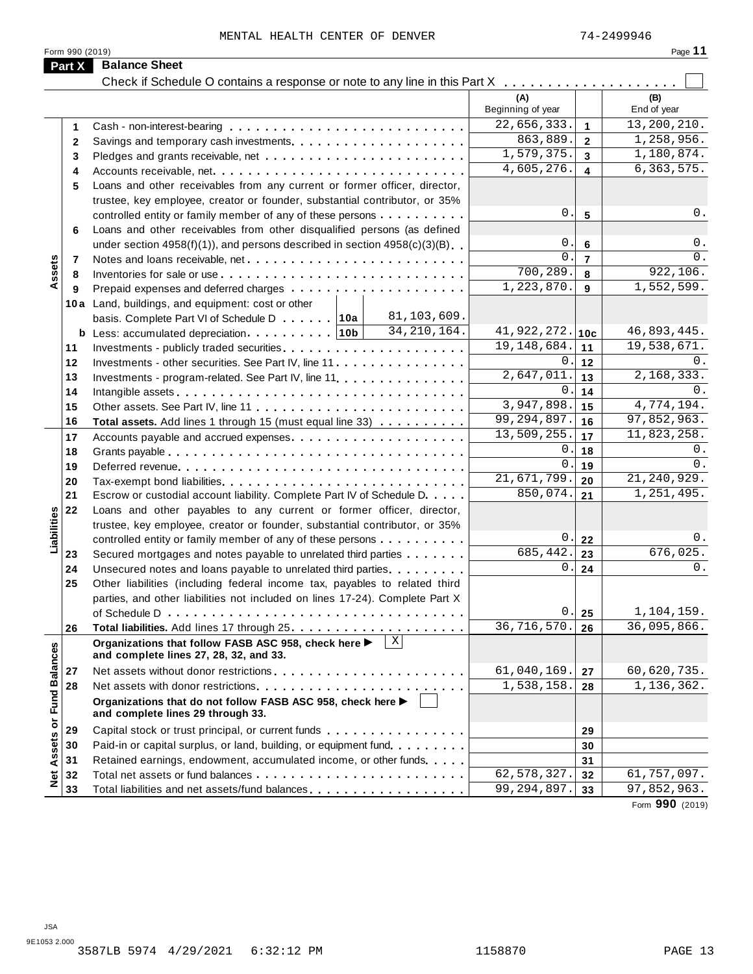MENTAL HEALTH CENTER OF DENVER 74-2499946

|                      |                                                                                                                | (A)<br>Beginning of year |                         | (B)<br>End of year |
|----------------------|----------------------------------------------------------------------------------------------------------------|--------------------------|-------------------------|--------------------|
| 1                    |                                                                                                                | 22,656,333.              | $\mathbf{1}$            | 13,200,210.        |
| 2                    |                                                                                                                | 863,889.                 | $\overline{2}$          | 1,258,956.         |
| 3                    |                                                                                                                | 1,579,375.               | $\overline{3}$          | 1,180,874.         |
| 4                    | Accounts receivable, net                                                                                       | 4,605,276.               | $\overline{\mathbf{4}}$ | 6, 363, 575.       |
| 5                    | Loans and other receivables from any current or former officer, director,                                      |                          |                         |                    |
|                      | trustee, key employee, creator or founder, substantial contributor, or 35%                                     |                          |                         |                    |
|                      | controlled entity or family member of any of these persons                                                     | 0.                       | $5\phantom{1}$          | 0.                 |
| 6                    | Loans and other receivables from other disqualified persons (as defined                                        |                          |                         |                    |
|                      | under section $4958(f)(1)$ , and persons described in section $4958(c)(3)(B)$                                  | $\mathsf{O}$ .           | $6\phantom{1}6$         | $0$ .              |
|                      |                                                                                                                | $\mathbf{0}$ .           | $\overline{7}$          | 0.                 |
| Assets<br>7          |                                                                                                                | 700,289.                 | 8                       | 922,106.           |
| 8                    |                                                                                                                | 1,223,870.               | 9                       | 1,552,599.         |
| 9                    |                                                                                                                |                          |                         |                    |
|                      | 10a Land, buildings, and equipment: cost or other<br>81,103,609.                                               |                          |                         |                    |
|                      | basis. Complete Part VI of Schedule D 10a<br>34, 210, 164.                                                     | 41,922,272.              |                         | 46,893,445.        |
|                      | <b>b</b> Less: accumulated depreciation $\cdots$   10b                                                         | 19, 148, 684.            | 10c                     | 19,538,671.        |
| 11                   |                                                                                                                |                          | 11                      |                    |
| 12                   | Investments - other securities. See Part IV, line 11                                                           | 0.                       | 12                      | 0.                 |
| 13                   | Investments - program-related. See Part IV, line 11                                                            | 2,647,011.               | 13                      | 2,168,333.         |
| 14                   |                                                                                                                | 0.                       | 14                      | $0$ .              |
| 15                   |                                                                                                                | 3,947,898.               | 15                      | 4,774,194.         |
| 16                   | Total assets. Add lines 1 through 15 (must equal line 33)                                                      | 99, 294, 897.            | 16                      | 97,852,963.        |
| 17                   |                                                                                                                | 13,509,255.              | 17                      | 11,823,258.        |
| 18                   |                                                                                                                | $\mathsf{0}$ .           | 18                      | 0.                 |
| 19                   |                                                                                                                | $\mathbf{0}$             | 19                      | 0.                 |
| 20                   |                                                                                                                | 21,671,799.              | 20                      | 21, 240, 929.      |
| 21                   | Escrow or custodial account liability. Complete Part IV of Schedule D.                                         | 850,074.                 | 21                      | 1,251,495.         |
| 22                   | Loans and other payables to any current or former officer, director,                                           |                          |                         |                    |
|                      | trustee, key employee, creator or founder, substantial contributor, or 35%                                     |                          |                         |                    |
| Liabilities          | controlled entity or family member of any of these persons                                                     | $\boldsymbol{0}$ .       | 22                      | 0.                 |
| 23                   | Secured mortgages and notes payable to unrelated third parties                                                 | 685,442.                 | 23                      | 676,025.           |
| 24                   | Unsecured notes and loans payable to unrelated third parties.                                                  | 0.                       | 24                      | 0.                 |
| 25                   | Other liabilities (including federal income tax, payables to related third                                     |                          |                         |                    |
|                      | parties, and other liabilities not included on lines 17-24). Complete Part X                                   |                          |                         |                    |
|                      |                                                                                                                | 0.                       | 25                      | 1,104,159.         |
| 26                   |                                                                                                                | 36,716,570.              | 26                      | 36,095,866.        |
| <b>Fund Balances</b> | $\mathbf{x}$<br>Organizations that follow FASB ASC 958, check here ▶<br>and complete lines 27, 28, 32, and 33. |                          |                         |                    |
| 27                   |                                                                                                                | 61,040,169.              | 27                      | 60,620,735.        |
| 28                   |                                                                                                                | 1,538,158.               | 28                      | 1,136,362.         |
|                      | Organizations that do not follow FASB ASC 958, check here ▶<br>and complete lines 29 through 33.               |                          |                         |                    |
| 29                   | Capital stock or trust principal, or current funds                                                             |                          |                         |                    |
|                      |                                                                                                                |                          | 29                      |                    |
| 30                   | Paid-in or capital surplus, or land, building, or equipment fund.                                              |                          | 30                      |                    |
| 31                   | Retained earnings, endowment, accumulated income, or other funds                                               |                          | 31                      |                    |
| 32                   |                                                                                                                | 62,578,327.              | 32                      | 61,757,097.        |

Form **990** (2019)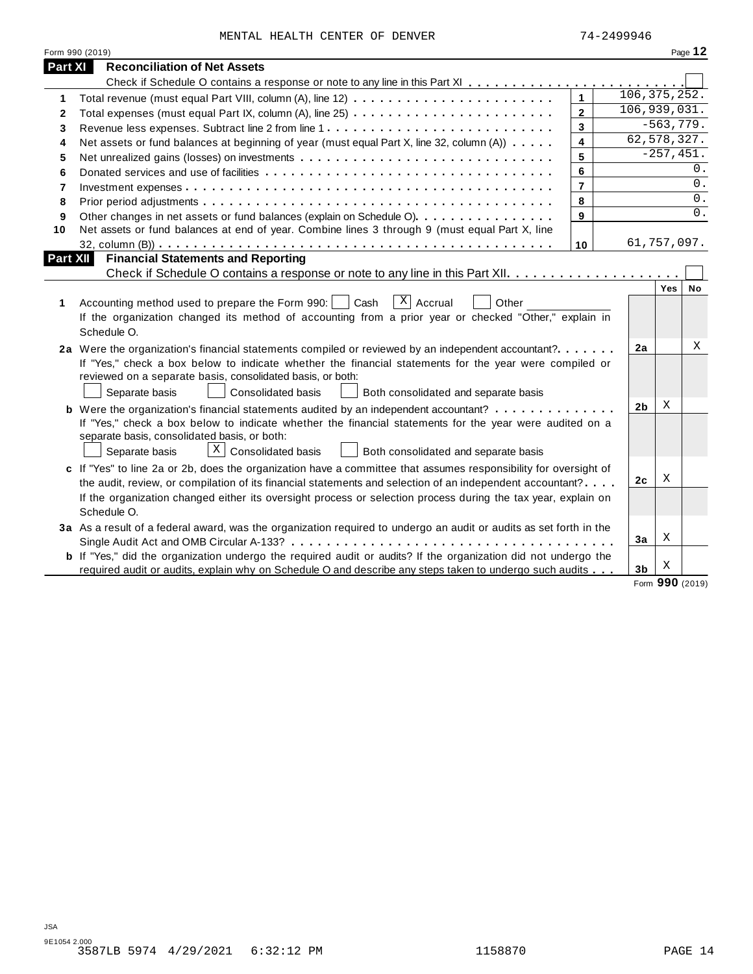| MENTAL HEALTH CENTER OF DENVER |  |  | 74-2499946 |
|--------------------------------|--|--|------------|
|                                |  |  |            |

|          | Form 990 (2019)                                                                                                                                                                                                                                                                                                                                                   |                         |                |              | Page 12 |
|----------|-------------------------------------------------------------------------------------------------------------------------------------------------------------------------------------------------------------------------------------------------------------------------------------------------------------------------------------------------------------------|-------------------------|----------------|--------------|---------|
| Part XI  | <b>Reconciliation of Net Assets</b>                                                                                                                                                                                                                                                                                                                               |                         |                |              |         |
|          |                                                                                                                                                                                                                                                                                                                                                                   |                         |                |              |         |
| 1        |                                                                                                                                                                                                                                                                                                                                                                   | $\mathbf{1}$            | 106, 375, 252. |              |         |
| 2        | Total expenses (must equal Part IX, column (A), line 25)                                                                                                                                                                                                                                                                                                          | $\mathbf{2}$            | 106,939,031.   |              |         |
| 3        |                                                                                                                                                                                                                                                                                                                                                                   | $\overline{\mathbf{3}}$ |                | $-563,779.$  |         |
| 4        | Net assets or fund balances at beginning of year (must equal Part X, line 32, column (A))                                                                                                                                                                                                                                                                         | $\overline{\mathbf{4}}$ | 62,578,327.    |              |         |
| 5        |                                                                                                                                                                                                                                                                                                                                                                   | 5                       |                | $-257, 451.$ |         |
| 6        |                                                                                                                                                                                                                                                                                                                                                                   | 6                       |                |              | 0.      |
| 7        |                                                                                                                                                                                                                                                                                                                                                                   | $\overline{7}$          |                |              | 0.      |
| 8        |                                                                                                                                                                                                                                                                                                                                                                   | 8                       |                |              | 0.      |
| 9        | Other changes in net assets or fund balances (explain on Schedule O).                                                                                                                                                                                                                                                                                             | 9                       |                |              | $0$ .   |
| 10       | Net assets or fund balances at end of year. Combine lines 3 through 9 (must equal Part X, line                                                                                                                                                                                                                                                                    |                         |                |              |         |
|          |                                                                                                                                                                                                                                                                                                                                                                   | 10                      | 61,757,097.    |              |         |
| Part XII | <b>Financial Statements and Reporting</b>                                                                                                                                                                                                                                                                                                                         |                         |                | Yes          | No      |
| 1        | $\overline{X}$ Accrual<br>Accounting method used to prepare the Form 990:<br>Cash<br>Other<br>If the organization changed its method of accounting from a prior year or checked "Other," explain in<br>Schedule O.                                                                                                                                                |                         |                |              |         |
|          | 2a Were the organization's financial statements compiled or reviewed by an independent accountant?<br>If "Yes," check a box below to indicate whether the financial statements for the year were compiled or<br>reviewed on a separate basis, consolidated basis, or both:<br>Separate basis<br><b>Consolidated basis</b><br>Both consolidated and separate basis |                         | 2a             |              | Χ       |
|          | <b>b</b> Were the organization's financial statements audited by an independent accountant?                                                                                                                                                                                                                                                                       |                         | 2 <sub>b</sub> | X            |         |
|          | If "Yes," check a box below to indicate whether the financial statements for the year were audited on a<br>separate basis, consolidated basis, or both:<br>$X$ Consolidated basis<br>Separate basis<br>Both consolidated and separate basis                                                                                                                       |                         |                |              |         |
|          | c If "Yes" to line 2a or 2b, does the organization have a committee that assumes responsibility for oversight of                                                                                                                                                                                                                                                  |                         |                |              |         |
|          | the audit, review, or compilation of its financial statements and selection of an independent accountant?                                                                                                                                                                                                                                                         |                         | 2c             | Χ            |         |
|          | If the organization changed either its oversight process or selection process during the tax year, explain on<br>Schedule O.                                                                                                                                                                                                                                      |                         |                |              |         |
|          | 3a As a result of a federal award, was the organization required to undergo an audit or audits as set forth in the                                                                                                                                                                                                                                                |                         |                |              |         |
|          |                                                                                                                                                                                                                                                                                                                                                                   |                         | 3a             | Χ            |         |
|          | <b>b</b> If "Yes," did the organization undergo the required audit or audits? If the organization did not undergo the                                                                                                                                                                                                                                             |                         |                |              |         |
|          | required audit or audits, explain why on Schedule O and describe any steps taken to undergo such audits                                                                                                                                                                                                                                                           |                         | 3 <sub>b</sub> | Χ            |         |

Form **990** (2019)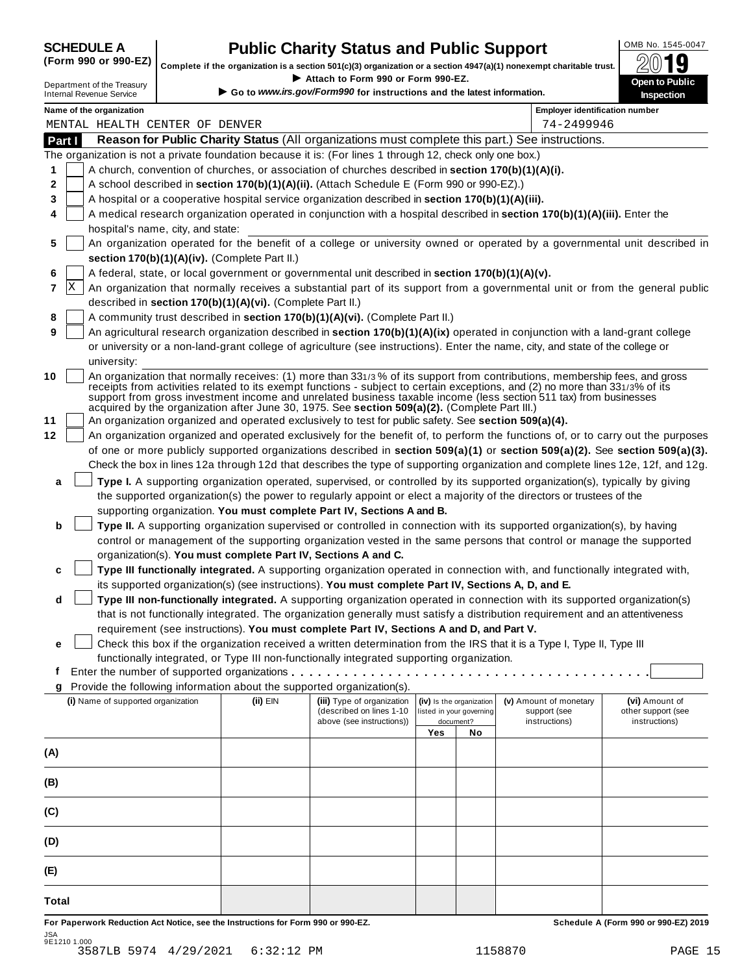## **CHEDULE A Public Charity Status and Public Support**  $\frac{100 \text{dB No. }1545-0047}{000 \text{dB}}$

(Form 990 or 990-EZ) complete if the organization is a section 501(c)(3) organization or a section 4947(a)(1) nonexempt charitable trust.  $2019$ 

|        |                                                                                                                                                                                                                                                                |  |                                                            | Complete if the organization is a section 501(c)(3) organization or a section 4947(a)(1) nonexempt charitable trust. |     |                                       |                                                                                                                                                                                                                                                            | ZW IJ                                                                                                                        |
|--------|----------------------------------------------------------------------------------------------------------------------------------------------------------------------------------------------------------------------------------------------------------------|--|------------------------------------------------------------|----------------------------------------------------------------------------------------------------------------------|-----|---------------------------------------|------------------------------------------------------------------------------------------------------------------------------------------------------------------------------------------------------------------------------------------------------------|------------------------------------------------------------------------------------------------------------------------------|
|        | Department of the Treasury                                                                                                                                                                                                                                     |  |                                                            | Attach to Form 990 or Form 990-EZ.<br>Go to www.irs.gov/Form990 for instructions and the latest information.         |     |                                       |                                                                                                                                                                                                                                                            | Open to Public                                                                                                               |
|        | <b>Internal Revenue Service</b>                                                                                                                                                                                                                                |  |                                                            |                                                                                                                      |     |                                       |                                                                                                                                                                                                                                                            | <b>Inspection</b>                                                                                                            |
|        | Name of the organization<br>MENTAL HEALTH CENTER OF DENVER                                                                                                                                                                                                     |  |                                                            |                                                                                                                      |     |                                       | <b>Employer identification number</b><br>74-2499946                                                                                                                                                                                                        |                                                                                                                              |
| Part I |                                                                                                                                                                                                                                                                |  |                                                            |                                                                                                                      |     |                                       | Reason for Public Charity Status (All organizations must complete this part.) See instructions.                                                                                                                                                            |                                                                                                                              |
|        |                                                                                                                                                                                                                                                                |  |                                                            | The organization is not a private foundation because it is: (For lines 1 through 12, check only one box.)            |     |                                       |                                                                                                                                                                                                                                                            |                                                                                                                              |
| 1      |                                                                                                                                                                                                                                                                |  |                                                            | A church, convention of churches, or association of churches described in section 170(b)(1)(A)(i).                   |     |                                       |                                                                                                                                                                                                                                                            |                                                                                                                              |
| 2      |                                                                                                                                                                                                                                                                |  |                                                            | A school described in section 170(b)(1)(A)(ii). (Attach Schedule E (Form 990 or 990-EZ).)                            |     |                                       |                                                                                                                                                                                                                                                            |                                                                                                                              |
| 3      |                                                                                                                                                                                                                                                                |  |                                                            | A hospital or a cooperative hospital service organization described in section 170(b)(1)(A)(iii).                    |     |                                       |                                                                                                                                                                                                                                                            |                                                                                                                              |
| 4      |                                                                                                                                                                                                                                                                |  |                                                            |                                                                                                                      |     |                                       | A medical research organization operated in conjunction with a hospital described in section 170(b)(1)(A)(iii). Enter the                                                                                                                                  |                                                                                                                              |
|        | hospital's name, city, and state:                                                                                                                                                                                                                              |  |                                                            |                                                                                                                      |     |                                       |                                                                                                                                                                                                                                                            |                                                                                                                              |
| 5      |                                                                                                                                                                                                                                                                |  |                                                            |                                                                                                                      |     |                                       |                                                                                                                                                                                                                                                            | An organization operated for the benefit of a college or university owned or operated by a governmental unit described in    |
|        |                                                                                                                                                                                                                                                                |  | section 170(b)(1)(A)(iv). (Complete Part II.)              |                                                                                                                      |     |                                       |                                                                                                                                                                                                                                                            |                                                                                                                              |
| 6      |                                                                                                                                                                                                                                                                |  |                                                            | A federal, state, or local government or governmental unit described in section 170(b)(1)(A)(v).                     |     |                                       |                                                                                                                                                                                                                                                            |                                                                                                                              |
| 7      | x                                                                                                                                                                                                                                                              |  |                                                            |                                                                                                                      |     |                                       |                                                                                                                                                                                                                                                            | An organization that normally receives a substantial part of its support from a governmental unit or from the general public |
|        |                                                                                                                                                                                                                                                                |  | described in section 170(b)(1)(A)(vi). (Complete Part II.) |                                                                                                                      |     |                                       |                                                                                                                                                                                                                                                            |                                                                                                                              |
| 8      |                                                                                                                                                                                                                                                                |  |                                                            | A community trust described in section 170(b)(1)(A)(vi). (Complete Part II.)                                         |     |                                       |                                                                                                                                                                                                                                                            |                                                                                                                              |
| 9      |                                                                                                                                                                                                                                                                |  |                                                            |                                                                                                                      |     |                                       | An agricultural research organization described in section 170(b)(1)(A)(ix) operated in conjunction with a land-grant college                                                                                                                              |                                                                                                                              |
|        |                                                                                                                                                                                                                                                                |  |                                                            |                                                                                                                      |     |                                       | or university or a non-land-grant college of agriculture (see instructions). Enter the name, city, and state of the college or                                                                                                                             |                                                                                                                              |
|        | university:                                                                                                                                                                                                                                                    |  |                                                            |                                                                                                                      |     |                                       |                                                                                                                                                                                                                                                            |                                                                                                                              |
| 10     |                                                                                                                                                                                                                                                                |  |                                                            |                                                                                                                      |     |                                       | An organization that normally receives: (1) more than 331/3% of its support from contributions, membership fees, and gross<br>receipts from activities related to its exempt functions - subject to certain exceptions, and (2) no more than 331/3% of its |                                                                                                                              |
|        |                                                                                                                                                                                                                                                                |  |                                                            |                                                                                                                      |     |                                       | support from gross investment income and unrelated business taxable income (less section 511 tax) from businesses                                                                                                                                          |                                                                                                                              |
|        |                                                                                                                                                                                                                                                                |  |                                                            | acquired by the organization after June 30, 1975. See section 509(a)(2). (Complete Part III.)                        |     |                                       |                                                                                                                                                                                                                                                            |                                                                                                                              |
| 11     | An organization organized and operated exclusively to test for public safety. See section 509(a)(4).                                                                                                                                                           |  |                                                            |                                                                                                                      |     |                                       |                                                                                                                                                                                                                                                            |                                                                                                                              |
| 12     | An organization organized and operated exclusively for the benefit of, to perform the functions of, or to carry out the purposes                                                                                                                               |  |                                                            |                                                                                                                      |     |                                       |                                                                                                                                                                                                                                                            |                                                                                                                              |
|        | of one or more publicly supported organizations described in section 509(a)(1) or section 509(a)(2). See section 509(a)(3).<br>Check the box in lines 12a through 12d that describes the type of supporting organization and complete lines 12e, 12f, and 12g. |  |                                                            |                                                                                                                      |     |                                       |                                                                                                                                                                                                                                                            |                                                                                                                              |
|        |                                                                                                                                                                                                                                                                |  |                                                            |                                                                                                                      |     |                                       |                                                                                                                                                                                                                                                            |                                                                                                                              |
| a      |                                                                                                                                                                                                                                                                |  |                                                            |                                                                                                                      |     |                                       | Type I. A supporting organization operated, supervised, or controlled by its supported organization(s), typically by giving                                                                                                                                |                                                                                                                              |
|        |                                                                                                                                                                                                                                                                |  |                                                            |                                                                                                                      |     |                                       | the supported organization(s) the power to regularly appoint or elect a majority of the directors or trustees of the                                                                                                                                       |                                                                                                                              |
|        |                                                                                                                                                                                                                                                                |  |                                                            | supporting organization. You must complete Part IV, Sections A and B.                                                |     |                                       |                                                                                                                                                                                                                                                            |                                                                                                                              |
| b      |                                                                                                                                                                                                                                                                |  |                                                            |                                                                                                                      |     |                                       | Type II. A supporting organization supervised or controlled in connection with its supported organization(s), by having<br>control or management of the supporting organization vested in the same persons that control or manage the supported            |                                                                                                                              |
|        |                                                                                                                                                                                                                                                                |  |                                                            | organization(s). You must complete Part IV, Sections A and C.                                                        |     |                                       |                                                                                                                                                                                                                                                            |                                                                                                                              |
| c      |                                                                                                                                                                                                                                                                |  |                                                            |                                                                                                                      |     |                                       | Type III functionally integrated. A supporting organization operated in connection with, and functionally integrated with,                                                                                                                                 |                                                                                                                              |
|        |                                                                                                                                                                                                                                                                |  |                                                            | its supported organization(s) (see instructions). You must complete Part IV, Sections A, D, and E.                   |     |                                       |                                                                                                                                                                                                                                                            |                                                                                                                              |
| d      |                                                                                                                                                                                                                                                                |  |                                                            |                                                                                                                      |     |                                       | Type III non-functionally integrated. A supporting organization operated in connection with its supported organization(s)                                                                                                                                  |                                                                                                                              |
|        |                                                                                                                                                                                                                                                                |  |                                                            |                                                                                                                      |     |                                       | that is not functionally integrated. The organization generally must satisfy a distribution requirement and an attentiveness                                                                                                                               |                                                                                                                              |
|        |                                                                                                                                                                                                                                                                |  |                                                            | requirement (see instructions). You must complete Part IV, Sections A and D, and Part V.                             |     |                                       |                                                                                                                                                                                                                                                            |                                                                                                                              |
| е      |                                                                                                                                                                                                                                                                |  |                                                            |                                                                                                                      |     |                                       | Check this box if the organization received a written determination from the IRS that it is a Type I, Type II, Type III                                                                                                                                    |                                                                                                                              |
|        |                                                                                                                                                                                                                                                                |  |                                                            | functionally integrated, or Type III non-functionally integrated supporting organization.                            |     |                                       |                                                                                                                                                                                                                                                            |                                                                                                                              |
| f      |                                                                                                                                                                                                                                                                |  |                                                            |                                                                                                                      |     |                                       |                                                                                                                                                                                                                                                            |                                                                                                                              |
| g      |                                                                                                                                                                                                                                                                |  |                                                            | Provide the following information about the supported organization(s).                                               |     |                                       |                                                                                                                                                                                                                                                            |                                                                                                                              |
|        | (i) Name of supported organization                                                                                                                                                                                                                             |  | (ii) EIN                                                   | (iii) Type of organization                                                                                           |     | (iv) Is the organization              | (v) Amount of monetary                                                                                                                                                                                                                                     | (vi) Amount of                                                                                                               |
|        |                                                                                                                                                                                                                                                                |  |                                                            | (described on lines 1-10<br>above (see instructions))                                                                |     | listed in your governing<br>document? | support (see<br>instructions)                                                                                                                                                                                                                              | other support (see<br>instructions)                                                                                          |
|        |                                                                                                                                                                                                                                                                |  |                                                            |                                                                                                                      | Yes | No                                    |                                                                                                                                                                                                                                                            |                                                                                                                              |
| (A)    |                                                                                                                                                                                                                                                                |  |                                                            |                                                                                                                      |     |                                       |                                                                                                                                                                                                                                                            |                                                                                                                              |
|        |                                                                                                                                                                                                                                                                |  |                                                            |                                                                                                                      |     |                                       |                                                                                                                                                                                                                                                            |                                                                                                                              |
| (B)    |                                                                                                                                                                                                                                                                |  |                                                            |                                                                                                                      |     |                                       |                                                                                                                                                                                                                                                            |                                                                                                                              |
|        |                                                                                                                                                                                                                                                                |  |                                                            |                                                                                                                      |     |                                       |                                                                                                                                                                                                                                                            |                                                                                                                              |
| (C)    |                                                                                                                                                                                                                                                                |  |                                                            |                                                                                                                      |     |                                       |                                                                                                                                                                                                                                                            |                                                                                                                              |
|        |                                                                                                                                                                                                                                                                |  |                                                            |                                                                                                                      |     |                                       |                                                                                                                                                                                                                                                            |                                                                                                                              |
| (D)    |                                                                                                                                                                                                                                                                |  |                                                            |                                                                                                                      |     |                                       |                                                                                                                                                                                                                                                            |                                                                                                                              |
|        |                                                                                                                                                                                                                                                                |  |                                                            |                                                                                                                      |     |                                       |                                                                                                                                                                                                                                                            |                                                                                                                              |
| (E)    |                                                                                                                                                                                                                                                                |  |                                                            |                                                                                                                      |     |                                       |                                                                                                                                                                                                                                                            |                                                                                                                              |
|        |                                                                                                                                                                                                                                                                |  |                                                            |                                                                                                                      |     |                                       |                                                                                                                                                                                                                                                            |                                                                                                                              |

**Total**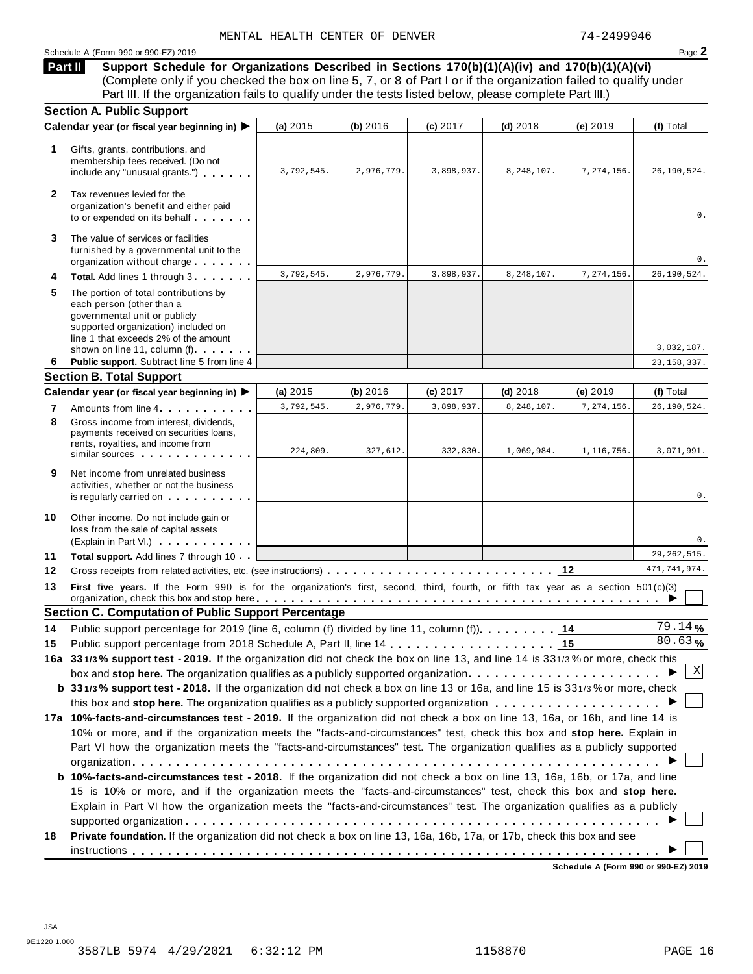## Schedule <sup>A</sup> (Form <sup>990</sup> or 990-EZ) <sup>2019</sup> Page **2**

**Support Schedule for Organizations Described in Sections 170(b)(1)(A)(iv) and 170(b)(1)(A)(vi)** (Complete only if you checked the box on line 5, 7, or 8 of Part I or if the organization failed to qualify under Part III. If the organization fails to qualify under the tests listed below, please complete Part III.) **Part II**

|                | <b>Section A. Public Support</b>                                                                                                                                                                                   |            |            |            |            |            |                      |
|----------------|--------------------------------------------------------------------------------------------------------------------------------------------------------------------------------------------------------------------|------------|------------|------------|------------|------------|----------------------|
|                | Calendar year (or fiscal year beginning in) ▶                                                                                                                                                                      | (a) 2015   | (b) 2016   | (c) 2017   | $(d)$ 2018 | (e) 2019   | (f) Total            |
| 1              | Gifts, grants, contributions, and<br>membership fees received. (Do not<br>include any "unusual grants.")                                                                                                           | 3,792,545. | 2,976,779. | 3,898,937. | 8,248,107. | 7,274,156. | 26, 190, 524.        |
| $\mathbf{2}$   | Tax revenues levied for the<br>organization's benefit and either paid<br>to or expended on its behalf                                                                                                              |            |            |            |            |            | 0.                   |
| 3              | The value of services or facilities<br>furnished by a governmental unit to the<br>organization without charge                                                                                                      |            |            |            |            |            | 0.                   |
| 4              | Total. Add lines 1 through 3                                                                                                                                                                                       | 3,792,545. | 2,976,779. | 3,898,937. | 8,248,107. | 7,274,156. | 26, 190, 524.        |
| 5              | The portion of total contributions by<br>each person (other than a<br>governmental unit or publicly<br>supported organization) included on<br>line 1 that exceeds 2% of the amount<br>shown on line 11, column (f) |            |            |            |            |            | 3,032,187.           |
| 6              | Public support. Subtract line 5 from line 4                                                                                                                                                                        |            |            |            |            |            | 23, 158, 337.        |
|                | <b>Section B. Total Support</b>                                                                                                                                                                                    |            |            |            |            |            |                      |
|                | Calendar year (or fiscal year beginning in) ▶                                                                                                                                                                      | (a) $2015$ | (b) 2016   | (c) 2017   | $(d)$ 2018 | (e) 2019   | (f) Total            |
| 7              | Amounts from line 4                                                                                                                                                                                                | 3,792,545. | 2,976,779. | 3,898,937. | 8,248,107. | 7,274,156. | 26, 190, 524.        |
| 8              | Gross income from interest, dividends.<br>payments received on securities loans,<br>rents, royalties, and income from<br>similar sources experiences                                                               | 224,809.   | 327,612.   | 332,830.   | 1,069,984. | 1,116,756. | 3,071,991.           |
| 9              | Net income from unrelated business<br>activities, whether or not the business<br>is regularly carried on the control of the set of the set of the set of the set of the set of the set of the s                    |            |            |            |            |            | 0.                   |
| 10             | Other income. Do not include gain or<br>loss from the sale of capital assets<br>(Explain in Part VI.)                                                                                                              |            |            |            |            |            | 0.                   |
| 11             | Total support. Add lines 7 through 10                                                                                                                                                                              |            |            |            |            |            | 29, 262, 515.        |
| 12             |                                                                                                                                                                                                                    |            |            |            |            |            | 471, 741, 974.       |
|                | First five years. If the Form 990 is for the organization's first, second, third, fourth, or fifth tax year as a section 501(c)(3)                                                                                 |            |            |            |            |            |                      |
|                |                                                                                                                                                                                                                    |            |            |            |            |            |                      |
|                | <b>Section C. Computation of Public Support Percentage</b>                                                                                                                                                         |            |            |            |            |            |                      |
|                | Public support percentage for 2019 (line 6, column (f) divided by line 11, column (f)).                                                                                                                            |            |            |            |            | 14         | $\overline{79.14}$ % |
|                |                                                                                                                                                                                                                    |            |            |            |            | 15         | 80.63%               |
|                | 16a 331/3% support test - 2019. If the organization did not check the box on line 13, and line 14 is 331/3% or more, check this                                                                                    |            |            |            |            |            |                      |
|                |                                                                                                                                                                                                                    |            |            |            |            |            | Χ                    |
|                | b 331/3% support test - 2018. If the organization did not check a box on line 13 or 16a, and line 15 is 331/3% or more, check                                                                                      |            |            |            |            |            |                      |
|                |                                                                                                                                                                                                                    |            |            |            |            |            |                      |
|                | 17a 10%-facts-and-circumstances test - 2019. If the organization did not check a box on line 13, 16a, or 16b, and line 14 is                                                                                       |            |            |            |            |            |                      |
|                | 10% or more, and if the organization meets the "facts-and-circumstances" test, check this box and stop here. Explain in                                                                                            |            |            |            |            |            |                      |
|                | Part VI how the organization meets the "facts-and-circumstances" test. The organization qualifies as a publicly supported                                                                                          |            |            |            |            |            |                      |
|                |                                                                                                                                                                                                                    |            |            |            |            |            |                      |
|                | b 10%-facts-and-circumstances test - 2018. If the organization did not check a box on line 13, 16a, 16b, or 17a, and line                                                                                          |            |            |            |            |            |                      |
|                | 15 is 10% or more, and if the organization meets the "facts-and-circumstances" test, check this box and stop here.                                                                                                 |            |            |            |            |            |                      |
| 13<br>14<br>15 | Explain in Part VI how the organization meets the "facts-and-circumstances" test. The organization qualifies as a publicly                                                                                         |            |            |            |            |            |                      |
| 18             | Private foundation. If the organization did not check a box on line 13, 16a, 16b, 17a, or 17b, check this box and see                                                                                              |            |            |            |            |            |                      |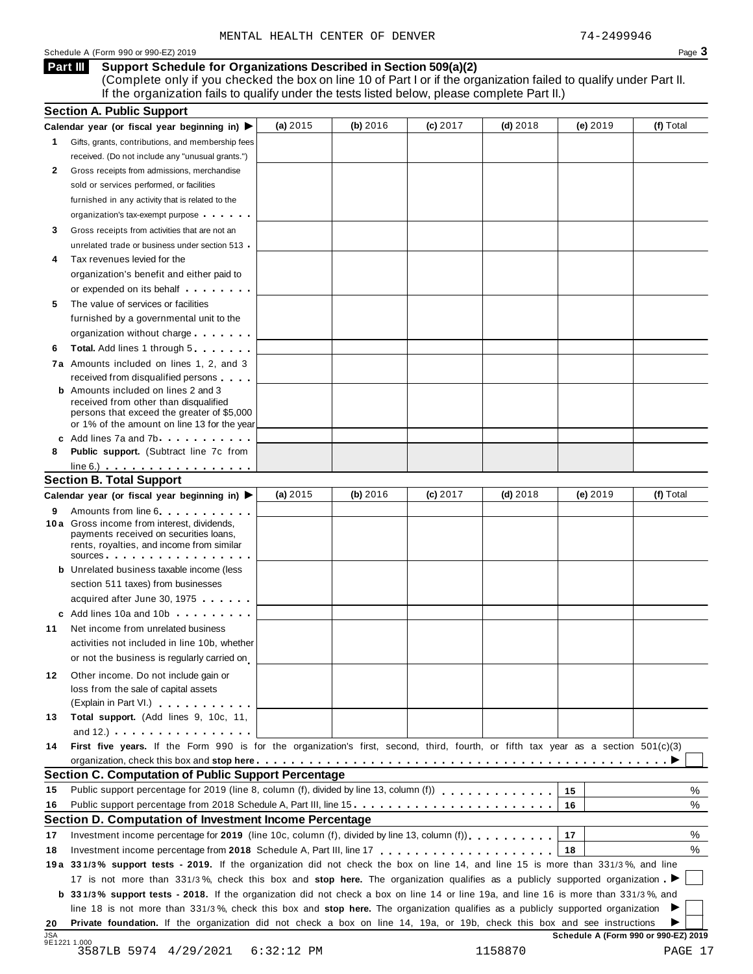## Schedule A (Form 990 or 990-EZ) 2019 Page 3

### **Support Schedule for Organizations Described in Section 509(a)(2) Part III**

(Complete only if you checked the box on line 10 of Part I or if the organization failed to qualify under Part II. If the organization fails to qualify under the tests listed below, please complete Part II.)

| 1.<br>2<br>3<br>4<br>5<br>6<br>8<br><b>Section B. Total Support</b><br>9<br>11<br>12<br>13 | Calendar year (or fiscal year beginning in) $\blacktriangleright$<br>Gifts, grants, contributions, and membership fees<br>received. (Do not include any "unusual grants.")<br>Gross receipts from admissions, merchandise<br>sold or services performed, or facilities<br>furnished in any activity that is related to the<br>organization's tax-exempt purpose<br>Gross receipts from activities that are not an<br>unrelated trade or business under section 513<br>Tax revenues levied for the<br>organization's benefit and either paid to<br>or expended on its behalf <b>contains the set of the set of the set of the set of the set of the set of the set of the set of the set of the set of the set of the set of the set of the set of the set of the set of the set of</b><br>The value of services or facilities<br>furnished by a governmental unit to the<br>organization without charge<br>Total. Add lines 1 through 5 | (a) $2015$ | (b) 2016 | $(c)$ 2017 | $(d)$ 2018 | (e) 2019                             | (f) Total |
|--------------------------------------------------------------------------------------------|-----------------------------------------------------------------------------------------------------------------------------------------------------------------------------------------------------------------------------------------------------------------------------------------------------------------------------------------------------------------------------------------------------------------------------------------------------------------------------------------------------------------------------------------------------------------------------------------------------------------------------------------------------------------------------------------------------------------------------------------------------------------------------------------------------------------------------------------------------------------------------------------------------------------------------------------|------------|----------|------------|------------|--------------------------------------|-----------|
|                                                                                            |                                                                                                                                                                                                                                                                                                                                                                                                                                                                                                                                                                                                                                                                                                                                                                                                                                                                                                                                         |            |          |            |            |                                      |           |
|                                                                                            |                                                                                                                                                                                                                                                                                                                                                                                                                                                                                                                                                                                                                                                                                                                                                                                                                                                                                                                                         |            |          |            |            |                                      |           |
|                                                                                            |                                                                                                                                                                                                                                                                                                                                                                                                                                                                                                                                                                                                                                                                                                                                                                                                                                                                                                                                         |            |          |            |            |                                      |           |
|                                                                                            |                                                                                                                                                                                                                                                                                                                                                                                                                                                                                                                                                                                                                                                                                                                                                                                                                                                                                                                                         |            |          |            |            |                                      |           |
|                                                                                            |                                                                                                                                                                                                                                                                                                                                                                                                                                                                                                                                                                                                                                                                                                                                                                                                                                                                                                                                         |            |          |            |            |                                      |           |
|                                                                                            |                                                                                                                                                                                                                                                                                                                                                                                                                                                                                                                                                                                                                                                                                                                                                                                                                                                                                                                                         |            |          |            |            |                                      |           |
|                                                                                            |                                                                                                                                                                                                                                                                                                                                                                                                                                                                                                                                                                                                                                                                                                                                                                                                                                                                                                                                         |            |          |            |            |                                      |           |
|                                                                                            |                                                                                                                                                                                                                                                                                                                                                                                                                                                                                                                                                                                                                                                                                                                                                                                                                                                                                                                                         |            |          |            |            |                                      |           |
|                                                                                            |                                                                                                                                                                                                                                                                                                                                                                                                                                                                                                                                                                                                                                                                                                                                                                                                                                                                                                                                         |            |          |            |            |                                      |           |
|                                                                                            |                                                                                                                                                                                                                                                                                                                                                                                                                                                                                                                                                                                                                                                                                                                                                                                                                                                                                                                                         |            |          |            |            |                                      |           |
|                                                                                            |                                                                                                                                                                                                                                                                                                                                                                                                                                                                                                                                                                                                                                                                                                                                                                                                                                                                                                                                         |            |          |            |            |                                      |           |
|                                                                                            |                                                                                                                                                                                                                                                                                                                                                                                                                                                                                                                                                                                                                                                                                                                                                                                                                                                                                                                                         |            |          |            |            |                                      |           |
|                                                                                            |                                                                                                                                                                                                                                                                                                                                                                                                                                                                                                                                                                                                                                                                                                                                                                                                                                                                                                                                         |            |          |            |            |                                      |           |
|                                                                                            |                                                                                                                                                                                                                                                                                                                                                                                                                                                                                                                                                                                                                                                                                                                                                                                                                                                                                                                                         |            |          |            |            |                                      |           |
|                                                                                            |                                                                                                                                                                                                                                                                                                                                                                                                                                                                                                                                                                                                                                                                                                                                                                                                                                                                                                                                         |            |          |            |            |                                      |           |
|                                                                                            |                                                                                                                                                                                                                                                                                                                                                                                                                                                                                                                                                                                                                                                                                                                                                                                                                                                                                                                                         |            |          |            |            |                                      |           |
|                                                                                            | 7a Amounts included on lines 1, 2, and 3                                                                                                                                                                                                                                                                                                                                                                                                                                                                                                                                                                                                                                                                                                                                                                                                                                                                                                |            |          |            |            |                                      |           |
|                                                                                            | received from disqualified persons                                                                                                                                                                                                                                                                                                                                                                                                                                                                                                                                                                                                                                                                                                                                                                                                                                                                                                      |            |          |            |            |                                      |           |
|                                                                                            | <b>b</b> Amounts included on lines 2 and 3                                                                                                                                                                                                                                                                                                                                                                                                                                                                                                                                                                                                                                                                                                                                                                                                                                                                                              |            |          |            |            |                                      |           |
|                                                                                            | received from other than disqualified                                                                                                                                                                                                                                                                                                                                                                                                                                                                                                                                                                                                                                                                                                                                                                                                                                                                                                   |            |          |            |            |                                      |           |
|                                                                                            | persons that exceed the greater of \$5,000                                                                                                                                                                                                                                                                                                                                                                                                                                                                                                                                                                                                                                                                                                                                                                                                                                                                                              |            |          |            |            |                                      |           |
|                                                                                            | or 1% of the amount on line 13 for the year                                                                                                                                                                                                                                                                                                                                                                                                                                                                                                                                                                                                                                                                                                                                                                                                                                                                                             |            |          |            |            |                                      |           |
|                                                                                            | c Add lines 7a and 7b                                                                                                                                                                                                                                                                                                                                                                                                                                                                                                                                                                                                                                                                                                                                                                                                                                                                                                                   |            |          |            |            |                                      |           |
|                                                                                            | <b>Public support.</b> (Subtract line 7c from                                                                                                                                                                                                                                                                                                                                                                                                                                                                                                                                                                                                                                                                                                                                                                                                                                                                                           |            |          |            |            |                                      |           |
|                                                                                            | $line 6.)$                                                                                                                                                                                                                                                                                                                                                                                                                                                                                                                                                                                                                                                                                                                                                                                                                                                                                                                              |            |          |            |            |                                      |           |
|                                                                                            |                                                                                                                                                                                                                                                                                                                                                                                                                                                                                                                                                                                                                                                                                                                                                                                                                                                                                                                                         | (a) $2015$ | (b) 2016 | $(c)$ 2017 | $(d)$ 2018 | (e) 2019                             | (f) Total |
|                                                                                            | Calendar year (or fiscal year beginning in) ▶                                                                                                                                                                                                                                                                                                                                                                                                                                                                                                                                                                                                                                                                                                                                                                                                                                                                                           |            |          |            |            |                                      |           |
|                                                                                            | Amounts from line 6 <b>Amounts</b> from line 6<br>10 a Gross income from interest, dividends,                                                                                                                                                                                                                                                                                                                                                                                                                                                                                                                                                                                                                                                                                                                                                                                                                                           |            |          |            |            |                                      |           |
|                                                                                            | payments received on securities loans,                                                                                                                                                                                                                                                                                                                                                                                                                                                                                                                                                                                                                                                                                                                                                                                                                                                                                                  |            |          |            |            |                                      |           |
|                                                                                            | rents, royalties, and income from similar                                                                                                                                                                                                                                                                                                                                                                                                                                                                                                                                                                                                                                                                                                                                                                                                                                                                                               |            |          |            |            |                                      |           |
|                                                                                            | $sources$                                                                                                                                                                                                                                                                                                                                                                                                                                                                                                                                                                                                                                                                                                                                                                                                                                                                                                                               |            |          |            |            |                                      |           |
|                                                                                            | <b>b</b> Unrelated business taxable income (less                                                                                                                                                                                                                                                                                                                                                                                                                                                                                                                                                                                                                                                                                                                                                                                                                                                                                        |            |          |            |            |                                      |           |
|                                                                                            | section 511 taxes) from businesses                                                                                                                                                                                                                                                                                                                                                                                                                                                                                                                                                                                                                                                                                                                                                                                                                                                                                                      |            |          |            |            |                                      |           |
|                                                                                            | acquired after June 30, 1975                                                                                                                                                                                                                                                                                                                                                                                                                                                                                                                                                                                                                                                                                                                                                                                                                                                                                                            |            |          |            |            |                                      |           |
|                                                                                            | c Add lines 10a and 10b                                                                                                                                                                                                                                                                                                                                                                                                                                                                                                                                                                                                                                                                                                                                                                                                                                                                                                                 |            |          |            |            |                                      |           |
|                                                                                            | Net income from unrelated business                                                                                                                                                                                                                                                                                                                                                                                                                                                                                                                                                                                                                                                                                                                                                                                                                                                                                                      |            |          |            |            |                                      |           |
|                                                                                            | activities not included in line 10b, whether                                                                                                                                                                                                                                                                                                                                                                                                                                                                                                                                                                                                                                                                                                                                                                                                                                                                                            |            |          |            |            |                                      |           |
|                                                                                            | or not the business is regularly carried on                                                                                                                                                                                                                                                                                                                                                                                                                                                                                                                                                                                                                                                                                                                                                                                                                                                                                             |            |          |            |            |                                      |           |
|                                                                                            | Other income. Do not include gain or                                                                                                                                                                                                                                                                                                                                                                                                                                                                                                                                                                                                                                                                                                                                                                                                                                                                                                    |            |          |            |            |                                      |           |
|                                                                                            | loss from the sale of capital assets                                                                                                                                                                                                                                                                                                                                                                                                                                                                                                                                                                                                                                                                                                                                                                                                                                                                                                    |            |          |            |            |                                      |           |
|                                                                                            | (Explain in Part VI.) <b>All Accords</b>                                                                                                                                                                                                                                                                                                                                                                                                                                                                                                                                                                                                                                                                                                                                                                                                                                                                                                |            |          |            |            |                                      |           |
|                                                                                            | Total support. (Add lines 9, 10c, 11,                                                                                                                                                                                                                                                                                                                                                                                                                                                                                                                                                                                                                                                                                                                                                                                                                                                                                                   |            |          |            |            |                                      |           |
|                                                                                            | and $12.$ ) $\ldots$ $\ldots$ $\ldots$ $\ldots$ $\ldots$                                                                                                                                                                                                                                                                                                                                                                                                                                                                                                                                                                                                                                                                                                                                                                                                                                                                                |            |          |            |            |                                      |           |
| 14                                                                                         | First five years. If the Form 990 is for the organization's first, second, third, fourth, or fifth tax year as a section 501(c)(3)                                                                                                                                                                                                                                                                                                                                                                                                                                                                                                                                                                                                                                                                                                                                                                                                      |            |          |            |            |                                      |           |
|                                                                                            |                                                                                                                                                                                                                                                                                                                                                                                                                                                                                                                                                                                                                                                                                                                                                                                                                                                                                                                                         |            |          |            |            |                                      |           |
|                                                                                            | <b>Section C. Computation of Public Support Percentage</b>                                                                                                                                                                                                                                                                                                                                                                                                                                                                                                                                                                                                                                                                                                                                                                                                                                                                              |            |          |            |            |                                      |           |
| 15                                                                                         | Public support percentage for 2019 (line 8, column (f), divided by line 13, column (f)) $\ldots$ ,,,,,,,,,,,,,                                                                                                                                                                                                                                                                                                                                                                                                                                                                                                                                                                                                                                                                                                                                                                                                                          |            |          |            |            | 15                                   | %         |
| 16                                                                                         |                                                                                                                                                                                                                                                                                                                                                                                                                                                                                                                                                                                                                                                                                                                                                                                                                                                                                                                                         |            |          |            |            | 16                                   | %         |
|                                                                                            | Section D. Computation of Investment Income Percentage                                                                                                                                                                                                                                                                                                                                                                                                                                                                                                                                                                                                                                                                                                                                                                                                                                                                                  |            |          |            |            |                                      |           |
|                                                                                            |                                                                                                                                                                                                                                                                                                                                                                                                                                                                                                                                                                                                                                                                                                                                                                                                                                                                                                                                         |            |          |            |            | 17                                   | %         |
| 17                                                                                         |                                                                                                                                                                                                                                                                                                                                                                                                                                                                                                                                                                                                                                                                                                                                                                                                                                                                                                                                         |            |          |            |            |                                      |           |
| 18                                                                                         | Investment income percentage for 2019 (line 10c, column (f), divided by line 13, column (f)), $\ldots$ , , , , , , ,                                                                                                                                                                                                                                                                                                                                                                                                                                                                                                                                                                                                                                                                                                                                                                                                                    |            |          |            |            | 18                                   | %         |
|                                                                                            |                                                                                                                                                                                                                                                                                                                                                                                                                                                                                                                                                                                                                                                                                                                                                                                                                                                                                                                                         |            |          |            |            |                                      |           |
|                                                                                            | 19a 331/3% support tests - 2019. If the organization did not check the box on line 14, and line 15 is more than 331/3%, and line                                                                                                                                                                                                                                                                                                                                                                                                                                                                                                                                                                                                                                                                                                                                                                                                        |            |          |            |            |                                      |           |
|                                                                                            | 17 is not more than 331/3%, check this box and stop here. The organization qualifies as a publicly supported organization                                                                                                                                                                                                                                                                                                                                                                                                                                                                                                                                                                                                                                                                                                                                                                                                               |            |          |            |            |                                      |           |
|                                                                                            | b 331/3% support tests - 2018. If the organization did not check a box on line 14 or line 19a, and line 16 is more than 331/3%, and                                                                                                                                                                                                                                                                                                                                                                                                                                                                                                                                                                                                                                                                                                                                                                                                     |            |          |            |            |                                      |           |
| 20                                                                                         | line 18 is not more than 331/3%, check this box and stop here. The organization qualifies as a publicly supported organization                                                                                                                                                                                                                                                                                                                                                                                                                                                                                                                                                                                                                                                                                                                                                                                                          |            |          |            |            |                                      |           |
| <b>JSA</b><br>9E1221 1.000<br>3587LB 5974 4/29/2021                                        | Private foundation. If the organization did not check a box on line 14, 19a, or 19b, check this box and see instructions                                                                                                                                                                                                                                                                                                                                                                                                                                                                                                                                                                                                                                                                                                                                                                                                                |            |          |            |            | Schedule A (Form 990 or 990-EZ) 2019 |           |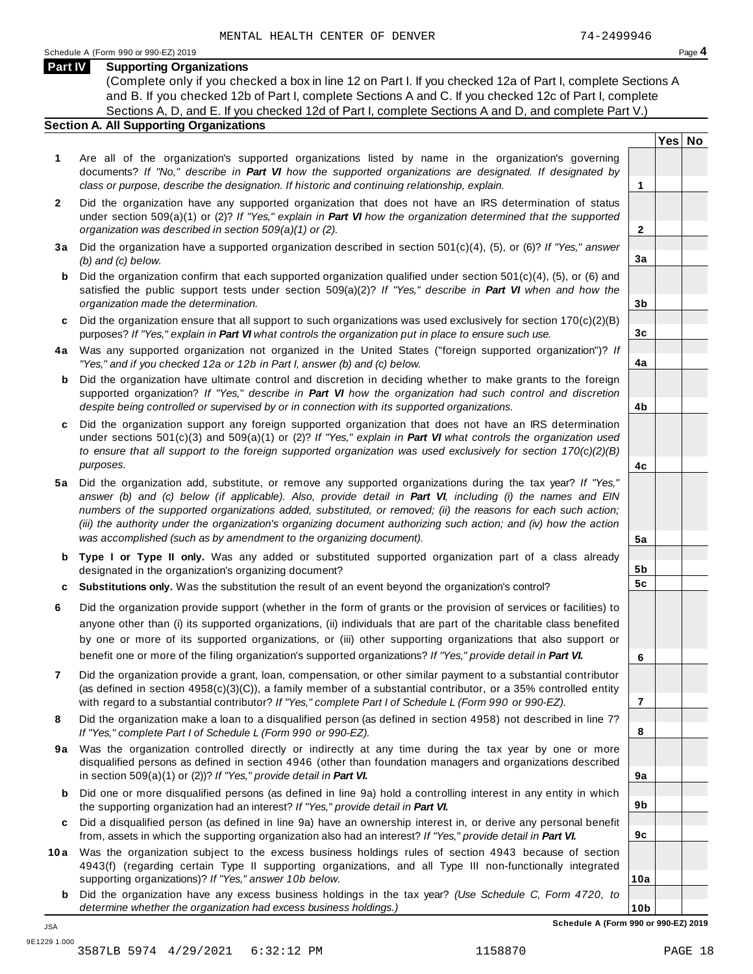**Yes No**

**2**

**3a**

**3b**

**3c**

**4a**

**4b**

**4c**

**5a**

**5b 5c**

**6**

**7**

**8**

**9a**

**9b**

**9c**

**10a**

## **Part IV Supporting Organizations**

(Complete only if you checked a box in line 12 on Part I. If you checked 12a of Part I, complete Sections A and B. If you checked 12b of Part I, complete Sections A and C. If you checked 12c of Part I, complete Sections A, D, and E. If you checked 12d of Part I, complete Sections A and D, and complete Part V.)

## **Section A. All Supporting Organizations**

- **1** Are all of the organization's supported organizations listed by name in the organization's governing documents? *If "No," describe in Part VI how the supported organizations are designated. If designated by class or purpose, describe the designation. If historic and continuing relationship, explain.* **1**
- **2** Did the organization have any supported organization that does not have an IRS determination of status under section 509(a)(1) or (2)? *If"Yes," explain in Part VI how the organization determined that the supported organization was described in section 509(a)(1) or (2).*
- **3 a** Did the organization have a supported organization described in section 501(c)(4), (5), or (6)? *If "Yes," answer (b) and (c) below.*
- **b** Did the organization confirm that each supported organization qualified under section 501(c)(4), (5), or (6) and | satisfied the public support tests under section 509(a)(2)? *If "Yes," describe in Part VI when and how the organization made the determination.*
- **c** Did the organization ensure that all support to such organizations was used exclusively for section 170(c)(2)(B) purposes? *If"Yes," explain in Part VI what controls the organization put in place to ensure such use.*
- **4 a** Was any supported organization not organized in the United States ("foreign supported organization")? *If "Yes," and if you checked 12a or 12b in Part I, answer (b) and (c) below.*
- **b** Did the organization have ultimate control and discretion in deciding whether to make grants to the foreign | supported organization? *If "Yes," describe in Part VI how the organization had such control and discretion despite being controlled or supervised by or in connection with its supported organizations.*
- **c** Did the organization support any foreign supported organization that does not have an IRS determination | under sections 501(c)(3) and 509(a)(1) or (2)? *If "Yes," explain in Part VI what controls the organization used to ensure that all support to the foreign supported organization was used exclusively for section 170(c)(2)(B) purposes.*
- **5 a** Did the organization add, substitute, or remove any supported organizations during the tax year? *If "Yes,"* answer (b) and (c) below (if applicable). Also, provide detail in Part VI, including (i) the names and EIN *numbers of the supported organizations added, substituted, or removed; (ii) the reasons for each such action;* (iii) the authority under the organization's organizing document authorizing such action; and (iv) how the action *was accomplished (such as by amendment to the organizing document).*
- **b Type I or Type II only.** Was any added or substituted supported organization part of a class already designated in the organization's organizing document?
- **c Substitutions only.** Was the substitution the result of an event beyond the organization's control?
- **6** Did the organization provide support (whether in the form of grants or the provision of services or facilities) to anyone other than (i) its supported organizations, (ii) individuals that are part of the charitable class benefited by one or more of its supported organizations, or (iii) other supporting organizations that also support or benefit one or more of the filing organization's supported organizations? *If"Yes," provide detail in Part VI.*
- **7** Did the organization provide a grant, loan, compensation, or other similar payment to a substantial contributor (as defined in section 4958(c)(3)(C)), a family member of a substantial contributor, or a 35% controlled entity with regard to a substantial contributor? *If"Yes," complete Part I of Schedule L (Form 990 or 990-EZ).*
- **8** Did the organization make a loan to a disqualified person (as defined in section 4958) not described in line 7? *If "Yes," complete Part I of Schedule L (Form 990 or 990-EZ).*
- **9a** Was the organization controlled directly or indirectly at any time during the tax year by one or more | disqualified persons as defined in section 4946 (other than foundation managers and organizations described in section 509(a)(1) or (2))? *If"Yes," provide detail in Part VI.*
- **b** Did one or more disqualified persons (as defined in line 9a) hold a controlling interest in any entity in which | the supporting organization had an interest? *If"Yes," provide detail in Part VI.*
- **c** Did a disqualified person (as defined in line 9a) have an ownership interest in, or derive any personal benefit from, assets in which the supporting organization also had an interest? *If"Yes," provide detail in Part VI.*
- **10a** Was the organization subject to the excess business holdings rules of section 4943 because of section | 4943(f) (regarding certain Type II supporting organizations, and all Type III non-functionally integrated supporting organizations)? *If"Yes," answer 10b below.*
	- **b** Did the organization have any excess business holdings in the tax year? *(Use Schedule C, Form 4720, to determine whether the organization had excess business holdings.)*

**10b Schedule A (Form 990 or 990-EZ) 2019**

JSA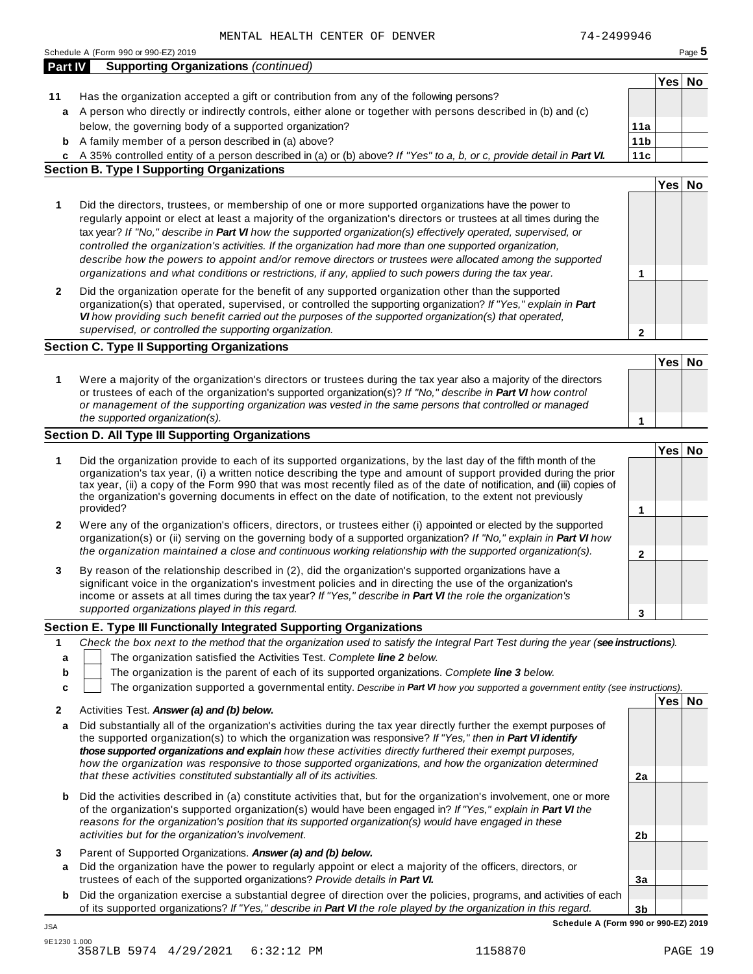|                | Schedule A (Form 990 or 990-EZ) 2019                                                                                                                                                                                                |                 |        | Page 5 |
|----------------|-------------------------------------------------------------------------------------------------------------------------------------------------------------------------------------------------------------------------------------|-----------------|--------|--------|
| <b>Part IV</b> | <b>Supporting Organizations (continued)</b>                                                                                                                                                                                         |                 |        |        |
|                |                                                                                                                                                                                                                                     |                 | Yes No |        |
| 11             | Has the organization accepted a gift or contribution from any of the following persons?                                                                                                                                             |                 |        |        |
| a              | A person who directly or indirectly controls, either alone or together with persons described in (b) and (c)                                                                                                                        |                 |        |        |
|                | below, the governing body of a supported organization?                                                                                                                                                                              | 11a             |        |        |
| b              | A family member of a person described in (a) above?                                                                                                                                                                                 | 11 <sub>b</sub> |        |        |
| C              | A 35% controlled entity of a person described in (a) or (b) above? If "Yes" to a, b, or c, provide detail in Part VI.<br><b>Section B. Type I Supporting Organizations</b>                                                          | 11c             |        |        |
|                |                                                                                                                                                                                                                                     |                 | Yes No |        |
|                |                                                                                                                                                                                                                                     |                 |        |        |
| 1              | Did the directors, trustees, or membership of one or more supported organizations have the power to                                                                                                                                 |                 |        |        |
|                | regularly appoint or elect at least a majority of the organization's directors or trustees at all times during the<br>tax year? If "No," describe in Part VI how the supported organization(s) effectively operated, supervised, or |                 |        |        |
|                | controlled the organization's activities. If the organization had more than one supported organization,                                                                                                                             |                 |        |        |
|                | describe how the powers to appoint and/or remove directors or trustees were allocated among the supported                                                                                                                           |                 |        |        |
|                | organizations and what conditions or restrictions, if any, applied to such powers during the tax year.                                                                                                                              | 1               |        |        |
|                |                                                                                                                                                                                                                                     |                 |        |        |
| $\mathbf{2}$   | Did the organization operate for the benefit of any supported organization other than the supported<br>organization(s) that operated, supervised, or controlled the supporting organization? If "Yes," explain in Part              |                 |        |        |
|                | VI how providing such benefit carried out the purposes of the supported organization(s) that operated,                                                                                                                              |                 |        |        |
|                | supervised, or controlled the supporting organization.                                                                                                                                                                              | $\mathbf{2}$    |        |        |
|                | <b>Section C. Type II Supporting Organizations</b>                                                                                                                                                                                  |                 |        |        |
|                |                                                                                                                                                                                                                                     |                 | Yes No |        |
|                |                                                                                                                                                                                                                                     |                 |        |        |
| 1              | Were a majority of the organization's directors or trustees during the tax year also a majority of the directors<br>or trustees of each of the organization's supported organization(s)? If "No," describe in Part VI how control   |                 |        |        |
|                | or management of the supporting organization was vested in the same persons that controlled or managed                                                                                                                              |                 |        |        |
|                | the supported organization(s).                                                                                                                                                                                                      | 1               |        |        |
|                | <b>Section D. All Type III Supporting Organizations</b>                                                                                                                                                                             |                 |        |        |
|                |                                                                                                                                                                                                                                     |                 | Yes No |        |
| 1              | Did the organization provide to each of its supported organizations, by the last day of the fifth month of the                                                                                                                      |                 |        |        |
|                | organization's tax year, (i) a written notice describing the type and amount of support provided during the prior                                                                                                                   |                 |        |        |
|                | tax year, (ii) a copy of the Form 990 that was most recently filed as of the date of notification, and (iii) copies of                                                                                                              |                 |        |        |
|                | the organization's governing documents in effect on the date of notification, to the extent not previously<br>provided?                                                                                                             |                 |        |        |
|                |                                                                                                                                                                                                                                     | 1               |        |        |
| 2              | Were any of the organization's officers, directors, or trustees either (i) appointed or elected by the supported                                                                                                                    |                 |        |        |
|                | organization(s) or (ii) serving on the governing body of a supported organization? If "No," explain in Part VI how<br>the organization maintained a close and continuous working relationship with the supported organization(s).   |                 |        |        |
|                |                                                                                                                                                                                                                                     | $\mathbf{2}$    |        |        |
| 3              | By reason of the relationship described in (2), did the organization's supported organizations have a                                                                                                                               |                 |        |        |
|                | significant voice in the organization's investment policies and in directing the use of the organization's<br>income or assets at all times during the tax year? If "Yes," describe in Part VI the role the organization's          |                 |        |        |
|                | supported organizations played in this regard.                                                                                                                                                                                      |                 |        |        |
|                |                                                                                                                                                                                                                                     | 3               |        |        |
|                | Section E. Type III Functionally Integrated Supporting Organizations                                                                                                                                                                |                 |        |        |
| 1              | Check the box next to the method that the organization used to satisfy the Integral Part Test during the year (see instructions).                                                                                                   |                 |        |        |
| a              | The organization satisfied the Activities Test. Complete line 2 below.                                                                                                                                                              |                 |        |        |
| b              | The organization is the parent of each of its supported organizations. Complete line 3 below.                                                                                                                                       |                 |        |        |
| c              | The organization supported a governmental entity. Describe in Part VI how you supported a government entity (see instructions).                                                                                                     |                 |        |        |
| 2              | Activities Test. Answer (a) and (b) below.                                                                                                                                                                                          |                 | Yes No |        |
| а              | Did substantially all of the organization's activities during the tax year directly further the exempt purposes of                                                                                                                  |                 |        |        |
|                | the supported organization(s) to which the organization was responsive? If "Yes," then in Part VI identify                                                                                                                          |                 |        |        |
|                | those supported organizations and explain how these activities directly furthered their exempt purposes,                                                                                                                            |                 |        |        |
|                | how the organization was responsive to those supported organizations, and how the organization determined                                                                                                                           |                 |        |        |
|                | that these activities constituted substantially all of its activities.                                                                                                                                                              | 2a              |        |        |
| b              | Did the activities described in (a) constitute activities that, but for the organization's involvement, one or more                                                                                                                 |                 |        |        |
|                | of the organization's supported organization(s) would have been engaged in? If "Yes," explain in Part VI the                                                                                                                        |                 |        |        |
|                | reasons for the organization's position that its supported organization(s) would have engaged in these                                                                                                                              |                 |        |        |
|                | activities but for the organization's involvement.                                                                                                                                                                                  | 2b              |        |        |
| 3              | Parent of Supported Organizations. Answer (a) and (b) below.                                                                                                                                                                        |                 |        |        |
| a              | Did the organization have the power to regularly appoint or elect a majority of the officers, directors, or                                                                                                                         |                 |        |        |
|                | trustees of each of the supported organizations? Provide details in Part VI.                                                                                                                                                        | 3a              |        |        |
| b              | Did the organization exercise a substantial degree of direction over the policies, programs, and activities of each                                                                                                                 |                 |        |        |
|                |                                                                                                                                                                                                                                     |                 |        |        |
|                | of its supported organizations? If "Yes," describe in Part VI the role played by the organization in this regard.                                                                                                                   | 3 <sub>b</sub>  |        |        |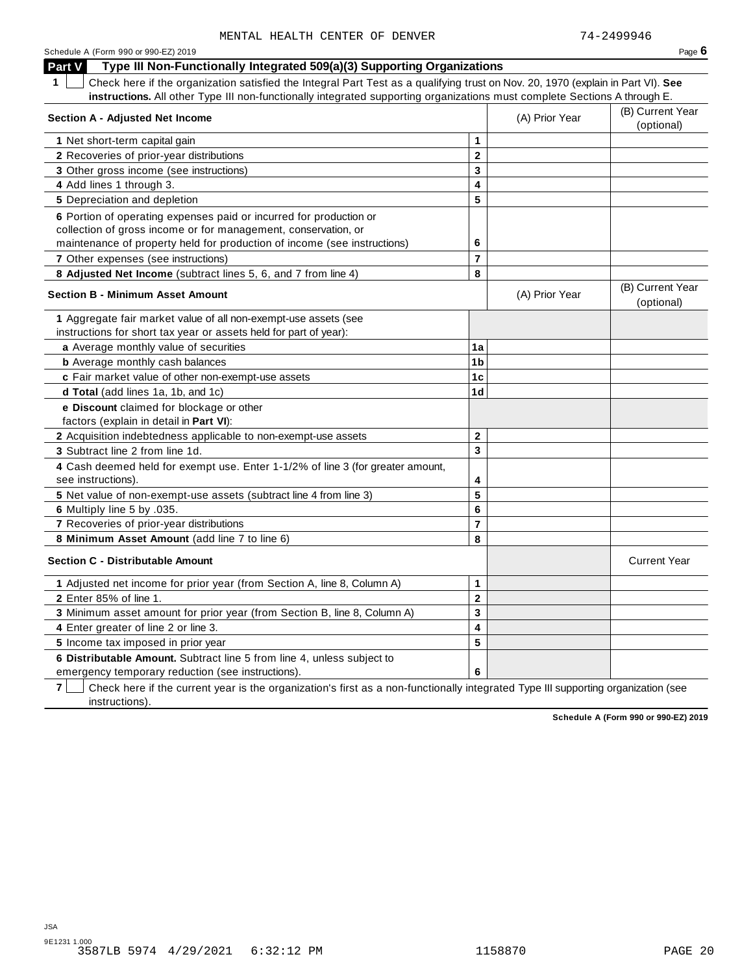| Schedule A (Form 990 or 990-EZ) 2019 | Page $6$ |
|--------------------------------------|----------|
|--------------------------------------|----------|

**Part V Type III Non-Functionally Integrated 509(a)(3) Supporting Organizations**

**1** Check here if the organization satisfied the Integral Part Test as a qualifying trust on Nov. 20, 1970 (explain in Part VI). **See instructions.** All other Type III non-functionally integrated supporting organizations must complete Sections A through E.

| Section A - Adjusted Net Income                                                                      |                         | (A) Prior Year | (B) Current Year<br>(optional) |
|------------------------------------------------------------------------------------------------------|-------------------------|----------------|--------------------------------|
| 1 Net short-term capital gain                                                                        | 1                       |                |                                |
| 2 Recoveries of prior-year distributions                                                             | $\overline{\mathbf{2}}$ |                |                                |
| 3 Other gross income (see instructions)                                                              | 3                       |                |                                |
| 4 Add lines 1 through 3.                                                                             | 4                       |                |                                |
| 5 Depreciation and depletion                                                                         | 5                       |                |                                |
| 6 Portion of operating expenses paid or incurred for production or                                   |                         |                |                                |
| collection of gross income or for management, conservation, or                                       |                         |                |                                |
| maintenance of property held for production of income (see instructions)                             | 6                       |                |                                |
| 7 Other expenses (see instructions)                                                                  | 7                       |                |                                |
| 8 Adjusted Net Income (subtract lines 5, 6, and 7 from line 4)                                       | 8                       |                |                                |
| <b>Section B - Minimum Asset Amount</b>                                                              |                         | (A) Prior Year | (B) Current Year<br>(optional) |
| 1 Aggregate fair market value of all non-exempt-use assets (see                                      |                         |                |                                |
| instructions for short tax year or assets held for part of year):                                    |                         |                |                                |
| a Average monthly value of securities                                                                | 1a                      |                |                                |
| <b>b</b> Average monthly cash balances                                                               | 1 <sub>b</sub>          |                |                                |
| c Fair market value of other non-exempt-use assets                                                   | 1 <sub>c</sub>          |                |                                |
| d Total (add lines 1a, 1b, and 1c)                                                                   | 1 <sub>d</sub>          |                |                                |
| e Discount claimed for blockage or other                                                             |                         |                |                                |
| factors (explain in detail in Part VI):                                                              |                         |                |                                |
| 2 Acquisition indebtedness applicable to non-exempt-use assets                                       | $\mathbf{2}$            |                |                                |
| 3 Subtract line 2 from line 1d.                                                                      | 3                       |                |                                |
| 4 Cash deemed held for exempt use. Enter 1-1/2% of line 3 (for greater amount,<br>see instructions). | 4                       |                |                                |
| 5 Net value of non-exempt-use assets (subtract line 4 from line 3)                                   | 5                       |                |                                |
| 6 Multiply line 5 by .035.                                                                           | 6                       |                |                                |
| 7 Recoveries of prior-year distributions                                                             | $\overline{7}$          |                |                                |
| 8 Minimum Asset Amount (add line 7 to line 6)                                                        | 8                       |                |                                |
| <b>Section C - Distributable Amount</b>                                                              |                         |                | <b>Current Year</b>            |
| 1 Adjusted net income for prior year (from Section A, line 8, Column A)                              | 1                       |                |                                |
| 2 Enter 85% of line 1.                                                                               | $\mathbf 2$             |                |                                |
| 3 Minimum asset amount for prior year (from Section B, line 8, Column A)                             | 3                       |                |                                |
| 4 Enter greater of line 2 or line 3.                                                                 | 4                       |                |                                |
| 5 Income tax imposed in prior year                                                                   | 5                       |                |                                |
| 6 Distributable Amount. Subtract line 5 from line 4, unless subject to                               |                         |                |                                |
| emergency temporary reduction (see instructions).                                                    | 6                       |                |                                |

**7** Check here if the current year is the organization's first as a non-functionally integrated Type III supporting organization (see instructions).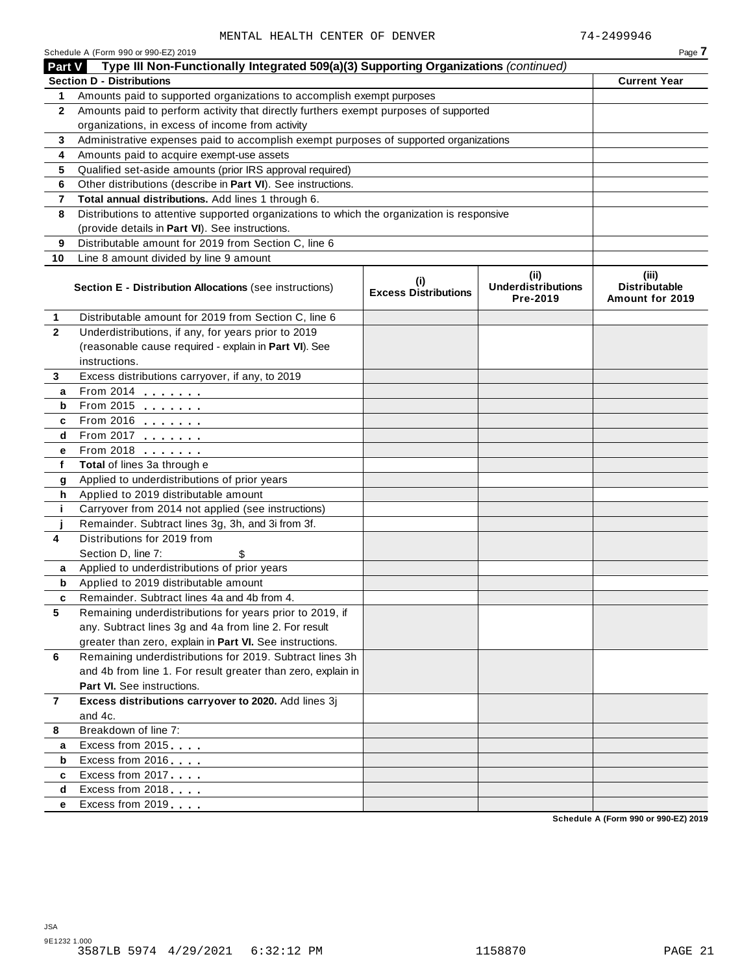|                | Schedule A (Form 990 or 990-EZ) 2019                                                       |                                            |                                               | Page 7                                      |
|----------------|--------------------------------------------------------------------------------------------|--------------------------------------------|-----------------------------------------------|---------------------------------------------|
| <b>Part V</b>  | Type III Non-Functionally Integrated 509(a)(3) Supporting Organizations (continued)        |                                            |                                               |                                             |
|                | <b>Section D - Distributions</b>                                                           |                                            |                                               | <b>Current Year</b>                         |
| 1.             | Amounts paid to supported organizations to accomplish exempt purposes                      |                                            |                                               |                                             |
| $\mathbf{2}$   | Amounts paid to perform activity that directly furthers exempt purposes of supported       |                                            |                                               |                                             |
|                | organizations, in excess of income from activity                                           |                                            |                                               |                                             |
| 3              | Administrative expenses paid to accomplish exempt purposes of supported organizations      |                                            |                                               |                                             |
| 4              | Amounts paid to acquire exempt-use assets                                                  |                                            |                                               |                                             |
| 5              | Qualified set-aside amounts (prior IRS approval required)                                  |                                            |                                               |                                             |
| 6              | Other distributions (describe in Part VI). See instructions.                               |                                            |                                               |                                             |
| 7              | Total annual distributions. Add lines 1 through 6.                                         |                                            |                                               |                                             |
| 8              | Distributions to attentive supported organizations to which the organization is responsive |                                            |                                               |                                             |
|                | (provide details in Part VI). See instructions.                                            |                                            |                                               |                                             |
| 9              | Distributable amount for 2019 from Section C, line 6                                       |                                            |                                               |                                             |
| 10             | Line 8 amount divided by line 9 amount                                                     |                                            |                                               |                                             |
|                | <b>Section E - Distribution Allocations (see instructions)</b>                             | $\sf^{(i)}$<br><b>Excess Distributions</b> | (ii)<br><b>Underdistributions</b><br>Pre-2019 | (iii)<br>Distributable<br>Amount for 2019   |
| 1              | Distributable amount for 2019 from Section C, line 6                                       |                                            |                                               |                                             |
| $\overline{2}$ | Underdistributions, if any, for years prior to 2019                                        |                                            |                                               |                                             |
|                | (reasonable cause required - explain in Part VI). See                                      |                                            |                                               |                                             |
|                | instructions.                                                                              |                                            |                                               |                                             |
| 3              | Excess distributions carryover, if any, to 2019                                            |                                            |                                               |                                             |
| a              | From 2014                                                                                  |                                            |                                               |                                             |
| b              | From 2015 $\frac{1}{2}$                                                                    |                                            |                                               |                                             |
| c              | From 2016                                                                                  |                                            |                                               |                                             |
| d              | From 2017                                                                                  |                                            |                                               |                                             |
| е              | From 2018                                                                                  |                                            |                                               |                                             |
| f              | Total of lines 3a through e                                                                |                                            |                                               |                                             |
| g              | Applied to underdistributions of prior years                                               |                                            |                                               |                                             |
| h              | Applied to 2019 distributable amount                                                       |                                            |                                               |                                             |
| j.             | Carryover from 2014 not applied (see instructions)                                         |                                            |                                               |                                             |
|                | Remainder. Subtract lines 3g, 3h, and 3i from 3f.                                          |                                            |                                               |                                             |
| 4              | Distributions for 2019 from                                                                |                                            |                                               |                                             |
|                | Section D, line 7:                                                                         |                                            |                                               |                                             |
| a              | Applied to underdistributions of prior years                                               |                                            |                                               |                                             |
| b              | Applied to 2019 distributable amount                                                       |                                            |                                               |                                             |
| c              | Remainder. Subtract lines 4a and 4b from 4.                                                |                                            |                                               |                                             |
| 5              | Remaining underdistributions for years prior to 2019, if                                   |                                            |                                               |                                             |
|                | any. Subtract lines 3g and 4a from line 2. For result                                      |                                            |                                               |                                             |
|                | greater than zero, explain in Part VI. See instructions.                                   |                                            |                                               |                                             |
| 6              | Remaining underdistributions for 2019. Subtract lines 3h                                   |                                            |                                               |                                             |
|                | and 4b from line 1. For result greater than zero, explain in                               |                                            |                                               |                                             |
|                | <b>Part VI.</b> See instructions.                                                          |                                            |                                               |                                             |
| 7              | Excess distributions carryover to 2020. Add lines 3j                                       |                                            |                                               |                                             |
|                | and 4c.                                                                                    |                                            |                                               |                                             |
| 8              | Breakdown of line 7:                                                                       |                                            |                                               |                                             |
| а              | Excess from 2015                                                                           |                                            |                                               |                                             |
| b              | Excess from 2016                                                                           |                                            |                                               |                                             |
| c              | Excess from 2017                                                                           |                                            |                                               |                                             |
| d              | Excess from 2018                                                                           |                                            |                                               |                                             |
| е              | Excess from 2019                                                                           |                                            |                                               | <b>Cohodule A (Form 000 or 000 E7) 2010</b> |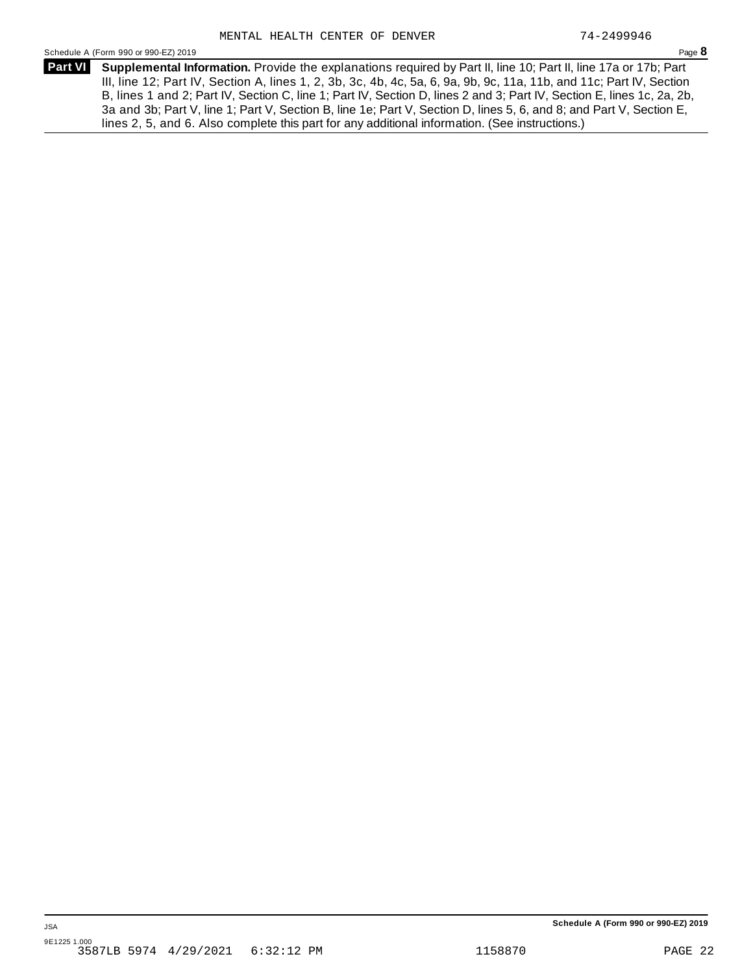Schedule <sup>A</sup> (Form <sup>990</sup> or 990-EZ) <sup>2019</sup> Page **8**

**Supplemental Information.** Provide the explanations required by Part II, line 10; Part II, line 17a or 17b; Part **Part VI** III, line 12; Part IV, Section A, lines 1, 2, 3b, 3c, 4b, 4c, 5a, 6, 9a, 9b, 9c, 11a, 11b, and 11c; Part IV, Section B, lines 1 and 2; Part IV, Section C, line 1; Part IV, Section D, lines 2 and 3; Part IV, Section E, lines 1c, 2a, 2b, 3a and 3b; Part V, line 1; Part V, Section B, line 1e; Part V, Section D, lines 5, 6, and 8; and Part V, Section E, lines 2, 5, and 6. Also complete this part for any additional information. (See instructions.)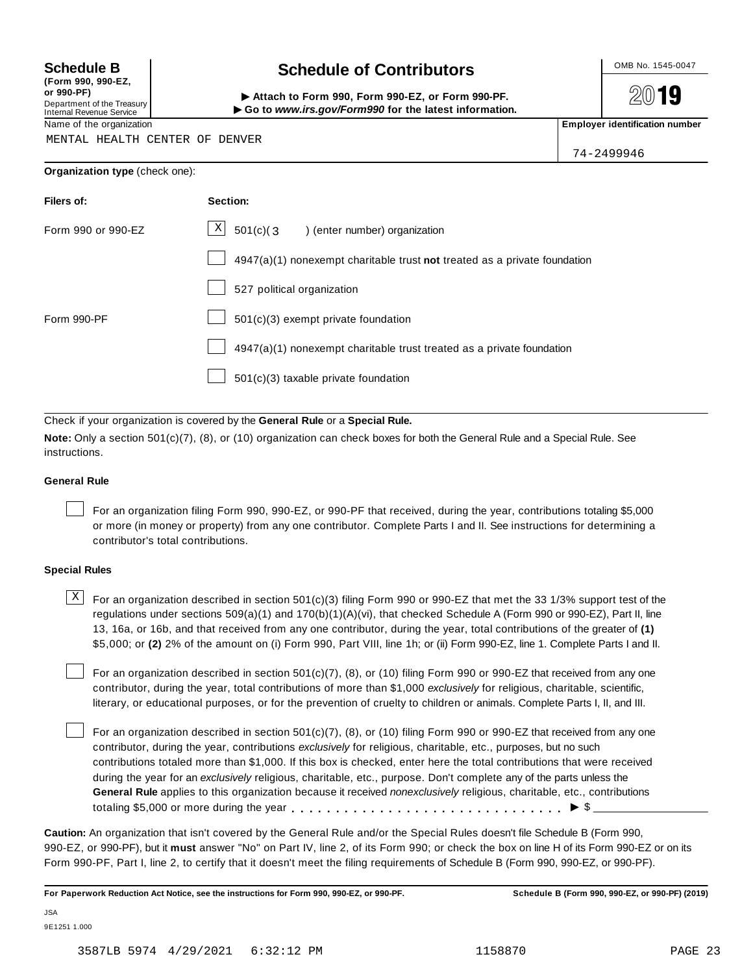**(Form 990, 990-EZ, or 990-PF)** Department of the Treasury<br>Internal Revenue Service

## **Schedule B chedule of Contributors**

(Porm 990, Form 990, Form 990-EZ, or Form 990-PF.<br>Department of the Treasury → Attach to Form 990, Form 990-EZ, or Form 990-PF.<br>Internal Revenue Service → → Go to www.irs.gov/Form990 for the latest information.<br>Name of th

2019

MENTAL HEALTH CENTER OF DENVER

74-2499946

| Filers of:         | Section:                                                                    |
|--------------------|-----------------------------------------------------------------------------|
| Form 990 or 990-EZ | X<br>$501(c)$ (3<br>) (enter number) organization                           |
|                    | $4947(a)(1)$ nonexempt charitable trust not treated as a private foundation |
|                    | 527 political organization                                                  |
| Form 990-PF        | $501(c)(3)$ exempt private foundation                                       |
|                    | $4947(a)(1)$ nonexempt charitable trust treated as a private foundation     |
|                    | 501(c)(3) taxable private foundation                                        |

Check if your organization is covered by the **General Rule** or a **Special Rule.**

**Note:** Only a section 501(c)(7), (8), or (10) organization can check boxes for both the General Rule and a Special Rule. See instructions.

## **General Rule**

For an organization filing Form 990, 990-EZ, or 990-PF that received, during the year, contributions totaling \$5,000 or more (in money or property) from any one contributor. Complete Parts I and II. See instructions for determining a contributor's total contributions.

## **Special Rules**

 $\text{X}$  For an organization described in section 501(c)(3) filing Form 990 or 990-EZ that met the 33 1/3% support test of the regulations under sections 509(a)(1) and 170(b)(1)(A)(vi), that checked Schedule A (Form 990 or 990-EZ), Part II, line 13, 16a, or 16b, and that received from any one contributor, during the year, total contributions of the greater of **(1)** \$5,000; or **(2)** 2% of the amount on (i) Form 990, Part VIII, line 1h; or (ii) Form 990-EZ, line 1. Complete Parts I and II.

For an organization described in section 501(c)(7), (8), or (10) filing Form 990 or 990-EZ that received from any one contributor, during the year, total contributions of more than \$1,000 *exclusively* for religious, charitable, scientific, literary, or educational purposes, or for the prevention of cruelty to children or animals. Complete Parts I, II, and III.

For an organization described in section 501(c)(7), (8), or (10) filing Form 990 or 990-EZ that received from any one contributor, during the year, contributions *exclusively* for religious, charitable, etc., purposes, but no such contributions totaled more than \$1,000. If this box is checked, enter here the total contributions that were received during the year for an *exclusively* religious, charitable, etc., purpose. Don't complete any of the parts unless the **General Rule** applies to this organization because it received *nonexclusively* religious, charitable, etc., contributions totaling \$5,000 or more during the year  $\ldots \ldots \ldots \ldots \ldots \ldots \ldots \ldots \ldots \vdots \bullet$   $\mathcal{S}$ 

**Caution:** An organization that isn't covered by the General Rule and/or the Special Rules doesn't file Schedule B (Form 990, 990-EZ, or 990-PF), but it **must** answer "No" on Part IV, line 2, of its Form 990; or check the box on line H of its Form 990-EZ or on its Form 990-PF, Part I, line 2, to certify that it doesn't meet the filing requirements of Schedule B (Form 990, 990-EZ, or 990-PF).

For Paperwork Reduction Act Notice, see the instructions for Form 990, 990-EZ, or 990-PF. Schedule B (Form 990, 990-EZ, or 990-PF) (2019)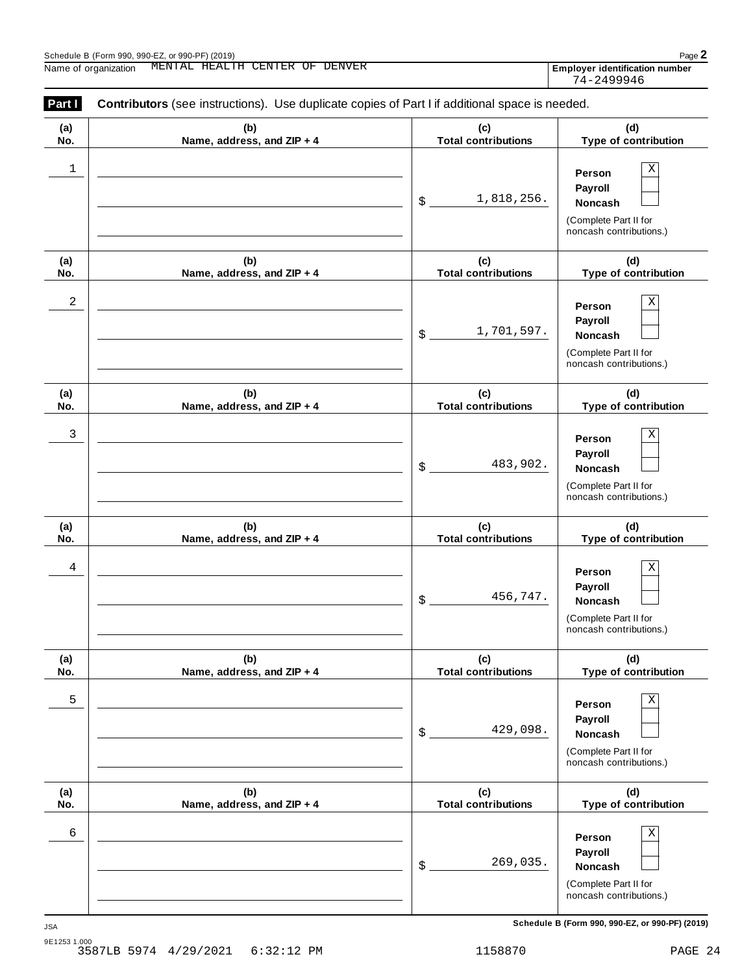| Part I     | <b>Contributors</b> (see instructions). Use duplicate copies of Part I if additional space is needed. |                                   |                                                                                                        |
|------------|-------------------------------------------------------------------------------------------------------|-----------------------------------|--------------------------------------------------------------------------------------------------------|
| (a)<br>No. | (b)<br>Name, address, and ZIP + 4                                                                     | (c)<br><b>Total contributions</b> | (d)<br>Type of contribution                                                                            |
| 1          |                                                                                                       | 1,818,256.<br>\$                  | Χ<br>Person<br>Payroll<br><b>Noncash</b><br>(Complete Part II for<br>noncash contributions.)           |
| (a)<br>No. | (b)<br>Name, address, and ZIP + 4                                                                     | (c)<br><b>Total contributions</b> | (d)<br>Type of contribution                                                                            |
| 2          |                                                                                                       | 1,701,597.<br>\$                  | $\mathbf X$<br>Person<br>Payroll<br><b>Noncash</b><br>(Complete Part II for<br>noncash contributions.) |
| (a)<br>No. | (b)<br>Name, address, and ZIP + 4                                                                     | (c)<br><b>Total contributions</b> | (d)<br>Type of contribution                                                                            |
| 3          |                                                                                                       | 483,902.<br>\$                    | $\mathbf X$<br>Person<br>Payroll<br><b>Noncash</b><br>(Complete Part II for<br>noncash contributions.) |
| (a)<br>No. | (b)<br>Name, address, and ZIP + 4                                                                     | (c)<br><b>Total contributions</b> | (d)<br>Type of contribution                                                                            |
| 4          |                                                                                                       | 456,747.<br>\$                    | $\mathbf X$<br>Person<br>Payroll<br>Noncash<br>(Complete Part II for<br>noncash contributions.)        |
| (a)<br>No. | (b)<br>Name, address, and ZIP + 4                                                                     | (c)<br><b>Total contributions</b> | (d)<br>Type of contribution                                                                            |
| 5          |                                                                                                       | 429,098.<br>\$                    | Χ<br>Person<br>Payroll<br>Noncash<br>(Complete Part II for<br>noncash contributions.)                  |
| (a)<br>No. | (b)<br>Name, address, and ZIP + 4                                                                     | (c)<br><b>Total contributions</b> | (d)<br>Type of contribution                                                                            |
| 6          |                                                                                                       | 269,035.<br>\$                    | Χ<br>Person<br>Payroll<br>Noncash<br>(Complete Part II for<br>noncash contributions.)                  |

**Schedule B (Form 990, 990-EZ, or 990-PF) (2019)** JSA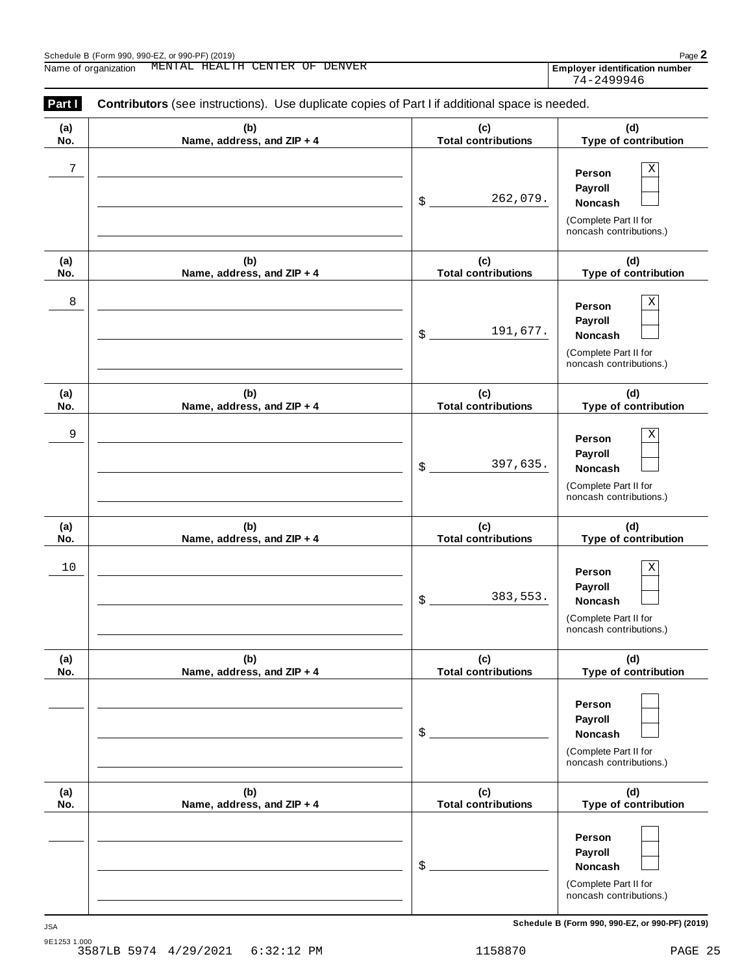| (a) | (b)                        | (c)                        | (d)                                                                                   |
|-----|----------------------------|----------------------------|---------------------------------------------------------------------------------------|
| No. | Name, address, and ZIP + 4 | <b>Total contributions</b> | Type of contribution                                                                  |
| 7   |                            | 262,079.<br>\$             | Χ<br>Person<br>Payroll<br>Noncash<br>(Complete Part II for<br>noncash contributions.) |
| (a) | (b)                        | (c)                        | (d)                                                                                   |
| No. | Name, address, and ZIP + 4 | <b>Total contributions</b> | Type of contribution                                                                  |
| 8   |                            | 191,677.<br>\$             | Χ<br>Person<br>Payroll<br>Noncash<br>(Complete Part II for<br>noncash contributions.) |
| (a) | (b)                        | (c)                        | (d)                                                                                   |
| No. | Name, address, and ZIP + 4 | <b>Total contributions</b> | Type of contribution                                                                  |
| 9   |                            | 397,635.<br>\$             | Χ<br>Person<br>Payroll<br>Noncash<br>(Complete Part II for<br>noncash contributions.) |
| (a) | (b)                        | (c)                        | (d)                                                                                   |
| No. | Name, address, and ZIP + 4 | <b>Total contributions</b> | Type of contribution                                                                  |
| 10  |                            | 383,553.<br>\$             | Χ<br>Person<br>Payroll<br>Noncash<br>(Complete Part II for<br>noncash contributions.) |
| (a) | (b)                        | (c)                        | (d)                                                                                   |
| No. | Name, address, and ZIP + 4 | <b>Total contributions</b> | Type of contribution                                                                  |
|     |                            | \$                         | Person<br>Payroll<br>Noncash<br>(Complete Part II for<br>noncash contributions.)      |
| (a) | (b)                        | (c)                        | (d)                                                                                   |
| No. | Name, address, and ZIP + 4 | <b>Total contributions</b> | Type of contribution                                                                  |
|     |                            | \$                         | Person<br>Payroll<br>Noncash<br>(Complete Part II for<br>noncash contributions.)      |

**Schedule B (Form 990, 990-EZ, or 990-PF) (2019)** JSA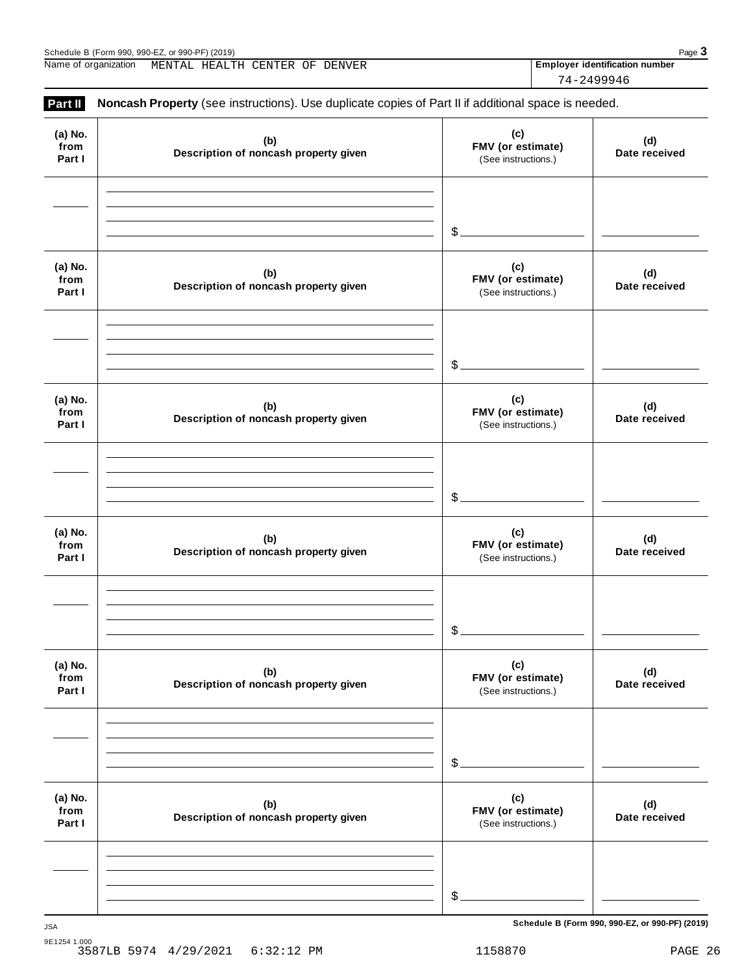**(a) No.**

**Part II Noncash Property** (see instructions). Use duplicate copies of Part II if additional space is needed.

**from Part I (c) FMV (or estimate)** (See instructions.) **(b) Description of noncash property given (d) Date received** \$ **(a) No. from Part I (c) FMV (or estimate)** (See instructions.) **(b) Description of noncash property given (d) Date received** \$ **(a) No. from Part I (c) FMV (or estimate)** (See instructions.) **(b) Description of noncash property given (d) Date received** \$ **(a) No. from Part I (c) FMV (or estimate)** (See instructions.) **(b) Description of noncash property given (d) Date received** \$ **(a) No. from Part I (c) FMV (or estimate)** (See instructions.) **(b) Description of noncash property given (d) Date received**  $$$ . **(a) No. from Part I (c) FMV (or estimate)** (See instructions.) **(b) Description of noncash property given (d) Date received** \$ **Schedule B (Form 990, 990-EZ, or 990-PF) (2019)** JSA

9E1254 1.000 3587LB 5974 4/29/2021 6:32:12 PM 1158870 PAGE 26

Name of organization MENTAL HEALTH CENTER OF DENVER **Employer identification number** 74-2499946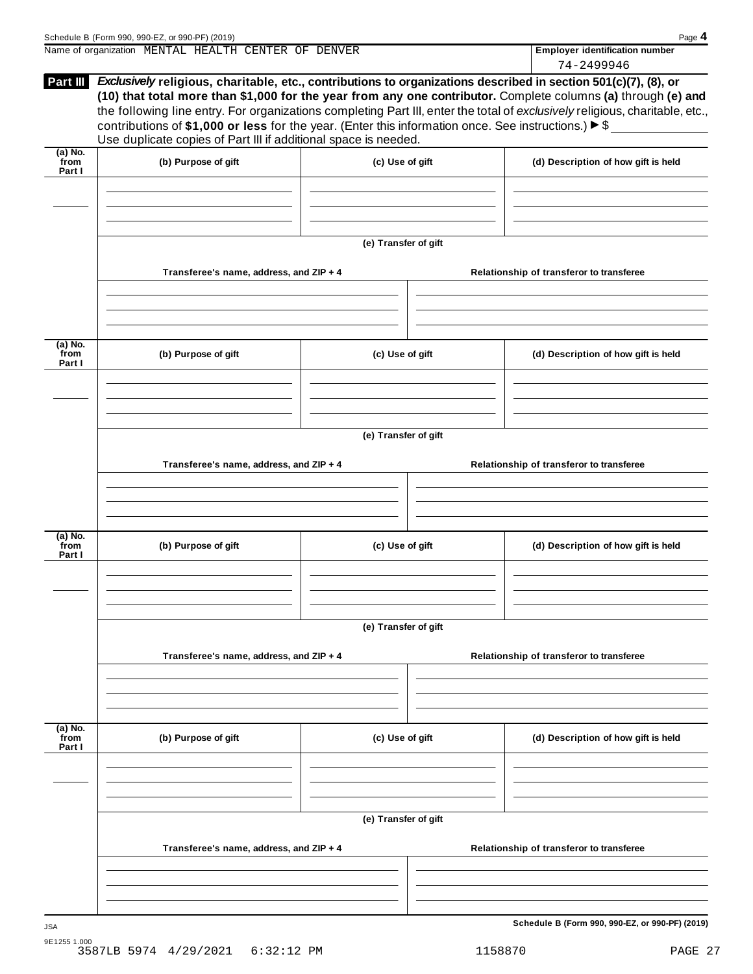|                             | Schedule B (Form 990, 990-EZ, or 990-PF) (2019)<br>Name of organization MENTAL HEALTH CENTER OF DENVER                                                                                      |                      | Page 4<br><b>Employer identification number</b>                                                                                                                                                                                                                                                                                                                           |
|-----------------------------|---------------------------------------------------------------------------------------------------------------------------------------------------------------------------------------------|----------------------|---------------------------------------------------------------------------------------------------------------------------------------------------------------------------------------------------------------------------------------------------------------------------------------------------------------------------------------------------------------------------|
|                             |                                                                                                                                                                                             |                      | 74-2499946                                                                                                                                                                                                                                                                                                                                                                |
|                             | contributions of \$1,000 or less for the year. (Enter this information once. See instructions.) $\blacktriangleright$ \$<br>Use duplicate copies of Part III if additional space is needed. |                      | Part III Exclusively religious, charitable, etc., contributions to organizations described in section 501(c)(7), (8), or<br>(10) that total more than \$1,000 for the year from any one contributor. Complete columns (a) through (e) and<br>the following line entry. For organizations completing Part III, enter the total of exclusively religious, charitable, etc., |
| $(a)$ No.<br>from<br>Part I | (b) Purpose of gift                                                                                                                                                                         | (c) Use of gift      | (d) Description of how gift is held                                                                                                                                                                                                                                                                                                                                       |
|                             |                                                                                                                                                                                             |                      |                                                                                                                                                                                                                                                                                                                                                                           |
|                             |                                                                                                                                                                                             | (e) Transfer of gift |                                                                                                                                                                                                                                                                                                                                                                           |
|                             | Transferee's name, address, and ZIP + 4                                                                                                                                                     |                      | Relationship of transferor to transferee                                                                                                                                                                                                                                                                                                                                  |
|                             |                                                                                                                                                                                             |                      |                                                                                                                                                                                                                                                                                                                                                                           |
| (a) No.<br>from<br>Part I   | (b) Purpose of gift                                                                                                                                                                         | (c) Use of gift      | (d) Description of how gift is held                                                                                                                                                                                                                                                                                                                                       |
|                             |                                                                                                                                                                                             |                      |                                                                                                                                                                                                                                                                                                                                                                           |
|                             |                                                                                                                                                                                             | (e) Transfer of gift |                                                                                                                                                                                                                                                                                                                                                                           |
|                             | Transferee's name, address, and ZIP + 4                                                                                                                                                     |                      | Relationship of transferor to transferee                                                                                                                                                                                                                                                                                                                                  |
| (a) No.                     |                                                                                                                                                                                             |                      |                                                                                                                                                                                                                                                                                                                                                                           |
| from<br>Part I              | (b) Purpose of gift                                                                                                                                                                         | (c) Use of gift      | (d) Description of how gift is held                                                                                                                                                                                                                                                                                                                                       |
|                             |                                                                                                                                                                                             |                      |                                                                                                                                                                                                                                                                                                                                                                           |
|                             |                                                                                                                                                                                             | (e) Transfer of gift |                                                                                                                                                                                                                                                                                                                                                                           |
|                             | Transferee's name, address, and ZIP + 4                                                                                                                                                     |                      | Relationship of transferor to transferee                                                                                                                                                                                                                                                                                                                                  |
|                             |                                                                                                                                                                                             |                      |                                                                                                                                                                                                                                                                                                                                                                           |
| $(a)$ No.<br>from<br>Part I | (b) Purpose of gift                                                                                                                                                                         | (c) Use of gift      | (d) Description of how gift is held                                                                                                                                                                                                                                                                                                                                       |
|                             |                                                                                                                                                                                             |                      |                                                                                                                                                                                                                                                                                                                                                                           |
|                             |                                                                                                                                                                                             | (e) Transfer of gift |                                                                                                                                                                                                                                                                                                                                                                           |
|                             | Transferee's name, address, and ZIP + 4                                                                                                                                                     |                      | Relationship of transferor to transferee                                                                                                                                                                                                                                                                                                                                  |
|                             |                                                                                                                                                                                             |                      |                                                                                                                                                                                                                                                                                                                                                                           |
|                             |                                                                                                                                                                                             |                      | Schedule B (Form 990, 990-EZ, or 990-PF) (2019)                                                                                                                                                                                                                                                                                                                           |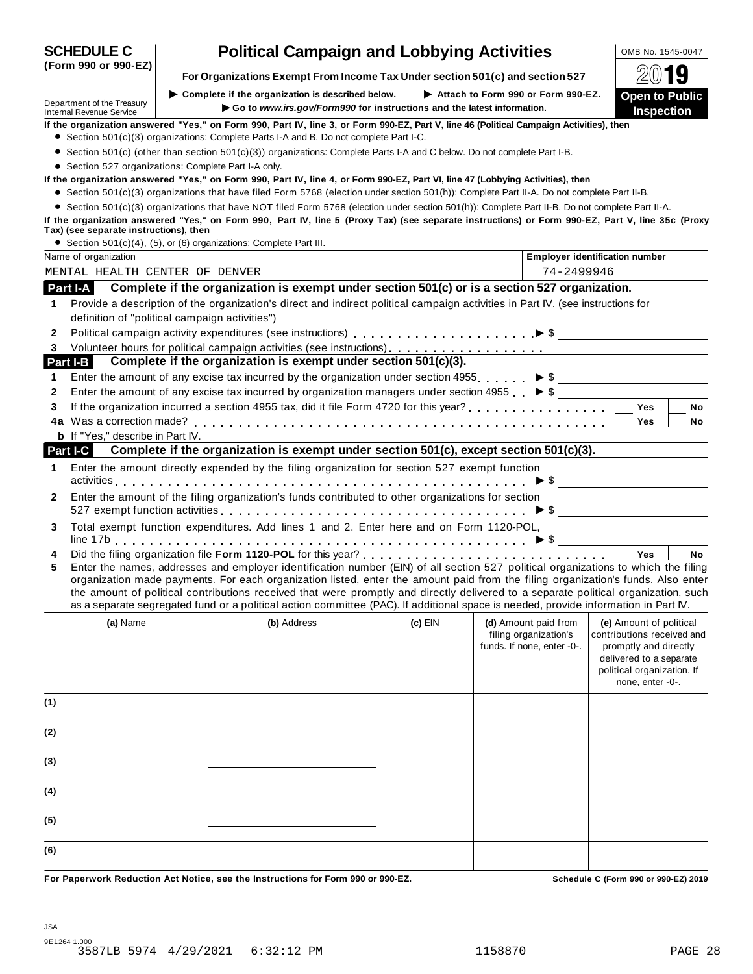| Internal Revenue Service |                                                      | $\blacktriangleright$ Go to www.irs.gov/Form990 for instructions and the latest information.                                                                                                                                                                                                                                        |           |                                                                             | <b>Inspection</b>                                                                                                                                           |
|--------------------------|------------------------------------------------------|-------------------------------------------------------------------------------------------------------------------------------------------------------------------------------------------------------------------------------------------------------------------------------------------------------------------------------------|-----------|-----------------------------------------------------------------------------|-------------------------------------------------------------------------------------------------------------------------------------------------------------|
|                          |                                                      | If the organization answered "Yes," on Form 990, Part IV, line 3, or Form 990-EZ, Part V, line 46 (Political Campaign Activities), then<br>• Section 501(c)(3) organizations: Complete Parts I-A and B. Do not complete Part I-C.                                                                                                   |           |                                                                             |                                                                                                                                                             |
|                          |                                                      | • Section 501(c) (other than section 501(c)(3)) organizations: Complete Parts I-A and C below. Do not complete Part I-B.                                                                                                                                                                                                            |           |                                                                             |                                                                                                                                                             |
|                          | • Section 527 organizations: Complete Part I-A only. |                                                                                                                                                                                                                                                                                                                                     |           |                                                                             |                                                                                                                                                             |
|                          |                                                      | If the organization answered "Yes," on Form 990, Part IV, line 4, or Form 990-EZ, Part VI, line 47 (Lobbying Activities), then                                                                                                                                                                                                      |           |                                                                             |                                                                                                                                                             |
|                          |                                                      | • Section 501(c)(3) organizations that have filed Form 5768 (election under section 501(h)): Complete Part II-A. Do not complete Part II-B.                                                                                                                                                                                         |           |                                                                             |                                                                                                                                                             |
|                          |                                                      | • Section 501(c)(3) organizations that have NOT filed Form 5768 (election under section 501(h)): Complete Part II-B. Do not complete Part II-A.                                                                                                                                                                                     |           |                                                                             |                                                                                                                                                             |
|                          | Tax) (see separate instructions), then               | If the organization answered "Yes," on Form 990, Part IV, line 5 (Proxy Tax) (see separate instructions) or Form 990-EZ, Part V, line 35c (Proxy                                                                                                                                                                                    |           |                                                                             |                                                                                                                                                             |
| Name of organization     |                                                      | • Section 501(c)(4), (5), or (6) organizations: Complete Part III.                                                                                                                                                                                                                                                                  |           |                                                                             | <b>Employer identification number</b>                                                                                                                       |
|                          | MENTAL HEALTH CENTER OF DENVER                       |                                                                                                                                                                                                                                                                                                                                     |           | 74-2499946                                                                  |                                                                                                                                                             |
| Part I-A                 |                                                      | Complete if the organization is exempt under section 501(c) or is a section 527 organization.                                                                                                                                                                                                                                       |           |                                                                             |                                                                                                                                                             |
|                          |                                                      | Provide a description of the organization's direct and indirect political campaign activities in Part IV. (see instructions for                                                                                                                                                                                                     |           |                                                                             |                                                                                                                                                             |
| 1                        | definition of "political campaign activities")       |                                                                                                                                                                                                                                                                                                                                     |           |                                                                             |                                                                                                                                                             |
| $\mathbf{2}$             |                                                      |                                                                                                                                                                                                                                                                                                                                     |           |                                                                             |                                                                                                                                                             |
| 3                        |                                                      |                                                                                                                                                                                                                                                                                                                                     |           |                                                                             |                                                                                                                                                             |
| Part I-B                 |                                                      | Complete if the organization is exempt under section 501(c)(3).                                                                                                                                                                                                                                                                     |           |                                                                             |                                                                                                                                                             |
| 1                        |                                                      | Enter the amount of any excise tax incurred by the organization under section 4955. $\triangleright$ \$                                                                                                                                                                                                                             |           |                                                                             |                                                                                                                                                             |
| 2                        |                                                      | Enter the amount of any excise tax incurred by organization managers under section 4955 $\triangleright$ \$                                                                                                                                                                                                                         |           |                                                                             |                                                                                                                                                             |
| 3                        |                                                      |                                                                                                                                                                                                                                                                                                                                     |           |                                                                             | <b>Yes</b><br>No                                                                                                                                            |
|                          |                                                      |                                                                                                                                                                                                                                                                                                                                     |           |                                                                             | Yes<br>No                                                                                                                                                   |
|                          | <b>b</b> If "Yes," describe in Part IV.              |                                                                                                                                                                                                                                                                                                                                     |           |                                                                             |                                                                                                                                                             |
| <b>Part I-C</b>          |                                                      | Complete if the organization is exempt under section 501(c), except section 501(c)(3).                                                                                                                                                                                                                                              |           |                                                                             |                                                                                                                                                             |
| 1                        |                                                      | Enter the amount directly expended by the filing organization for section 527 exempt function                                                                                                                                                                                                                                       |           |                                                                             |                                                                                                                                                             |
|                          |                                                      |                                                                                                                                                                                                                                                                                                                                     |           |                                                                             | $\triangleright$ \$                                                                                                                                         |
| 2                        |                                                      | Enter the amount of the filing organization's funds contributed to other organizations for section<br>527 exempt function activities enterprise on the control of the control of the set of the control of the control of the set of the control of the set of the control of the control of the set of the control of the set of t |           |                                                                             |                                                                                                                                                             |
| 3                        |                                                      | Total exempt function expenditures. Add lines 1 and 2. Enter here and on Form 1120-POL,                                                                                                                                                                                                                                             |           |                                                                             |                                                                                                                                                             |
|                          |                                                      |                                                                                                                                                                                                                                                                                                                                     |           |                                                                             |                                                                                                                                                             |
| 4                        |                                                      | Enter the names, addresses and employer identification number (EIN) of all section 527 political organizations to which the filing                                                                                                                                                                                                  |           |                                                                             | Yes<br><b>No</b>                                                                                                                                            |
| 5                        |                                                      | organization made payments. For each organization listed, enter the amount paid from the filing organization's funds. Also enter                                                                                                                                                                                                    |           |                                                                             |                                                                                                                                                             |
|                          |                                                      | the amount of political contributions received that were promptly and directly delivered to a separate political organization, such                                                                                                                                                                                                 |           |                                                                             |                                                                                                                                                             |
|                          |                                                      | as a separate segregated fund or a political action committee (PAC). If additional space is needed, provide information in Part IV.                                                                                                                                                                                                 |           |                                                                             |                                                                                                                                                             |
| (a) Name                 |                                                      | (b) Address                                                                                                                                                                                                                                                                                                                         | $(c)$ EIN | (d) Amount paid from<br>filing organization's<br>funds. If none, enter -0-. | (e) Amount of political<br>contributions received and<br>promptly and directly<br>delivered to a separate<br>political organization. If<br>none, enter -0-. |
| (1)                      |                                                      |                                                                                                                                                                                                                                                                                                                                     |           |                                                                             |                                                                                                                                                             |
| (2)                      |                                                      |                                                                                                                                                                                                                                                                                                                                     |           |                                                                             |                                                                                                                                                             |
| (3)                      |                                                      |                                                                                                                                                                                                                                                                                                                                     |           |                                                                             |                                                                                                                                                             |
| (4)                      |                                                      |                                                                                                                                                                                                                                                                                                                                     |           |                                                                             |                                                                                                                                                             |
|                          |                                                      |                                                                                                                                                                                                                                                                                                                                     |           |                                                                             |                                                                                                                                                             |
| (5)                      |                                                      |                                                                                                                                                                                                                                                                                                                                     |           |                                                                             |                                                                                                                                                             |

**SCHEDULE C Political Campaign and Lobbying Activities LOMB No. 1545-0047** 

| For Organizations Exempt From Income Tax Under section 501(c) and section 527 | 2019 |
|-------------------------------------------------------------------------------|------|
|-------------------------------------------------------------------------------|------|

Department of the Treasury I**Go to** *www.irs.gov/Form990* **for instructions and the latest information.**

**(Form 990 or 990-EZ)**

I **Complete if the organization is described below.** I **Attach to Form <sup>990</sup> or Form 990-EZ. Open to Public**

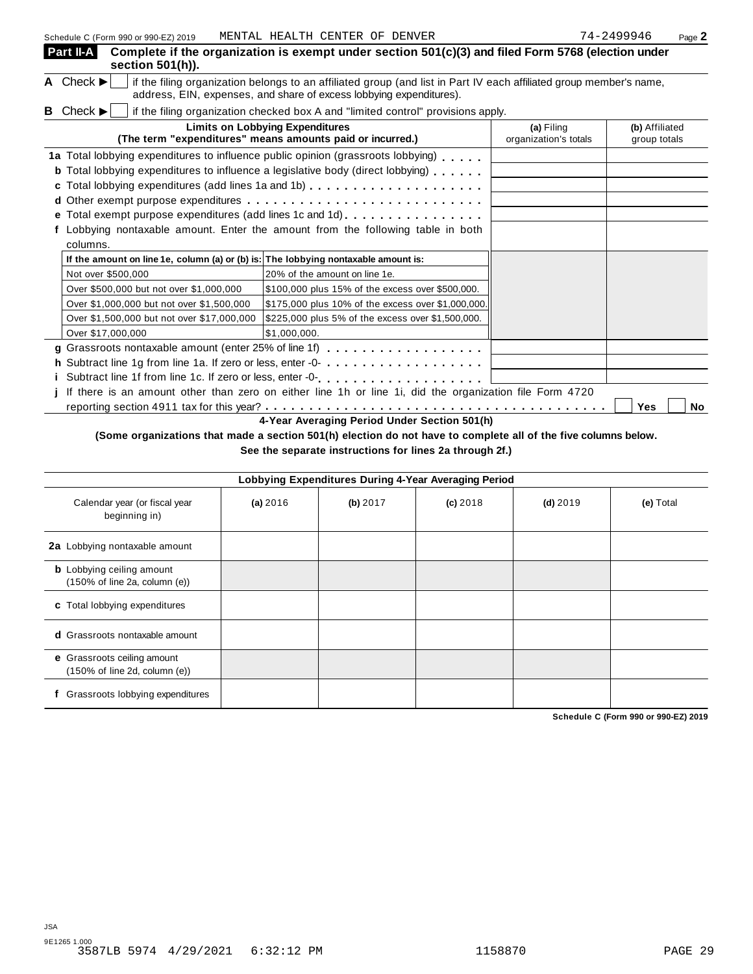| Schedule C (Form 990 or 990-EZ) 2019                                               | MENTAL HEALTH CENTER OF DENVER                                                                                                                                                                                                    |                                     | 74-2499946<br>Page 2           |
|------------------------------------------------------------------------------------|-----------------------------------------------------------------------------------------------------------------------------------------------------------------------------------------------------------------------------------|-------------------------------------|--------------------------------|
| Part II-A<br>section 501(h)).                                                      | Complete if the organization is exempt under section 501(c)(3) and filed Form 5768 (election under                                                                                                                                |                                     |                                |
| A Check $\blacktriangleright$                                                      | if the filing organization belongs to an affiliated group (and list in Part IV each affiliated group member's name,<br>address, EIN, expenses, and share of excess lobbying expenditures).                                        |                                     |                                |
| Check $\blacktriangleright$<br>в                                                   | if the filing organization checked box A and "limited control" provisions apply.                                                                                                                                                  |                                     |                                |
|                                                                                    | <b>Limits on Lobbying Expenditures</b><br>(The term "expenditures" means amounts paid or incurred.)                                                                                                                               | (a) Filing<br>organization's totals | (b) Affiliated<br>group totals |
|                                                                                    | 1a Total lobbying expenditures to influence public opinion (grassroots lobbying)<br><b>b</b> Total lobbying expenditures to influence a legislative body (direct lobbying)<br>c Total lobbying expenditures (add lines 1a and 1b) |                                     |                                |
| columns.                                                                           | e Total exempt purpose expenditures (add lines 1c and 1d)<br>f Lobbying nontaxable amount. Enter the amount from the following table in both                                                                                      |                                     |                                |
| If the amount on line 1e, column (a) or (b) is: The lobbying nontaxable amount is: |                                                                                                                                                                                                                                   |                                     |                                |
| Not over \$500,000                                                                 | 20% of the amount on line 1e.                                                                                                                                                                                                     |                                     |                                |
| Over \$500,000 but not over \$1,000,000                                            | \$100,000 plus 15% of the excess over \$500,000.                                                                                                                                                                                  |                                     |                                |
| Over \$1,000,000 but not over \$1,500,000                                          | \$175,000 plus 10% of the excess over \$1,000,000.                                                                                                                                                                                |                                     |                                |
| Over \$1,500,000 but not over \$17,000,000                                         | \$225,000 plus 5% of the excess over \$1,500,000.                                                                                                                                                                                 |                                     |                                |
| Over \$17,000,000                                                                  | \$1.000.000.                                                                                                                                                                                                                      |                                     |                                |
|                                                                                    | g Grassroots nontaxable amount (enter 25% of line 1f) $\ldots \ldots \ldots \ldots \ldots \ldots$                                                                                                                                 |                                     |                                |
|                                                                                    | h Subtract line 1g from line 1a. If zero or less, enter -0-                                                                                                                                                                       |                                     |                                |
|                                                                                    |                                                                                                                                                                                                                                   |                                     |                                |
|                                                                                    | If there is an amount other than zero on either line 1h or line 1i, did the organization file Form 4720                                                                                                                           |                                     |                                |
|                                                                                    |                                                                                                                                                                                                                                   |                                     | <b>Yes</b><br>No               |
|                                                                                    | 4-Year Averaging Period Under Section 501(h)                                                                                                                                                                                      |                                     |                                |

(Some organizations that made a section 501(h) election do not have to complete all of the five columns below.

**See the separate instructions for lines 2a through 2f.)**

|                                                                                        | Lobbying Expenditures During 4-Year Averaging Period |          |            |            |           |
|----------------------------------------------------------------------------------------|------------------------------------------------------|----------|------------|------------|-----------|
| Calendar year (or fiscal year<br>beginning in)                                         | (a) 2016                                             | (b) 2017 | $(c)$ 2018 | $(d)$ 2019 | (e) Total |
| 2a Lobbying nontaxable amount                                                          |                                                      |          |            |            |           |
| <b>b</b> Lobbying ceiling amount<br>$(150\% \text{ of line } 2a, \text{ column } (e))$ |                                                      |          |            |            |           |
| c Total lobbying expenditures                                                          |                                                      |          |            |            |           |
| <b>d</b> Grassroots nontaxable amount                                                  |                                                      |          |            |            |           |
| e Grassroots ceiling amount<br>$(150\% \text{ of line } 2d, \text{ column } (e))$      |                                                      |          |            |            |           |
| Grassroots lobbying expenditures                                                       |                                                      |          |            |            |           |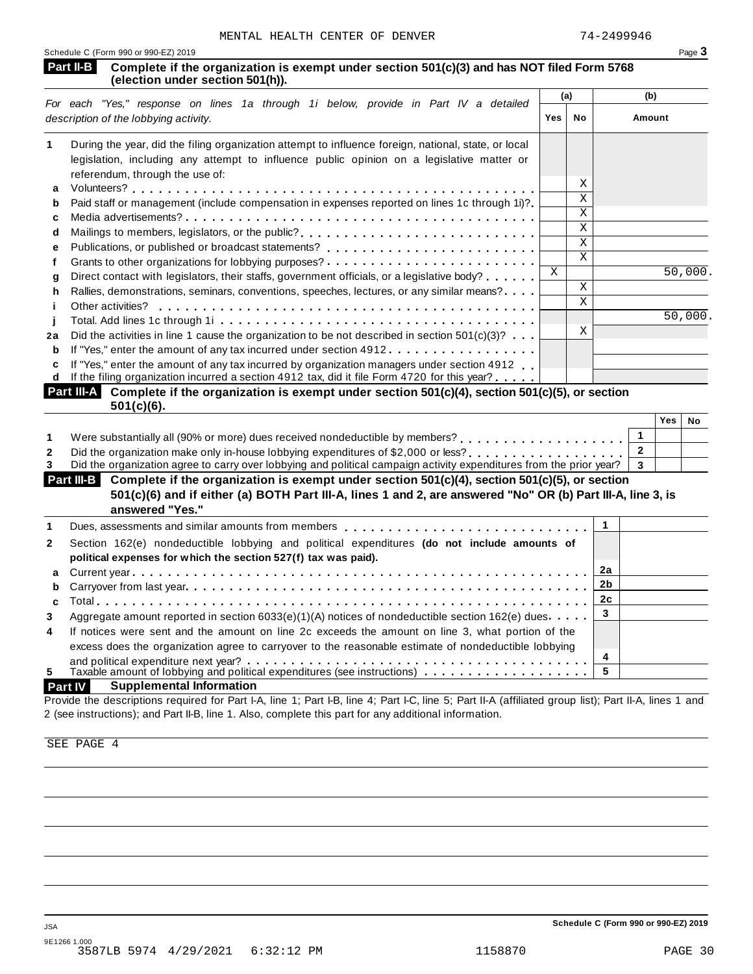| Schedule C (Form 990 or 990-EZ) 2019                                                                                                        | Page 3 |    |        |  |  |
|---------------------------------------------------------------------------------------------------------------------------------------------|--------|----|--------|--|--|
| Part II-B<br>Complete if the organization is exempt under section 501(c)(3) and has NOT filed Form 5768<br>(election under section 501(h)). |        |    |        |  |  |
|                                                                                                                                             | (a)    |    | (b)    |  |  |
| For each "Yes," response on lines 1a through 1i below, provide in Part IV a detailed<br>description of the lobbying activity.               | Yes.   | No | Amount |  |  |

| 1  | During the year, did the filing organization attempt to influence foreign, national, state, or local                |              |    |         |
|----|---------------------------------------------------------------------------------------------------------------------|--------------|----|---------|
|    | legislation, including any attempt to influence public opinion on a legislative matter or                           |              |    |         |
|    | referendum, through the use of:                                                                                     |              |    |         |
| a  |                                                                                                                     |              | Χ  |         |
| b  | Paid staff or management (include compensation in expenses reported on lines 1c through 1i)?                        |              | Χ  |         |
| c  |                                                                                                                     |              | X. |         |
| d  | Mailings to members, legislators, or the public?                                                                    |              | X. |         |
| е  |                                                                                                                     |              | X. |         |
|    |                                                                                                                     |              | X  |         |
| q  | Direct contact with legislators, their staffs, government officials, or a legislative body?                         | $\mathbf{X}$ |    | 50,000. |
| h. | Rallies, demonstrations, seminars, conventions, speeches, lectures, or any similar means?                           |              | X  |         |
|    |                                                                                                                     |              | X  |         |
|    |                                                                                                                     |              |    | 50,000. |
| 2a | Did the activities in line 1 cause the organization to be not described in section $501(c)(3)$ ?                    |              | X  |         |
| b  | If "Yes," enter the amount of any tax incurred under section 4912                                                   |              |    |         |
| C  | If "Yes," enter the amount of any tax incurred by organization managers under section 4912                          |              |    |         |
|    | d If the filing organization incurred a section 4912 tax, did it file Form 4720 for this year?                      |              |    |         |
|    | Part III-A I<br>Complete if the organization is exempt under section $501(c)(4)$ , section $501(c)(5)$ , or section |              |    |         |
|    | $501(c)(6)$ .                                                                                                       |              |    |         |

|                                                                                                                               | Yes | No |
|-------------------------------------------------------------------------------------------------------------------------------|-----|----|
|                                                                                                                               |     |    |
|                                                                                                                               |     |    |
| Did the organization agree to carry over lobbying and political campaign activity expenditures from the prior year? $\vert$ 3 |     |    |

| Part III-B Complete if the organization is exempt under section 501(c)(4), section 501(c)(5), or section<br>501(c)(6) and if either (a) BOTH Part III-A, lines 1 and 2, are answered "No" OR (b) Part III-A, line 3, is<br>answered "Yes." |  |  |  |  |
|--------------------------------------------------------------------------------------------------------------------------------------------------------------------------------------------------------------------------------------------|--|--|--|--|
|                                                                                                                                                                                                                                            |  |  |  |  |
| Dues, assessments and similar amounts from members $\ldots, \ldots, \ldots, \ldots, \ldots, \ldots, \ldots, \ldots, \ldots$                                                                                                                |  |  |  |  |

| $\mathbf{2}$   | Section 162(e) nondeductible lobbying and political expenditures (do not include amounts of          |  |
|----------------|------------------------------------------------------------------------------------------------------|--|
|                | political expenses for which the section 527(f) tax was paid).                                       |  |
|                |                                                                                                      |  |
|                |                                                                                                      |  |
|                |                                                                                                      |  |
| 3              | Aggregate amount reported in section $6033(e)(1)(A)$ notices of nondeductible section 162(e) dues    |  |
| $\overline{4}$ | If notices were sent and the amount on line 2c exceeds the amount on line 3, what portion of the     |  |
|                |                                                                                                      |  |
|                | excess does the organization agree to carryover to the reasonable estimate of nondeductible lobbying |  |
|                |                                                                                                      |  |
| 5.             |                                                                                                      |  |
|                |                                                                                                      |  |

## **Part IV Supplemental Information**

Provide the descriptions required for Part I-A, line 1; Part I-B, line 4; Part I-C, line 5; Part II-A (affiliated group list); Part II-A, lines 1 and 2 (see instructions); and Part II-B, line 1. Also, complete this part for any additional information.

SEE PAGE 4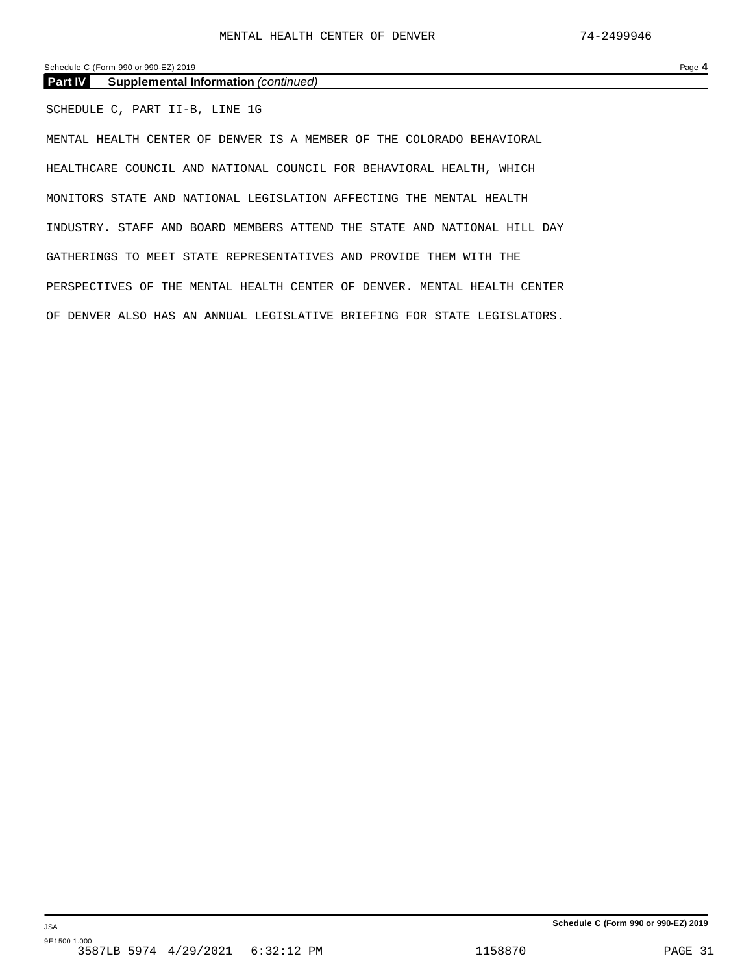Schedule C (Form 990 or 990-EZ) 2019 Page **4**

**Part IV Supplemental Information** *(continued)*

SCHEDULE C, PART II-B, LINE 1G

MENTAL HEALTH CENTER OF DENVER IS A MEMBER OF THE COLORADO BEHAVIORAL HEALTHCARE COUNCIL AND NATIONAL COUNCIL FOR BEHAVIORAL HEALTH, WHICH MONITORS STATE AND NATIONAL LEGISLATION AFFECTING THE MENTAL HEALTH INDUSTRY. STAFF AND BOARD MEMBERS ATTEND THE STATE AND NATIONAL HILL DAY GATHERINGS TO MEET STATE REPRESENTATIVES AND PROVIDE THEM WITH THE PERSPECTIVES OF THE MENTAL HEALTH CENTER OF DENVER. MENTAL HEALTH CENTER OF DENVER ALSO HAS AN ANNUAL LEGISLATIVE BRIEFING FOR STATE LEGISLATORS.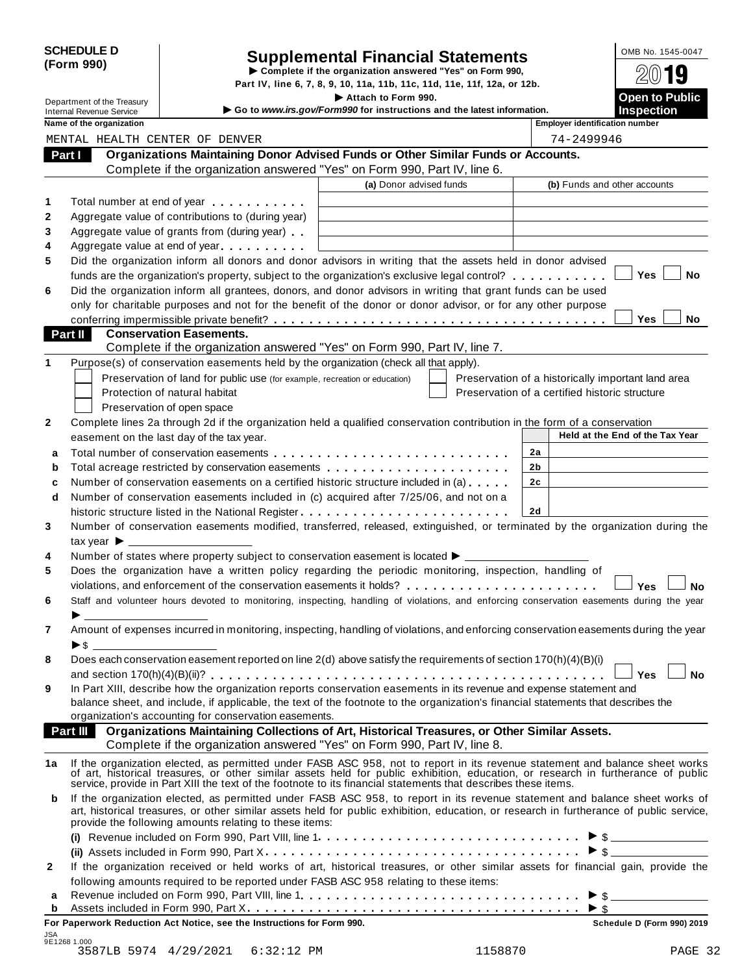|            | <b>SCHEDULE D</b> |
|------------|-------------------|
| (Form 990) |                   |

# CHEDULE D<br>
Supplemental Financial Statements<br>
Supplemental Financial Statements<br>
Supplemental Financial Statements<br>
Supplemental Financial Statements<br>  $\frac{0 \text{MB No. 1545-0047}}{20}$

|                            |                                 |                                                                            | Part IV, line 6, 7, 8, 9, 10, 11a, 11b, 11c, 11d, 11e, 11f, 12a, or 12b.                                                                                                                                                                                               |                                                    | ZW IJ                           |
|----------------------------|---------------------------------|----------------------------------------------------------------------------|------------------------------------------------------------------------------------------------------------------------------------------------------------------------------------------------------------------------------------------------------------------------|----------------------------------------------------|---------------------------------|
| Department of the Treasury |                                 |                                                                            | Attach to Form 990.                                                                                                                                                                                                                                                    | <b>Open to Public</b>                              |                                 |
|                            | <b>Internal Revenue Service</b> |                                                                            | Go to www.irs.gov/Form990 for instructions and the latest information.                                                                                                                                                                                                 |                                                    | <b>Inspection</b>               |
|                            | Name of the organization        |                                                                            |                                                                                                                                                                                                                                                                        | <b>Employer identification number</b>              |                                 |
|                            |                                 | MENTAL HEALTH CENTER OF DENVER                                             |                                                                                                                                                                                                                                                                        | 74-2499946                                         |                                 |
|                            | Part I                          |                                                                            | Organizations Maintaining Donor Advised Funds or Other Similar Funds or Accounts.                                                                                                                                                                                      |                                                    |                                 |
|                            |                                 |                                                                            | Complete if the organization answered "Yes" on Form 990, Part IV, line 6.                                                                                                                                                                                              |                                                    |                                 |
|                            |                                 |                                                                            | (a) Donor advised funds                                                                                                                                                                                                                                                | (b) Funds and other accounts                       |                                 |
| 1                          |                                 | Total number at end of year example.                                       |                                                                                                                                                                                                                                                                        |                                                    |                                 |
| $\mathbf{2}$               |                                 | Aggregate value of contributions to (during year)                          |                                                                                                                                                                                                                                                                        |                                                    |                                 |
| 3                          |                                 | Aggregate value of grants from (during year)                               |                                                                                                                                                                                                                                                                        |                                                    |                                 |
| 4                          |                                 | Aggregate value at end of year                                             |                                                                                                                                                                                                                                                                        |                                                    |                                 |
| 5                          |                                 |                                                                            | Did the organization inform all donors and donor advisors in writing that the assets held in donor advised<br>funds are the organization's property, subject to the organization's exclusive legal control?                                                            |                                                    | No<br>Yes                       |
| 6                          |                                 |                                                                            | Did the organization inform all grantees, donors, and donor advisors in writing that grant funds can be used                                                                                                                                                           |                                                    |                                 |
|                            |                                 |                                                                            | only for charitable purposes and not for the benefit of the donor or donor advisor, or for any other purpose                                                                                                                                                           |                                                    |                                 |
|                            |                                 |                                                                            |                                                                                                                                                                                                                                                                        |                                                    | <b>Yes</b><br>No                |
|                            | Part II                         | <b>Conservation Easements.</b>                                             |                                                                                                                                                                                                                                                                        |                                                    |                                 |
|                            |                                 |                                                                            | Complete if the organization answered "Yes" on Form 990, Part IV, line 7.                                                                                                                                                                                              |                                                    |                                 |
| 1                          |                                 |                                                                            | Purpose(s) of conservation easements held by the organization (check all that apply).                                                                                                                                                                                  |                                                    |                                 |
|                            |                                 | Preservation of land for public use (for example, recreation or education) |                                                                                                                                                                                                                                                                        | Preservation of a historically important land area |                                 |
|                            |                                 | Protection of natural habitat                                              |                                                                                                                                                                                                                                                                        | Preservation of a certified historic structure     |                                 |
|                            |                                 | Preservation of open space                                                 |                                                                                                                                                                                                                                                                        |                                                    |                                 |
| 2                          |                                 |                                                                            | Complete lines 2a through 2d if the organization held a qualified conservation contribution in the form of a conservation                                                                                                                                              |                                                    |                                 |
|                            |                                 | easement on the last day of the tax year.                                  |                                                                                                                                                                                                                                                                        |                                                    | Held at the End of the Tax Year |
| a                          |                                 |                                                                            |                                                                                                                                                                                                                                                                        | 2a                                                 |                                 |
| b                          |                                 |                                                                            | Total acreage restricted by conservation easements entitled results are not all results and results are not a                                                                                                                                                          | 2b                                                 |                                 |
| c                          |                                 |                                                                            | Number of conservation easements on a certified historic structure included in (a)                                                                                                                                                                                     | 2 <sub>c</sub>                                     |                                 |
| d                          |                                 |                                                                            | Number of conservation easements included in (c) acquired after 7/25/06, and not on a                                                                                                                                                                                  |                                                    |                                 |
|                            |                                 |                                                                            | historic structure listed in the National Register                                                                                                                                                                                                                     | 2d                                                 |                                 |
| 3                          |                                 |                                                                            | Number of conservation easements modified, transferred, released, extinguished, or terminated by the organization during the                                                                                                                                           |                                                    |                                 |
|                            |                                 |                                                                            |                                                                                                                                                                                                                                                                        |                                                    |                                 |
| 4                          |                                 |                                                                            | Number of states where property subject to conservation easement is located ▶ _____                                                                                                                                                                                    |                                                    |                                 |
| 5                          |                                 |                                                                            | Does the organization have a written policy regarding the periodic monitoring, inspection, handling of                                                                                                                                                                 |                                                    |                                 |
|                            |                                 |                                                                            | violations, and enforcement of the conservation easements it holds?                                                                                                                                                                                                    |                                                    | <b>Yes</b><br>No                |
| 6                          |                                 |                                                                            | Staff and volunteer hours devoted to monitoring, inspecting, handling of violations, and enforcing conservation easements during the year                                                                                                                              |                                                    |                                 |
|                            |                                 |                                                                            |                                                                                                                                                                                                                                                                        |                                                    |                                 |
| 7                          |                                 |                                                                            | Amount of expenses incurred in monitoring, inspecting, handling of violations, and enforcing conservation easements during the year                                                                                                                                    |                                                    |                                 |
|                            | $\blacktriangleright$ \$        |                                                                            |                                                                                                                                                                                                                                                                        |                                                    |                                 |
| 8                          |                                 |                                                                            | Does each conservation easement reported on line 2(d) above satisfy the requirements of section 170(h)(4)(B)(i)                                                                                                                                                        |                                                    |                                 |
| 9                          |                                 |                                                                            | In Part XIII, describe how the organization reports conservation easements in its revenue and expense statement and                                                                                                                                                    |                                                    | <b>Yes</b><br><b>No</b>         |
|                            |                                 |                                                                            | balance sheet, and include, if applicable, the text of the footnote to the organization's financial statements that describes the                                                                                                                                      |                                                    |                                 |
|                            |                                 | organization's accounting for conservation easements.                      |                                                                                                                                                                                                                                                                        |                                                    |                                 |
|                            | Part III                        |                                                                            | Organizations Maintaining Collections of Art, Historical Treasures, or Other Similar Assets.                                                                                                                                                                           |                                                    |                                 |
|                            |                                 |                                                                            | Complete if the organization answered "Yes" on Form 990, Part IV, line 8.                                                                                                                                                                                              |                                                    |                                 |
| 1a                         |                                 |                                                                            | If the organization elected, as permitted under FASB ASC 958, not to report in its revenue statement and balance sheet works                                                                                                                                           |                                                    |                                 |
|                            |                                 |                                                                            | of art, historical treasures, or other similar assets held for public exhibition, education, or research in furtherance of public service, provide in Part XIII the text of the footnote to its financial statements that desc                                         |                                                    |                                 |
| b                          |                                 | provide the following amounts relating to these items:                     | If the organization elected, as permitted under FASB ASC 958, to report in its revenue statement and balance sheet works of<br>art, historical treasures, or other similar assets held for public exhibition, education, or research in furtherance of public service, |                                                    |                                 |
|                            |                                 |                                                                            |                                                                                                                                                                                                                                                                        |                                                    |                                 |
|                            |                                 |                                                                            |                                                                                                                                                                                                                                                                        |                                                    |                                 |
| $\mathbf{2}$               |                                 |                                                                            | If the organization received or held works of art, historical treasures, or other similar assets for financial gain, provide the                                                                                                                                       |                                                    |                                 |
|                            |                                 |                                                                            | following amounts required to be reported under FASB ASC 958 relating to these items:                                                                                                                                                                                  |                                                    |                                 |
| а                          |                                 |                                                                            |                                                                                                                                                                                                                                                                        |                                                    |                                 |
| b                          |                                 |                                                                            |                                                                                                                                                                                                                                                                        |                                                    |                                 |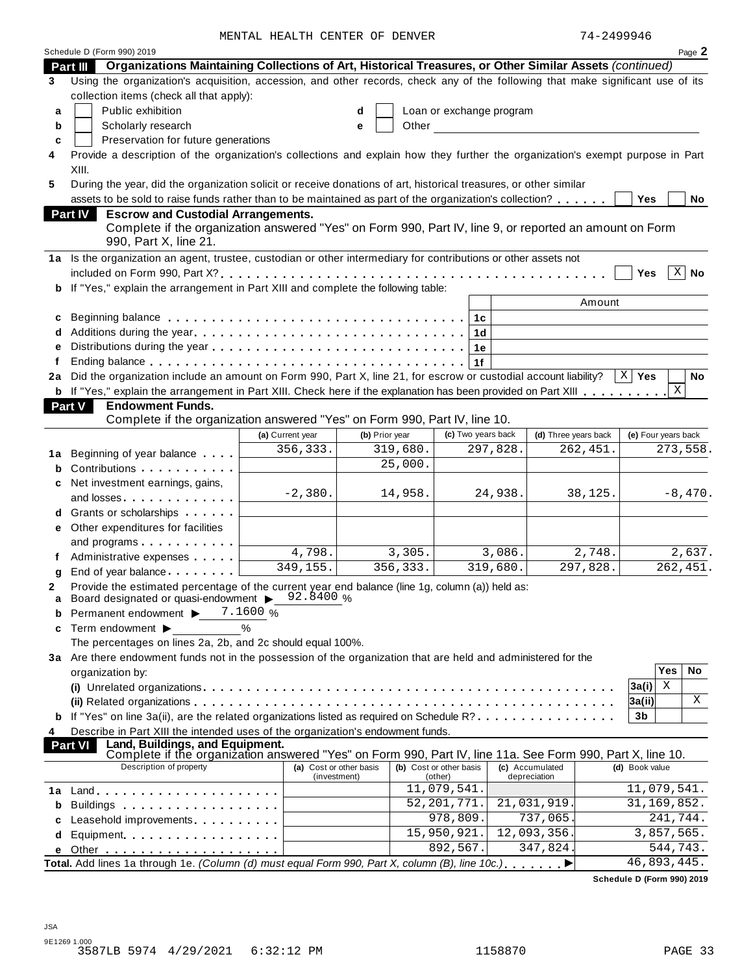MENTAL HEALTH CENTER OF DENVER 74-2499946

|    | Schedule D (Form 990) 2019                                                                                                                                                                                                     | MENIAL AEALIA CENIER OF DENVER |   |                |                             |                |                 |                      | / ± = ∠ ± ੭ ੭ ੭ ± ∪ |            | Page 2               |
|----|--------------------------------------------------------------------------------------------------------------------------------------------------------------------------------------------------------------------------------|--------------------------------|---|----------------|-----------------------------|----------------|-----------------|----------------------|---------------------|------------|----------------------|
|    | Organizations Maintaining Collections of Art, Historical Treasures, or Other Similar Assets (continued)<br><b>Part III</b>                                                                                                     |                                |   |                |                             |                |                 |                      |                     |            |                      |
| 3  | Using the organization's acquisition, accession, and other records, check any of the following that make significant use of its                                                                                                |                                |   |                |                             |                |                 |                      |                     |            |                      |
|    | collection items (check all that apply):                                                                                                                                                                                       |                                |   |                |                             |                |                 |                      |                     |            |                      |
| a  | Public exhibition                                                                                                                                                                                                              |                                | d |                | Loan or exchange program    |                |                 |                      |                     |            |                      |
| b  | Scholarly research                                                                                                                                                                                                             |                                | e | Other          |                             |                |                 |                      |                     |            |                      |
| c  | Preservation for future generations                                                                                                                                                                                            |                                |   |                |                             |                |                 |                      |                     |            |                      |
| 4  | Provide a description of the organization's collections and explain how they further the organization's exempt purpose in Part                                                                                                 |                                |   |                |                             |                |                 |                      |                     |            |                      |
|    | XIII.                                                                                                                                                                                                                          |                                |   |                |                             |                |                 |                      |                     |            |                      |
| 5  | During the year, did the organization solicit or receive donations of art, historical treasures, or other similar                                                                                                              |                                |   |                |                             |                |                 |                      |                     |            |                      |
|    | assets to be sold to raise funds rather than to be maintained as part of the organization's collection?                                                                                                                        |                                |   |                |                             |                |                 |                      | <b>Yes</b>          |            | No                   |
|    | <b>Escrow and Custodial Arrangements.</b><br><b>Part IV</b>                                                                                                                                                                    |                                |   |                |                             |                |                 |                      |                     |            |                      |
|    | Complete if the organization answered "Yes" on Form 990, Part IV, line 9, or reported an amount on Form                                                                                                                        |                                |   |                |                             |                |                 |                      |                     |            |                      |
|    | 990, Part X, line 21.                                                                                                                                                                                                          |                                |   |                |                             |                |                 |                      |                     |            |                      |
|    | 1a Is the organization an agent, trustee, custodian or other intermediary for contributions or other assets not                                                                                                                |                                |   |                |                             |                |                 |                      |                     |            |                      |
|    |                                                                                                                                                                                                                                |                                |   |                |                             |                |                 |                      | Yes                 |            | $X \mid$ No          |
|    | b If "Yes," explain the arrangement in Part XIII and complete the following table:                                                                                                                                             |                                |   |                |                             |                |                 |                      |                     |            |                      |
|    |                                                                                                                                                                                                                                |                                |   |                |                             |                |                 | Amount               |                     |            |                      |
| c  |                                                                                                                                                                                                                                |                                |   |                |                             | 1с             |                 |                      |                     |            |                      |
| d  |                                                                                                                                                                                                                                |                                |   |                |                             | 1 <sub>d</sub> |                 |                      |                     |            |                      |
|    |                                                                                                                                                                                                                                |                                |   |                |                             | 1e             |                 |                      |                     |            |                      |
| f  |                                                                                                                                                                                                                                |                                |   |                |                             | 1f             |                 |                      |                     |            |                      |
| 2a | Did the organization include an amount on Form 990, Part X, line 21, for escrow or custodial account liability?                                                                                                                |                                |   |                |                             |                |                 |                      | $X \mid Y$ es       |            | No                   |
|    | <b>b</b> If "Yes," explain the arrangement in Part XIII. Check here if the explanation has been provided on Part XIII                                                                                                          |                                |   |                |                             |                |                 |                      |                     | X          |                      |
|    | Part V<br><b>Endowment Funds.</b>                                                                                                                                                                                              |                                |   |                |                             |                |                 |                      |                     |            |                      |
|    | Complete if the organization answered "Yes" on Form 990, Part IV, line 10.                                                                                                                                                     |                                |   |                |                             |                |                 |                      |                     |            |                      |
|    |                                                                                                                                                                                                                                | (a) Current year               |   | (b) Prior year | (c) Two years back          |                |                 | (d) Three years back | (e) Four years back |            |                      |
|    | <b>1a</b> Beginning of year balance                                                                                                                                                                                            | 356,333.                       |   | 319,680.       |                             | 297,828.       |                 | 262,451.             |                     |            | 273,558.             |
| b  | Contributions                                                                                                                                                                                                                  |                                |   | 25,000.        |                             |                |                 |                      |                     |            |                      |
| c  | Net investment earnings, gains,                                                                                                                                                                                                |                                |   |                |                             |                |                 |                      |                     |            |                      |
|    | and losses and the set of the set of the set of the set of the set of the set of the set of the set of the set of the set of the set of the set of the set of the set of the set of the set of the set of the set of the set o | $-2,380.$                      |   | 14,958.        |                             |                | 24,938.         | 38,125.              |                     |            | $-8,470.$            |
|    | d Grants or scholarships                                                                                                                                                                                                       |                                |   |                |                             |                |                 |                      |                     |            |                      |
| е  | Other expenditures for facilities                                                                                                                                                                                              |                                |   |                |                             |                |                 |                      |                     |            |                      |
|    | and programs                                                                                                                                                                                                                   |                                |   |                |                             |                |                 |                      |                     |            |                      |
|    | Administrative expenses                                                                                                                                                                                                        | 4,798.                         |   | 3,305.         |                             |                | 3,086.          | 2,748.               |                     |            | $\overline{2,637}$ . |
| q  | End of year balance expansion of the same of the same of the same of the same of the same of the same of the s                                                                                                                 | 349,155.                       |   | 356,333.       |                             |                | 319,680.        | 297,828.             |                     |            | 262,451.             |
|    | Provide the estimated percentage of the current year end balance (line 1g, column (a)) held as:                                                                                                                                |                                |   |                |                             |                |                 |                      |                     |            |                      |
| a  | Board designated or quasi-endowment > 92.8400 %                                                                                                                                                                                |                                |   |                |                             |                |                 |                      |                     |            |                      |
|    | Permanent endowment ▶                                                                                                                                                                                                          | 7.1600 %                       |   |                |                             |                |                 |                      |                     |            |                      |
| c  | Term endowment ▶                                                                                                                                                                                                               | %                              |   |                |                             |                |                 |                      |                     |            |                      |
|    | The percentages on lines 2a, 2b, and 2c should equal 100%.                                                                                                                                                                     |                                |   |                |                             |                |                 |                      |                     |            |                      |
|    | 3a Are there endowment funds not in the possession of the organization that are held and administered for the                                                                                                                  |                                |   |                |                             |                |                 |                      |                     | <b>Yes</b> | No                   |
|    | organization by:                                                                                                                                                                                                               |                                |   |                |                             |                |                 |                      |                     | Χ          |                      |
|    |                                                                                                                                                                                                                                |                                |   |                |                             |                |                 |                      | 3a(i)               |            | Χ                    |
|    |                                                                                                                                                                                                                                |                                |   |                |                             |                |                 |                      | 3a(ii) <br>3b       |            |                      |
|    | <b>b</b> If "Yes" on line 3a(ii), are the related organizations listed as required on Schedule R?                                                                                                                              |                                |   |                |                             |                |                 |                      |                     |            |                      |
| 4  | Describe in Part XIII the intended uses of the organization's endowment funds.<br>Land, Buildings, and Equipment.<br><b>Part VI</b>                                                                                            |                                |   |                |                             |                |                 |                      |                     |            |                      |
|    | Complete if the organization answered "Yes" on Form 990, Part IV, line 11a. See Form 990, Part X, line 10.                                                                                                                     |                                |   |                |                             |                |                 |                      |                     |            |                      |
|    | Description of property                                                                                                                                                                                                        | (a) Cost or other basis        |   |                | (b) Cost or other basis     |                | (c) Accumulated |                      | (d) Book value      |            |                      |
|    |                                                                                                                                                                                                                                | (investment)                   |   |                | (other)<br>11,079,541.      |                | depreciation    |                      | 11,079,541.         |            |                      |
| 1a |                                                                                                                                                                                                                                |                                |   |                | $\overline{52}$ , 201, 771. |                |                 | 21,031,919.          | 31, 169, 852.       |            |                      |
|    | Buildings                                                                                                                                                                                                                      |                                |   |                | $\overline{978,809}$ .      |                |                 | 737,065.             |                     | 241,744.   |                      |
| d  | Leasehold improvements expressions and the set of the set of the set of the set of the set of the set of the s<br>Equipment                                                                                                    |                                |   |                | 15,950,921.                 |                |                 | 12,093,356.          |                     | 3,857,565. |                      |
|    |                                                                                                                                                                                                                                |                                |   |                | 892,567.                    |                |                 | 347,824              |                     | 544,743.   |                      |
| е  | Total. Add lines 1a through 1e. (Column (d) must equal Form 990, Part X, column (B), line 10c.)                                                                                                                                |                                |   |                |                             |                |                 |                      | 46,893,445.         |            |                      |
|    |                                                                                                                                                                                                                                |                                |   |                |                             |                |                 |                      |                     |            |                      |

**Schedule D (Form 990) 2019**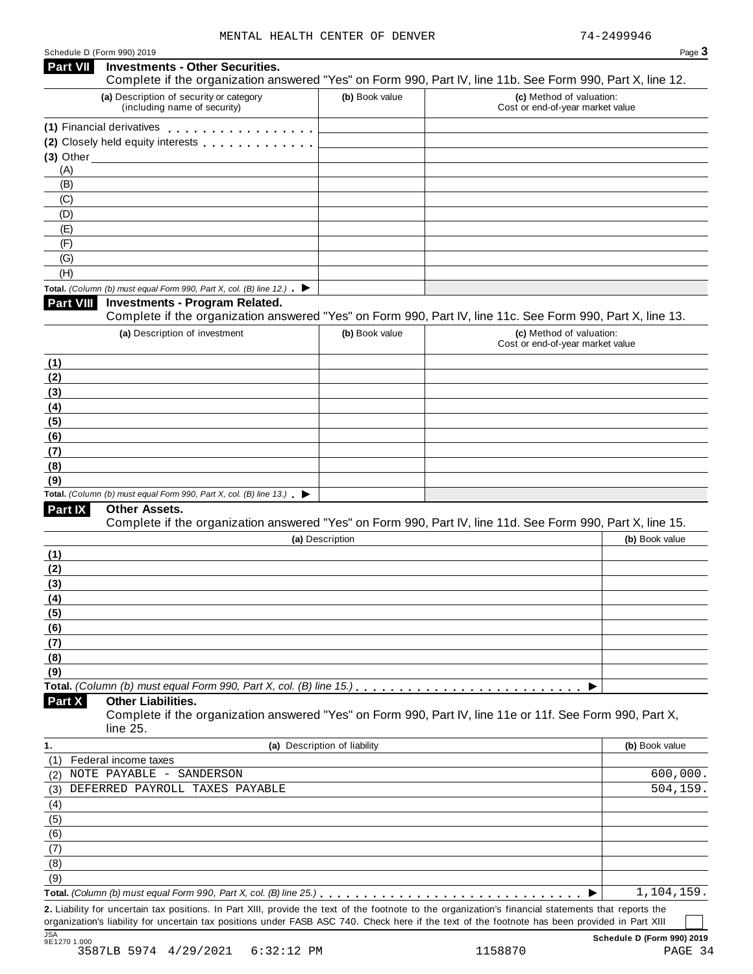| Schedule D (Form 990) 2019 |  |  |
|----------------------------|--|--|
|                            |  |  |

| Schedule D (Form 990) 2019                                                                                                                           |                              | Page 3                                                                                                     |
|------------------------------------------------------------------------------------------------------------------------------------------------------|------------------------------|------------------------------------------------------------------------------------------------------------|
| Part VII<br><b>Investments - Other Securities.</b>                                                                                                   |                              | Complete if the organization answered "Yes" on Form 990, Part IV, line 11b. See Form 990, Part X, line 12. |
| (a) Description of security or category<br>(including name of security)                                                                              | (b) Book value               | (c) Method of valuation:<br>Cost or end-of-year market value                                               |
| (1) Financial derivatives                                                                                                                            |                              |                                                                                                            |
| (2) Closely held equity interests                                                                                                                    |                              |                                                                                                            |
|                                                                                                                                                      |                              |                                                                                                            |
| (A)                                                                                                                                                  |                              |                                                                                                            |
| (B)                                                                                                                                                  |                              |                                                                                                            |
| (C)                                                                                                                                                  |                              |                                                                                                            |
| (D)                                                                                                                                                  |                              |                                                                                                            |
| (E)                                                                                                                                                  |                              |                                                                                                            |
| (F)<br>(G)                                                                                                                                           |                              |                                                                                                            |
| (H)                                                                                                                                                  |                              |                                                                                                            |
| Total. (Column (b) must equal Form 990, Part X, col. (B) line 12.) $\blacktriangleright$                                                             |                              |                                                                                                            |
| Part VIII<br><b>Investments - Program Related.</b>                                                                                                   |                              | Complete if the organization answered "Yes" on Form 990, Part IV, line 11c. See Form 990, Part X, line 13. |
| (a) Description of investment                                                                                                                        | (b) Book value               | (c) Method of valuation:                                                                                   |
|                                                                                                                                                      |                              | Cost or end-of-year market value                                                                           |
| (1)                                                                                                                                                  |                              |                                                                                                            |
| (2)                                                                                                                                                  |                              |                                                                                                            |
| (3)                                                                                                                                                  |                              |                                                                                                            |
| (4)                                                                                                                                                  |                              |                                                                                                            |
| (5)                                                                                                                                                  |                              |                                                                                                            |
| (6)                                                                                                                                                  |                              |                                                                                                            |
| (7)                                                                                                                                                  |                              |                                                                                                            |
| (8)                                                                                                                                                  |                              |                                                                                                            |
| (9)                                                                                                                                                  |                              |                                                                                                            |
| Total. (Column (b) must equal Form 990, Part X, col. (B) line $13$ .)                                                                                |                              |                                                                                                            |
| Part IX<br><b>Other Assets.</b>                                                                                                                      |                              | Complete if the organization answered "Yes" on Form 990, Part IV, line 11d. See Form 990, Part X, line 15. |
|                                                                                                                                                      | (a) Description              | (b) Book value                                                                                             |
| (1)                                                                                                                                                  |                              |                                                                                                            |
| (2)                                                                                                                                                  |                              |                                                                                                            |
| (3)                                                                                                                                                  |                              |                                                                                                            |
| (4)                                                                                                                                                  |                              |                                                                                                            |
| (5)                                                                                                                                                  |                              |                                                                                                            |
| (6)                                                                                                                                                  |                              |                                                                                                            |
| (7)                                                                                                                                                  |                              |                                                                                                            |
| (8)                                                                                                                                                  |                              |                                                                                                            |
| (9)                                                                                                                                                  |                              |                                                                                                            |
|                                                                                                                                                      |                              | ▶                                                                                                          |
| <b>Other Liabilities.</b><br>Part X<br>line 25.                                                                                                      |                              | Complete if the organization answered "Yes" on Form 990, Part IV, line 11e or 11f. See Form 990, Part X,   |
| 1.                                                                                                                                                   | (a) Description of liability | (b) Book value                                                                                             |
| Federal income taxes<br>(1)                                                                                                                          |                              |                                                                                                            |
| NOTE PAYABLE - SANDERSON<br>(2)                                                                                                                      |                              | 600,000.                                                                                                   |
| DEFERRED PAYROLL TAXES PAYABLE<br>(3)                                                                                                                |                              | 504,159.                                                                                                   |
| (4)                                                                                                                                                  |                              |                                                                                                            |
| (5)                                                                                                                                                  |                              |                                                                                                            |
| (6)                                                                                                                                                  |                              |                                                                                                            |
| (7)                                                                                                                                                  |                              |                                                                                                            |
| (8)                                                                                                                                                  |                              |                                                                                                            |
| (9)                                                                                                                                                  |                              |                                                                                                            |
|                                                                                                                                                      |                              | 1,104,159.                                                                                                 |
| 2. Liability for uncertain tax positions. In Part XIII, provide the text of the footnote to the organization's financial statements that reports the |                              |                                                                                                            |
| organization's liability for uncertain tax positions under FASB ASC 740. Check here if the text of the footnote has been provided in Part XIII       |                              |                                                                                                            |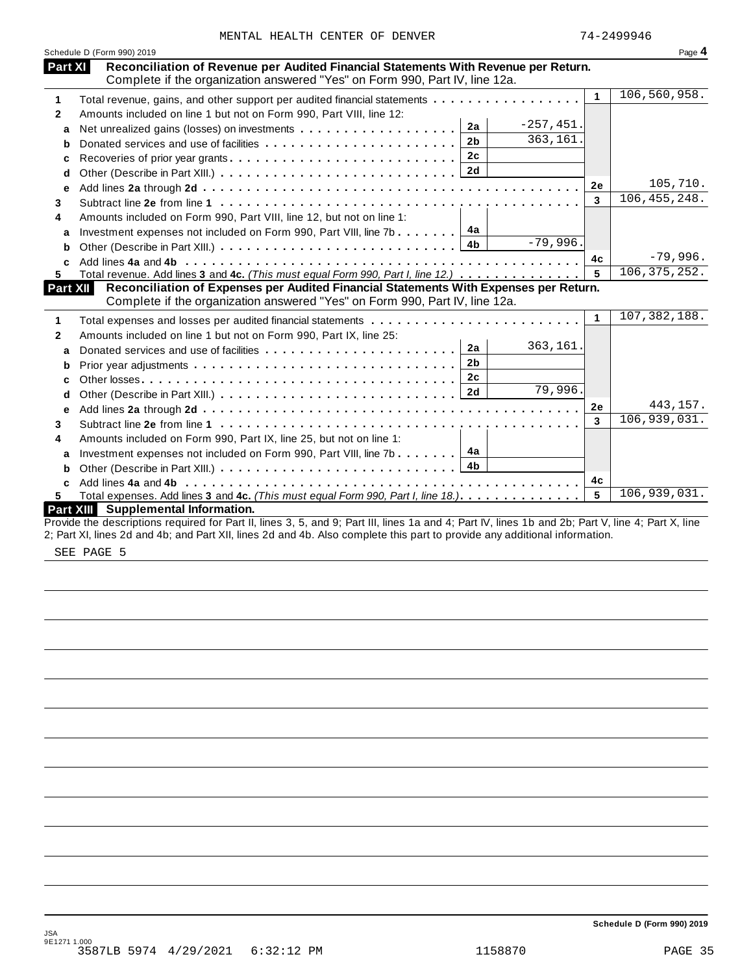|                 | Complete in the organization answered thes for norm 330, Farrity, filteriza.                                                                    |                |              |                |                |
|-----------------|-------------------------------------------------------------------------------------------------------------------------------------------------|----------------|--------------|----------------|----------------|
| 1               | Total revenue, gains, and other support per audited financial statements                                                                        |                |              | $\mathbf{1}$   | 106,560,958.   |
| $\mathbf{2}$    | Amounts included on line 1 but not on Form 990, Part VIII, line 12:                                                                             |                |              |                |                |
| a               |                                                                                                                                                 | 2a             | $-257, 451.$ |                |                |
| b               |                                                                                                                                                 | 2 <sub>b</sub> | 363,161      |                |                |
| C               | Recoveries of prior year grants                                                                                                                 | 2c             |              |                |                |
| d               |                                                                                                                                                 |                |              |                |                |
| е               |                                                                                                                                                 |                |              | 2e             | 105,710.       |
| 3               |                                                                                                                                                 |                |              | $\mathbf{3}$   | 106, 455, 248. |
| 4               | Amounts included on Form 990, Part VIII, line 12, but not on line 1:                                                                            |                |              |                |                |
| a               | Investment expenses not included on Form 990, Part VIII, line 7b                                                                                | 4a             |              |                |                |
| b               |                                                                                                                                                 | 4 <sub>b</sub> | $-79,996.$   |                |                |
|                 |                                                                                                                                                 |                |              | 4c             | $-79,996.$     |
| 5               | Total revenue. Add lines 3 and 4c. (This must equal Form 990, Part I, line 12.)                                                                 |                |              | 5              | 106, 375, 252. |
| <b>Part XII</b> | Reconciliation of Expenses per Audited Financial Statements With Expenses per Return.                                                           |                |              |                |                |
|                 | Complete if the organization answered "Yes" on Form 990, Part IV, line 12a.                                                                     |                |              |                |                |
| 1               |                                                                                                                                                 |                |              | $\mathbf{1}$   | 107, 382, 188. |
| $\mathbf{2}$    | Amounts included on line 1 but not on Form 990, Part IX, line 25:                                                                               |                |              |                |                |
| a               |                                                                                                                                                 | 2a             | 363,161.     |                |                |
| b               |                                                                                                                                                 | 2 <sub>b</sub> |              |                |                |
| c               |                                                                                                                                                 | 2c             |              |                |                |
| d               |                                                                                                                                                 | 2d             | 79,996.      |                |                |
| e               |                                                                                                                                                 |                |              | 2e             | 443,157.       |
| 3               |                                                                                                                                                 |                |              | 3              | 106,939,031.   |
| 4               | Amounts included on Form 990, Part IX, line 25, but not on line 1:                                                                              |                |              |                |                |
| a               | Investment expenses not included on Form 990, Part VIII, line 7b                                                                                | 4a             |              |                |                |
| b               |                                                                                                                                                 | 4 <sub>b</sub> |              |                |                |
|                 | Add lines 4a and 4b                                                                                                                             |                |              | 4 <sub>c</sub> |                |
| 5.              | Total expenses. Add lines 3 and 4c. (This must equal Form 990, Part I, line 18.)                                                                |                |              | 5              | 106,939,031.   |
|                 | Part XIII Supplemental Information.                                                                                                             |                |              |                |                |
|                 | ida tha dhaachatana naminad fan Dant II, linaa O. E. and O. Dant III, linaa da and de Dant IV, linaa dhe and Obe Dant V, Ilinaa de Dant V, Ilin |                |              |                |                |

**Reconciliation of Revenue per Audited Financial Statements With Revenue per Return.**

**Part XI** Reconciliation of Revenue per Audited Financial Statements With Revenue Complete if the organization answered "Yes" on Form 990, Part IV, line 12a.

Provide the descriptions required for Part II, lines 3, 5, and 9; Part III, lines 1a and 4; Part IV, lines 1b and 2b; Part V, line 4; Part X, line 2; Part XI, lines 2d and 4b; and Part XII, lines 2d and 4b. Also complete this part to provide any additional information.

SEE PAGE 5

Schedule D (Form 990) 2019

**Schedule D (Form 990) 2019**

| эΩ<br>ı |  |
|---------|--|
|         |  |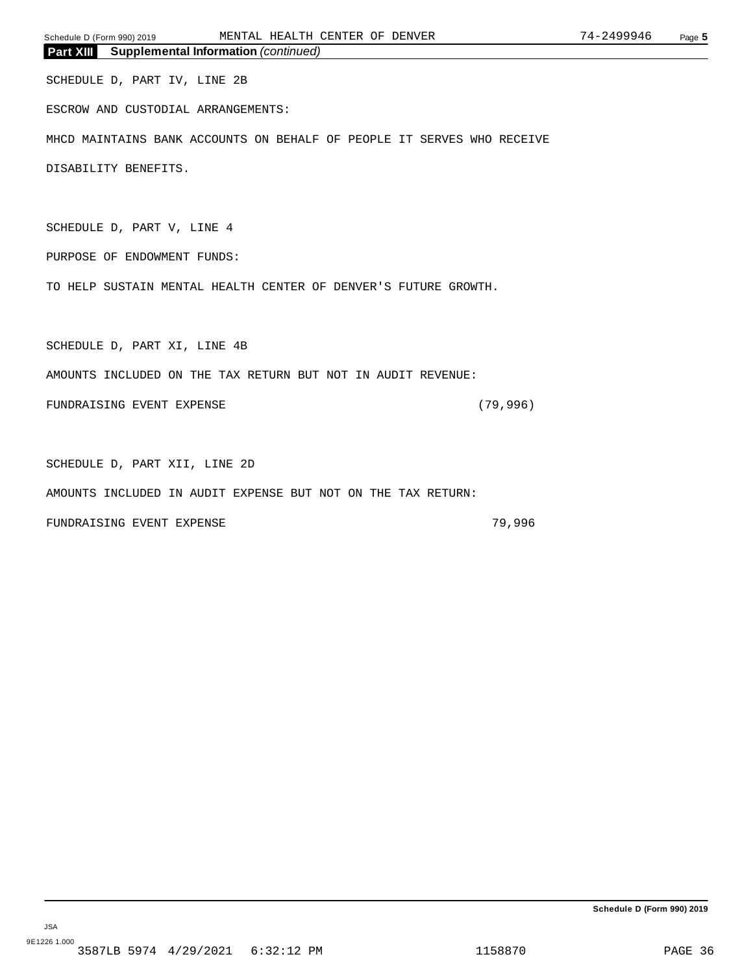SCHEDULE D, PART IV, LINE 2B

ESCROW AND CUSTODIAL ARRANGEMENTS:

MHCD MAINTAINS BANK ACCOUNTS ON BEHALF OF PEOPLE IT SERVES WHO RECEIVE

DISABILITY BENEFITS.

SCHEDULE D, PART V, LINE 4

PURPOSE OF ENDOWMENT FUNDS:

TO HELP SUSTAIN MENTAL HEALTH CENTER OF DENVER'S FUTURE GROWTH.

SCHEDULE D, PART XI, LINE 4B

AMOUNTS INCLUDED ON THE TAX RETURN BUT NOT IN AUDIT REVENUE:

FUNDRAISING EVENT EXPENSE (79,996)

SCHEDULE D, PART XII, LINE 2D

AMOUNTS INCLUDED IN AUDIT EXPENSE BUT NOT ON THE TAX RETURN:

FUNDRAISING EVENT EXPENSE **1996** 79,996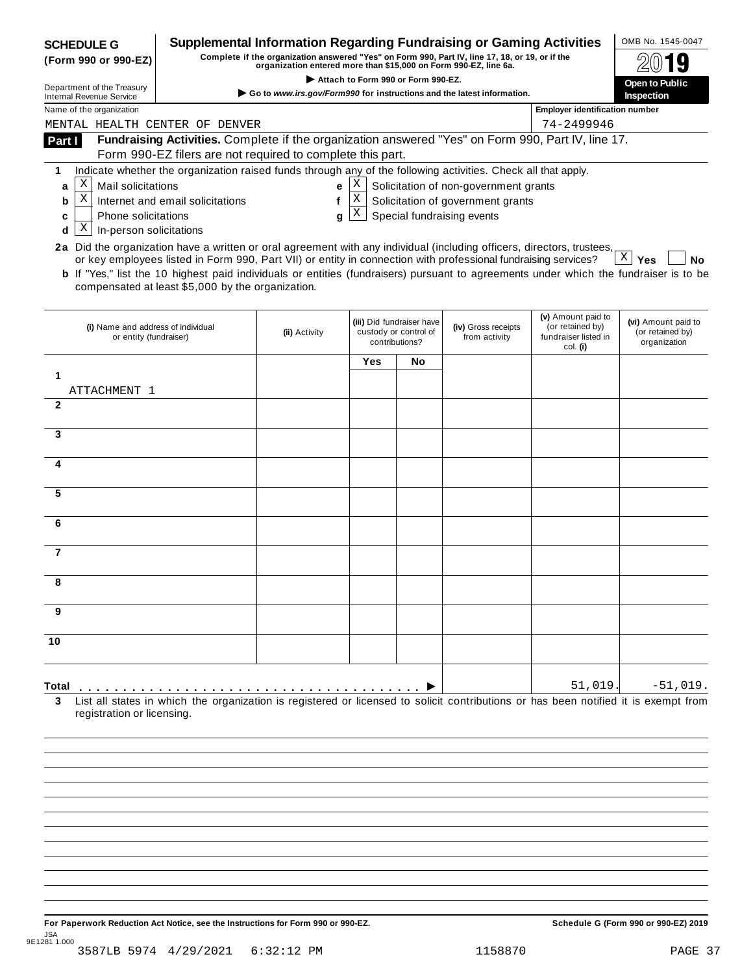| <b>SCHEDULE G</b><br>(Form 990 or 990-EZ)                    | <b>Supplemental Information Regarding Fundraising or Gaming Activities</b>                                                                                                                                                                                                                                          | organization entered more than \$15,000 on Form 990-EZ, line 6a. |                                    |                                                                      | Complete if the organization answered "Yes" on Form 990, Part IV, line 17, 18, or 19, or if the |                                                                            | OMB No. 1545-0047                                       |
|--------------------------------------------------------------|---------------------------------------------------------------------------------------------------------------------------------------------------------------------------------------------------------------------------------------------------------------------------------------------------------------------|------------------------------------------------------------------|------------------------------------|----------------------------------------------------------------------|-------------------------------------------------------------------------------------------------|----------------------------------------------------------------------------|---------------------------------------------------------|
| Department of the Treasury                                   |                                                                                                                                                                                                                                                                                                                     |                                                                  | Attach to Form 990 or Form 990-EZ. |                                                                      |                                                                                                 |                                                                            | Open to Public                                          |
| <b>Internal Revenue Service</b>                              |                                                                                                                                                                                                                                                                                                                     |                                                                  |                                    |                                                                      | Go to www.irs.gov/Form990 for instructions and the latest information.                          |                                                                            | Inspection                                              |
| Name of the organization<br>MENTAL HEALTH CENTER OF DENVER   |                                                                                                                                                                                                                                                                                                                     |                                                                  |                                    |                                                                      |                                                                                                 | <b>Employer identification number</b><br>74-2499946                        |                                                         |
| Part I                                                       | Fundraising Activities. Complete if the organization answered "Yes" on Form 990, Part IV, line 17.                                                                                                                                                                                                                  |                                                                  |                                    |                                                                      |                                                                                                 |                                                                            |                                                         |
|                                                              | Form 990-EZ filers are not required to complete this part.                                                                                                                                                                                                                                                          |                                                                  |                                    |                                                                      |                                                                                                 |                                                                            |                                                         |
| 1                                                            | Indicate whether the organization raised funds through any of the following activities. Check all that apply.                                                                                                                                                                                                       |                                                                  |                                    |                                                                      |                                                                                                 |                                                                            |                                                         |
| Χ<br>Mail solicitations<br>a                                 |                                                                                                                                                                                                                                                                                                                     | e                                                                | Χ                                  |                                                                      | Solicitation of non-government grants                                                           |                                                                            |                                                         |
| $\mathbf X$<br>b                                             | Internet and email solicitations                                                                                                                                                                                                                                                                                    | $\mathbf{f}$                                                     | Χ                                  |                                                                      | Solicitation of government grants                                                               |                                                                            |                                                         |
| <b>Phone solicitations</b><br>c<br>Χ                         |                                                                                                                                                                                                                                                                                                                     | q                                                                | Χ                                  |                                                                      | Special fundraising events                                                                      |                                                                            |                                                         |
| In-person solicitations<br>d                                 | 2a Did the organization have a written or oral agreement with any individual (including officers, directors, trustees,                                                                                                                                                                                              |                                                                  |                                    |                                                                      |                                                                                                 |                                                                            |                                                         |
|                                                              | or key employees listed in Form 990, Part VII) or entity in connection with professional fundraising services?<br><b>b</b> If "Yes," list the 10 highest paid individuals or entities (fundraisers) pursuant to agreements under which the fundraiser is to be<br>compensated at least \$5,000 by the organization. |                                                                  |                                    |                                                                      |                                                                                                 |                                                                            | $X \mid Y$ es<br>No                                     |
| (i) Name and address of individual<br>or entity (fundraiser) |                                                                                                                                                                                                                                                                                                                     | (ii) Activity                                                    |                                    | (iii) Did fundraiser have<br>custody or control of<br>contributions? | (iv) Gross receipts<br>from activity                                                            | (v) Amount paid to<br>(or retained by)<br>fundraiser listed in<br>col. (i) | (vi) Amount paid to<br>(or retained by)<br>organization |
|                                                              |                                                                                                                                                                                                                                                                                                                     |                                                                  | Yes                                | No                                                                   |                                                                                                 |                                                                            |                                                         |
| 1                                                            |                                                                                                                                                                                                                                                                                                                     |                                                                  |                                    |                                                                      |                                                                                                 |                                                                            |                                                         |
| ATTACHMENT 1<br>$\mathbf{2}$                                 |                                                                                                                                                                                                                                                                                                                     |                                                                  |                                    |                                                                      |                                                                                                 |                                                                            |                                                         |
|                                                              |                                                                                                                                                                                                                                                                                                                     |                                                                  |                                    |                                                                      |                                                                                                 |                                                                            |                                                         |
| 3                                                            |                                                                                                                                                                                                                                                                                                                     |                                                                  |                                    |                                                                      |                                                                                                 |                                                                            |                                                         |
|                                                              |                                                                                                                                                                                                                                                                                                                     |                                                                  |                                    |                                                                      |                                                                                                 |                                                                            |                                                         |
| 4                                                            |                                                                                                                                                                                                                                                                                                                     |                                                                  |                                    |                                                                      |                                                                                                 |                                                                            |                                                         |
| 5                                                            |                                                                                                                                                                                                                                                                                                                     |                                                                  |                                    |                                                                      |                                                                                                 |                                                                            |                                                         |
| 6                                                            |                                                                                                                                                                                                                                                                                                                     |                                                                  |                                    |                                                                      |                                                                                                 |                                                                            |                                                         |
|                                                              |                                                                                                                                                                                                                                                                                                                     |                                                                  |                                    |                                                                      |                                                                                                 |                                                                            |                                                         |
| 7                                                            |                                                                                                                                                                                                                                                                                                                     |                                                                  |                                    |                                                                      |                                                                                                 |                                                                            |                                                         |
| ŏ                                                            |                                                                                                                                                                                                                                                                                                                     |                                                                  |                                    |                                                                      |                                                                                                 |                                                                            |                                                         |
|                                                              |                                                                                                                                                                                                                                                                                                                     |                                                                  |                                    |                                                                      |                                                                                                 |                                                                            |                                                         |
| 9                                                            |                                                                                                                                                                                                                                                                                                                     |                                                                  |                                    |                                                                      |                                                                                                 |                                                                            |                                                         |
| 10                                                           |                                                                                                                                                                                                                                                                                                                     |                                                                  |                                    |                                                                      |                                                                                                 |                                                                            |                                                         |
|                                                              |                                                                                                                                                                                                                                                                                                                     |                                                                  |                                    |                                                                      |                                                                                                 |                                                                            |                                                         |
| Total                                                        |                                                                                                                                                                                                                                                                                                                     |                                                                  |                                    |                                                                      |                                                                                                 | 51,019.                                                                    | $-51,019$ .                                             |
| 3<br>registration or licensing.                              | List all states in which the organization is registered or licensed to solicit contributions or has been notified it is exempt from                                                                                                                                                                                 |                                                                  |                                    |                                                                      |                                                                                                 |                                                                            |                                                         |
|                                                              |                                                                                                                                                                                                                                                                                                                     |                                                                  |                                    |                                                                      |                                                                                                 |                                                                            |                                                         |
|                                                              |                                                                                                                                                                                                                                                                                                                     |                                                                  |                                    |                                                                      |                                                                                                 |                                                                            |                                                         |

For Paperwork Reduction Act Notice, see the Instructions for Form 990 or 990-EZ. Schedule G (Form 990 or 990-EZ) 2019 JSA 9E1281 1.000 3587LB 5974 4/29/2021 6:32:12 PM 1158870 PAGE 37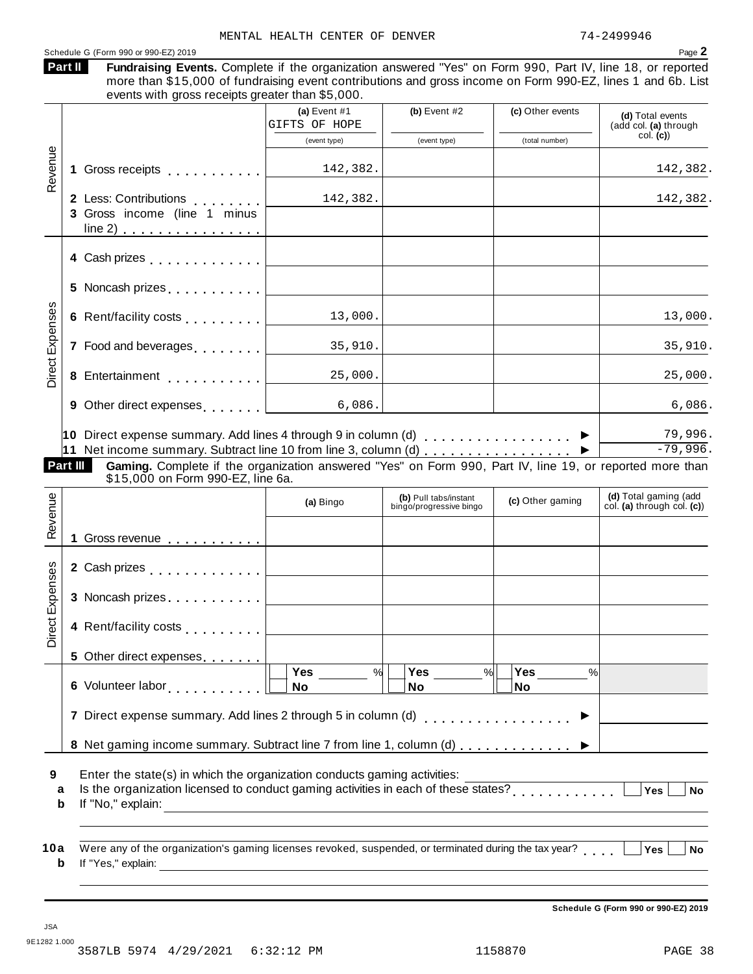|                                | Schedule G (Form 990 or 990-EZ) 2019                                                                                                                                                                                                                                                     | MENTAL HEALTH CENTER OF DENVER  |                                                  |                  | 74-2499946<br>Page 2                                 |
|--------------------------------|------------------------------------------------------------------------------------------------------------------------------------------------------------------------------------------------------------------------------------------------------------------------------------------|---------------------------------|--------------------------------------------------|------------------|------------------------------------------------------|
|                                | Part II<br>Fundraising Events. Complete if the organization answered "Yes" on Form 990, Part IV, line 18, or reported<br>more than \$15,000 of fundraising event contributions and gross income on Form 990-EZ, lines 1 and 6b. List<br>events with gross receipts greater than \$5,000. |                                 |                                                  |                  |                                                      |
|                                |                                                                                                                                                                                                                                                                                          | (a) Event $#1$<br>GIFTS OF HOPE | (b) Event $#2$                                   | (c) Other events | (d) Total events<br>(add col. (a) through            |
|                                |                                                                                                                                                                                                                                                                                          | (event type)                    | (event type)                                     | (total number)   | col. (c)                                             |
| Revenue                        |                                                                                                                                                                                                                                                                                          | 142,382.                        |                                                  |                  | 142,382.                                             |
|                                | 2 Less: Contributions                                                                                                                                                                                                                                                                    | 142,382.                        |                                                  |                  | 142,382.                                             |
|                                | 3 Gross income (line 1 minus<br>$line 2)$                                                                                                                                                                                                                                                |                                 |                                                  |                  |                                                      |
|                                | 4 Cash prizes experience and the contract of the contract of the contract of the contract of the contract of the contract of the contract of the contract of the contract of the contract of the contract of the contract of t                                                           |                                 |                                                  |                  |                                                      |
|                                | 5.                                                                                                                                                                                                                                                                                       |                                 |                                                  |                  |                                                      |
|                                |                                                                                                                                                                                                                                                                                          | 13,000.                         |                                                  |                  | 13,000.                                              |
| <b>Direct Expenses</b>         | 7 Food and beverages [1, 1, 1, 1]                                                                                                                                                                                                                                                        | 35,910.                         |                                                  |                  | 35,910.                                              |
|                                |                                                                                                                                                                                                                                                                                          | 25,000.                         |                                                  |                  | 25,000.                                              |
|                                | 9 Other direct expenses                                                                                                                                                                                                                                                                  | 6,086.                          |                                                  |                  | 6,086.                                               |
|                                | 11 Net income summary. Subtract line 10 from line 3, column (d) ▶<br>Gaming. Complete if the organization answered "Yes" on Form 990, Part IV, line 19, or reported more than<br>Part III<br>\$15,000 on Form 990-EZ, line 6a.                                                           |                                 |                                                  |                  | $-79,996.$                                           |
|                                |                                                                                                                                                                                                                                                                                          |                                 |                                                  |                  |                                                      |
|                                |                                                                                                                                                                                                                                                                                          | (a) Bingo                       | (b) Pull tabs/instant<br>bingo/progressive bingo | (c) Other gaming | (d) Total gaming (add<br>col. (a) through col. $(c)$ |
|                                |                                                                                                                                                                                                                                                                                          |                                 |                                                  |                  |                                                      |
|                                | 2 Cash prizes  <br>————————————————————                                                                                                                                                                                                                                                  |                                 |                                                  |                  |                                                      |
|                                | 3<br>Noncash prizes experiences                                                                                                                                                                                                                                                          |                                 |                                                  |                  |                                                      |
| Revenue<br>89<br>Direct Expens | 4 Rent/facility costs                                                                                                                                                                                                                                                                    |                                 |                                                  |                  |                                                      |
|                                | 5 Other direct expenses                                                                                                                                                                                                                                                                  |                                 |                                                  |                  |                                                      |
|                                |                                                                                                                                                                                                                                                                                          | Yes<br>%<br>No                  | Yes $\qquad \qquad \qquad$<br>%<br>No            | %<br>No          |                                                      |
|                                | 7 Direct expense summary. Add lines 2 through 5 in column (d)                                                                                                                                                                                                                            |                                 |                                                  | . <b>.</b> .     |                                                      |
|                                | 8 Net gaming income summary. Subtract line 7 from line 1, column (d)                                                                                                                                                                                                                     |                                 |                                                  |                  |                                                      |
| a                              | Enter the state(s) in which the organization conducts gaming activities:<br>$\frac{1}{2}$ is the organization licensed to conduct gaming activities in each of these states?                                                                                                             |                                 |                                                  |                  | Yes<br><b>No</b>                                     |
| 9<br>$\mathbf b$               | Were any of the organization's gaming licenses revoked, suspended, or terminated during the tax year?                                                                                                                                                                                    |                                 |                                                  |                  |                                                      |

JSA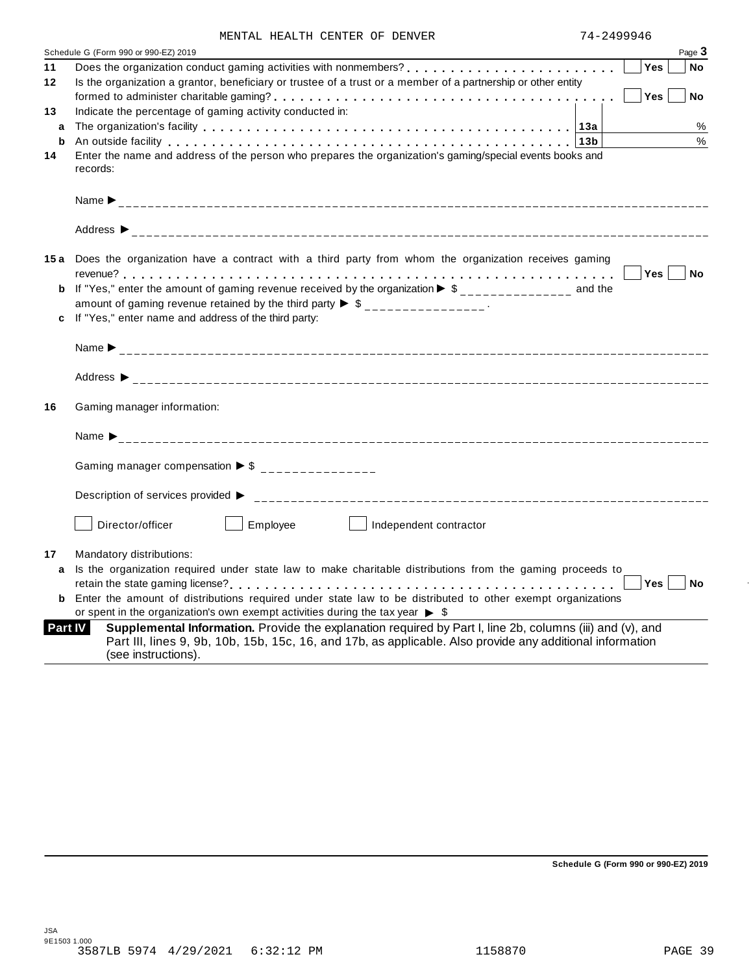| MENTAL HEALTH CENTER OF DENVER |
|--------------------------------|
|--------------------------------|

|                | MENIAL HEALIH CENIER OF DENVER                                                                                                                                                                                                                |                 |           |
|----------------|-----------------------------------------------------------------------------------------------------------------------------------------------------------------------------------------------------------------------------------------------|-----------------|-----------|
|                | Schedule G (Form 990 or 990-EZ) 2019                                                                                                                                                                                                          | Page 3          |           |
| 11             |                                                                                                                                                                                                                                               | <b>Yes</b>      | <b>No</b> |
| $12 \,$        | Is the organization a grantor, beneficiary or trustee of a trust or a member of a partnership or other entity                                                                                                                                 |                 |           |
|                |                                                                                                                                                                                                                                               | Yes             | No        |
| 13             | Indicate the percentage of gaming activity conducted in:                                                                                                                                                                                      |                 |           |
| a              |                                                                                                                                                                                                                                               |                 | %         |
|                |                                                                                                                                                                                                                                               |                 | %         |
| 14             | Enter the name and address of the person who prepares the organization's gaming/special events books and<br>records:                                                                                                                          |                 |           |
|                |                                                                                                                                                                                                                                               |                 |           |
|                |                                                                                                                                                                                                                                               |                 |           |
|                | 15a Does the organization have a contract with a third party from whom the organization receives gaming                                                                                                                                       |                 |           |
|                |                                                                                                                                                                                                                                               | $Yes$    <br>No |           |
|                | <b>b</b> If "Yes," enter the amount of gaming revenue received by the organization $\triangleright$ \$______________ and the                                                                                                                  |                 |           |
|                | amount of gaming revenue retained by the third party $\triangleright$ \$ _______________.                                                                                                                                                     |                 |           |
|                | c If "Yes," enter name and address of the third party:                                                                                                                                                                                        |                 |           |
|                |                                                                                                                                                                                                                                               |                 |           |
|                |                                                                                                                                                                                                                                               |                 |           |
| 16             | Gaming manager information:                                                                                                                                                                                                                   |                 |           |
|                |                                                                                                                                                                                                                                               |                 |           |
|                | Gaming manager compensation $\triangleright$ \$ ________________                                                                                                                                                                              |                 |           |
|                | Description of services provided ▶                                                                                                                                                                                                            |                 |           |
|                | Director/officer<br>Employee<br>Independent contractor                                                                                                                                                                                        |                 |           |
| 17             | Mandatory distributions:                                                                                                                                                                                                                      |                 |           |
| a              | Is the organization required under state law to make charitable distributions from the gaming proceeds to                                                                                                                                     |                 |           |
|                |                                                                                                                                                                                                                                               | Yes<br>No       |           |
| b              | Enter the amount of distributions required under state law to be distributed to other exempt organizations                                                                                                                                    |                 |           |
|                | or spent in the organization's own exempt activities during the tax year $\triangleright$ \$                                                                                                                                                  |                 |           |
| <b>Part IV</b> | Supplemental Information. Provide the explanation required by Part I, line 2b, columns (iii) and (v), and<br>Part III, lines 9, 9b, 10b, 15b, 15c, 16, and 17b, as applicable. Also provide any additional information<br>(see instructions). |                 |           |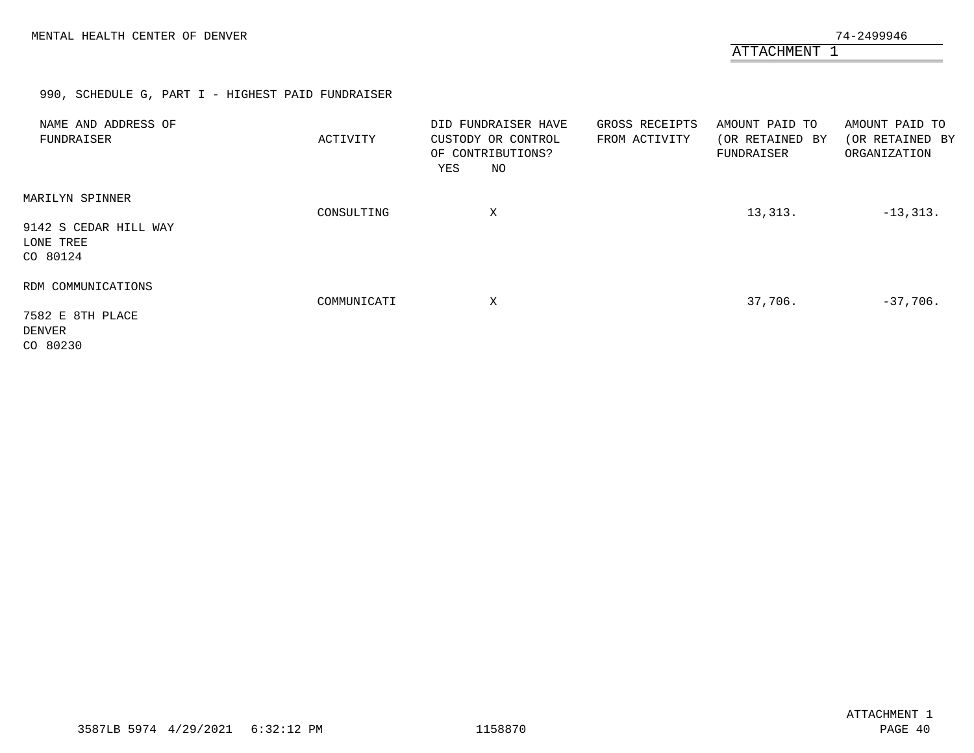## 990, SCHEDULE G, PART I - HIGHEST PAID FUNDRAISER

<span id="page-38-0"></span>

| NAME AND ADDRESS OF<br>FUNDRAISER                                 | ACTIVITY    | DID FUNDRAISER HAVE<br>CUSTODY OR CONTROL<br>OF CONTRIBUTIONS?<br>NO<br>YES | GROSS RECEIPTS<br>FROM ACTIVITY | AMOUNT PAID TO<br>(OR RETAINED BY<br>FUNDRAISER | AMOUNT PAID TO<br>(OR RETAINED BY<br>ORGANIZATION |
|-------------------------------------------------------------------|-------------|-----------------------------------------------------------------------------|---------------------------------|-------------------------------------------------|---------------------------------------------------|
| MARILYN SPINNER<br>9142 S CEDAR HILL WAY<br>LONE TREE<br>CO 80124 | CONSULTING  | Χ                                                                           |                                 | 13,313.                                         | $-13, 313.$                                       |
| RDM COMMUNICATIONS<br>7582 E 8TH PLACE<br>DENVER<br>CO 80230      | COMMUNICATI | Χ                                                                           |                                 | 37,706.                                         | $-37,706.$                                        |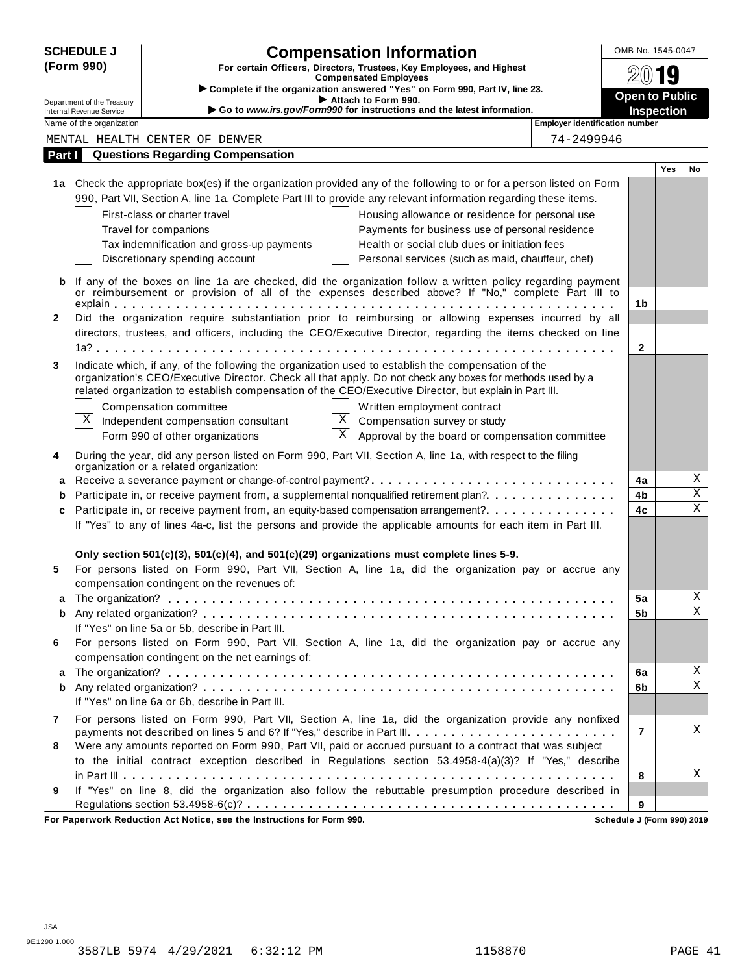|              | <b>SCHEDULE J</b>               |                                                  | <b>Compensation Information</b>                                                                                                                                                                                   |                                              | OMB No. 1545-0047     |                              |
|--------------|---------------------------------|--------------------------------------------------|-------------------------------------------------------------------------------------------------------------------------------------------------------------------------------------------------------------------|----------------------------------------------|-----------------------|------------------------------|
|              | (Form 990)                      |                                                  | For certain Officers, Directors, Trustees, Key Employees, and Highest                                                                                                                                             |                                              | 19                    |                              |
|              |                                 |                                                  | <b>Compensated Employees</b><br>> Complete if the organization answered "Yes" on Form 990, Part IV, line 23.                                                                                                      |                                              |                       |                              |
|              | Department of the Treasury      |                                                  | Attach to Form 990.                                                                                                                                                                                               |                                              | <b>Open to Public</b> |                              |
|              | <b>Internal Revenue Service</b> |                                                  | Go to www.irs.gov/Form990 for instructions and the latest information.                                                                                                                                            |                                              | <b>Inspection</b>     |                              |
|              | Name of the organization        | MENTAL HEALTH CENTER OF DENVER                   |                                                                                                                                                                                                                   | Employer identification number<br>74-2499946 |                       |                              |
| Part I       |                                 | <b>Questions Regarding Compensation</b>          |                                                                                                                                                                                                                   |                                              |                       |                              |
|              |                                 |                                                  |                                                                                                                                                                                                                   |                                              | <b>Yes</b>            | No                           |
|              |                                 |                                                  | 1a Check the appropriate box(es) if the organization provided any of the following to or for a person listed on Form                                                                                              |                                              |                       |                              |
|              |                                 |                                                  | 990, Part VII, Section A, line 1a. Complete Part III to provide any relevant information regarding these items.                                                                                                   |                                              |                       |                              |
|              |                                 | First-class or charter travel                    | Housing allowance or residence for personal use                                                                                                                                                                   |                                              |                       |                              |
|              |                                 | Travel for companions                            | Payments for business use of personal residence                                                                                                                                                                   |                                              |                       |                              |
|              |                                 | Tax indemnification and gross-up payments        | Health or social club dues or initiation fees                                                                                                                                                                     |                                              |                       |                              |
|              |                                 | Discretionary spending account                   | Personal services (such as maid, chauffeur, chef)                                                                                                                                                                 |                                              |                       |                              |
|              |                                 |                                                  |                                                                                                                                                                                                                   |                                              |                       |                              |
|              |                                 |                                                  | If any of the boxes on line 1a are checked, did the organization follow a written policy regarding payment<br>or reimbursement or provision of all of the expenses described above? If "No," complete Part III to |                                              |                       |                              |
|              |                                 |                                                  |                                                                                                                                                                                                                   |                                              | 1b                    |                              |
| $\mathbf{2}$ |                                 |                                                  | Did the organization require substantiation prior to reimbursing or allowing expenses incurred by all                                                                                                             |                                              |                       |                              |
|              |                                 |                                                  | directors, trustees, and officers, including the CEO/Executive Director, regarding the items checked on line                                                                                                      |                                              |                       |                              |
|              |                                 |                                                  |                                                                                                                                                                                                                   |                                              | 2                     |                              |
| 3            |                                 |                                                  | Indicate which, if any, of the following the organization used to establish the compensation of the                                                                                                               |                                              |                       |                              |
|              |                                 |                                                  | organization's CEO/Executive Director. Check all that apply. Do not check any boxes for methods used by a                                                                                                         |                                              |                       |                              |
|              |                                 |                                                  | related organization to establish compensation of the CEO/Executive Director, but explain in Part III.                                                                                                            |                                              |                       |                              |
|              |                                 | Compensation committee                           | Written employment contract                                                                                                                                                                                       |                                              |                       |                              |
|              | X                               | Independent compensation consultant              | $\mathbf{x}$<br>Compensation survey or study                                                                                                                                                                      |                                              |                       |                              |
|              |                                 | Form 990 of other organizations                  | $\overline{\mathbf{x}}$<br>Approval by the board or compensation committee                                                                                                                                        |                                              |                       |                              |
| 4            |                                 |                                                  | During the year, did any person listed on Form 990, Part VII, Section A, line 1a, with respect to the filing                                                                                                      |                                              |                       |                              |
|              |                                 | organization or a related organization:          |                                                                                                                                                                                                                   |                                              |                       |                              |
| a            |                                 |                                                  |                                                                                                                                                                                                                   |                                              | 4a                    | Χ<br>$\overline{\mathbf{x}}$ |
| b            |                                 |                                                  | Participate in, or receive payment from, a supplemental nonqualified retirement plan?                                                                                                                             |                                              | 4b                    | $\mathbf X$                  |
| c            |                                 |                                                  | Participate in, or receive payment from, an equity-based compensation arrangement?                                                                                                                                |                                              | 4c                    |                              |
|              |                                 |                                                  | If "Yes" to any of lines 4a-c, list the persons and provide the applicable amounts for each item in Part III.                                                                                                     |                                              |                       |                              |
|              |                                 |                                                  | Only section $501(c)(3)$ , $501(c)(4)$ , and $501(c)(29)$ organizations must complete lines 5-9.                                                                                                                  |                                              |                       |                              |
| 5            |                                 |                                                  | For persons listed on Form 990, Part VII, Section A, line 1a, did the organization pay or accrue any                                                                                                              |                                              |                       |                              |
|              |                                 | compensation contingent on the revenues of:      |                                                                                                                                                                                                                   |                                              |                       |                              |
| a            |                                 |                                                  |                                                                                                                                                                                                                   |                                              | 5a                    | Χ                            |
| b            |                                 |                                                  |                                                                                                                                                                                                                   |                                              | 5b                    | Χ                            |
|              |                                 | If "Yes" on line 5a or 5b, describe in Part III. |                                                                                                                                                                                                                   |                                              |                       |                              |
| 6            |                                 |                                                  | For persons listed on Form 990, Part VII, Section A, line 1a, did the organization pay or accrue any                                                                                                              |                                              |                       |                              |
|              |                                 | compensation contingent on the net earnings of:  |                                                                                                                                                                                                                   |                                              |                       |                              |
| a            |                                 |                                                  |                                                                                                                                                                                                                   |                                              | 6a                    | Χ                            |
| b            |                                 |                                                  |                                                                                                                                                                                                                   |                                              | 6b                    | X                            |
|              |                                 | If "Yes" on line 6a or 6b, describe in Part III. |                                                                                                                                                                                                                   |                                              |                       |                              |
| 7            |                                 |                                                  | For persons listed on Form 990, Part VII, Section A, line 1a, did the organization provide any nonfixed                                                                                                           |                                              |                       |                              |
|              |                                 |                                                  | payments not described on lines 5 and 6? If "Yes," describe in Part III.                                                                                                                                          |                                              | 7                     | X                            |
| 8            |                                 |                                                  | Were any amounts reported on Form 990, Part VII, paid or accrued pursuant to a contract that was subject                                                                                                          |                                              |                       |                              |
|              |                                 |                                                  | to the initial contract exception described in Regulations section 53.4958-4(a)(3)? If "Yes," describe                                                                                                            |                                              |                       |                              |
|              |                                 |                                                  |                                                                                                                                                                                                                   |                                              | 8                     | Χ                            |
|              |                                 |                                                  | If "Yes" on line 8, did the organization also follow the rebuttable presumption procedure described in                                                                                                            |                                              |                       |                              |
| 9            |                                 |                                                  |                                                                                                                                                                                                                   |                                              | 9                     |                              |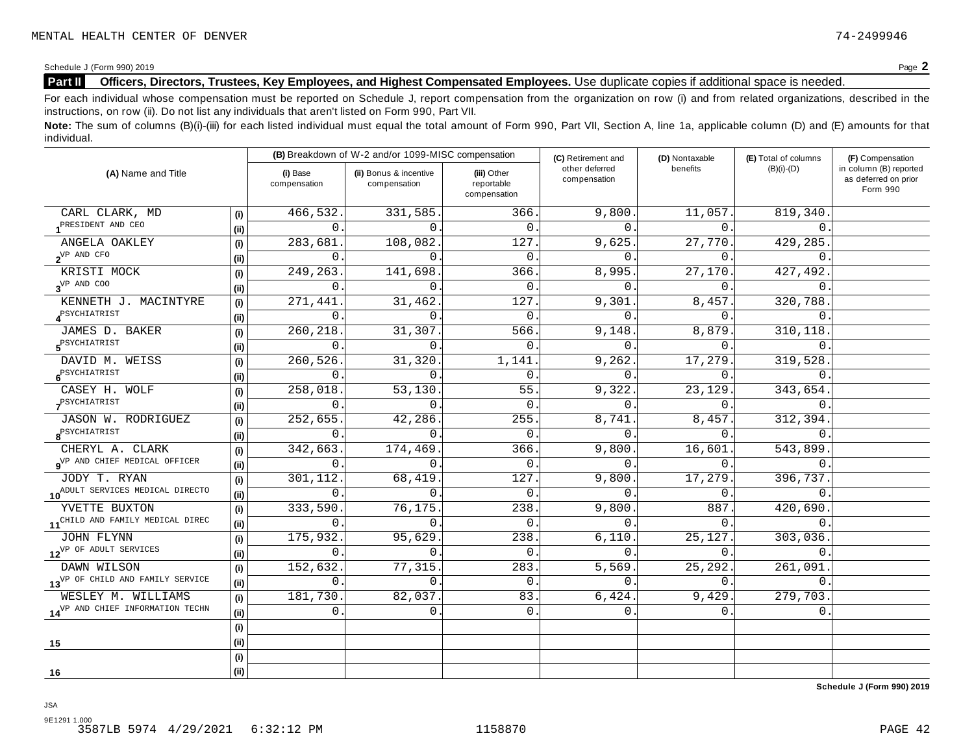## **Part II Officers, Directors, Trustees, Key Employees, and Highest Compensated Employees.** Use duplicate copies ifadditional space is needed.

For each individual whose compensation must be reported on Schedule J, report compensation from the organization on row (i) and from related organizations, described in the instructions, on row (ii). Do not list any individuals that aren't listed on Form 990, Part VII.

Note: The sum of columns (B)(i)-(iii) for each listed individual must equal the total amount of Form 990, Part VII, Section A, line 1a, applicable column (D) and (E) amounts for that individual.

|                                              |      |                          | (B) Breakdown of W-2 and/or 1099-MISC compensation |                                           | (C) Retirement and             | (D) Nontaxable | (E) Total of columns | (F) Compensation                                           |
|----------------------------------------------|------|--------------------------|----------------------------------------------------|-------------------------------------------|--------------------------------|----------------|----------------------|------------------------------------------------------------|
| (A) Name and Title                           |      | (i) Base<br>compensation | (ii) Bonus & incentive<br>compensation             | (iii) Other<br>reportable<br>compensation | other deferred<br>compensation | benefits       | $(B)(i)-(D)$         | in column (B) reported<br>as deferred on prior<br>Form 990 |
| CARL CLARK, MD                               | (i)  | 466,532                  | 331,585.                                           | 366                                       | 9,800                          | 11,057.        | 819,340              |                                                            |
| PRESIDENT AND CEO                            | (i)  | $\Omega$                 | $\Omega$                                           | $\mathbf 0$                               | 0                              | $0$ .          | 0                    |                                                            |
| ANGELA OAKLEY                                | (i)  | 283,681                  | 108,082                                            | 127                                       | 9,625                          | 27,770.        | 429,285.             |                                                            |
| $2^{\text{VP}$ AND CFO                       | (ii) | $\Omega$                 | $\Omega$                                           | $\Omega$                                  | <sup>n</sup>                   | $\Omega$ .     | $\Omega$             |                                                            |
| KRISTI MOCK                                  | (i)  | 249,263                  | 141,698                                            | 366                                       | 8,995                          | 27,170.        | 427,492              |                                                            |
| $3^{VP}$ AND COO                             | (ii) | 0                        | $\Omega$ .                                         | $\mathbf{0}$                              | 0                              | 0.             | $\Omega$ .           |                                                            |
| KENNETH J. MACINTYRE                         | (i)  | 271,441                  | 31,462                                             | 127                                       | 9,301                          | 8,457.         | 320,788              |                                                            |
| <b>A</b> <sup>PSYCHIATRIST</sup>             | (i)  | $\Omega$                 | $\Omega$ .                                         | $\Omega$                                  | $\Omega$ .                     | $0$ .          | $\mathbf{0}$ .       |                                                            |
| JAMES D. BAKER                               | (i)  | 260,218                  | 31,307                                             | 566                                       | 9,148                          | 8,879.         | 310, 118             |                                                            |
| 5 <sup>PSYCHIATRIST</sup>                    | (i)  | 0                        | 0                                                  | $\mathbf{0}$                              | 0.                             | 0.             | $\mathbf 0$ .        |                                                            |
| DAVID M. WEISS                               | (i)  | 260,526                  | 31,320                                             | 1,141                                     | 9,262                          | 17,279.        | 319,528              |                                                            |
| 6 <sup>PSYCHIATRIST</sup>                    | (ii) | 0                        | $\mathbf{0}$                                       | 0                                         | $\mathbf{0}$                   | 0.             | $\mathbf{0}$ .       |                                                            |
| CASEY H. WOLF                                | (i)  | 258,018                  | 53,130.                                            | 55                                        | 9,322                          | 23,129.        | 343,654.             |                                                            |
| PSYCHIATRIST                                 | (ii) | $\Omega$                 | $\Omega$                                           | $\Omega$                                  | $\Omega$                       | $0$ .          | $\Omega$ .           |                                                            |
| JASON W. RODRIGUEZ                           | (i)  | 252,655                  | 42,286.                                            | 255                                       | 8,741                          | 8,457.         | 312,394.             |                                                            |
| $\boldsymbol{8}^{\text{PSYCHIATRIST}}$       | (ii) | $\Omega$                 | $\Omega$                                           | $\Omega$                                  | $\Omega$                       | $\Omega$ .     | $\Omega$             |                                                            |
| CHERYL A. CLARK                              | (i)  | 342,663                  | 174,469                                            | 366                                       | 9,800                          | 16,601.        | 543,899              |                                                            |
| OVP AND CHIEF MEDICAL OFFICER                | (ii) | $\Omega$                 | $\Omega$ .                                         | $\mathbf{0}$                              | 0                              | 0.             | $\Omega$             |                                                            |
| JODY T. RYAN                                 | (i)  | 301,112                  | 68,419                                             | 127                                       | 9,800                          | 17,279.        | 396,737.             |                                                            |
| 10 <sup>ADULT</sup> SERVICES MEDICAL DIRECTO | (i)  | $\Omega$                 | $\Omega$ .                                         | $\Omega$                                  | $\Omega$                       | $\Omega$ .     | $\Omega$ .           |                                                            |
| YVETTE BUXTON                                | (i)  | 333,590                  | 76,175                                             | 238                                       | 9,800                          | 887            | 420,690              |                                                            |
| 11 <sup>CHILD</sup> AND FAMILY MEDICAL DIREC | (ii) | $\Omega$                 | $\Omega$                                           | $\Omega$                                  | $\Omega$                       | 0.             | $\Omega$             |                                                            |
| JOHN FLYNN                                   | (i)  | 175,932                  | 95,629                                             | 238                                       | 6,110.                         | 25,127.        | 303,036.             |                                                            |
| 12 <sup>VP OF</sup> ADULT SERVICES           | (ii) | 0                        | $\Omega$                                           | $\Omega$                                  | $\Omega$                       | 0.             | $\Omega$ .           |                                                            |
| DAWN WILSON                                  | (i)  | 152,632                  | 77,315.                                            | 283                                       | 5,569                          | 25, 292.       | 261,091              |                                                            |
| 13 <sup>VP</sup> OF CHILD AND FAMILY SERVICE | (ii) | 0                        | $\Omega$ .                                         | $\mathbf 0$                               | $\Omega$                       | 0.             | $\overline{0}$ .     |                                                            |
| WESLEY M. WILLIAMS                           | (i)  | 181,730                  | 82,037.                                            | 83                                        | 6, 424.                        | 9,429.         | 279,703.             |                                                            |
| 14 <sup>VP</sup> AND CHIEF INFORMATION TECHN | (ii) | 0                        | 0.                                                 | $\mathbf 0$ .                             | 0.                             | 0.             | 0.                   |                                                            |
|                                              | (i)  |                          |                                                    |                                           |                                |                |                      |                                                            |
| 15                                           | (ii) |                          |                                                    |                                           |                                |                |                      |                                                            |
|                                              | (i)  |                          |                                                    |                                           |                                |                |                      |                                                            |
| 16                                           | (ii) |                          |                                                    |                                           |                                |                |                      |                                                            |

**Schedule J (Form 990) 2019**

JSA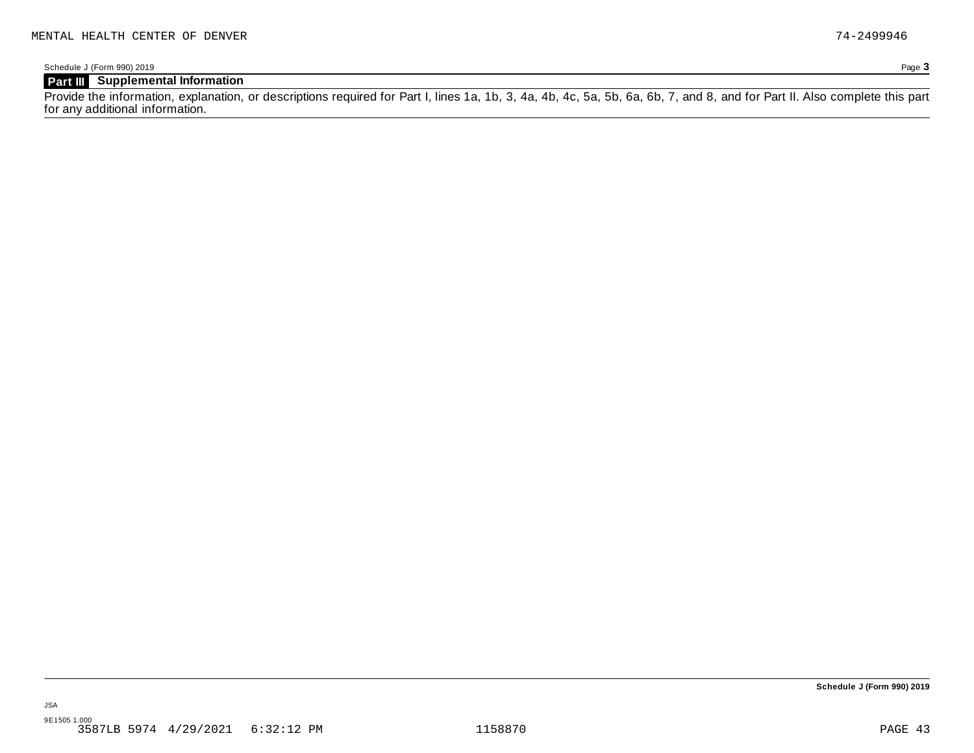## **Part III Supplemental Information**

Provide the information, explanation, or descriptions required for Part I, lines 1a, 1b, 3, 4a, 4b, 4c, 5a, 5b, 6a, 6b, 7, and 8, and for Part II. Also complete this part for any additional information.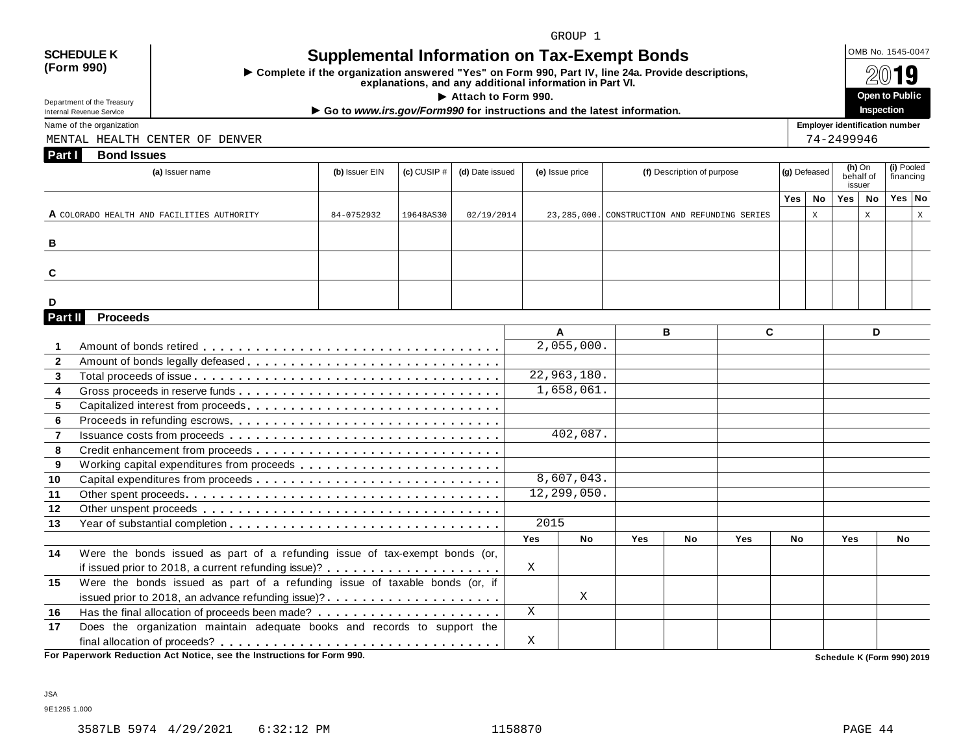## **(Form 990)**

## SCHEDULE K  $\bigcup_{\text{OMB No. 1545-0047}}$  **Supplemental Information on Tax-Exempt Bonds**

 $\triangleright$  Complete if the organization answered "Yes" on Form 990, Part IV, line 24a. Provide descriptions,<br>explanations, and any additional information in Part VI.

Department of the Treasury<br>Internal Revenue Service

Department of the Treasury<br>
Inspection<br>
Name of the organization<br>
Name of the organization

MENTAL HEALTH CENTER OF DENVER 74-2499946

| (a) Issuer name                            | (b) Issuer EIN | $\left( c\right)$ CUSIP $\#$ | (d) Date issued | (e) Issue price | (f) Description of purpose                      | $ $ (g) Defeased $ $ |    |     | (h) On<br>behalf of<br>issuer | (i) Pooled<br>financing |  |
|--------------------------------------------|----------------|------------------------------|-----------------|-----------------|-------------------------------------------------|----------------------|----|-----|-------------------------------|-------------------------|--|
|                                            |                |                              |                 |                 |                                                 | $Yes \mid$           | No | Yes | No                            | Yes No                  |  |
| A COLORADO HEALTH AND FACILITIES AUTHORITY | 84-0752932     | 19648AS30                    | 02/19/2014      |                 | 23, 285, 000. CONSTRUCTION AND REFUNDING SERIES |                      | Χ  |     | A                             |                         |  |
|                                            |                |                              |                 |                 |                                                 |                      |    |     |                               |                         |  |
| B                                          |                |                              |                 |                 |                                                 |                      |    |     |                               |                         |  |
|                                            |                |                              |                 |                 |                                                 |                      |    |     |                               |                         |  |
| C                                          |                |                              |                 |                 |                                                 |                      |    |     |                               |                         |  |
|                                            |                |                              |                 |                 |                                                 |                      |    |     |                               |                         |  |
| D                                          |                |                              |                 |                 |                                                 |                      |    |     |                               |                         |  |

|                |                                                                             |            | A           |            | в         |            | C.        |            | D         |
|----------------|-----------------------------------------------------------------------------|------------|-------------|------------|-----------|------------|-----------|------------|-----------|
|                |                                                                             |            | 2,055,000.  |            |           |            |           |            |           |
| $\overline{2}$ |                                                                             |            |             |            |           |            |           |            |           |
| $\overline{3}$ |                                                                             |            | 22,963,180. |            |           |            |           |            |           |
| 4              | Gross proceeds in reserve funds                                             |            | 1,658,061.  |            |           |            |           |            |           |
| 5              |                                                                             |            |             |            |           |            |           |            |           |
| 6              |                                                                             |            |             |            |           |            |           |            |           |
| $\overline{7}$ |                                                                             |            | 402,087.    |            |           |            |           |            |           |
| 8              |                                                                             |            |             |            |           |            |           |            |           |
| 9              |                                                                             |            |             |            |           |            |           |            |           |
| 10             |                                                                             |            | 8,607,043.  |            |           |            |           |            |           |
| 11             |                                                                             |            | 12,299,050. |            |           |            |           |            |           |
| 12             |                                                                             |            |             |            |           |            |           |            |           |
| 13             |                                                                             | 2015       |             |            |           |            |           |            |           |
|                |                                                                             | <b>Yes</b> | <b>No</b>   | <b>Yes</b> | <b>No</b> | <b>Yes</b> | <b>No</b> | <b>Yes</b> | <b>No</b> |
| 14             | Were the bonds issued as part of a refunding issue of tax-exempt bonds (or, |            |             |            |           |            |           |            |           |
|                |                                                                             | X          |             |            |           |            |           |            |           |
| 15             | Were the bonds issued as part of a refunding issue of taxable bonds (or, if |            |             |            |           |            |           |            |           |
|                | issued prior to 2018, an advance refunding issue)?                          |            | X           |            |           |            |           |            |           |
| 16             |                                                                             | X          |             |            |           |            |           |            |           |
| 17             | Does the organization maintain adequate books and records to support the    |            |             |            |           |            |           |            |           |
|                |                                                                             | X          |             |            |           |            |           |            |           |

JSA

9E1295 1.000

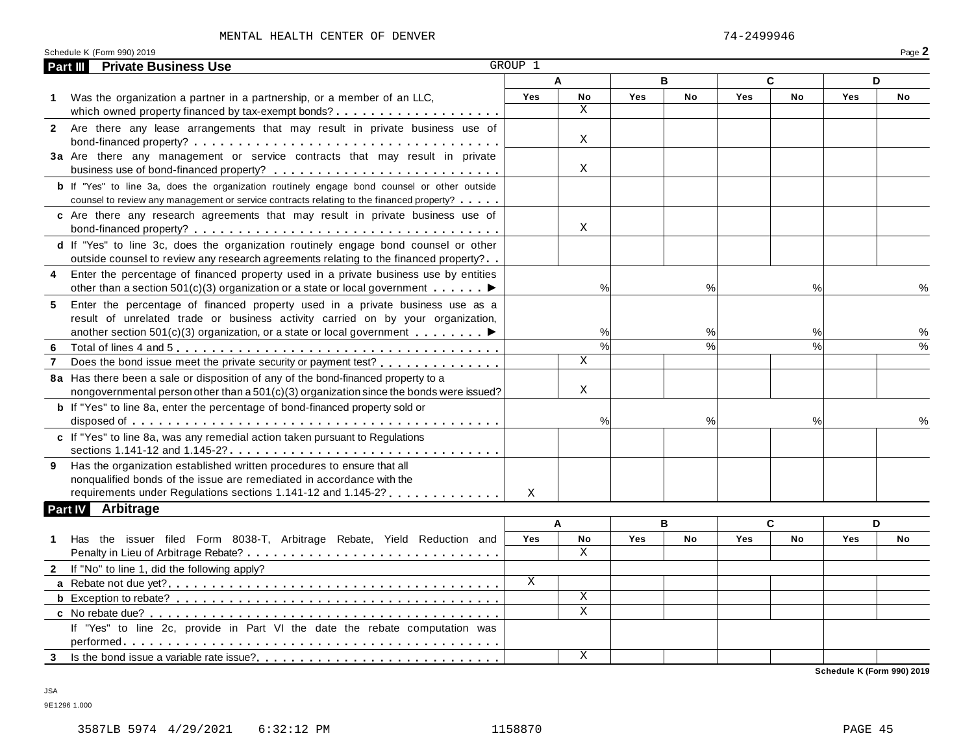### MENTAL HEALTH CENTER OF DENVER 74-2499946

| Schedule K (Form 990) 2019 | Dogo<br>-aue . |
|----------------------------|----------------|
|                            |                |

| Part III       | <b>Private Business Use</b>                                                                                                                                                                                                                                | GROUP 1      |                 |            |      |     |               |            |    |
|----------------|------------------------------------------------------------------------------------------------------------------------------------------------------------------------------------------------------------------------------------------------------------|--------------|-----------------|------------|------|-----|---------------|------------|----|
|                |                                                                                                                                                                                                                                                            |              | A               |            | B    |     | C             |            | D  |
| 1.             | Was the organization a partner in a partnership, or a member of an LLC,                                                                                                                                                                                    | Yes          | No              | <b>Yes</b> | No   | Yes | No            | <b>Yes</b> | No |
|                |                                                                                                                                                                                                                                                            |              | X               |            |      |     |               |            |    |
|                | 2 Are there any lease arrangements that may result in private business use of                                                                                                                                                                              |              | X               |            |      |     |               |            |    |
|                | 3a Are there any management or service contracts that may result in private                                                                                                                                                                                |              | Χ               |            |      |     |               |            |    |
|                | <b>b</b> If "Yes" to line 3a, does the organization routinely engage bond counsel or other outside<br>counsel to review any management or service contracts relating to the financed property?                                                             |              |                 |            |      |     |               |            |    |
|                | c Are there any research agreements that may result in private business use of                                                                                                                                                                             |              | Χ               |            |      |     |               |            |    |
|                | d If "Yes" to line 3c, does the organization routinely engage bond counsel or other<br>outside counsel to review any research agreements relating to the financed property?                                                                                |              |                 |            |      |     |               |            |    |
| 4              | Enter the percentage of financed property used in a private business use by entities<br>other than a section 501(c)(3) organization or a state or local government $\dots \dots$                                                                           |              | %               |            | %    |     | %             |            | %  |
| 5              | Enter the percentage of financed property used in a private business use as a<br>result of unrelated trade or business activity carried on by your organization,<br>another section 501(c)(3) organization, or a state or local government $\ldots \ldots$ |              | %               |            | %    |     | %             |            | ℅  |
| 6              |                                                                                                                                                                                                                                                            |              | $\overline{\%}$ |            | %    |     | $\frac{0}{0}$ |            |    |
| $\overline{7}$ | Does the bond issue meet the private security or payment test?                                                                                                                                                                                             |              | X               |            |      |     |               |            |    |
|                | 8a Has there been a sale or disposition of any of the bond-financed property to a<br>nongovernmental person other than a 501(c)(3) organization since the bonds were issued?                                                                               |              | X               |            |      |     |               |            |    |
|                | <b>b</b> If "Yes" to line 8a, enter the percentage of bond-financed property sold or                                                                                                                                                                       |              | %               |            | $\%$ |     | %             |            |    |
|                | c If "Yes" to line 8a, was any remedial action taken pursuant to Regulations                                                                                                                                                                               |              |                 |            |      |     |               |            |    |
| 9              | Has the organization established written procedures to ensure that all<br>nonqualified bonds of the issue are remediated in accordance with the                                                                                                            |              |                 |            |      |     |               |            |    |
|                | requirements under Regulations sections 1.141-12 and 1.145-2?                                                                                                                                                                                              | X            |                 |            |      |     |               |            |    |
|                | <b>Part IV Arbitrage</b>                                                                                                                                                                                                                                   |              |                 |            |      |     |               |            |    |
|                |                                                                                                                                                                                                                                                            |              | A               |            | B    |     | C             |            | D  |
| 1.             | Has the issuer filed Form 8038-T, Arbitrage Rebate, Yield Reduction and                                                                                                                                                                                    | Yes          | No<br>X         | Yes        | No   | Yes | No            | <b>Yes</b> | No |
|                | 2 If "No" to line 1, did the following apply?                                                                                                                                                                                                              |              |                 |            |      |     |               |            |    |
|                |                                                                                                                                                                                                                                                            | $\mathbf{X}$ |                 |            |      |     |               |            |    |
|                |                                                                                                                                                                                                                                                            |              | Χ               |            |      |     |               |            |    |
|                |                                                                                                                                                                                                                                                            |              | X               |            |      |     |               |            |    |
|                | If "Yes" to line 2c, provide in Part VI the date the rebate computation was                                                                                                                                                                                |              |                 |            |      |     |               |            |    |
|                |                                                                                                                                                                                                                                                            |              | Χ               |            |      |     |               |            |    |

JSA

9E1296 1.000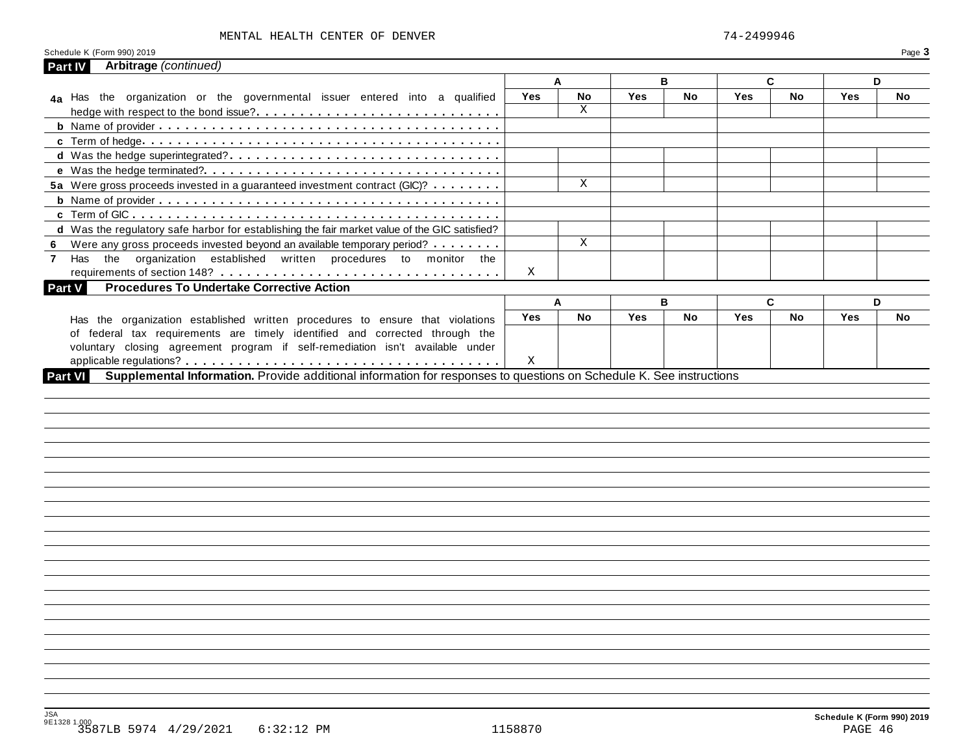### MENTAL HEALTH CENTER OF DENVER 74-2499946

| Arbitrage (continued)<br><b>Part IV</b>                                                       |            |           |     |    |                                                                                                                     |              |     |     |
|-----------------------------------------------------------------------------------------------|------------|-----------|-----|----|---------------------------------------------------------------------------------------------------------------------|--------------|-----|-----|
|                                                                                               |            | A         |     | B  |                                                                                                                     | C            |     | D   |
| 4a Has the organization or the governmental issuer entered into a qualified                   | <b>Yes</b> | No        | Yes | No | Yes                                                                                                                 | <b>No</b>    | Yes | No  |
|                                                                                               |            | X         |     |    |                                                                                                                     |              |     |     |
|                                                                                               |            |           |     |    |                                                                                                                     |              |     |     |
|                                                                                               |            |           |     |    |                                                                                                                     |              |     |     |
|                                                                                               |            |           |     |    |                                                                                                                     |              |     |     |
|                                                                                               |            |           |     |    |                                                                                                                     |              |     |     |
| 5a Were gross proceeds invested in a guaranteed investment contract (GIC)?                    |            | X         |     |    |                                                                                                                     |              |     |     |
|                                                                                               |            |           |     |    |                                                                                                                     |              |     |     |
|                                                                                               |            |           |     |    |                                                                                                                     |              |     |     |
| d Was the regulatory safe harbor for establishing the fair market value of the GIC satisfied? |            |           |     |    |                                                                                                                     |              |     |     |
| 6 Were any gross proceeds invested beyond an available temporary period?                      |            | X         |     |    |                                                                                                                     |              |     |     |
| Has the organization established written procedures to monitor the<br>$\mathbf{7}$            |            |           |     |    |                                                                                                                     |              |     |     |
|                                                                                               | Χ          |           |     |    |                                                                                                                     |              |     |     |
| <b>Procedures To Undertake Corrective Action</b><br><b>Part V</b>                             |            |           |     |    |                                                                                                                     |              |     |     |
|                                                                                               |            | A         |     | B  |                                                                                                                     | $\mathbf{C}$ |     | D   |
| Has the organization established written procedures to ensure that violations                 | <b>Yes</b> | <b>No</b> | Yes | No | Yes                                                                                                                 | No           | Yes | No. |
| of federal tax requirements are timely identified and corrected through the                   |            |           |     |    |                                                                                                                     |              |     |     |
| voluntary closing agreement program if self-remediation isn't available under                 |            |           |     |    |                                                                                                                     |              |     |     |
|                                                                                               | X          |           |     |    |                                                                                                                     |              |     |     |
|                                                                                               |            |           |     |    | Supplemental Information. Provide additional information for responses to questions on Schedule K. See instructions |              |     |     |
|                                                                                               |            |           |     |    |                                                                                                                     |              |     |     |
|                                                                                               |            |           |     |    |                                                                                                                     |              |     |     |
|                                                                                               |            |           |     |    |                                                                                                                     |              |     |     |
|                                                                                               |            |           |     |    |                                                                                                                     |              |     |     |
|                                                                                               |            |           |     |    |                                                                                                                     |              |     |     |
|                                                                                               |            |           |     |    |                                                                                                                     |              |     |     |
|                                                                                               |            |           |     |    |                                                                                                                     |              |     |     |
|                                                                                               |            |           |     |    |                                                                                                                     |              |     |     |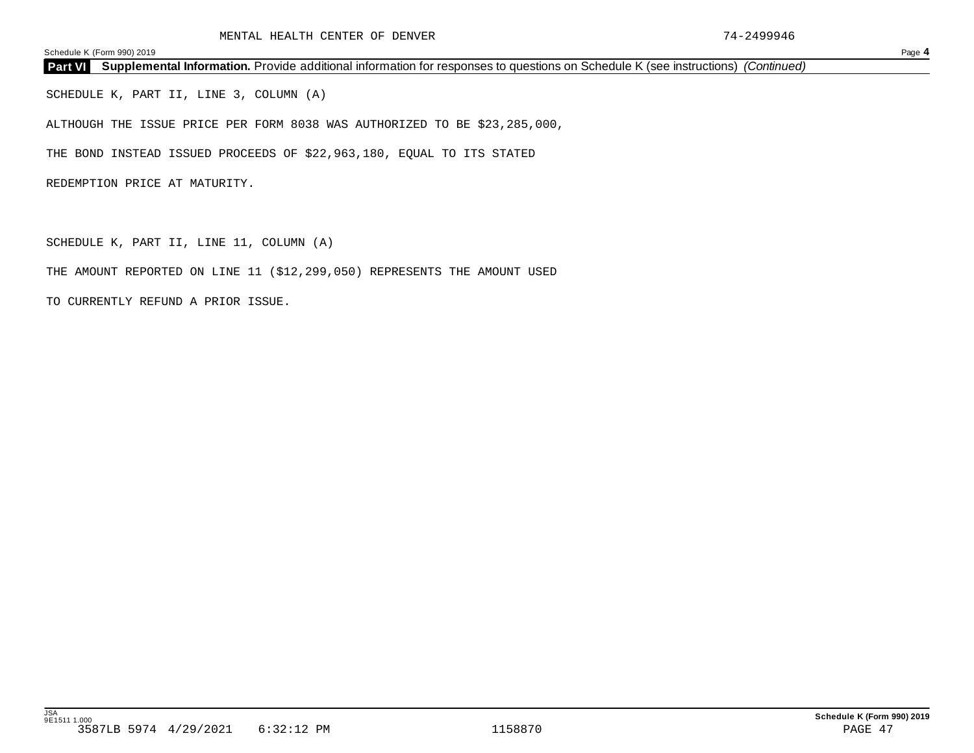**Part VI Supplemental Information.** Provide additional information for responses to questions on Schedule K (see instructions) *(Continued)*

SCHEDULE K, PART II, LINE 3, COLUMN (A)

ALTHOUGH THE ISSUE PRICE PER FORM 8038 WAS AUTHORIZED TO BE \$23,285,000,

THE BOND INSTEAD ISSUED PROCEEDS OF \$22,963,180, EQUAL TO ITS STATED

REDEMPTION PRICE AT MATURITY.

SCHEDULE K, PART II, LINE 11, COLUMN (A)

THE AMOUNT REPORTED ON LINE 11 (\$12,299,050) REPRESENTS THE AMOUNT USED

TO CURRENTLY REFUND A PRIOR ISSUE.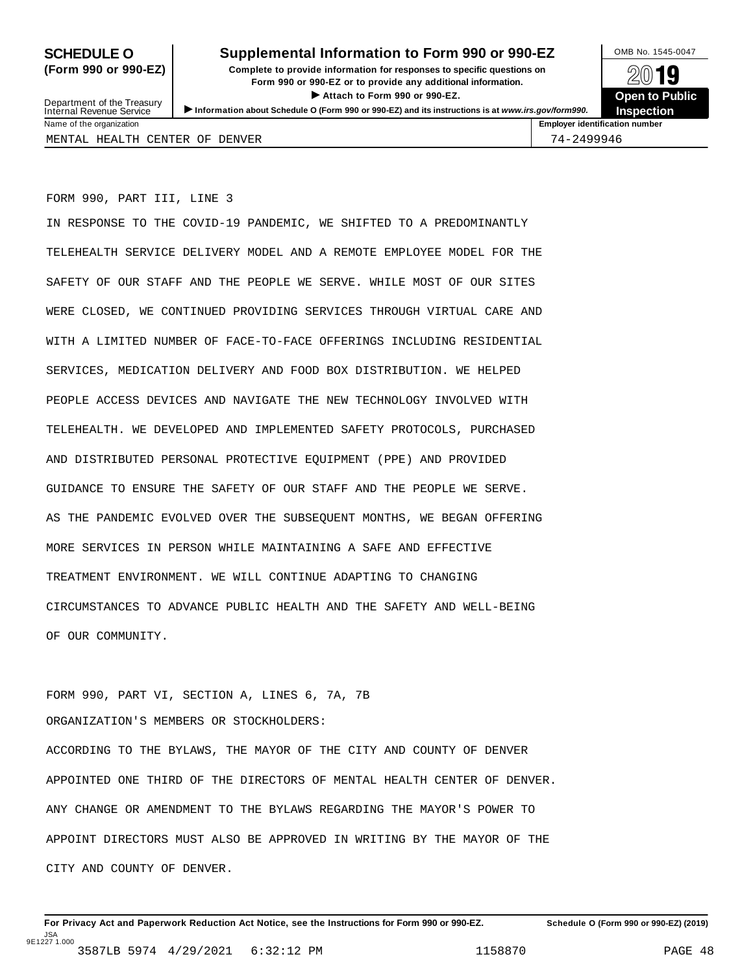## **SCHEDULE O** Supplemental Information to Form 990 or 990-EZ DAMB No. 1545-0047

**(Form 990 or 990-EZ) Complete to provide information for responses to specific questions on** plete to provide information for responses to specific questions on  $\mathbb{Z}^{0}$  **19**  $\triangleright$  **Attach to Form 990 or 990-EZ.**<br> **Exercise 200 or 990-EZ.**<br>
and the second of the second of the second of the second of the second of the second of the second of the second of the second of the second of the second



Department of the Treasury<br>Internal Revenue Service Department of the Treasury <br>Depen to Public<br>Name of the organization<br>Name of the organization<br>Name of the organization<br>Name of the organization<br>Name of the organization<br>Name of the organization<br>Name of the organization<br>Na MENTAL HEALTH CENTER OF DENVER 74-2499946

FORM 990, PART III, LINE 3

IN RESPONSE TO THE COVID-19 PANDEMIC, WE SHIFTED TO A PREDOMINANTLY TELEHEALTH SERVICE DELIVERY MODEL AND A REMOTE EMPLOYEE MODEL FOR THE SAFETY OF OUR STAFF AND THE PEOPLE WE SERVE. WHILE MOST OF OUR SITES WERE CLOSED, WE CONTINUED PROVIDING SERVICES THROUGH VIRTUAL CARE AND WITH A LIMITED NUMBER OF FACE-TO-FACE OFFERINGS INCLUDING RESIDENTIAL SERVICES, MEDICATION DELIVERY AND FOOD BOX DISTRIBUTION. WE HELPED PEOPLE ACCESS DEVICES AND NAVIGATE THE NEW TECHNOLOGY INVOLVED WITH TELEHEALTH. WE DEVELOPED AND IMPLEMENTED SAFETY PROTOCOLS, PURCHASED AND DISTRIBUTED PERSONAL PROTECTIVE EQUIPMENT (PPE) AND PROVIDED GUIDANCE TO ENSURE THE SAFETY OF OUR STAFF AND THE PEOPLE WE SERVE. AS THE PANDEMIC EVOLVED OVER THE SUBSEQUENT MONTHS, WE BEGAN OFFERING MORE SERVICES IN PERSON WHILE MAINTAINING A SAFE AND EFFECTIVE TREATMENT ENVIRONMENT. WE WILL CONTINUE ADAPTING TO CHANGING CIRCUMSTANCES TO ADVANCE PUBLIC HEALTH AND THE SAFETY AND WELL-BEING OF OUR COMMUNITY.

FORM 990, PART VI, SECTION A, LINES 6, 7A, 7B ORGANIZATION'S MEMBERS OR STOCKHOLDERS: ACCORDING TO THE BYLAWS, THE MAYOR OF THE CITY AND COUNTY OF DENVER APPOINTED ONE THIRD OF THE DIRECTORS OF MENTAL HEALTH CENTER OF DENVER. ANY CHANGE OR AMENDMENT TO THE BYLAWS REGARDING THE MAYOR'S POWER TO APPOINT DIRECTORS MUST ALSO BE APPROVED IN WRITING BY THE MAYOR OF THE CITY AND COUNTY OF DENVER.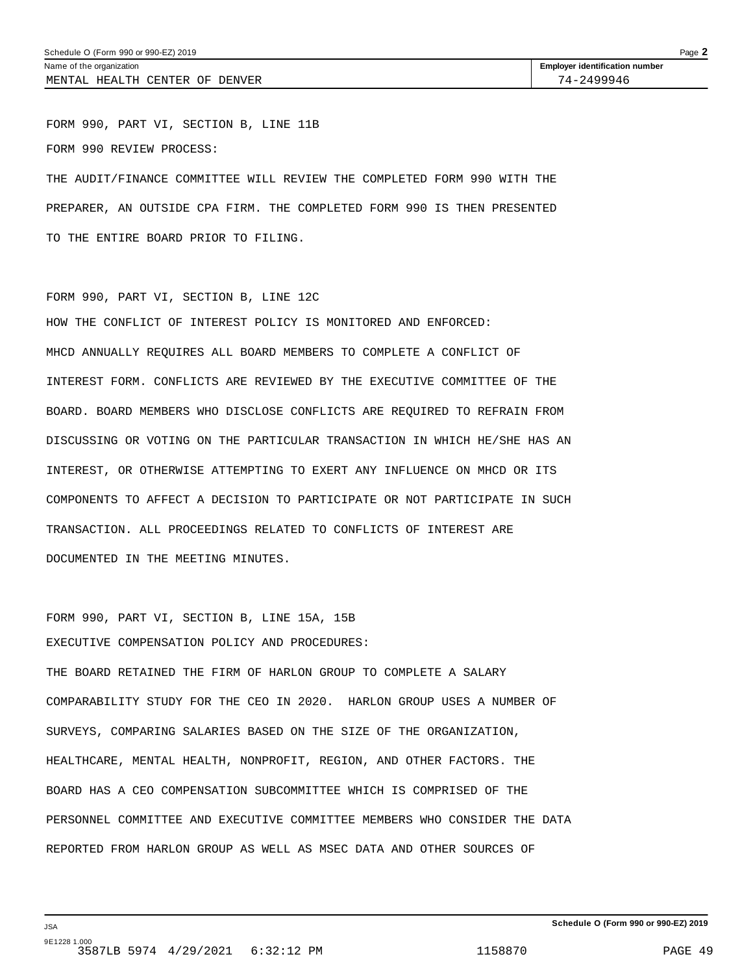FORM 990, PART VI, SECTION B, LINE 11B FORM 990 REVIEW PROCESS: THE AUDIT/FINANCE COMMITTEE WILL REVIEW THE COMPLETED FORM 990 WITH THE PREPARER, AN OUTSIDE CPA FIRM. THE COMPLETED FORM 990 IS THEN PRESENTED

TO THE ENTIRE BOARD PRIOR TO FILING.

# FORM 990, PART VI, SECTION B, LINE 12C HOW THE CONFLICT OF INTEREST POLICY IS MONITORED AND ENFORCED: MHCD ANNUALLY REQUIRES ALL BOARD MEMBERS TO COMPLETE A CONFLICT OF INTEREST FORM. CONFLICTS ARE REVIEWED BY THE EXECUTIVE COMMITTEE OF THE BOARD. BOARD MEMBERS WHO DISCLOSE CONFLICTS ARE REQUIRED TO REFRAIN FROM DISCUSSING OR VOTING ON THE PARTICULAR TRANSACTION IN WHICH HE/SHE HAS AN INTEREST, OR OTHERWISE ATTEMPTING TO EXERT ANY INFLUENCE ON MHCD OR ITS COMPONENTS TO AFFECT A DECISION TO PARTICIPATE OR NOT PARTICIPATE IN SUCH TRANSACTION. ALL PROCEEDINGS RELATED TO CONFLICTS OF INTEREST ARE DOCUMENTED IN THE MEETING MINUTES.

FORM 990, PART VI, SECTION B, LINE 15A, 15B EXECUTIVE COMPENSATION POLICY AND PROCEDURES:

THE BOARD RETAINED THE FIRM OF HARLON GROUP TO COMPLETE A SALARY COMPARABILITY STUDY FOR THE CEO IN 2020. HARLON GROUP USES A NUMBER OF SURVEYS, COMPARING SALARIES BASED ON THE SIZE OF THE ORGANIZATION, HEALTHCARE, MENTAL HEALTH, NONPROFIT, REGION, AND OTHER FACTORS. THE BOARD HAS A CEO COMPENSATION SUBCOMMITTEE WHICH IS COMPRISED OF THE PERSONNEL COMMITTEE AND EXECUTIVE COMMITTEE MEMBERS WHO CONSIDER THE DATA REPORTED FROM HARLON GROUP AS WELL AS MSEC DATA AND OTHER SOURCES OF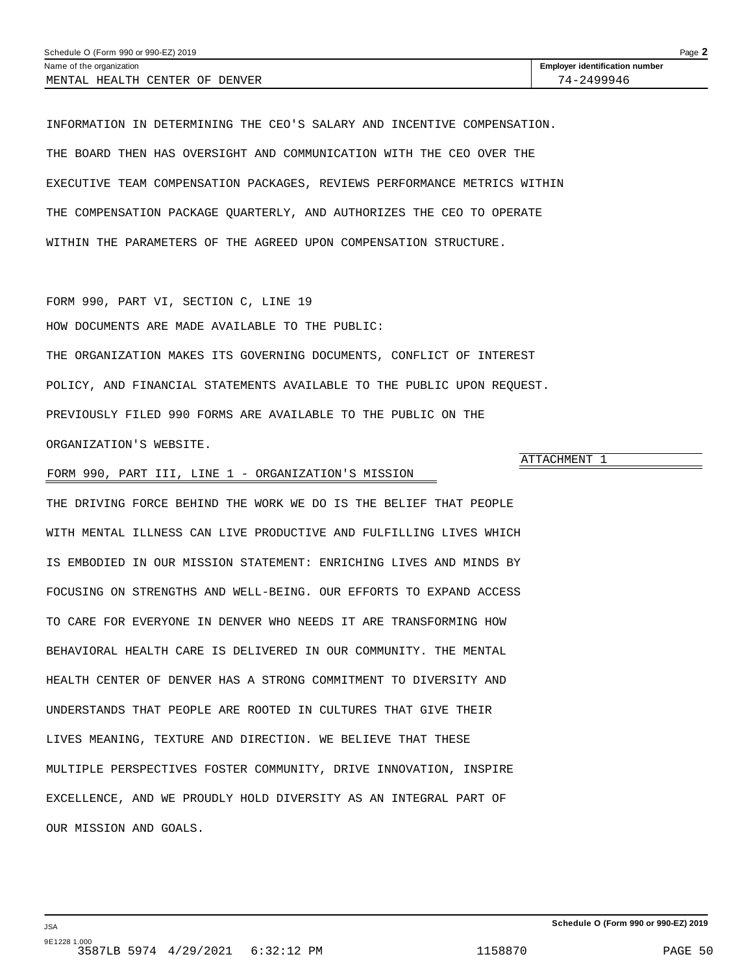<span id="page-48-0"></span>INFORMATION IN DETERMINING THE CEO'S SALARY AND INCENTIVE COMPENSATION. THE BOARD THEN HAS OVERSIGHT AND COMMUNICATION WITH THE CEO OVER THE EXECUTIVE TEAM COMPENSATION PACKAGES, REVIEWS PERFORMANCE METRICS WITHIN THE COMPENSATION PACKAGE QUARTERLY, AND AUTHORIZES THE CEO TO OPERATE WITHIN THE PARAMETERS OF THE AGREED UPON COMPENSATION STRUCTURE.

FORM 990, PART VI, SECTION C, LINE 19 HOW DOCUMENTS ARE MADE AVAILABLE TO THE PUBLIC: THE ORGANIZATION MAKES ITS GOVERNING DOCUMENTS, CONFLICT OF INTEREST POLICY, AND FINANCIAL STATEMENTS AVAILABLE TO THE PUBLIC UPON REQUEST. PREVIOUSLY FILED 990 FORMS ARE AVAILABLE TO THE PUBLIC ON THE ORGANIZATION'S WEBSITE.

## FORM 990, PART III, LINE 1 - ORGANIZATION'S MISSION

THE DRIVING FORCE BEHIND THE WORK WE DO IS THE BELIEF THAT PEOPLE WITH MENTAL ILLNESS CAN LIVE PRODUCTIVE AND FULFILLING LIVES WHICH IS EMBODIED IN OUR MISSION STATEMENT: ENRICHING LIVES AND MINDS BY FOCUSING ON STRENGTHS AND WELL-BEING. OUR EFFORTS TO EXPAND ACCESS TO CARE FOR EVERYONE IN DENVER WHO NEEDS IT ARE TRANSFORMING HOW BEHAVIORAL HEALTH CARE IS DELIVERED IN OUR COMMUNITY. THE MENTAL HEALTH CENTER OF DENVER HAS A STRONG COMMITMENT TO DIVERSITY AND UNDERSTANDS THAT PEOPLE ARE ROOTED IN CULTURES THAT GIVE THEIR LIVES MEANING, TEXTURE AND DIRECTION. WE BELIEVE THAT THESE MULTIPLE PERSPECTIVES FOSTER COMMUNITY, DRIVE INNOVATION, INSPIRE EXCELLENCE, AND WE PROUDLY HOLD DIVERSITY AS AN INTEGRAL PART OF OUR MISSION AND GOALS.

## ATTACHMENT 1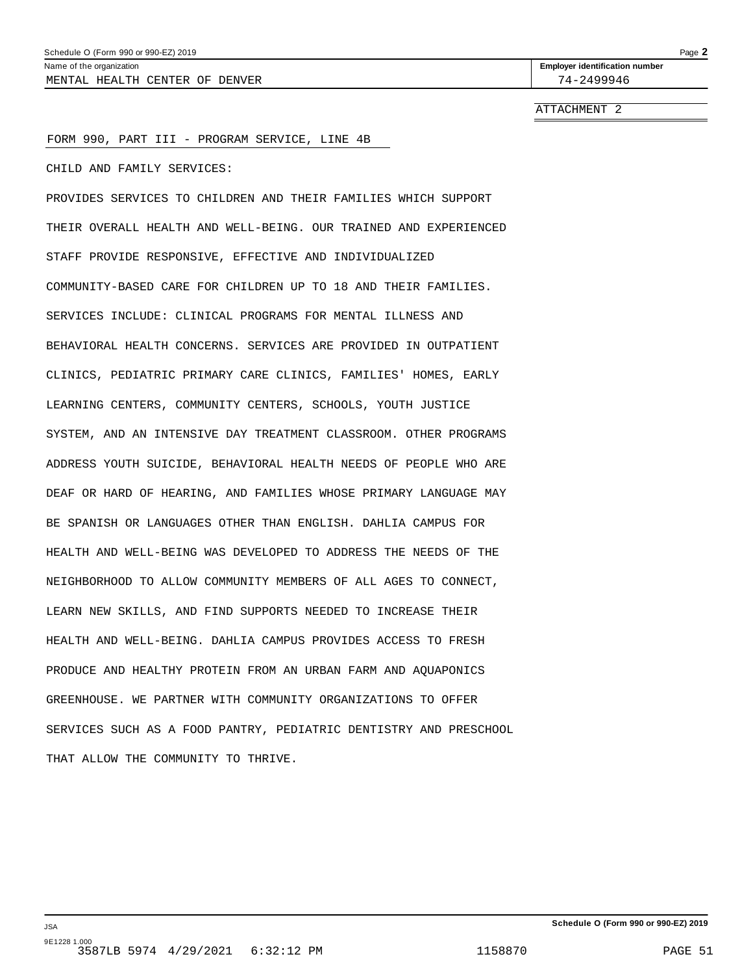### <span id="page-49-0"></span>FORM 990, PART III - PROGRAM SERVICE, LINE 4B

CHILD AND FAMILY SERVICES:

PROVIDES SERVICES TO CHILDREN AND THEIR FAMILIES WHICH SUPPORT THEIR OVERALL HEALTH AND WELL-BEING. OUR TRAINED AND EXPERIENCED STAFF PROVIDE RESPONSIVE, EFFECTIVE AND INDIVIDUALIZED COMMUNITY-BASED CARE FOR CHILDREN UP TO 18 AND THEIR FAMILIES. SERVICES INCLUDE: CLINICAL PROGRAMS FOR MENTAL ILLNESS AND BEHAVIORAL HEALTH CONCERNS. SERVICES ARE PROVIDED IN OUTPATIENT CLINICS, PEDIATRIC PRIMARY CARE CLINICS, FAMILIES' HOMES, EARLY LEARNING CENTERS, COMMUNITY CENTERS, SCHOOLS, YOUTH JUSTICE SYSTEM, AND AN INTENSIVE DAY TREATMENT CLASSROOM. OTHER PROGRAMS ADDRESS YOUTH SUICIDE, BEHAVIORAL HEALTH NEEDS OF PEOPLE WHO ARE DEAF OR HARD OF HEARING, AND FAMILIES WHOSE PRIMARY LANGUAGE MAY BE SPANISH OR LANGUAGES OTHER THAN ENGLISH. DAHLIA CAMPUS FOR HEALTH AND WELL-BEING WAS DEVELOPED TO ADDRESS THE NEEDS OF THE NEIGHBORHOOD TO ALLOW COMMUNITY MEMBERS OF ALL AGES TO CONNECT, LEARN NEW SKILLS, AND FIND SUPPORTS NEEDED TO INCREASE THEIR HEALTH AND WELL-BEING. DAHLIA CAMPUS PROVIDES ACCESS TO FRESH PRODUCE AND HEALTHY PROTEIN FROM AN URBAN FARM AND AQUAPONICS GREENHOUSE. WE PARTNER WITH COMMUNITY ORGANIZATIONS TO OFFER SERVICES SUCH AS A FOOD PANTRY, PEDIATRIC DENTISTRY AND PRESCHOOL THAT ALLOW THE COMMUNITY TO THRIVE.

JSA 9E1228 1.000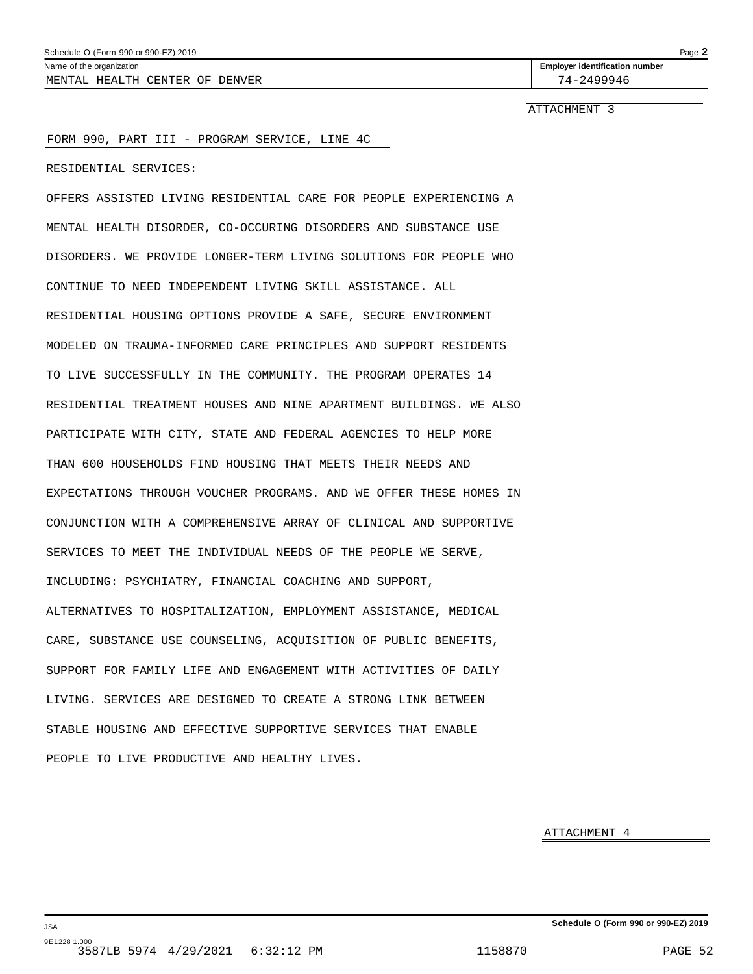### <span id="page-50-0"></span>FORM 990, PART III - PROGRAM SERVICE, LINE 4C

RESIDENTIAL SERVICES:

OFFERS ASSISTED LIVING RESIDENTIAL CARE FOR PEOPLE EXPERIENCING A MENTAL HEALTH DISORDER, CO-OCCURING DISORDERS AND SUBSTANCE USE DISORDERS. WE PROVIDE LONGER-TERM LIVING SOLUTIONS FOR PEOPLE WHO CONTINUE TO NEED INDEPENDENT LIVING SKILL ASSISTANCE. ALL RESIDENTIAL HOUSING OPTIONS PROVIDE A SAFE, SECURE ENVIRONMENT MODELED ON TRAUMA-INFORMED CARE PRINCIPLES AND SUPPORT RESIDENTS TO LIVE SUCCESSFULLY IN THE COMMUNITY. THE PROGRAM OPERATES 14 RESIDENTIAL TREATMENT HOUSES AND NINE APARTMENT BUILDINGS. WE ALSO PARTICIPATE WITH CITY, STATE AND FEDERAL AGENCIES TO HELP MORE THAN 600 HOUSEHOLDS FIND HOUSING THAT MEETS THEIR NEEDS AND EXPECTATIONS THROUGH VOUCHER PROGRAMS. AND WE OFFER THESE HOMES IN CONJUNCTION WITH A COMPREHENSIVE ARRAY OF CLINICAL AND SUPPORTIVE SERVICES TO MEET THE INDIVIDUAL NEEDS OF THE PEOPLE WE SERVE, INCLUDING: PSYCHIATRY, FINANCIAL COACHING AND SUPPORT, ALTERNATIVES TO HOSPITALIZATION, EMPLOYMENT ASSISTANCE, MEDICAL CARE, SUBSTANCE USE COUNSELING, ACQUISITION OF PUBLIC BENEFITS, SUPPORT FOR FAMILY LIFE AND ENGAGEMENT WITH ACTIVITIES OF DAILY LIVING. SERVICES ARE DESIGNED TO CREATE A STRONG LINK BETWEEN STABLE HOUSING AND EFFECTIVE SUPPORTIVE SERVICES THAT ENABLE PEOPLE TO LIVE PRODUCTIVE AND HEALTHY LIVES.

ATTACHMENT 4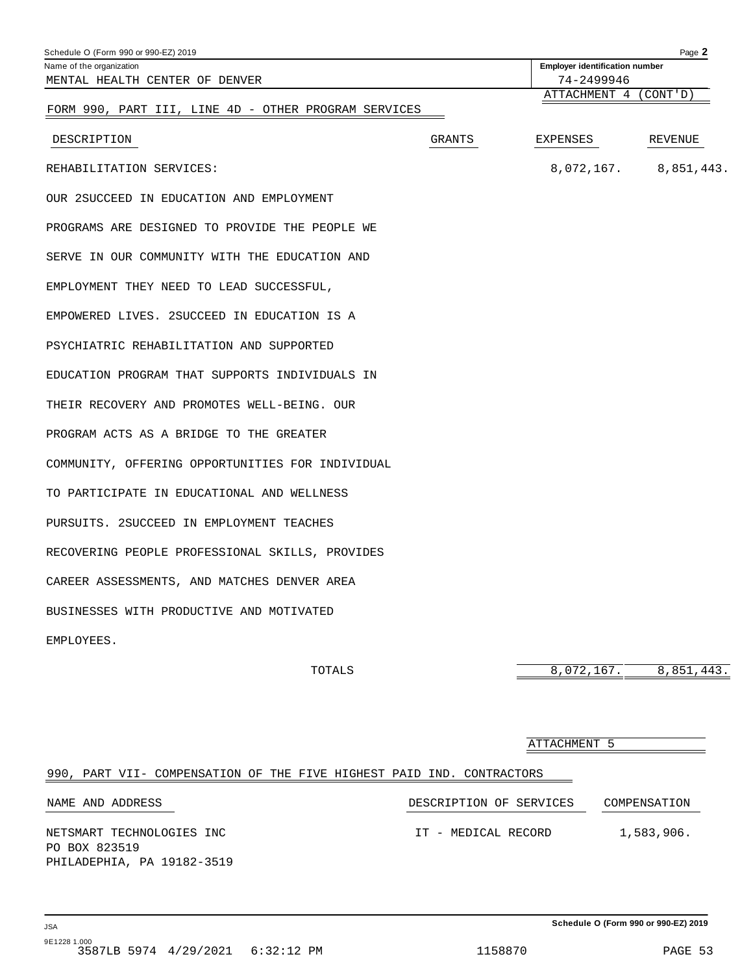<span id="page-51-0"></span>

| Schedule O (Form 990 or 990-EZ) 2019                 |        |                                       | Page 2     |
|------------------------------------------------------|--------|---------------------------------------|------------|
| Name of the organization                             |        | <b>Employer identification number</b> |            |
| MENTAL HEALTH CENTER OF DENVER                       |        | 74-2499946                            |            |
|                                                      |        | ATTACHMENT 4 (CONT'D)                 |            |
| FORM 990, PART III, LINE 4D - OTHER PROGRAM SERVICES |        |                                       |            |
| DESCRIPTION                                          | GRANTS | EXPENSES                              | REVENUE    |
| REHABILITATION SERVICES:                             |        | 8,072,167.                            | 8,851,443. |
| OUR 2SUCCEED IN EDUCATION AND EMPLOYMENT             |        |                                       |            |
| PROGRAMS ARE DESIGNED TO PROVIDE THE PEOPLE WE       |        |                                       |            |
| SERVE IN OUR COMMUNITY WITH THE EDUCATION AND        |        |                                       |            |
| EMPLOYMENT THEY NEED TO LEAD SUCCESSFUL,             |        |                                       |            |
| EMPOWERED LIVES. 2SUCCEED IN EDUCATION IS A          |        |                                       |            |
| PSYCHIATRIC REHABILITATION AND SUPPORTED             |        |                                       |            |
| EDUCATION PROGRAM THAT SUPPORTS INDIVIDUALS IN       |        |                                       |            |
| THEIR RECOVERY AND PROMOTES WELL-BEING. OUR          |        |                                       |            |
| PROGRAM ACTS AS A BRIDGE TO THE GREATER              |        |                                       |            |
| COMMUNITY, OFFERING OPPORTUNITIES FOR INDIVIDUAL     |        |                                       |            |
| TO PARTICIPATE IN EDUCATIONAL AND WELLNESS           |        |                                       |            |
| PURSUITS. 2SUCCEED IN EMPLOYMENT TEACHES             |        |                                       |            |
| RECOVERING PEOPLE PROFESSIONAL SKILLS, PROVIDES      |        |                                       |            |
| CAREER ASSESSMENTS, AND MATCHES DENVER AREA          |        |                                       |            |
| BUSINESSES WITH PRODUCTIVE AND MOTIVATED             |        |                                       |            |
| EMPLOYEES.                                           |        |                                       |            |
| TOTALS                                               |        | 8,072,167.                            | 8,851,443. |

## 990, PART VII- COMPENSATION OF THE FIVE HIGHEST PAID IND. CONTRACTORS NAME AND ADDRESS  $\hfill$  DESCRIPTION OF SERVICES  $\hfill$  COMPENSATION NETSMART TECHNOLOGIES INC IT - MEDICAL RECORD 1,583,906. PO BOX 823519 PHILADEPHIA, PA 19182-3519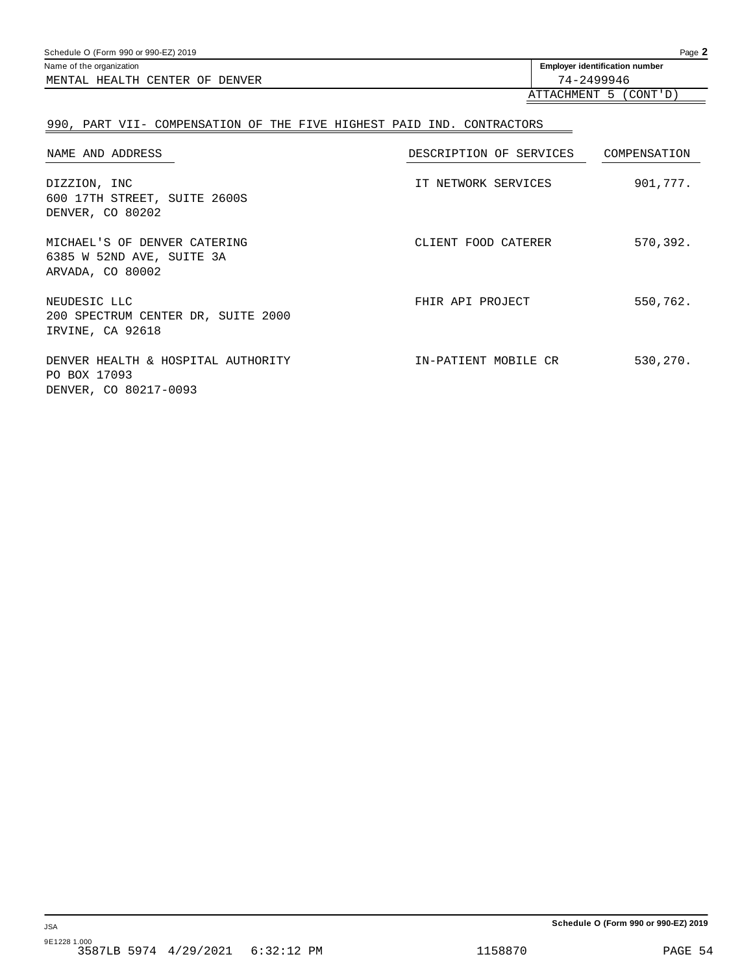Schedule O (Form 990 or 990-EZ) 2019 Page **2**

MENTAL HEALTH CENTER OF DENVER 74-2499946

Name of the organization **identification Employer identification number** 

## ATTACHMENT 5 (CONT'D)

## 990, PART VII- COMPENSATION OF THE FIVE HIGHEST PAID IND. CONTRACTORS

| NAME AND ADDRESS                                                              | DESCRIPTION OF SERVICES | COMPENSATION |
|-------------------------------------------------------------------------------|-------------------------|--------------|
| DIZZION, INC<br>600 17TH STREET, SUITE 2600S<br>DENVER, CO 80202              | IT NETWORK SERVICES     | 901,777.     |
| MICHAEL'S OF DENVER CATERING<br>6385 W 52ND AVE, SUITE 3A<br>ARVADA, CO 80002 | CLIENT FOOD CATERER     | 570,392.     |
| NEUDESIC LLC<br>200 SPECTRUM CENTER DR, SUITE 2000<br>IRVINE, CA 92618        | FHIR API PROJECT        | 550,762.     |
| DENVER HEALTH & HOSPITAL AUTHORITY<br>PO BOX 17093<br>DENVER, CO 80217-0093   | IN-PATIENT MOBILE CR    | 530,270.     |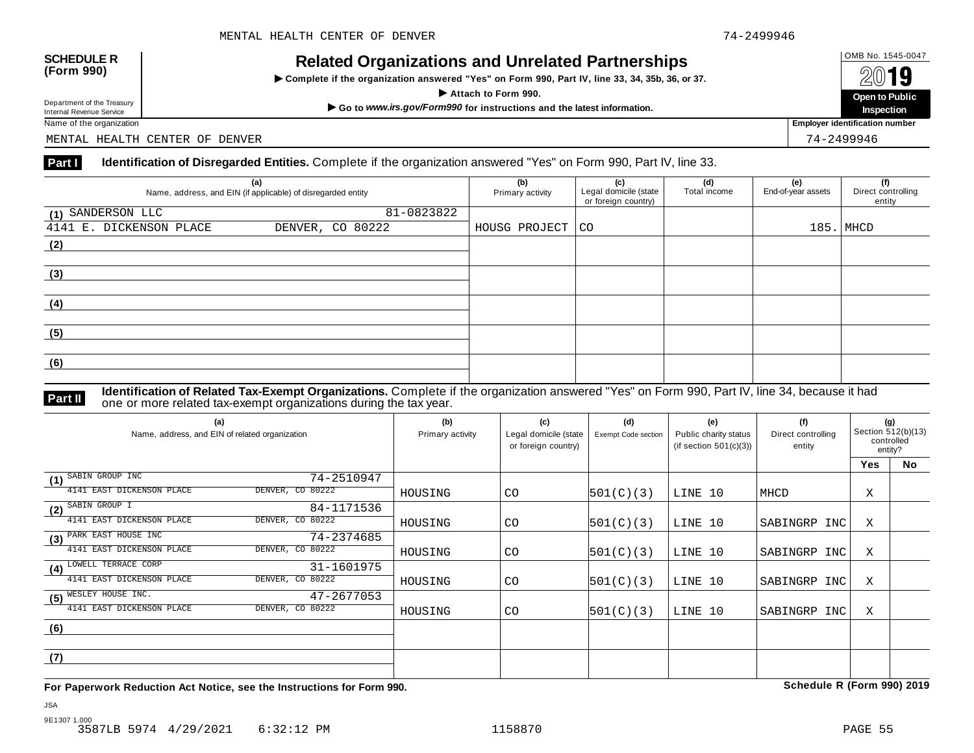# OMB No. 1545-0047 **SCHEDULE R (Form 990) Related Organizations and Unrelated Partnerships**

 $\triangleright$  Complete if the organization answered "Yes" on Form 990, Part IV, line 33, 34, 35b, 36, or 37.



Department of the Treasury

MENTAL HEALTH CENTER OF DENVER 74-2499946

## **Part I Identification of Disregarded Entities.** Complete if the organization answered "Yes" on Form 990, Part IV, line 33.

|                         | (a)<br>Name, address, and EIN (if applicable) of disregarded entity | (b)<br>Primary activity | (c)<br>Legal domicile (state<br>or foreign country) | (d)<br>Total income | (e)<br>End-of-year assets | (f)<br>Direct controlling<br>entity |
|-------------------------|---------------------------------------------------------------------|-------------------------|-----------------------------------------------------|---------------------|---------------------------|-------------------------------------|
| (1) SANDERSON LLC       | 81-0823822                                                          |                         |                                                     |                     |                           |                                     |
| 4141 E. DICKENSON PLACE | DENVER, CO 80222                                                    | HOUSG PROJECT   CO      |                                                     |                     |                           | $185.$ MHCD                         |
| (2)                     |                                                                     |                         |                                                     |                     |                           |                                     |
|                         |                                                                     |                         |                                                     |                     |                           |                                     |
| (3)                     |                                                                     |                         |                                                     |                     |                           |                                     |
|                         |                                                                     |                         |                                                     |                     |                           |                                     |
| (4)                     |                                                                     |                         |                                                     |                     |                           |                                     |
|                         |                                                                     |                         |                                                     |                     |                           |                                     |
| (5)                     |                                                                     |                         |                                                     |                     |                           |                                     |
|                         |                                                                     |                         |                                                     |                     |                           |                                     |
| (6)                     |                                                                     |                         |                                                     |                     |                           |                                     |
|                         |                                                                     |                         |                                                     |                     |                           |                                     |

**Identification of Related Tax-Exempt Organizations.** Complete if the organization answered "Yes" on Form 990, Part IV, line 34, because it had **Part II** one or more related tax-exempt organizations during the tax year.

| (a)<br>Name, address, and EIN of related organization |                  | (b)<br>Primary activity | (c)<br>Legal domicile (state<br>or foreign country) | (d)<br>Exempt Code section | (e)<br>Public charity status<br>(if section $501(c)(3)$ ) | (f)<br>Direct controlling<br>entity | (g)<br>Section 512(b)(13)<br>controlled<br>entity? |    |
|-------------------------------------------------------|------------------|-------------------------|-----------------------------------------------------|----------------------------|-----------------------------------------------------------|-------------------------------------|----------------------------------------------------|----|
|                                                       |                  |                         |                                                     |                            |                                                           |                                     | <b>Yes</b>                                         | No |
| SABIN GROUP INC<br>(1)                                | 74-2510947       |                         |                                                     |                            |                                                           |                                     |                                                    |    |
| 4141 EAST DICKENSON PLACE                             | DENVER, CO 80222 | HOUSING                 | CO                                                  | 501(C)(3)                  | LINE 10                                                   | MHCD                                | Χ                                                  |    |
| SABIN GROUP I<br>(2)                                  | 84-1171536       |                         |                                                     |                            |                                                           |                                     |                                                    |    |
| 4141 EAST DICKENSON PLACE                             | DENVER, CO 80222 | HOUSING                 | CO                                                  | 501(C)(3)                  | LINE 10                                                   | SABINGRP<br>INC                     | Χ                                                  |    |
| PARK EAST HOUSE INC<br>(3)                            | 74-2374685       |                         |                                                     |                            |                                                           |                                     |                                                    |    |
| 4141 EAST DICKENSON PLACE                             | DENVER, CO 80222 | HOUSING                 | <b>CO</b>                                           | 501(C)(3)                  | LINE 10                                                   | SABINGRP INC                        | Χ                                                  |    |
| LOWELL TERRACE CORP<br>(4)                            | 31-1601975       |                         |                                                     |                            |                                                           |                                     |                                                    |    |
| 4141 EAST DICKENSON PLACE                             | DENVER, CO 80222 | HOUSING                 | CO                                                  | 501(C)(3)                  | LINE 10                                                   | SABINGRP INC                        | Χ                                                  |    |
| WESLEY HOUSE INC.<br>(5)                              | 47-2677053       |                         |                                                     |                            |                                                           |                                     |                                                    |    |
| 4141 EAST DICKENSON PLACE                             | DENVER, CO 80222 | HOUSING                 | <b>CO</b>                                           | 501(C)(3)                  | LINE 10                                                   | SABINGRP INC                        | Χ                                                  |    |
| (6)                                                   |                  |                         |                                                     |                            |                                                           |                                     |                                                    |    |
|                                                       |                  |                         |                                                     |                            |                                                           |                                     |                                                    |    |
| (7)                                                   |                  |                         |                                                     |                            |                                                           |                                     |                                                    |    |
|                                                       |                  |                         |                                                     |                            |                                                           |                                     |                                                    |    |

**For Paperwork Reduction Act Notice, see the Instructions for Form 990. Schedule R (Form 990) 2019**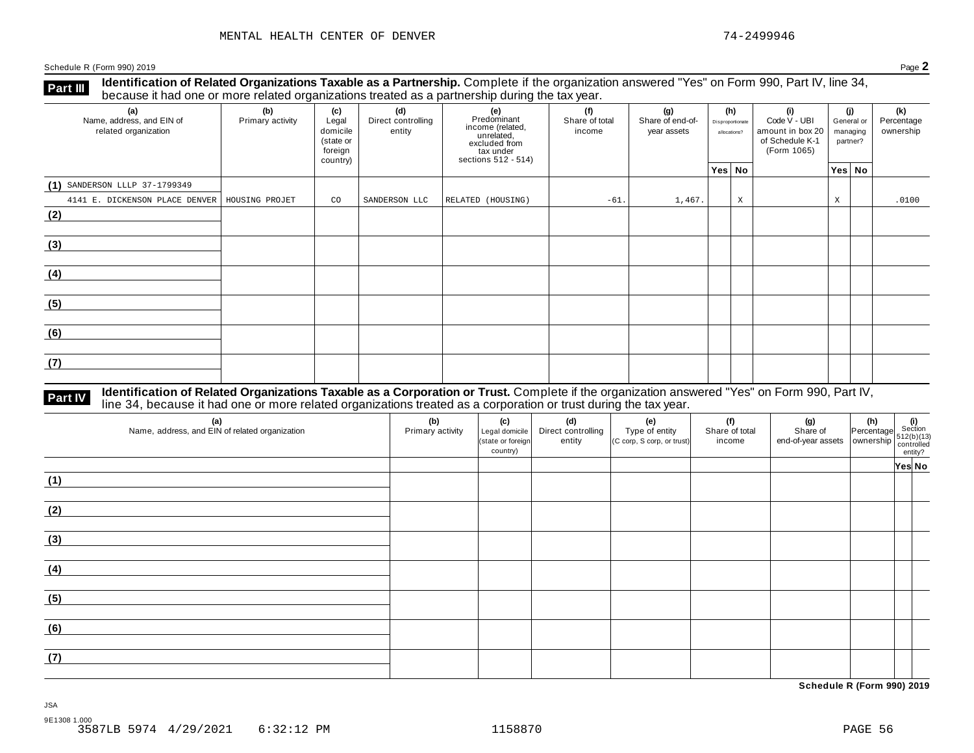**Part III** Identification of Related Organizations Taxable as a Partnership. Complete if the organization answered "Yes" on Form 990, Part IV, line 34,<br>because it had one or more related organizations treated as a partners

| (a)<br>Name, address, and EIN of<br>related organization | ັ<br>(b)<br>Primary activity | (c)<br>Legal<br>domicile<br>(state or<br>foreign<br>country) | (d)<br>Direct controlling<br>entity | ັ<br>(e)<br>Predominant<br>income (related,<br>unrelated,<br>excluded from<br>tax under<br>sections 512 - 514) | (f)<br>(g)<br>Share of end-of-<br>Share of total<br>income<br>year assets |        | (h)<br>(i)<br>Code V - UBI<br>Disproportionate<br>amount in box 20<br>allocations?<br>of Schedule K-1<br>(Form 1065) |   |  | (i)<br>General or<br>managing<br>partner? | (k)<br>Percentage<br>ownership |       |
|----------------------------------------------------------|------------------------------|--------------------------------------------------------------|-------------------------------------|----------------------------------------------------------------------------------------------------------------|---------------------------------------------------------------------------|--------|----------------------------------------------------------------------------------------------------------------------|---|--|-------------------------------------------|--------------------------------|-------|
|                                                          |                              |                                                              |                                     |                                                                                                                |                                                                           |        | Yes No                                                                                                               |   |  |                                           | Yes No                         |       |
| $(1)$ SANDERSON LLLP 37-1799349                          |                              |                                                              |                                     |                                                                                                                |                                                                           |        |                                                                                                                      |   |  |                                           |                                |       |
| 4141 E. DICKENSON PLACE DENVER   HOUSING PROJET          |                              | CO                                                           | SANDERSON LLC                       | RELATED (HOUSING)                                                                                              | $-61.$                                                                    | 1,467. |                                                                                                                      | X |  | X                                         |                                | .0100 |
| (2)                                                      |                              |                                                              |                                     |                                                                                                                |                                                                           |        |                                                                                                                      |   |  |                                           |                                |       |
| (3)                                                      |                              |                                                              |                                     |                                                                                                                |                                                                           |        |                                                                                                                      |   |  |                                           |                                |       |
| (4)                                                      |                              |                                                              |                                     |                                                                                                                |                                                                           |        |                                                                                                                      |   |  |                                           |                                |       |
| (5)                                                      |                              |                                                              |                                     |                                                                                                                |                                                                           |        |                                                                                                                      |   |  |                                           |                                |       |
| (6)                                                      |                              |                                                              |                                     |                                                                                                                |                                                                           |        |                                                                                                                      |   |  |                                           |                                |       |
| (7)                                                      |                              |                                                              |                                     |                                                                                                                |                                                                           |        |                                                                                                                      |   |  |                                           |                                |       |

# **Part IV** Identification of Related Organizations Taxable as a Corporation or Trust. Complete if the organization answered "Yes" on Form 990, Part IV,<br>line 34, because it had one or more related organizations treated as a

| (a)<br>Name, address, and EIN of related organization | (b)<br>Primary activity | (c)<br>Legal domicile<br>(state or foreign<br>country) | (d)<br>Direct controlling<br>entity | (e)<br>Type of entity<br>(C corp, S corp, or trust) | (f)<br>Share of total<br>income | (g) $\left\{\n\begin{array}{c}\n\text{(g)}\n\end{array}\n\right.\n\left\{\n\begin{array}{c}\n\text{(h)}\n\end{array}\n\right.\n\left\{\n\begin{array}{c}\n\text{(i)}\n\end{array}\n\right.\n\left\{\n\begin{array}{c}\n\text{(j)}\n\end{array}\n\right.\n\left\{\n\begin{array}{c}\n\text{(j)}\n\end{array}\n\right.\n\left\{\n\begin{array}{c}\n\text{(j)}\n\end{array}\n\right.\n\left\{\n\begin{array}{c}\n\text{(j)}\n\end{array}\n\right.\n\left\{\n\$ |        |
|-------------------------------------------------------|-------------------------|--------------------------------------------------------|-------------------------------------|-----------------------------------------------------|---------------------------------|-------------------------------------------------------------------------------------------------------------------------------------------------------------------------------------------------------------------------------------------------------------------------------------------------------------------------------------------------------------------------------------------------------------------------------------------------------------|--------|
|                                                       |                         |                                                        |                                     |                                                     |                                 |                                                                                                                                                                                                                                                                                                                                                                                                                                                             | Yes No |
| (1)                                                   |                         |                                                        |                                     |                                                     |                                 |                                                                                                                                                                                                                                                                                                                                                                                                                                                             |        |
| (2)                                                   |                         |                                                        |                                     |                                                     |                                 |                                                                                                                                                                                                                                                                                                                                                                                                                                                             |        |
| (3)                                                   |                         |                                                        |                                     |                                                     |                                 |                                                                                                                                                                                                                                                                                                                                                                                                                                                             |        |
| (4)                                                   |                         |                                                        |                                     |                                                     |                                 |                                                                                                                                                                                                                                                                                                                                                                                                                                                             |        |
| (5)                                                   |                         |                                                        |                                     |                                                     |                                 |                                                                                                                                                                                                                                                                                                                                                                                                                                                             |        |
| (6)                                                   |                         |                                                        |                                     |                                                     |                                 |                                                                                                                                                                                                                                                                                                                                                                                                                                                             |        |
| (7)                                                   |                         |                                                        |                                     |                                                     |                                 |                                                                                                                                                                                                                                                                                                                                                                                                                                                             |        |

**Schedule R (Form 990) 2019**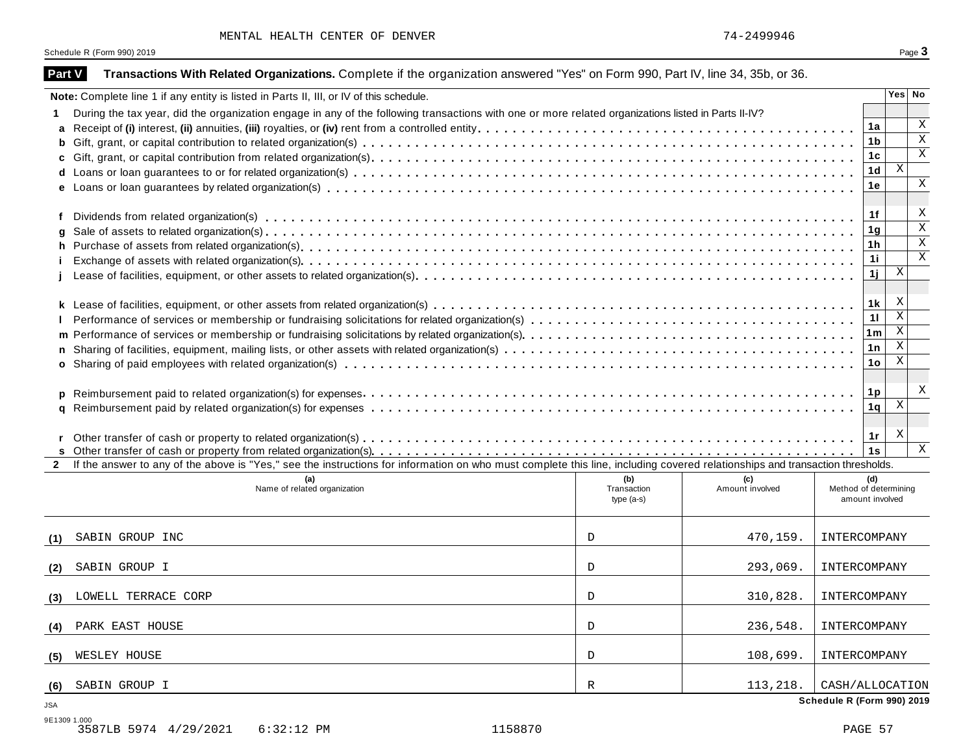| MENTAL HEALTH CENTER OF DENVER |  |  |  |  |
|--------------------------------|--|--|--|--|
|--------------------------------|--|--|--|--|

| Part V     | Transactions With Related Organizations. Complete if the organization answered "Yes" on Form 990, Part IV, line 34, 35b, or 36.                                              |                                   |                        |                                                 |                                             |
|------------|------------------------------------------------------------------------------------------------------------------------------------------------------------------------------|-----------------------------------|------------------------|-------------------------------------------------|---------------------------------------------|
|            | Note: Complete line 1 if any entity is listed in Parts II, III, or IV of this schedule.                                                                                      |                                   |                        |                                                 | Yes No                                      |
|            | During the tax year, did the organization engage in any of the following transactions with one or more related organizations listed in Parts II-IV?                          |                                   |                        |                                                 |                                             |
|            |                                                                                                                                                                              |                                   |                        |                                                 | $\boldsymbol{\mathrm{X}}$<br>1a             |
| b          |                                                                                                                                                                              |                                   |                        |                                                 | $\boldsymbol{\mathrm{X}}$<br>1b             |
|            |                                                                                                                                                                              |                                   |                        |                                                 | $\mathbf X$<br>1 <sub>c</sub>               |
|            |                                                                                                                                                                              |                                   |                        |                                                 | $\mathbf{X}$<br>1 <sub>d</sub>              |
|            |                                                                                                                                                                              |                                   |                        |                                                 | $\boldsymbol{\mathrm{X}}$<br>1e             |
| f          |                                                                                                                                                                              |                                   |                        |                                                 | X<br>1f                                     |
| g          |                                                                                                                                                                              |                                   |                        |                                                 | $\mathbf x$<br>1 <sub>g</sub>               |
| h.         |                                                                                                                                                                              |                                   |                        |                                                 | $\boldsymbol{\mathrm{X}}$<br>1 <sub>h</sub> |
|            |                                                                                                                                                                              |                                   |                        |                                                 | $\mathbf X$<br>11                           |
|            |                                                                                                                                                                              |                                   |                        |                                                 | $\boldsymbol{\mathrm{X}}$<br>1ј             |
|            |                                                                                                                                                                              |                                   |                        |                                                 | Х<br>1k                                     |
|            |                                                                                                                                                                              |                                   |                        |                                                 | $\overline{\mathbf{x}}$<br>11               |
|            |                                                                                                                                                                              |                                   |                        |                                                 | X<br>1m                                     |
| n.         |                                                                                                                                                                              |                                   |                        |                                                 | $\boldsymbol{\mathrm{X}}$<br>1n             |
|            |                                                                                                                                                                              |                                   |                        |                                                 | $\mathbf{X}$<br>1 <sub>o</sub>              |
| p          |                                                                                                                                                                              |                                   |                        |                                                 | Χ<br>1 <sub>p</sub>                         |
| a          |                                                                                                                                                                              |                                   |                        |                                                 | X<br>1q                                     |
|            |                                                                                                                                                                              |                                   |                        |                                                 | X<br>1r                                     |
|            |                                                                                                                                                                              |                                   |                        |                                                 | $\mathbf{X}$<br>1s                          |
|            | If the answer to any of the above is "Yes," see the instructions for information on who must complete this line, including covered relationships and transaction thresholds. |                                   |                        |                                                 |                                             |
|            | (a)<br>Name of related organization                                                                                                                                          | (b)<br>Transaction<br>$type(a-s)$ | (c)<br>Amount involved | (d)<br>Method of determining<br>amount involved |                                             |
| (1)        | SABIN GROUP INC                                                                                                                                                              | D                                 | 470,159.               | INTERCOMPANY                                    |                                             |
| (2)        | SABIN GROUP I                                                                                                                                                                | D                                 | 293,069.               | INTERCOMPANY                                    |                                             |
| (3)        | LOWELL TERRACE CORP                                                                                                                                                          | D                                 | 310,828.               | INTERCOMPANY                                    |                                             |
| (4)        | PARK EAST HOUSE                                                                                                                                                              | $\mathbb D$                       | 236,548.               | INTERCOMPANY                                    |                                             |
| (5)        | WESLEY HOUSE                                                                                                                                                                 | D                                 | 108,699.               | INTERCOMPANY                                    |                                             |
| (6)        | SABIN GROUP I                                                                                                                                                                | R                                 | 113,218.               | CASH/ALLOCATION                                 |                                             |
| <b>JSA</b> |                                                                                                                                                                              |                                   |                        | Schedule R (Form 990) 2019                      |                                             |

Schedule R (Form 990) 2019 **Page 3**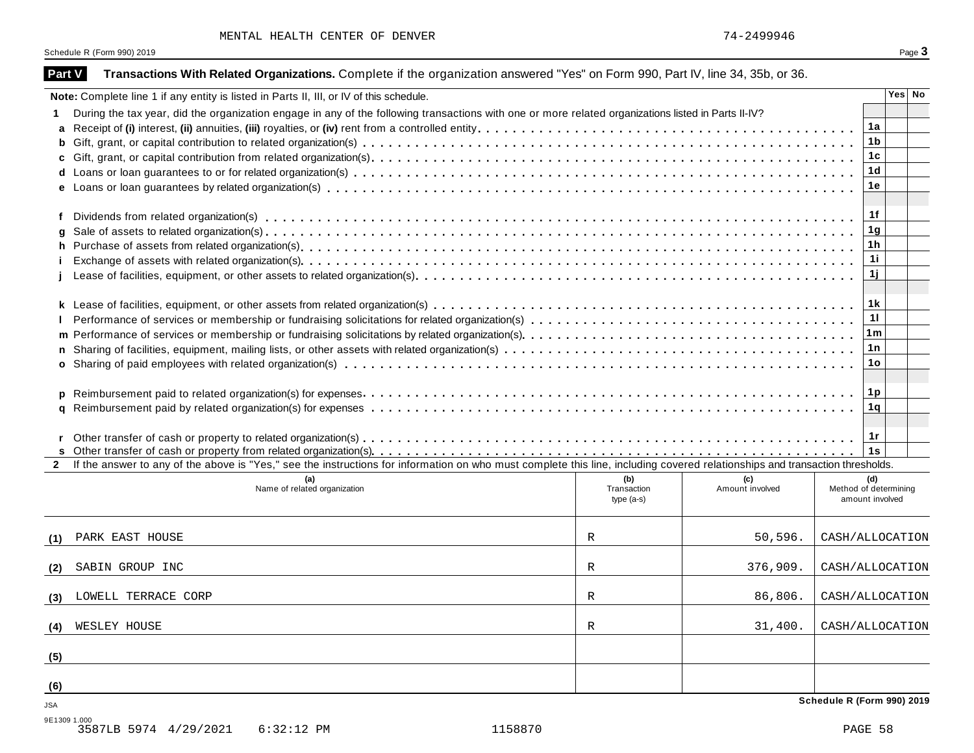| Part V       | Transactions With Related Organizations. Complete if the organization answered "Yes" on Form 990, Part IV, line 34, 35b, or 36.                                              |             |                 |                            |
|--------------|------------------------------------------------------------------------------------------------------------------------------------------------------------------------------|-------------|-----------------|----------------------------|
|              | Note: Complete line 1 if any entity is listed in Parts II, III, or IV of this schedule.                                                                                      |             |                 | Yes No                     |
|              | During the tax year, did the organization engage in any of the following transactions with one or more related organizations listed in Parts II-IV?                          |             |                 |                            |
| a            |                                                                                                                                                                              |             |                 | 1a                         |
| b            |                                                                                                                                                                              |             |                 | 1 <sub>b</sub>             |
| C            |                                                                                                                                                                              |             |                 | 1 <sub>c</sub>             |
| d            |                                                                                                                                                                              |             |                 | 1 <sub>d</sub>             |
|              |                                                                                                                                                                              |             |                 | 1e                         |
| f            |                                                                                                                                                                              |             |                 | 1f                         |
| g            |                                                                                                                                                                              |             |                 | 1 <sub>g</sub>             |
| h            |                                                                                                                                                                              |             |                 | 1 <sub>h</sub>             |
|              |                                                                                                                                                                              |             |                 | 11                         |
|              |                                                                                                                                                                              |             |                 | 1j                         |
|              |                                                                                                                                                                              |             |                 | 1 k                        |
|              |                                                                                                                                                                              |             |                 | 11                         |
|              |                                                                                                                                                                              |             |                 | 1m                         |
| n            |                                                                                                                                                                              |             |                 | 1n                         |
|              |                                                                                                                                                                              |             |                 | 1o                         |
|              |                                                                                                                                                                              |             |                 |                            |
|              |                                                                                                                                                                              |             |                 | 1 <sub>p</sub>             |
| р            |                                                                                                                                                                              |             |                 | 1q                         |
| q            |                                                                                                                                                                              |             |                 |                            |
|              |                                                                                                                                                                              |             |                 | 1 $r$                      |
|              |                                                                                                                                                                              |             |                 | 1s                         |
|              | If the answer to any of the above is "Yes," see the instructions for information on who must complete this line, including covered relationships and transaction thresholds. |             |                 |                            |
|              | (a)                                                                                                                                                                          | (b)         | (c)             | (d)                        |
|              | Name of related organization                                                                                                                                                 | Transaction | Amount involved | Method of determining      |
|              |                                                                                                                                                                              | $type(a-s)$ |                 | amount involved            |
| (1)          | PARK EAST HOUSE                                                                                                                                                              | R           | 50, 596.        | CASH/ALLOCATION            |
| (2)          | SABIN GROUP INC                                                                                                                                                              | R           | 376,909.        | CASH/ALLOCATION            |
|              |                                                                                                                                                                              |             |                 |                            |
| (3)          | LOWELL TERRACE CORP                                                                                                                                                          | R           | 86,806.         | CASH/ALLOCATION            |
| (4)          | WESLEY HOUSE                                                                                                                                                                 | R           | 31,400.         | CASH/ALLOCATION            |
| (5)          |                                                                                                                                                                              |             |                 |                            |
| (6)          |                                                                                                                                                                              |             |                 |                            |
| <b>JSA</b>   |                                                                                                                                                                              |             |                 | Schedule R (Form 990) 2019 |
| 9E1309 1.000 | 1158870<br>3587LB 5974 4/29/2021<br>$6:32:12$ PM                                                                                                                             |             |                 | PAGE 58                    |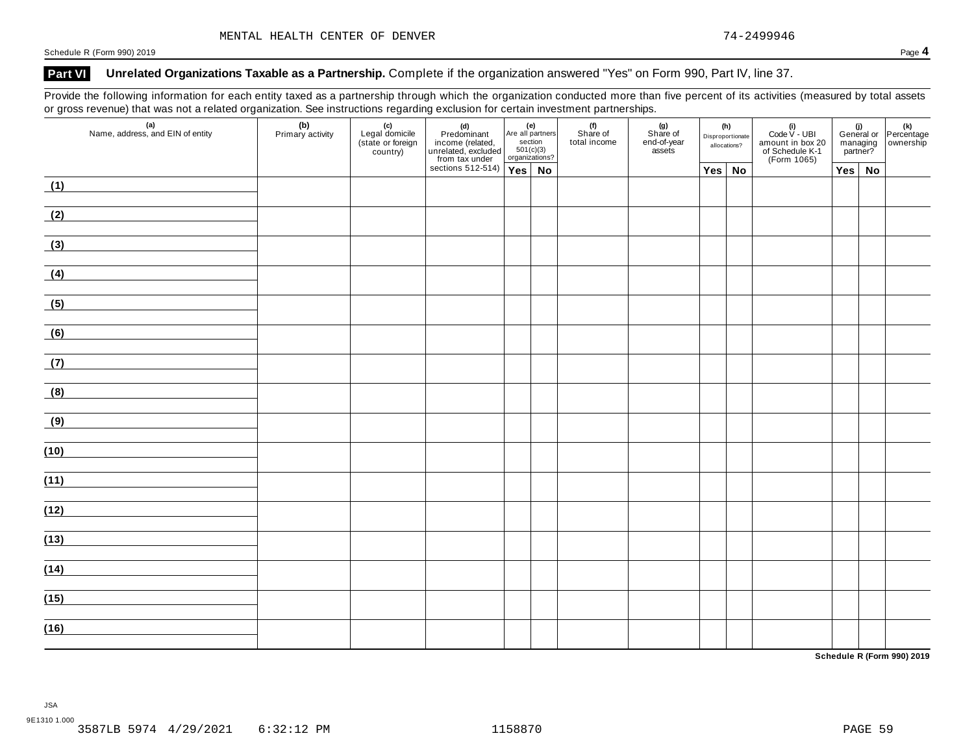## **Part VI Unrelated Organizations Taxable as a Partnership.** Complete if the organization answered "Yes" on Form 990, Part IV, line 37.

Provide the following information for each entity taxed as a partnership through which the organization conducted more than five percent of its activities (measured by total assets or gross revenue) that was not a related organization. See instructions regarding exclusion for certain investment partnerships.

| $\mathbf{z}$<br>(a)<br>Name, address, and EIN of entity                                                                       | ັ<br>(b)<br>Primary activity<br>(c)<br>Legal domicile<br>(state or foreign<br>country) |  | (d)<br>Predominant<br>income (related, and all particulared and the section<br>unrelated, excluded 501(c)<br>from tax under organizat<br>sections 512-514) | Are all partners<br>section<br>501(c)(3)<br>organizations? |           | (f)<br>Share of<br>(g)<br>Share of<br>end-of-year<br>assets<br>total income |  | (h)<br>Disproportionate<br>allocations? |               | (i)<br>Code $V$ - UBI<br>amount in box 20<br>of Schedule K-1<br>(Form 1065) | managing<br>partner? |  | (i)<br>General or Percentage<br>managing ownership |
|-------------------------------------------------------------------------------------------------------------------------------|----------------------------------------------------------------------------------------|--|------------------------------------------------------------------------------------------------------------------------------------------------------------|------------------------------------------------------------|-----------|-----------------------------------------------------------------------------|--|-----------------------------------------|---------------|-----------------------------------------------------------------------------|----------------------|--|----------------------------------------------------|
|                                                                                                                               |                                                                                        |  |                                                                                                                                                            |                                                            | <b>No</b> |                                                                             |  |                                         | $Yes \mid No$ |                                                                             | $Yes \mid No$        |  |                                                    |
| (1)<br><u> 1989 - Jan Barbara Barat, prima politik po</u>                                                                     |                                                                                        |  |                                                                                                                                                            |                                                            |           |                                                                             |  |                                         |               |                                                                             |                      |  |                                                    |
| (2)                                                                                                                           |                                                                                        |  |                                                                                                                                                            |                                                            |           |                                                                             |  |                                         |               |                                                                             |                      |  |                                                    |
| (3)                                                                                                                           |                                                                                        |  |                                                                                                                                                            |                                                            |           |                                                                             |  |                                         |               |                                                                             |                      |  |                                                    |
| (4)                                                                                                                           |                                                                                        |  |                                                                                                                                                            |                                                            |           |                                                                             |  |                                         |               |                                                                             |                      |  |                                                    |
| (5)                                                                                                                           |                                                                                        |  |                                                                                                                                                            |                                                            |           |                                                                             |  |                                         |               |                                                                             |                      |  |                                                    |
| (6)<br><u>and the community of the community of the community</u>                                                             |                                                                                        |  |                                                                                                                                                            |                                                            |           |                                                                             |  |                                         |               |                                                                             |                      |  |                                                    |
| (7)<br><u> 1999 - Jan Stein Stein Stein Stein Stein Stein Stein Stein Stein Stein Stein Stein Stein Stein Stein Stein S</u>   |                                                                                        |  |                                                                                                                                                            |                                                            |           |                                                                             |  |                                         |               |                                                                             |                      |  |                                                    |
| (8)                                                                                                                           |                                                                                        |  |                                                                                                                                                            |                                                            |           |                                                                             |  |                                         |               |                                                                             |                      |  |                                                    |
| (9)<br><u> 1989 - Andrea Station, amerikansk politiker (</u>                                                                  |                                                                                        |  |                                                                                                                                                            |                                                            |           |                                                                             |  |                                         |               |                                                                             |                      |  |                                                    |
| (10)                                                                                                                          |                                                                                        |  |                                                                                                                                                            |                                                            |           |                                                                             |  |                                         |               |                                                                             |                      |  |                                                    |
| (11)<br><u> 1990 - Jan Barbara Barat, prima populație de la proprietat de la proprietat de la proprietat de la proprietat</u> |                                                                                        |  |                                                                                                                                                            |                                                            |           |                                                                             |  |                                         |               |                                                                             |                      |  |                                                    |
| (12)                                                                                                                          |                                                                                        |  |                                                                                                                                                            |                                                            |           |                                                                             |  |                                         |               |                                                                             |                      |  |                                                    |
| (13)                                                                                                                          |                                                                                        |  |                                                                                                                                                            |                                                            |           |                                                                             |  |                                         |               |                                                                             |                      |  |                                                    |
| (14)                                                                                                                          |                                                                                        |  |                                                                                                                                                            |                                                            |           |                                                                             |  |                                         |               |                                                                             |                      |  |                                                    |
| (15)                                                                                                                          |                                                                                        |  |                                                                                                                                                            |                                                            |           |                                                                             |  |                                         |               |                                                                             |                      |  |                                                    |
|                                                                                                                               |                                                                                        |  |                                                                                                                                                            |                                                            |           |                                                                             |  |                                         |               |                                                                             |                      |  |                                                    |
| (16)                                                                                                                          |                                                                                        |  |                                                                                                                                                            |                                                            |           |                                                                             |  |                                         |               |                                                                             |                      |  |                                                    |

**Schedule R (Form 990) 2019**